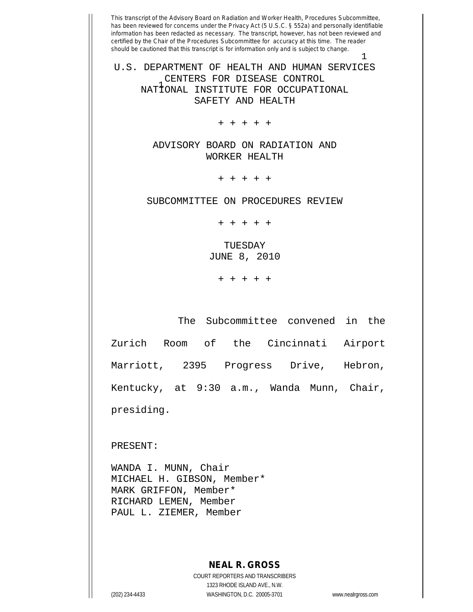This transcript of the Advisory Board on Radiation and Worker Health, Procedures Subcommittee, has been reviewed for concerns under the Privacy Act (5 U.S.C. § 552a) and personally identifiable information has been redacted as necessary. The transcript, however, has not been reviewed and certified by the Chair of the Procedures Subcommittee for accuracy at this time. The reader should be cautioned that this transcript is for information only and is subject to change. 1 1 NATIONAL INSTITUTE FOR OCCUPATIONAL U.S. DEPARTMENT OF HEALTH AND HUMAN SERVICES CENTERS FOR DISEASE CONTROL SAFETY AND HEALTH + + + + + ADVISORY BOARD ON RADIATION AND WORKER HEALTH + + + + + SUBCOMMITTEE ON PROCEDURES REVIEW + + + + + TUESDAY JUNE 8, 2010 + + + + + The Subcommittee convened in the Zurich Room of the Cincinnati Airport Marriott, 2395 Progress Drive, Hebron, Kentucky, at 9:30 a.m., Wanda Munn, Chair, presiding.

PRESENT:

WANDA I. MUNN, Chair MICHAEL H. GIBSON, Member\* MARK GRIFFON, Member\* RICHARD LEMEN, Member PAUL L. ZIEMER, Member

## **NEAL R. GROSS**

COURT REPORTERS AND TRANSCRIBERS 1323 RHODE ISLAND AVE., N.W. (202) 234-4433 WASHINGTON, D.C. 20005-3701 www.nealrgross.com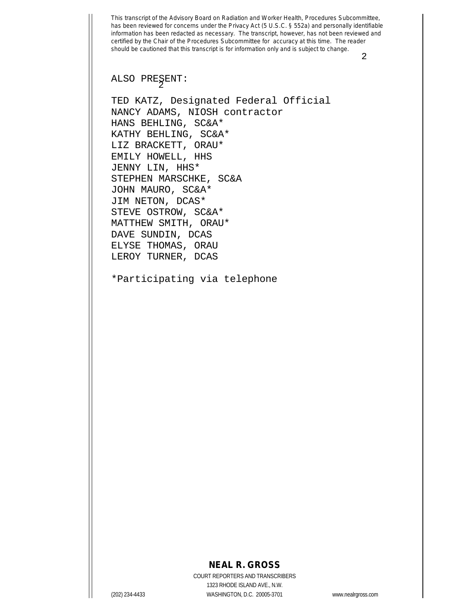2

2 ALSO PRESENT:

TED KATZ, Designated Federal Official NANCY ADAMS, NIOSH contractor HANS BEHLING, SC&A\* KATHY BEHLING, SC&A\* LIZ BRACKETT, ORAU\* EMILY HOWELL, HHS JENNY LIN, HHS\* STEPHEN MARSCHKE, SC&A JOHN MAURO, SC&A\* JIM NETON, DCAS\* STEVE OSTROW, SC&A\* MATTHEW SMITH, ORAU\* DAVE SUNDIN, DCAS ELYSE THOMAS, ORAU LEROY TURNER, DCAS

\*Participating via telephone

## **NEAL R. GROSS**

COURT REPORTERS AND TRANSCRIBERS 1323 RHODE ISLAND AVE., N.W. (202) 234-4433 WASHINGTON, D.C. 20005-3701 www.nealrgross.com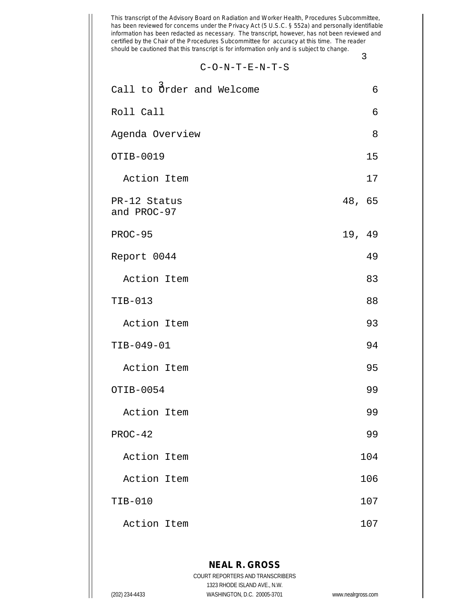$$
C\!-\!O\!-\!N\!-\!T\!-\!E\!-\!N\!-\!T\!-\!S
$$

3

| Call to Order and Welcome   | 6      |
|-----------------------------|--------|
| Roll Call                   | 6      |
| Agenda Overview             | 8      |
| OTIB-0019                   | 15     |
| Action Item                 | 17     |
| PR-12 Status<br>and PROC-97 | 48, 65 |
| PROC-95                     | 19, 49 |
| Report 0044                 | 49     |
| Action Item                 | 83     |
| $TIB-013$                   | 88     |
| Action Item                 | 93     |
| TIB-049-01                  | 94     |
| Action Item                 | 95     |
| OTIB-0054                   | 99     |
| Action Item                 | 99     |
| $PROC-42$                   | 99     |
| Action Item                 | 104    |
| Action Item                 | 106    |
| TIB-010                     | 107    |
| Action Item                 | 107    |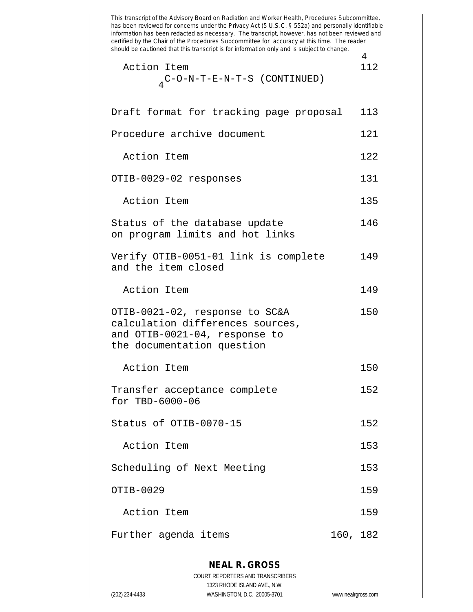This transcript of the Advisory Board on Radiation and Worker Health, Procedures Subcommittee, has been reviewed for concerns under the Privacy Act (5 U.S.C. § 552a) and personally identifiable information has been redacted as necessary. The transcript, however, has not been reviewed and certified by the Chair of the Procedures Subcommittee for accuracy at this time. The reader should be cautioned that this transcript is for information only and is subject to change. 4 4 Action Item 112 C-O-N-T-E-N-T-S (CONTINUED) Draft format for tracking page proposal 113 Procedure archive document 121 Action Item 122 OTIB-0029-02 responses 131 Action Item 135 Status of the database update 146 on program limits and hot links Verify OTIB-0051-01 link is complete 149 and the item closed Action Item 149 OTIB-0021-02, response to SC&A 150 calculation differences sources, and OTIB-0021-04, response to the documentation question Action Item 150 Transfer acceptance complete 152 for TBD-6000-06 Status of OTIB-0070-15 152 Action Item 153 Scheduling of Next Meeting 153 OTIB-0029 159 Action Item 159 Further agenda items 160, 182

**NEAL R. GROSS** COURT REPORTERS AND TRANSCRIBERS 1323 RHODE ISLAND AVE., N.W. (202) 234-4433 WASHINGTON, D.C. 20005-3701 www.nealrgross.com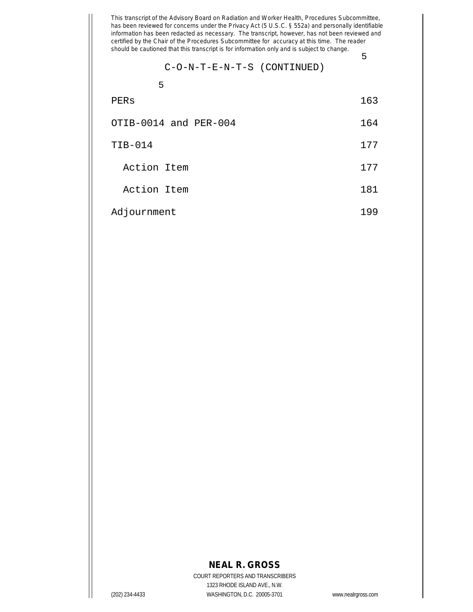$$
C-O-N-T-E-N-T-S (CONTINUED)
$$

5

| PERs | 163 |
|------|-----|
|------|-----|

- OTIB-0014 and PER-004 164
- TIB-014 177
	- Action Item 177
	- Action Item 181
- Adjournment 199

## **NEAL R. GROSS**

COURT REPORTERS AND TRANSCRIBERS 1323 RHODE ISLAND AVE., N.W. (202) 234-4433 WASHINGTON, D.C. 20005-3701 www.nealrgross.com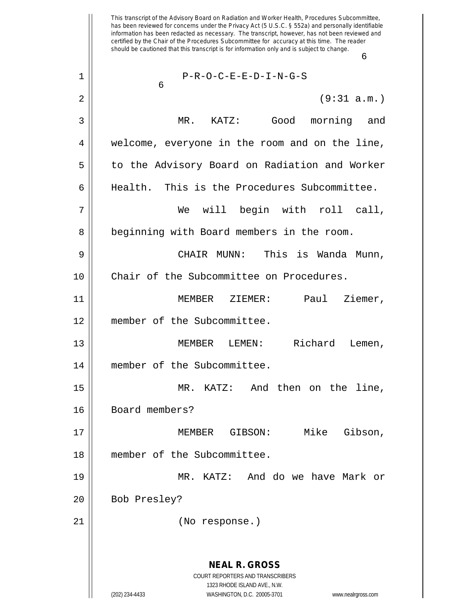This transcript of the Advisory Board on Radiation and Worker Health, Procedures Subcommittee, has been reviewed for concerns under the Privacy Act (5 U.S.C. § 552a) and personally identifiable information has been redacted as necessary. The transcript, however, has not been reviewed and certified by the Chair of the Procedures Subcommittee for accuracy at this time. The reader should be cautioned that this transcript is for information only and is subject to change. 6 **NEAL R. GROSS** COURT REPORTERS AND TRANSCRIBERS 1323 RHODE ISLAND AVE., N.W. (202) 234-4433 WASHINGTON, D.C. 20005-3701 www.nealrgross.com 6 1 || P-R-O-C-E-E-D-I-N-G-S 2 (9:31 a.m.) 3 MR. KATZ: Good morning and 4 welcome, everyone in the room and on the line, 5 | to the Advisory Board on Radiation and Worker 6 Health. This is the Procedures Subcommittee. 7 We will begin with roll call, 8 | beginning with Board members in the room. 9 CHAIR MUNN: This is Wanda Munn, 10 || Chair of the Subcommittee on Procedures. 11 MEMBER ZIEMER: Paul Ziemer, 12 member of the Subcommittee. 13 || **MEMBER LEMEN:** Richard Lemen, 14 | member of the Subcommittee. 15 MR. KATZ: And then on the line, 16 || Board members? 17 || MEMBER GIBSON: Mike Gibson, 18 member of the Subcommittee. 19 MR. KATZ: And do we have Mark or 20 || Bob Presley? 21 (No response.)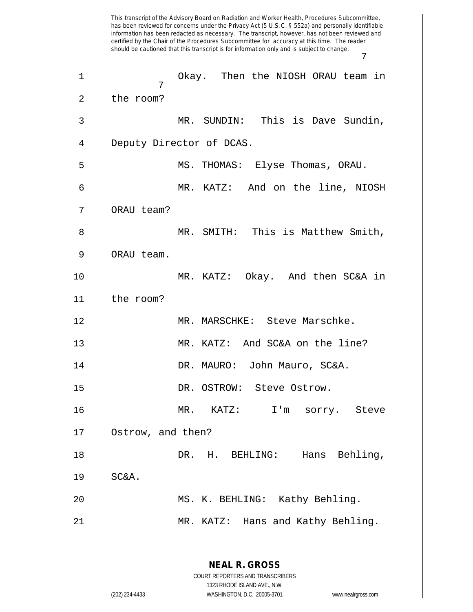This transcript of the Advisory Board on Radiation and Worker Health, Procedures Subcommittee, has been reviewed for concerns under the Privacy Act (5 U.S.C. § 552a) and personally identifiable information has been redacted as necessary. The transcript, however, has not been reviewed and certified by the Chair of the Procedures Subcommittee for accuracy at this time. The reader should be cautioned that this transcript is for information only and is subject to change. 7 **NEAL R. GROSS** COURT REPORTERS AND TRANSCRIBERS 1323 RHODE ISLAND AVE., N.W. (202) 234-4433 WASHINGTON, D.C. 20005-3701 www.nealrgross.com 7 1 Okay. Then the NIOSH ORAU team in 2 | the room? 3 MR. SUNDIN: This is Dave Sundin, 4 | Deputy Director of DCAS. 5 MS. THOMAS: Elyse Thomas, ORAU. 6 MR. KATZ: And on the line, NIOSH 7 || ORAU team? 8 MR. SMITH: This is Matthew Smith, 9 | ORAU team. 10 MR. KATZ: Okay. And then SC&A in 11 the room? 12 || MR. MARSCHKE: Steve Marschke. 13 || MR. KATZ: And SC&A on the line? 14 DR. MAURO: John Mauro, SC&A. 15 || DR. OSTROW: Steve Ostrow. 16 MR. KATZ: I'm sorry. Steve 17 Ostrow, and then? 18 DR. H. BEHLING: Hans Behling,  $19$  SC&A. 20 || MS. K. BEHLING: Kathy Behling. 21 || MR. KATZ: Hans and Kathy Behling.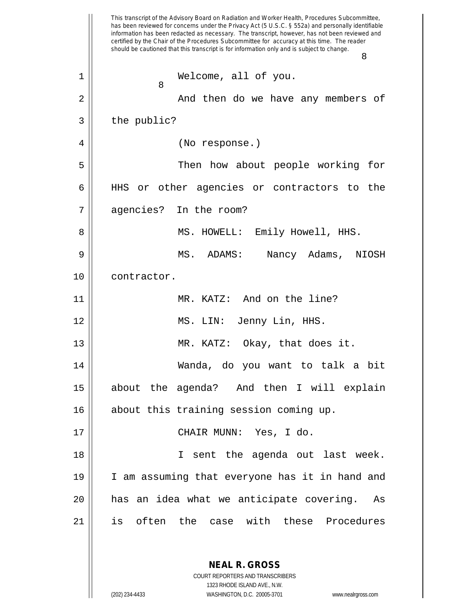This transcript of the Advisory Board on Radiation and Worker Health, Procedures Subcommittee, has been reviewed for concerns under the Privacy Act (5 U.S.C. § 552a) and personally identifiable information has been redacted as necessary. The transcript, however, has not been reviewed and certified by the Chair of the Procedures Subcommittee for accuracy at this time. The reader should be cautioned that this transcript is for information only and is subject to change. 8 **NEAL R. GROSS** 8 1 || Welcome, all of you. 2 And then do we have any members of  $3 \parallel$  the public? 4 || (No response.) 5 Then how about people working for 6 HHS or other agencies or contractors to the 7 agencies? In the room? 8 || MS. HOWELL: Emily Howell, HHS. 9 MS. ADAMS: Nancy Adams, NIOSH 10 || contractor. 11 MR. KATZ: And on the line? 12 MS. LIN: Jenny Lin, HHS. 13 || MR. KATZ: Okay, that does it. 14 Wanda, do you want to talk a bit 15 about the agenda? And then I will explain 16 || about this training session coming up. 17 || CHAIR MUNN: Yes, I do. 18 || I sent the agenda out last week. 19 I am assuming that everyone has it in hand and 20 has an idea what we anticipate covering. As 21 is often the case with these Procedures

> COURT REPORTERS AND TRANSCRIBERS 1323 RHODE ISLAND AVE., N.W.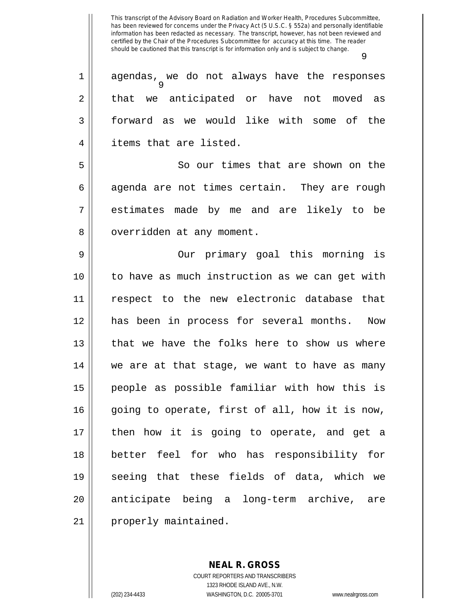9 1 || agendas, we do not always have the responses 2 || that we anticipated or have not moved as 3 forward as we would like with some of the 4 items that are listed. 5 So our times that are shown on the  $6 \parallel$  agenda are not times certain. They are rough 7 estimates made by me and are likely to be 8 | overridden at any moment. 9 || Our primary goal this morning is 10 to have as much instruction as we can get with 11 respect to the new electronic database that 12 has been in process for several months. Now 13 || that we have the folks here to show us where 14 || we are at that stage, we want to have as many 15 people as possible familiar with how this is 16 || going to operate, first of all, how it is now, 17 || then how it is going to operate, and get a 18 better feel for who has responsibility for 19 seeing that these fields of data, which we 20 || anticipate being a long-term archive, are 21 | properly maintained.

> COURT REPORTERS AND TRANSCRIBERS 1323 RHODE ISLAND AVE., N.W. (202) 234-4433 WASHINGTON, D.C. 20005-3701 www.nealrgross.com

**NEAL R. GROSS**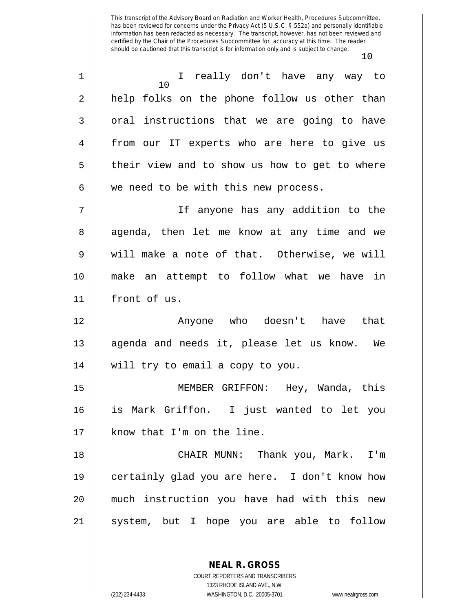| 1  | I really don't have any way to<br>10          |
|----|-----------------------------------------------|
| 2  | help folks on the phone follow us other than  |
| 3  | oral instructions that we are going to have   |
| 4  | from our IT experts who are here to give us   |
| 5  | their view and to show us how to get to where |
| 6  | we need to be with this new process.          |
| 7  | If anyone has any addition to the             |
| 8  | agenda, then let me know at any time and we   |
| 9  | will make a note of that. Otherwise, we will  |
| 10 | make an attempt to follow what we have in     |
| 11 | front of us.                                  |
| 12 | Anyone who doesn't have that                  |
| 13 | agenda and needs it, please let us know. We   |
| 14 | will try to email a copy to you.              |
| 15 | MEMBER GRIFFON: Hey, Wanda, this              |
| 16 | is Mark Griffon. I just wanted to let you     |
| 17 | know that I'm on the line.                    |
| 18 | CHAIR MUNN: Thank you, Mark.<br>I'm           |
| 19 | certainly glad you are here. I don't know how |
| 20 | much instruction you have had with this new   |
| 21 | system, but I hope you are able to follow     |
|    |                                               |

**NEAL R. GROSS** COURT REPORTERS AND TRANSCRIBERS

1323 RHODE ISLAND AVE., N.W.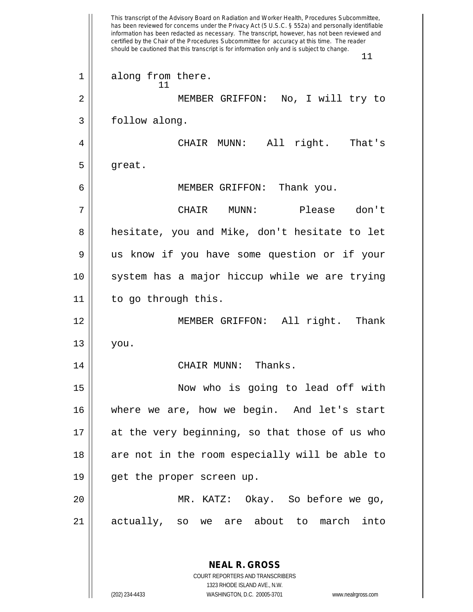This transcript of the Advisory Board on Radiation and Worker Health, Procedures Subcommittee, has been reviewed for concerns under the Privacy Act (5 U.S.C. § 552a) and personally identifiable information has been redacted as necessary. The transcript, however, has not been reviewed and certified by the Chair of the Procedures Subcommittee for accuracy at this time. The reader should be cautioned that this transcript is for information only and is subject to change. 11 **NEAL R. GROSS** 11 1 || along from there. 2 MEMBER GRIFFON: No, I will try to 3 | follow along. 4 CHAIR MUNN: All right. That's  $5 \parallel$  great. 6 MEMBER GRIFFON: Thank you. 7 CHAIR MUNN: Please don't 8 || hesitate, you and Mike, don't hesitate to let 9 us know if you have some question or if your 10 || system has a major hiccup while we are trying 11 || to go through this. 12 MEMBER GRIFFON: All right. Thank  $13$  you. 14 CHAIR MUNN: Thanks. 15 Now who is going to lead off with 16 where we are, how we begin. And let's start 17 at the very beginning, so that those of us who 18 || are not in the room especially will be able to 19 || get the proper screen up. 20 MR. KATZ: Okay. So before we go, 21 actually, so we are about to march into

> COURT REPORTERS AND TRANSCRIBERS 1323 RHODE ISLAND AVE., N.W.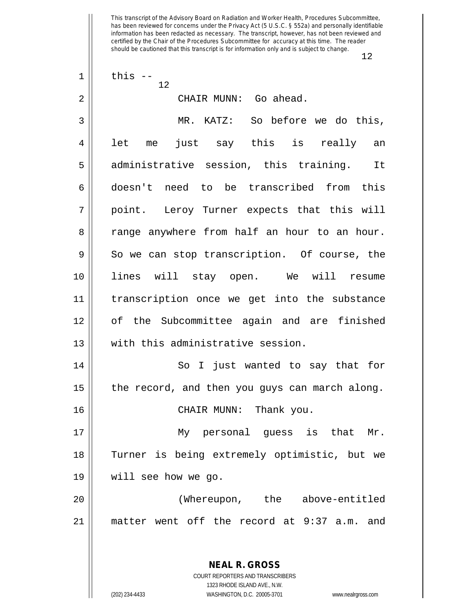|    | ∸∠                                             |
|----|------------------------------------------------|
| 1  | this $--$<br>12                                |
| 2  | CHAIR MUNN: Go ahead.                          |
| 3  | MR. KATZ: So before we do this,                |
| 4  | just say this is really an<br>let<br>me        |
| 5  | administrative session, this training. It      |
| 6  | doesn't need to be transcribed from this       |
| 7  | point. Leroy Turner expects that this will     |
| 8  | range anywhere from half an hour to an hour.   |
| 9  | So we can stop transcription. Of course, the   |
| 10 | lines will stay open. We will resume           |
| 11 | transcription once we get into the substance   |
| 12 | of the Subcommittee again and are finished     |
| 13 | with this administrative session.              |
| 14 | So I just wanted to say that for               |
| 15 | the record, and then you guys can march along. |
| 16 | CHAIR MUNN: Thank you.                         |
| 17 | My personal guess is that Mr.                  |
| 18 | Turner is being extremely optimistic, but we   |
| 19 | will see how we go.                            |
| 20 | (Whereupon, the above-entitled                 |
| 21 | matter went off the record at 9:37 a.m. and    |
|    |                                                |
|    | <b>NEAL R. GROSS</b>                           |

COURT REPORTERS AND TRANSCRIBERS 1323 RHODE ISLAND AVE., N.W. (202) 234-4433 WASHINGTON, D.C. 20005-3701 www.nealrgross.com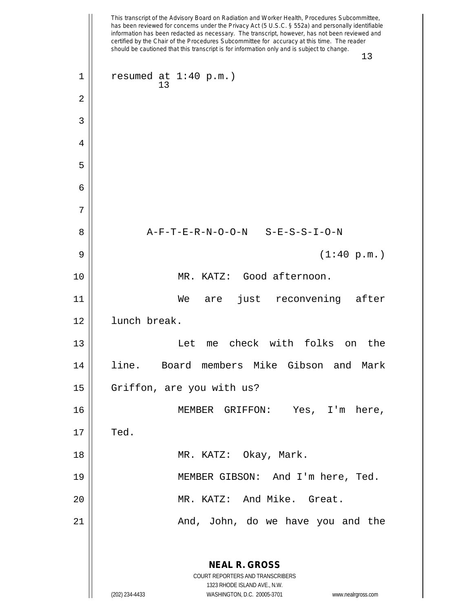|    | This transcript of the Advisory Board on Radiation and Worker Health, Procedures Subcommittee,<br>has been reviewed for concerns under the Privacy Act (5 U.S.C. § 552a) and personally identifiable<br>information has been redacted as necessary. The transcript, however, has not been reviewed and<br>certified by the Chair of the Procedures Subcommittee for accuracy at this time. The reader<br>should be cautioned that this transcript is for information only and is subject to change. |
|----|-----------------------------------------------------------------------------------------------------------------------------------------------------------------------------------------------------------------------------------------------------------------------------------------------------------------------------------------------------------------------------------------------------------------------------------------------------------------------------------------------------|
|    | 13                                                                                                                                                                                                                                                                                                                                                                                                                                                                                                  |
| 1  | resumed at $1:40$ p.m.)<br>13                                                                                                                                                                                                                                                                                                                                                                                                                                                                       |
| 2  |                                                                                                                                                                                                                                                                                                                                                                                                                                                                                                     |
| 3  |                                                                                                                                                                                                                                                                                                                                                                                                                                                                                                     |
| 4  |                                                                                                                                                                                                                                                                                                                                                                                                                                                                                                     |
| 5  |                                                                                                                                                                                                                                                                                                                                                                                                                                                                                                     |
| 6  |                                                                                                                                                                                                                                                                                                                                                                                                                                                                                                     |
| 7  |                                                                                                                                                                                                                                                                                                                                                                                                                                                                                                     |
| 8  | A-F-T-E-R-N-O-O-N S-E-S-S-I-O-N                                                                                                                                                                                                                                                                                                                                                                                                                                                                     |
| 9  | (1:40 p.m.)                                                                                                                                                                                                                                                                                                                                                                                                                                                                                         |
| 10 | Good afternoon.<br>MR. KATZ:                                                                                                                                                                                                                                                                                                                                                                                                                                                                        |
| 11 | just reconvening after<br>We<br>are                                                                                                                                                                                                                                                                                                                                                                                                                                                                 |
| 12 | lunch break.                                                                                                                                                                                                                                                                                                                                                                                                                                                                                        |
| 13 | check with folks<br>Let<br>the<br>me<br>on                                                                                                                                                                                                                                                                                                                                                                                                                                                          |
| 14 | line. Board members Mike Gibson and Mark                                                                                                                                                                                                                                                                                                                                                                                                                                                            |
| 15 | Griffon, are you with us?                                                                                                                                                                                                                                                                                                                                                                                                                                                                           |
| 16 | MEMBER GRIFFON: Yes, I'm here,                                                                                                                                                                                                                                                                                                                                                                                                                                                                      |
| 17 | Ted.                                                                                                                                                                                                                                                                                                                                                                                                                                                                                                |
| 18 | MR. KATZ: Okay, Mark.                                                                                                                                                                                                                                                                                                                                                                                                                                                                               |
| 19 | MEMBER GIBSON: And I'm here, Ted.                                                                                                                                                                                                                                                                                                                                                                                                                                                                   |
| 20 | MR. KATZ: And Mike. Great.                                                                                                                                                                                                                                                                                                                                                                                                                                                                          |
| 21 | And, John, do we have you and the                                                                                                                                                                                                                                                                                                                                                                                                                                                                   |
|    | <b>NEAL R. GROSS</b>                                                                                                                                                                                                                                                                                                                                                                                                                                                                                |
|    | COURT REPORTERS AND TRANSCRIBERS<br>1323 RHODE ISLAND AVE., N.W.                                                                                                                                                                                                                                                                                                                                                                                                                                    |
|    | (202) 234-4433<br>WASHINGTON, D.C. 20005-3701<br>www.nealrgross.com                                                                                                                                                                                                                                                                                                                                                                                                                                 |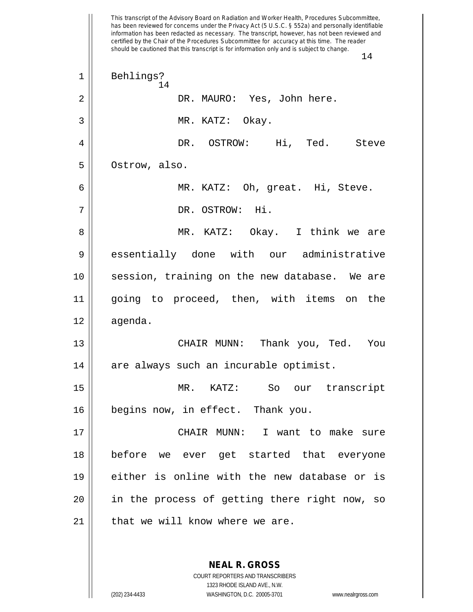This transcript of the Advisory Board on Radiation and Worker Health, Procedures Subcommittee, has been reviewed for concerns under the Privacy Act (5 U.S.C. § 552a) and personally identifiable information has been redacted as necessary. The transcript, however, has not been reviewed and certified by the Chair of the Procedures Subcommittee for accuracy at this time. The reader should be cautioned that this transcript is for information only and is subject to change. 14 14 1 || Behlings? 2 DR. MAURO: Yes, John here. 3 || MR. KATZ: Okay. 4 DR. OSTROW: Hi, Ted. Steve 5 | Ostrow, also. 6 MR. KATZ: Oh, great. Hi, Steve. 7 DR. OSTROW: Hi. 8 MR. KATZ: Okay. I think we are 9 essentially done with our administrative 10 session, training on the new database. We are 11 going to proceed, then, with items on the 12 agenda. 13 CHAIR MUNN: Thank you, Ted. You 14 || are always such an incurable optimist. 15 MR. KATZ: So our transcript 16 || begins now, in effect. Thank you. 17 CHAIR MUNN: I want to make sure 18 before we ever get started that everyone 19 either is online with the new database or is 20 in the process of getting there right now, so  $21$  | that we will know where we are.

> **NEAL R. GROSS** COURT REPORTERS AND TRANSCRIBERS 1323 RHODE ISLAND AVE., N.W.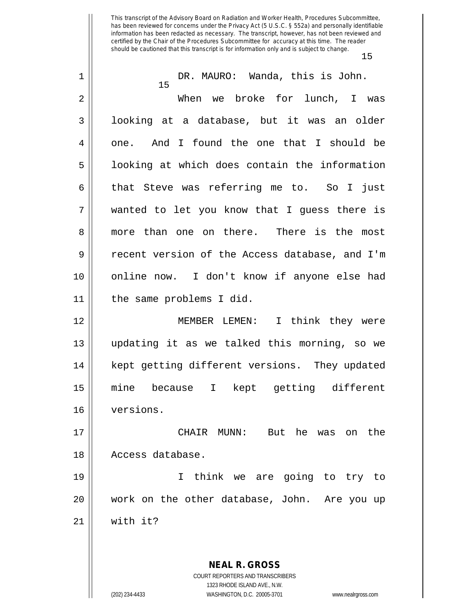| 1              | DR. MAURO: Wanda, this is John.<br>15          |
|----------------|------------------------------------------------|
| $\overline{2}$ | When we broke for lunch, I<br>was              |
| 3              | looking at a database, but it was an older     |
| 4              | one. And I found the one that I should be      |
| 5              | looking at which does contain the information  |
| 6              | that Steve was referring me to. So I just      |
| 7              | wanted to let you know that I guess there is   |
| 8              | more than one on there. There is the most      |
| 9              | recent version of the Access database, and I'm |
| 10             | online now. I don't know if anyone else had    |
| 11             | the same problems I did.                       |
| 12             | MEMBER LEMEN: I think they were                |
| 13             | updating it as we talked this morning, so we   |
| 14             | kept getting different versions. They updated  |
| 15             | because I kept getting different<br>mine       |
| 16             | versions.                                      |
| 17             | CHAIR MUNN: But he was on the                  |
| 18             | Access database.                               |
| 19             | think we are going to try to<br>I.             |
| 20             | work on the other database, John. Are you up   |
| 21             | with it?                                       |
|                |                                                |
|                | <b>NEAL R. GROSS</b>                           |
|                | COURT REPORTERS AND TRANSCRIBERS               |

1323 RHODE ISLAND AVE., N.W.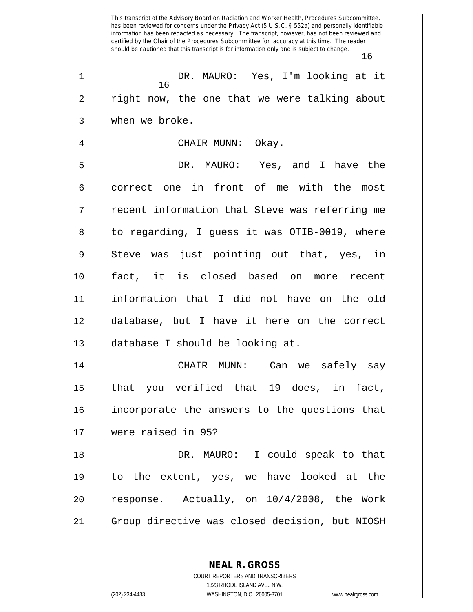This transcript of the Advisory Board on Radiation and Worker Health, Procedures Subcommittee, has been reviewed for concerns under the Privacy Act (5 U.S.C. § 552a) and personally identifiable information has been redacted as necessary. The transcript, however, has not been reviewed and certified by the Chair of the Procedures Subcommittee for accuracy at this time. The reader should be cautioned that this transcript is for information only and is subject to change. 16 16 1 DR. MAURO: Yes, I'm looking at it 2 || right now, the one that we were talking about 3 when we broke. 4 CHAIR MUNN: Okay. 5 DR. MAURO: Yes, and I have the 6 correct one in front of me with the most 7 || recent information that Steve was referring me 8 || to regarding, I guess it was OTIB-0019, where  $9 \parallel$  Steve was just pointing out that, yes, in 10 fact, it is closed based on more recent 11 information that I did not have on the old 12 database, but I have it here on the correct 13 database I should be looking at. 14 CHAIR MUNN: Can we safely say 15 that you verified that 19 does, in fact, 16 incorporate the answers to the questions that 17 were raised in 95? 18 DR. MAURO: I could speak to that 19 to the extent, yes, we have looked at the 20  $\vert$  response. Actually, on  $10/4/2008$ , the Work 21 Group directive was closed decision, but NIOSH

> **NEAL R. GROSS** COURT REPORTERS AND TRANSCRIBERS

> > 1323 RHODE ISLAND AVE., N.W.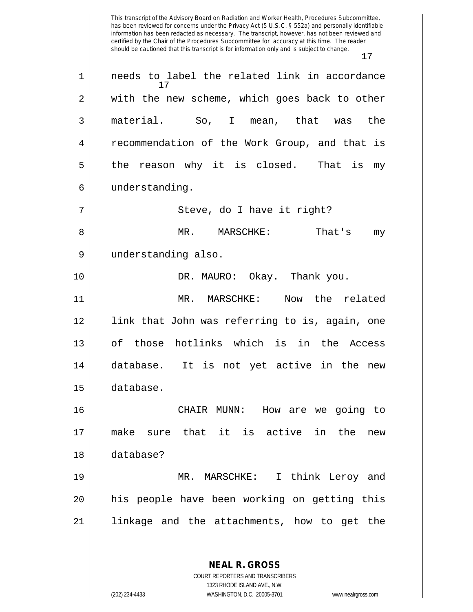This transcript of the Advisory Board on Radiation and Worker Health, Procedures Subcommittee, has been reviewed for concerns under the Privacy Act (5 U.S.C. § 552a) and personally identifiable information has been redacted as necessary. The transcript, however, has not been reviewed and certified by the Chair of the Procedures Subcommittee for accuracy at this time. The reader should be cautioned that this transcript is for information only and is subject to change. 17 **NEAL R. GROSS** 17 1 || needs to label the related link in accordance 2 with the new scheme, which goes back to other 3 material. So, I mean, that was the 4 Fecommendation of the Work Group, and that is  $5 \parallel$  the reason why it is closed. That is my 6 | understanding. 7 Steve, do I have it right? 8 MR. MARSCHKE: That's my 9 understanding also. 10 DR. MAURO: Okay. Thank you. 11 MR. MARSCHKE: Now the related 12 link that John was referring to is, again, one 13 of those hotlinks which is in the Access 14 database. It is not yet active in the new 15 database. 16 CHAIR MUNN: How are we going to 17 make sure that it is active in the new 18 database? 19 MR. MARSCHKE: I think Leroy and 20 his people have been working on getting this 21 linkage and the attachments, how to get the

> COURT REPORTERS AND TRANSCRIBERS 1323 RHODE ISLAND AVE., N.W.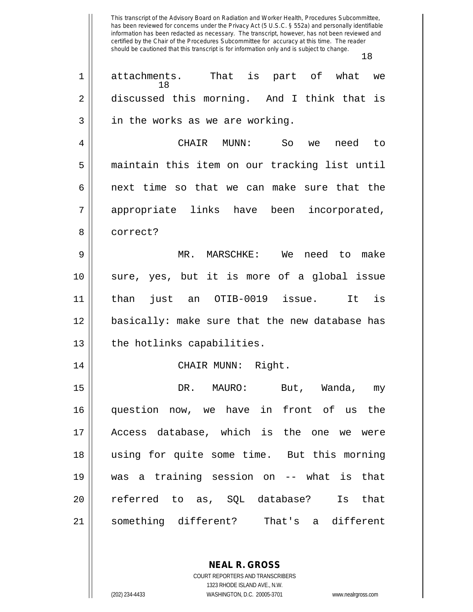| 1  | That is part of what<br>attachments.<br>we<br>18 |
|----|--------------------------------------------------|
| 2  | discussed this morning. And I think that is      |
| 3  | in the works as we are working.                  |
| 4  | CHAIR MUNN:<br>So<br>need<br>to<br>we            |
| 5  | maintain this item on our tracking list until    |
| 6  | next time so that we can make sure that the      |
| 7  | appropriate links have been incorporated,        |
| 8  | correct?                                         |
| 9  | MR. MARSCHKE: We need to<br>make                 |
| 10 | sure, yes, but it is more of a global issue      |
| 11 | just an OTIB-0019 issue.<br>It is<br>than        |
| 12 | basically: make sure that the new database has   |
| 13 | the hotlinks capabilities.                       |
| 14 | CHAIR MUNN: Right.                               |
| 15 | DR.<br>MAURO:<br>But, Wanda,<br>my               |
| 16 | question now, we have in front of<br>the<br>us   |
| 17 | Access database, which is the one we were        |
| 18 | using for quite some time. But this morning      |
| 19 | was a training session on -- what is that        |
| 20 | referred to as, SQL database? Is that            |
| 21 | something different? That's a different          |

**NEAL R. GROSS** COURT REPORTERS AND TRANSCRIBERS

1323 RHODE ISLAND AVE., N.W. (202) 234-4433 WASHINGTON, D.C. 20005-3701 www.nealrgross.com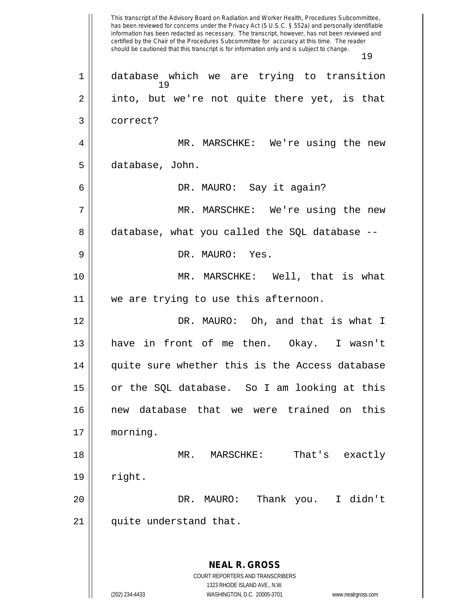This transcript of the Advisory Board on Radiation and Worker Health, Procedures Subcommittee, has been reviewed for concerns under the Privacy Act (5 U.S.C. § 552a) and personally identifiable information has been redacted as necessary. The transcript, however, has not been reviewed and certified by the Chair of the Procedures Subcommittee for accuracy at this time. The reader should be cautioned that this transcript is for information only and is subject to change. 19 **NEAL R. GROSS** COURT REPORTERS AND TRANSCRIBERS 1323 RHODE ISLAND AVE., N.W. (202) 234-4433 WASHINGTON, D.C. 20005-3701 www.nealrgross.com 19 1 database which we are trying to transition  $2 \parallel$  into, but we're not quite there yet, is that 3 correct? 4 MR. MARSCHKE: We're using the new 5 database, John. 6 DR. MAURO: Say it again? 7 MR. MARSCHKE: We're using the new 8 database, what you called the SQL database --9 DR. MAURO: Yes. 10 || MR. MARSCHKE: Well, that is what 11 we are trying to use this afternoon. 12 DR. MAURO: Oh, and that is what I 13 have in front of me then. Okay. I wasn't 14 || quite sure whether this is the Access database 15 or the SQL database. So I am looking at this 16 new database that we were trained on this 17 morning. 18 MR. MARSCHKE: That's exactly 19 right. 20 DR. MAURO: Thank you. I didn't 21 || quite understand that.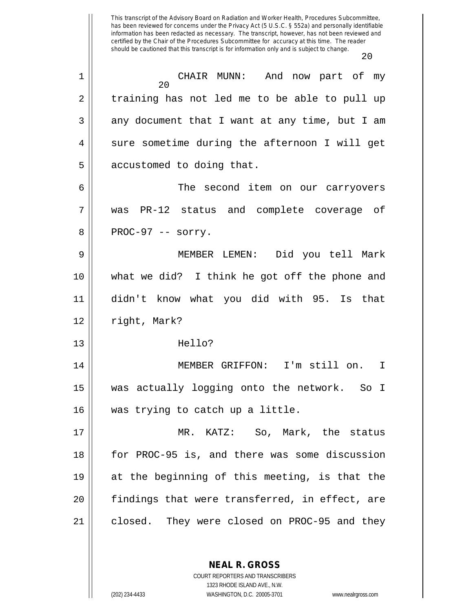20 1 CHAIR MUNN: And now part of my 2 || training has not led me to be able to pull up  $3 \parallel$  any document that I want at any time, but I am  $4 \parallel$  sure sometime during the afternoon I will get  $5 \parallel$  accustomed to doing that. 6 The second item on our carryovers 7 was PR-12 status and complete coverage of  $8 \parallel$  PROC-97 -- sorry. 9 MEMBER LEMEN: Did you tell Mark 10 what we did? I think he got off the phone and 11 didn't know what you did with 95. Is that 12 | right, Mark? 13 Hello? 14 MEMBER GRIFFON: I'm still on. I 15 was actually logging onto the network. So I 16 || was trying to catch up a little. 17 MR. KATZ: So, Mark, the status 18 for PROC-95 is, and there was some discussion 19 at the beginning of this meeting, is that the 20 || findings that were transferred, in effect, are

21 || closed. They were closed on PROC-95 and they

**NEAL R. GROSS** COURT REPORTERS AND TRANSCRIBERS

1323 RHODE ISLAND AVE., N.W. (202) 234-4433 WASHINGTON, D.C. 20005-3701 www.nealrgross.com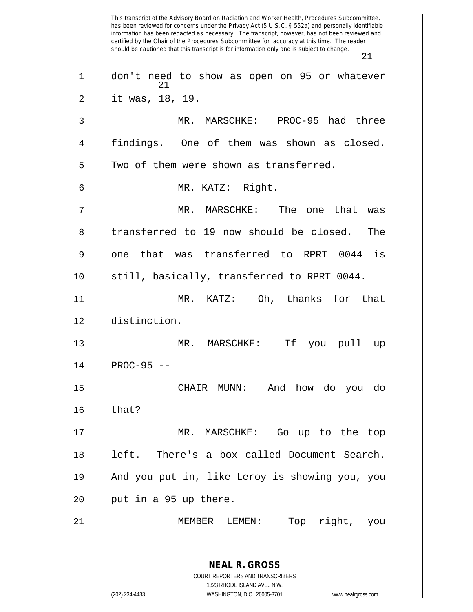This transcript of the Advisory Board on Radiation and Worker Health, Procedures Subcommittee, has been reviewed for concerns under the Privacy Act (5 U.S.C. § 552a) and personally identifiable information has been redacted as necessary. The transcript, however, has not been reviewed and certified by the Chair of the Procedures Subcommittee for accuracy at this time. The reader should be cautioned that this transcript is for information only and is subject to change. 21 **NEAL R. GROSS** COURT REPORTERS AND TRANSCRIBERS 1323 RHODE ISLAND AVE., N.W. (202) 234-4433 WASHINGTON, D.C. 20005-3701 www.nealrgross.com 21 1 don't need to show as open on 95 or whatever 2 it was, 18, 19. 3 || MR. MARSCHKE: PROC-95 had three 4 findings. One of them was shown as closed.  $5$  Two of them were shown as transferred. 6 MR. KATZ: Right. 7 MR. MARSCHKE: The one that was 8 transferred to 19 now should be closed. The  $9 \parallel$  one that was transferred to RPRT 0044 is 10 || still, basically, transferred to RPRT 0044. 11 MR. KATZ: Oh, thanks for that 12 distinction. 13 MR. MARSCHKE: If you pull up  $14$  | PROC-95 --15 CHAIR MUNN: And how do you do  $16 \parallel$  that? 17 MR. MARSCHKE: Go up to the top 18 left. There's a box called Document Search. 19 And you put in, like Leroy is showing you, you  $20$  || put in a 95 up there. 21 || MEMBER LEMEN: Top right, you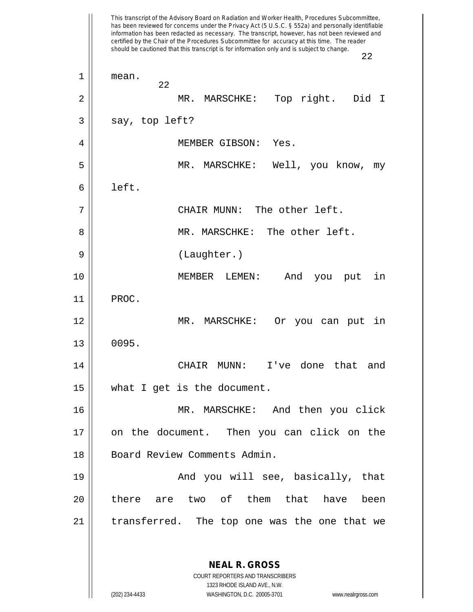This transcript of the Advisory Board on Radiation and Worker Health, Procedures Subcommittee, has been reviewed for concerns under the Privacy Act (5 U.S.C. § 552a) and personally identifiable information has been redacted as necessary. The transcript, however, has not been reviewed and certified by the Chair of the Procedures Subcommittee for accuracy at this time. The reader should be cautioned that this transcript is for information only and is subject to change. 22 **NEAL R. GROSS** COURT REPORTERS AND TRANSCRIBERS 22 1 mean. 2 MR. MARSCHKE: Top right. Did I  $3 \parallel$  say, top left? 4 MEMBER GIBSON: Yes. 5 || MR. MARSCHKE: Well, you know, my  $6 \parallel$  left. 7 CHAIR MUNN: The other left. 8 MR. MARSCHKE: The other left. 9 || (Laughter.) 10 MEMBER LEMEN: And you put in 11 PROC. 12 MR. MARSCHKE: Or you can put in  $13 \parallel 0095.$ 14 CHAIR MUNN: I've done that and 15 what I get is the document. 16 MR. MARSCHKE: And then you click 17 on the document. Then you can click on the 18 || Board Review Comments Admin. 19 || The Mond you will see, basically, that 20 || there are two of them that have been 21 || transferred. The top one was the one that we

> 1323 RHODE ISLAND AVE., N.W. (202) 234-4433 WASHINGTON, D.C. 20005-3701 www.nealrgross.com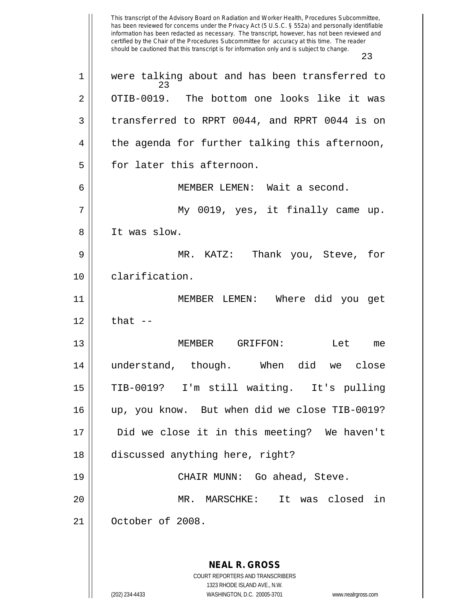This transcript of the Advisory Board on Radiation and Worker Health, Procedures Subcommittee, has been reviewed for concerns under the Privacy Act (5 U.S.C. § 552a) and personally identifiable information has been redacted as necessary. The transcript, however, has not been reviewed and certified by the Chair of the Procedures Subcommittee for accuracy at this time. The reader should be cautioned that this transcript is for information only and is subject to change. 23 **NEAL R. GROSS** COURT REPORTERS AND TRANSCRIBERS 1323 RHODE ISLAND AVE., N.W. (202) 234-4433 WASHINGTON, D.C. 20005-3701 www.nealrgross.com 23 1 || were talking about and has been transferred to 2 OTIB-0019. The bottom one looks like it was 3 || transferred to RPRT 0044, and RPRT 0044 is on  $4 \parallel$  the agenda for further talking this afternoon, 5 || for later this afternoon. 6 MEMBER LEMEN: Wait a second. 7 My 0019, yes, it finally came up. 8 It was slow. 9 MR. KATZ: Thank you, Steve, for 10 | clarification. 11 MEMBER LEMEN: Where did you get  $12 \parallel$  that  $-$ 13 MEMBER GRIFFON: Let me 14 understand, though. When did we close 15 TIB-0019? I'm still waiting. It's pulling 16 up, you know. But when did we close TIB-0019? 17 Did we close it in this meeting? We haven't 18 discussed anything here, right? 19 CHAIR MUNN: Go ahead, Steve. 20 MR. MARSCHKE: It was closed in 21 October of 2008.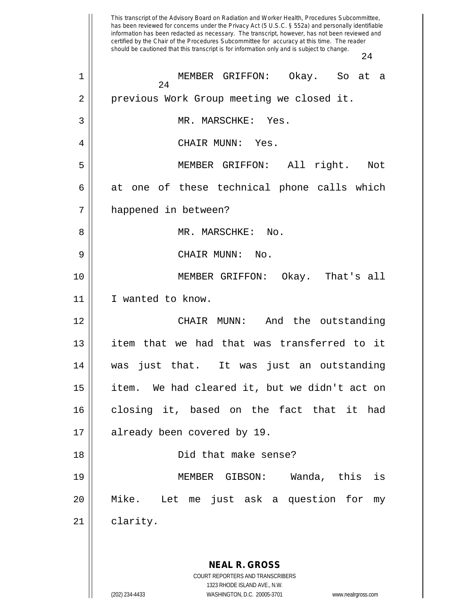This transcript of the Advisory Board on Radiation and Worker Health, Procedures Subcommittee, has been reviewed for concerns under the Privacy Act (5 U.S.C. § 552a) and personally identifiable information has been redacted as necessary. The transcript, however, has not been reviewed and certified by the Chair of the Procedures Subcommittee for accuracy at this time. The reader should be cautioned that this transcript is for information only and is subject to change. 24 **NEAL R. GROSS** COURT REPORTERS AND TRANSCRIBERS 1323 RHODE ISLAND AVE., N.W. (202) 234-4433 WASHINGTON, D.C. 20005-3701 www.nealrgross.com 24 1 MEMBER GRIFFON: Okay. So at a 2 || previous Work Group meeting we closed it. 3 || MR. MARSCHKE: Yes. 4 CHAIR MUNN: Yes. 5 MEMBER GRIFFON: All right. Not  $6 \parallel$  at one of these technical phone calls which 7 happened in between? 8 MR. MARSCHKE: No. 9 CHAIR MUNN: No. 10 MEMBER GRIFFON: Okay. That's all 11 I wanted to know. 12 CHAIR MUNN: And the outstanding 13 item that we had that was transferred to it 14 was just that. It was just an outstanding 15 item. We had cleared it, but we didn't act on 16 closing it, based on the fact that it had 17 || already been covered by 19. 18 Did that make sense? 19 MEMBER GIBSON: Wanda, this is 20 Mike. Let me just ask a question for my 21 | clarity.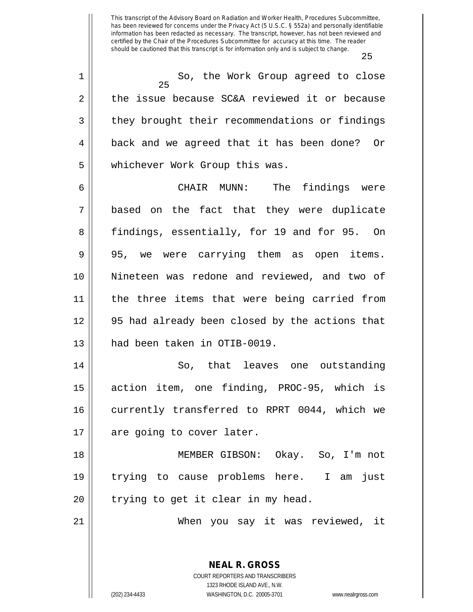25 25 1 || So, the Work Group agreed to close  $2 \parallel$  the issue because SC&A reviewed it or because 3 || they brought their recommendations or findings 4 | back and we agreed that it has been done? Or 5 | whichever Work Group this was. 6 CHAIR MUNN: The findings were 7 based on the fact that they were duplicate 8 findings, essentially, for 19 and for 95. On 9 || 95, we were carrying them as open items. 10 Nineteen was redone and reviewed, and two of 11 || the three items that were being carried from 12 95 had already been closed by the actions that 13 || had been taken in OTIB-0019. 14 So, that leaves one outstanding 15 action item, one finding, PROC-95, which is 16 || currently transferred to RPRT 0044, which we 17 || are going to cover later. 18 MEMBER GIBSON: Okay. So, I'm not

19 || trying to cause problems here. I am just  $20$  || trying to get it clear in my head.

21 When you say it was reviewed, it

**NEAL R. GROSS** COURT REPORTERS AND TRANSCRIBERS 1323 RHODE ISLAND AVE., N.W.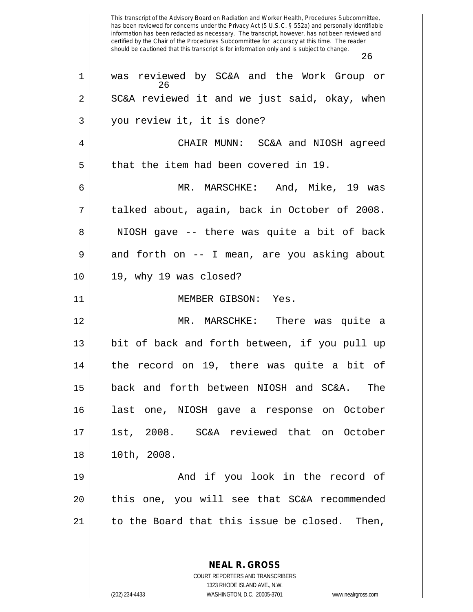This transcript of the Advisory Board on Radiation and Worker Health, Procedures Subcommittee, has been reviewed for concerns under the Privacy Act (5 U.S.C. § 552a) and personally identifiable information has been redacted as necessary. The transcript, however, has not been reviewed and certified by the Chair of the Procedures Subcommittee for accuracy at this time. The reader should be cautioned that this transcript is for information only and is subject to change. 26 **NEAL R. GROSS** 26 1 was reviewed by SC&A and the Work Group or  $2 \parallel$  SC&A reviewed it and we just said, okay, when 3 || you review it, it is done? 4 CHAIR MUNN: SC&A and NIOSH agreed  $5 \parallel$  that the item had been covered in 19. 6 MR. MARSCHKE: And, Mike, 19 was 7 talked about, again, back in October of 2008. 8 || NIOSH gave -- there was quite a bit of back  $9 \parallel$  and forth on -- I mean, are you asking about 10 19, why 19 was closed? 11 MEMBER GIBSON: Yes. 12 MR. MARSCHKE: There was quite a 13 bit of back and forth between, if you pull up 14 the record on 19, there was quite a bit of 15 back and forth between NIOSH and SC&A. The 16 last one, NIOSH gave a response on October 17 1st, 2008. SC&A reviewed that on October 18 10th, 2008. 19 And if you look in the record of 20 || this one, you will see that SC&A recommended  $21$  | to the Board that this issue be closed. Then,

COURT REPORTERS AND TRANSCRIBERS 1323 RHODE ISLAND AVE., N.W. (202) 234-4433 WASHINGTON, D.C. 20005-3701 www.nealrgross.com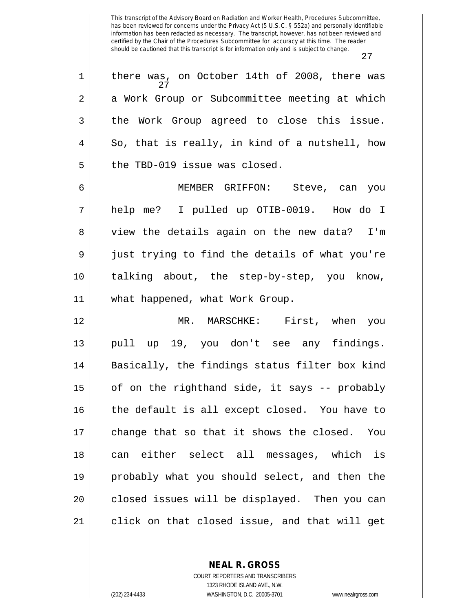|    | 27                                                  |
|----|-----------------------------------------------------|
| 1  | there was, on October 14th of 2008, there was<br>27 |
| 2  | a Work Group or Subcommittee meeting at which       |
| 3  | the Work Group agreed to close this issue.          |
| 4  | So, that is really, in kind of a nutshell, how      |
| 5  | the TBD-019 issue was closed.                       |
| 6  | MEMBER GRIFFON: Steve, can you                      |
| 7  | help me? I pulled up OTIB-0019. How do I            |
| 8  | view the details again on the new data? I'm         |
| 9  | just trying to find the details of what you're      |
| 10 | talking about, the step-by-step, you know,          |
| 11 | what happened, what Work Group.                     |
| 12 | MR. MARSCHKE: First, when you                       |
| 13 | pull up 19, you don't see any findings.             |
| 14 | Basically, the findings status filter box kind      |
| 15 | of on the righthand side, it says -- probably       |
| 16 | the default is all except closed. You have to       |
| 17 | change that so that it shows the closed. You        |
| 18 | can either select all messages, which is            |
| 19 | probably what you should select, and then the       |
| 20 | closed issues will be displayed. Then you can       |
| 21 | click on that closed issue, and that will get       |

**NEAL R. GROSS** COURT REPORTERS AND TRANSCRIBERS

1323 RHODE ISLAND AVE., N.W. (202) 234-4433 WASHINGTON, D.C. 20005-3701 www.nealrgross.com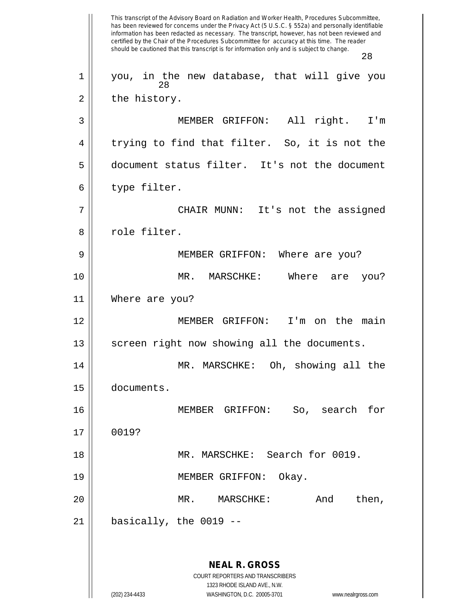This transcript of the Advisory Board on Radiation and Worker Health, Procedures Subcommittee, has been reviewed for concerns under the Privacy Act (5 U.S.C. § 552a) and personally identifiable information has been redacted as necessary. The transcript, however, has not been reviewed and certified by the Chair of the Procedures Subcommittee for accuracy at this time. The reader should be cautioned that this transcript is for information only and is subject to change. 28 **NEAL R. GROSS** COURT REPORTERS AND TRANSCRIBERS 1323 RHODE ISLAND AVE., N.W. (202) 234-4433 WASHINGTON, D.C. 20005-3701 www.nealrgross.com 28 1 || you, in the new database, that will give you  $2 \parallel$  the history. 3 MEMBER GRIFFON: All right. I'm  $4 \parallel$  trying to find that filter. So, it is not the 5 document status filter. It's not the document  $6$  || type filter. 7 CHAIR MUNN: It's not the assigned 8 || role filter. 9 || MEMBER GRIFFON: Where are you? 10 MR. MARSCHKE: Where are you? 11 Where are you? 12 MEMBER GRIFFON: I'm on the main  $13$  screen right now showing all the documents. 14 || MR. MARSCHKE: Oh, showing all the 15 documents. 16 MEMBER GRIFFON: So, search for 17 0019? 18 || MR. MARSCHKE: Search for 0019. 19 || MEMBER GRIFFON: Okay. 20 MR. MARSCHKE: And then,  $21$  | basically, the 0019 --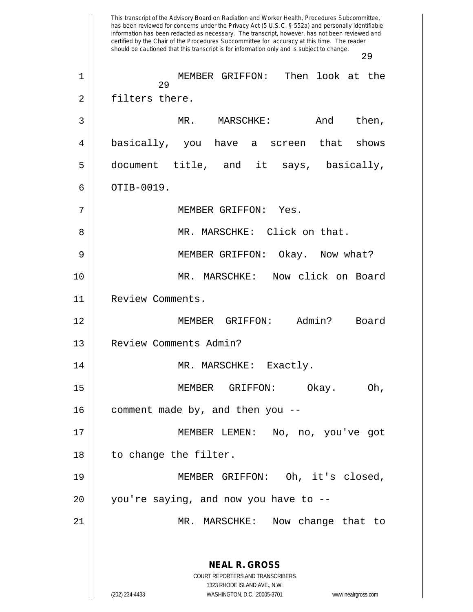This transcript of the Advisory Board on Radiation and Worker Health, Procedures Subcommittee, has been reviewed for concerns under the Privacy Act (5 U.S.C. § 552a) and personally identifiable information has been redacted as necessary. The transcript, however, has not been reviewed and certified by the Chair of the Procedures Subcommittee for accuracy at this time. The reader should be cautioned that this transcript is for information only and is subject to change. 29 **NEAL R. GROSS** COURT REPORTERS AND TRANSCRIBERS 1323 RHODE ISLAND AVE., N.W. (202) 234-4433 WASHINGTON, D.C. 20005-3701 www.nealrgross.com 29 1 MEMBER GRIFFON: Then look at the 2 | filters there. 3 MR. MARSCHKE: And then, 4 basically, you have a screen that shows 5 || document title, and it says, basically,  $6 \parallel$  OTIB-0019. 7 MEMBER GRIFFON: Yes. 8 || MR. MARSCHKE: Click on that. 9 MEMBER GRIFFON: Okay. Now what? 10 MR. MARSCHKE: Now click on Board 11 | Review Comments. 12 MEMBER GRIFFON: Admin? Board 13 | Review Comments Admin? 14 || MR. MARSCHKE: Exactly. 15 MEMBER GRIFFON: Okay. Oh,  $16$  | comment made by, and then you --17 MEMBER LEMEN: No, no, you've got 18 || to change the filter. 19 MEMBER GRIFFON: Oh, it's closed,  $20$  || you're saying, and now you have to  $-$ -21 MR. MARSCHKE: Now change that to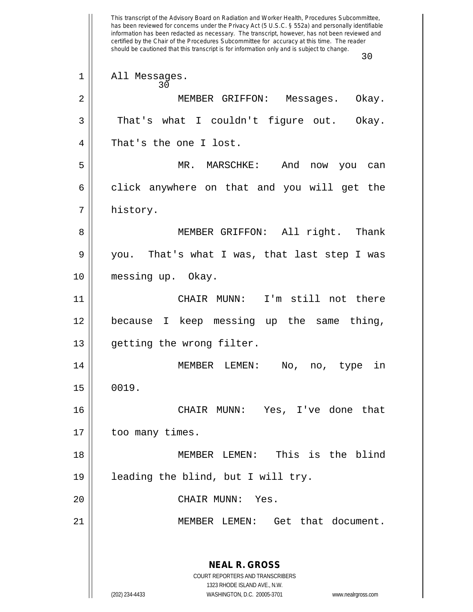This transcript of the Advisory Board on Radiation and Worker Health, Procedures Subcommittee, has been reviewed for concerns under the Privacy Act (5 U.S.C. § 552a) and personally identifiable information has been redacted as necessary. The transcript, however, has not been reviewed and certified by the Chair of the Procedures Subcommittee for accuracy at this time. The reader should be cautioned that this transcript is for information only and is subject to change. 30 **NEAL R. GROSS** COURT REPORTERS AND TRANSCRIBERS 1323 RHODE ISLAND AVE., N.W. (202) 234-4433 WASHINGTON, D.C. 20005-3701 www.nealrgross.com 30 1 || All Messages. 2 MEMBER GRIFFON: Messages. Okay.  $3 \parallel$  That's what I couldn't figure out. Okay. 4 That's the one I lost. 5 MR. MARSCHKE: And now you can  $6 \parallel$  click anywhere on that and you will get the 7 || history. 8 || MEMBER GRIFFON: All right. Thank 9 you. That's what I was, that last step I was 10 messing up. Okay. 11 CHAIR MUNN: I'm still not there 12 because I keep messing up the same thing, 13 | getting the wrong filter. 14 MEMBER LEMEN: No, no, type in  $15 \parallel 0019.$ 16 CHAIR MUNN: Yes, I've done that 17 || too many times. 18 MEMBER LEMEN: This is the blind 19 leading the blind, but I will try. 20 CHAIR MUNN: Yes. 21 MEMBER LEMEN: Get that document.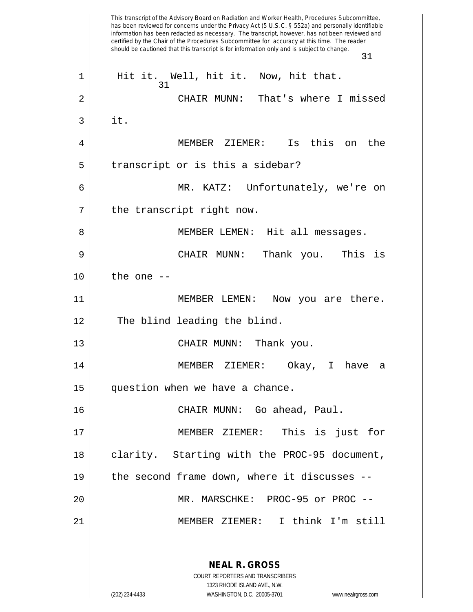This transcript of the Advisory Board on Radiation and Worker Health, Procedures Subcommittee, has been reviewed for concerns under the Privacy Act (5 U.S.C. § 552a) and personally identifiable information has been redacted as necessary. The transcript, however, has not been reviewed and certified by the Chair of the Procedures Subcommittee for accuracy at this time. The reader should be cautioned that this transcript is for information only and is subject to change. 31 **NEAL R. GROSS** COURT REPORTERS AND TRANSCRIBERS 1323 RHODE ISLAND AVE., N.W. (202) 234-4433 WASHINGTON, D.C. 20005-3701 www.nealrgross.com 31 1 || Hit it. Well, hit it. Now, hit that. 2 CHAIR MUNN: That's where I missed  $3$  it. 4 MEMBER ZIEMER: Is this on the  $5 \parallel$  transcript or is this a sidebar? 6 MR. KATZ: Unfortunately, we're on  $7 ||$  the transcript right now. 8 || MEMBER LEMEN: Hit all messages. 9 CHAIR MUNN: Thank you. This is  $10$  | the one  $-$ 11 || MEMBER LEMEN: Now you are there. 12 || The blind leading the blind. 13 || CHAIR MUNN: Thank you. 14 MEMBER ZIEMER: Okay, I have a 15 question when we have a chance. 16 CHAIR MUNN: Go ahead, Paul. 17 MEMBER ZIEMER: This is just for 18 || clarity. Starting with the PROC-95 document, 19 || the second frame down, where it discusses --20 MR. MARSCHKE: PROC-95 or PROC -- 21 MEMBER ZIEMER: I think I'm still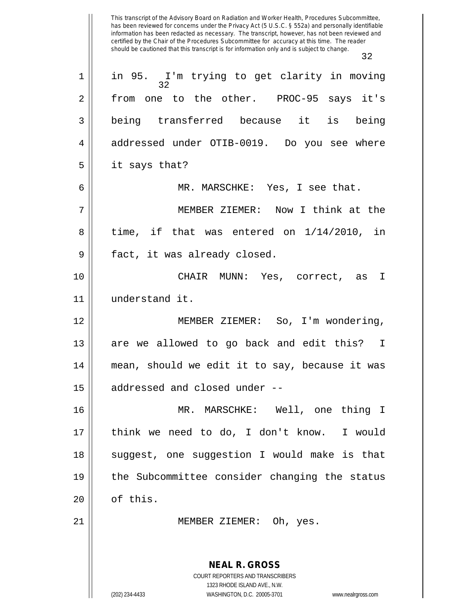This transcript of the Advisory Board on Radiation and Worker Health, Procedures Subcommittee, has been reviewed for concerns under the Privacy Act (5 U.S.C. § 552a) and personally identifiable information has been redacted as necessary. The transcript, however, has not been reviewed and certified by the Chair of the Procedures Subcommittee for accuracy at this time. The reader should be cautioned that this transcript is for information only and is subject to change. 32 **NEAL R. GROSS** COURT REPORTERS AND TRANSCRIBERS 1323 RHODE ISLAND AVE., N.W. 32 1 in 95. I'm trying to get clarity in moving 2 from one to the other. PROC-95 says it's 3 being transferred because it is being 4 addressed under OTIB-0019. Do you see where  $5 \parallel$  it says that? 6 MR. MARSCHKE: Yes, I see that. 7 MEMBER ZIEMER: Now I think at the  $8 \parallel$  time, if that was entered on  $1/14/2010$ , in 9 || fact, it was already closed. 10 CHAIR MUNN: Yes, correct, as I 11 understand it. 12 || MEMBER ZIEMER: So, I'm wondering, 13 || are we allowed to go back and edit this? I 14 mean, should we edit it to say, because it was 15 addressed and closed under -- 16 MR. MARSCHKE: Well, one thing I 17 || think we need to do, I don't know. I would 18 || suggest, one suggestion I would make is that 19 the Subcommittee consider changing the status  $20 \parallel$  of this. 21 || MEMBER ZIEMER: Oh, yes.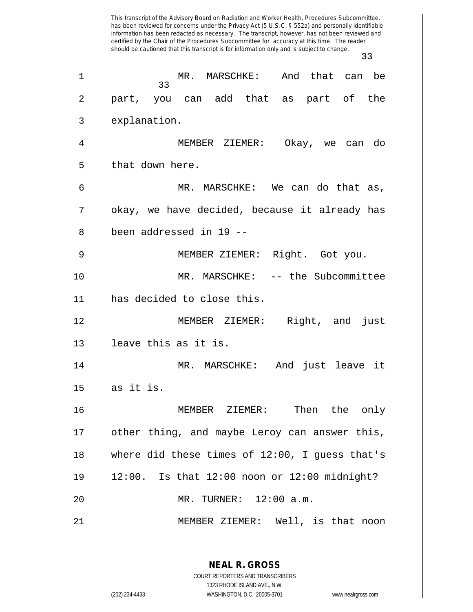This transcript of the Advisory Board on Radiation and Worker Health, Procedures Subcommittee, has been reviewed for concerns under the Privacy Act (5 U.S.C. § 552a) and personally identifiable information has been redacted as necessary. The transcript, however, has not been reviewed and certified by the Chair of the Procedures Subcommittee for accuracy at this time. The reader should be cautioned that this transcript is for information only and is subject to change. 33 **NEAL R. GROSS** COURT REPORTERS AND TRANSCRIBERS 1323 RHODE ISLAND AVE., N.W. (202) 234-4433 WASHINGTON, D.C. 20005-3701 www.nealrgross.com 33 1 MR. MARSCHKE: And that can be 2 || part, you can add that as part of the 3 | explanation. 4 MEMBER ZIEMER: Okay, we can do  $5 \parallel$  that down here. 6 MR. MARSCHKE: We can do that as,  $7 \parallel$  okay, we have decided, because it already has 8 been addressed in 19 -- 9 || MEMBER ZIEMER: Right. Got you. 10 || MR. MARSCHKE: -- the Subcommittee 11 has decided to close this. 12 MEMBER ZIEMER: Right, and just 13 leave this as it is. 14 MR. MARSCHKE: And just leave it  $15 \parallel$  as it is. 16 MEMBER ZIEMER: Then the only 17 other thing, and maybe Leroy can answer this,  $18$  || where did these times of  $12:00$ , I guess that's 19 12:00. Is that 12:00 noon or 12:00 midnight? 20 MR. TURNER: 12:00 a.m. 21 MEMBER ZIEMER: Well, is that noon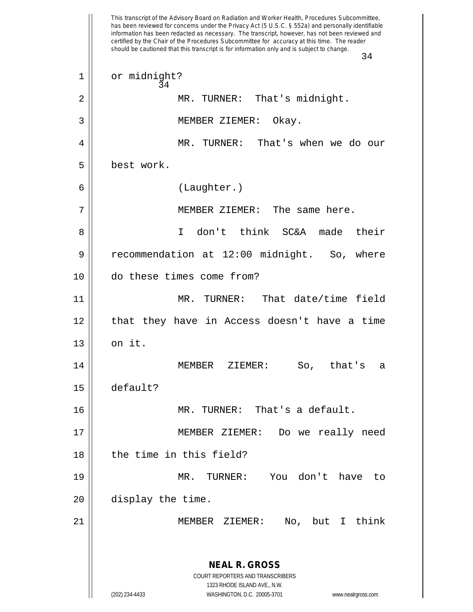This transcript of the Advisory Board on Radiation and Worker Health, Procedures Subcommittee, has been reviewed for concerns under the Privacy Act (5 U.S.C. § 552a) and personally identifiable information has been redacted as necessary. The transcript, however, has not been reviewed and certified by the Chair of the Procedures Subcommittee for accuracy at this time. The reader should be cautioned that this transcript is for information only and is subject to change. 34 **NEAL R. GROSS** COURT REPORTERS AND TRANSCRIBERS 1323 RHODE ISLAND AVE., N.W. (202) 234-4433 WASHINGTON, D.C. 20005-3701 www.nealrgross.com 34 1 | or midnight? 2 || MR. TURNER: That's midnight. 3 || MEMBER ZIEMER: Okay. 4 MR. TURNER: That's when we do our 5 best work. 6 (Laughter.) 7 MEMBER ZIEMER: The same here. 8 I don't think SC&A made their 9 | recommendation at 12:00 midnight. So, where 10 do these times come from? 11 MR. TURNER: That date/time field 12 that they have in Access doesn't have a time  $13$  |  $\circ$ n it. 14 MEMBER ZIEMER: So, that's a 15 default? 16 MR. TURNER: That's a default. 17 MEMBER ZIEMER: Do we really need 18 d the time in this field? 19 MR. TURNER: You don't have to 20 || display the time. 21 MEMBER ZIEMER: No, but I think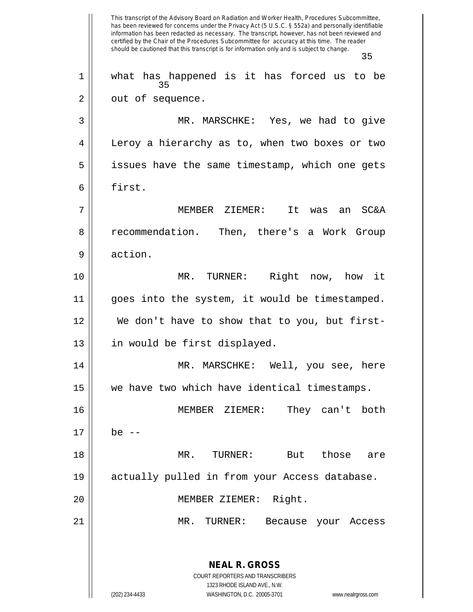This transcript of the Advisory Board on Radiation and Worker Health, Procedures Subcommittee, has been reviewed for concerns under the Privacy Act (5 U.S.C. § 552a) and personally identifiable information has been redacted as necessary. The transcript, however, has not been reviewed and certified by the Chair of the Procedures Subcommittee for accuracy at this time. The reader should be cautioned that this transcript is for information only and is subject to change. 35 **NEAL R. GROSS** COURT REPORTERS AND TRANSCRIBERS 1323 RHODE ISLAND AVE., N.W. (202) 234-4433 WASHINGTON, D.C. 20005-3701 www.nealrgross.com 35 1 what has happened is it has forced us to be 2 | out of sequence. 3 MR. MARSCHKE: Yes, we had to give 4 | Leroy a hierarchy as to, when two boxes or two  $5 \parallel$  issues have the same timestamp, which one gets 6 l first. 7 MEMBER ZIEMER: It was an SC&A 8 | recommendation. Then, there's a Work Group 9 action. 10 MR. TURNER: Right now, how it 11 goes into the system, it would be timestamped. 12 We don't have to show that to you, but first-13 || in would be first displayed. 14 MR. MARSCHKE: Well, you see, here 15 we have two which have identical timestamps. 16 MEMBER ZIEMER: They can't both  $17 \parallel$  be  $-$ 18 MR. TURNER: But those are 19 actually pulled in from your Access database. 20 MEMBER ZIEMER: Right. 21 MR. TURNER: Because your Access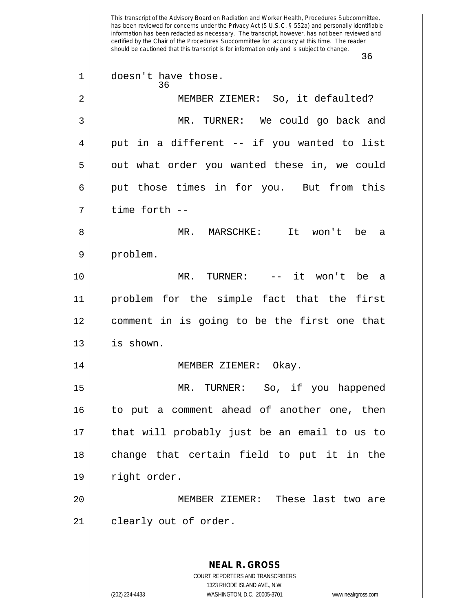This transcript of the Advisory Board on Radiation and Worker Health, Procedures Subcommittee, has been reviewed for concerns under the Privacy Act (5 U.S.C. § 552a) and personally identifiable information has been redacted as necessary. The transcript, however, has not been reviewed and certified by the Chair of the Procedures Subcommittee for accuracy at this time. The reader should be cautioned that this transcript is for information only and is subject to change. 36 **NEAL R. GROSS** COURT REPORTERS AND TRANSCRIBERS 1323 RHODE ISLAND AVE., N.W. 36 1 || doesn't have those. 2 MEMBER ZIEMER: So, it defaulted? 3 MR. TURNER: We could go back and  $4 \parallel$  put in a different -- if you wanted to list 5 || out what order you wanted these in, we could  $6 \parallel$  put those times in for you. But from this  $7 \parallel$  time forth  $-$ 8 MR. MARSCHKE: It won't be a 9 | problem. 10 MR. TURNER: -- it won't be a 11 problem for the simple fact that the first 12 comment in is going to be the first one that 13 | is shown. 14 || MEMBER ZIEMER: Okay. 15 MR. TURNER: So, if you happened 16 to put a comment ahead of another one, then 17 || that will probably just be an email to us to 18 || change that certain field to put it in the 19 | right order. 20 MEMBER ZIEMER: These last two are 21 || clearly out of order.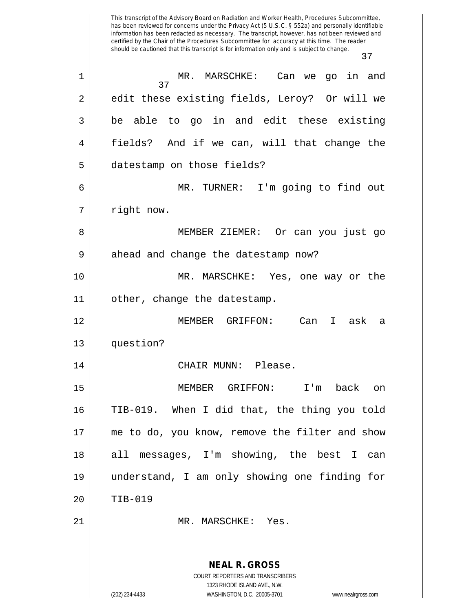This transcript of the Advisory Board on Radiation and Worker Health, Procedures Subcommittee, has been reviewed for concerns under the Privacy Act (5 U.S.C. § 552a) and personally identifiable information has been redacted as necessary. The transcript, however, has not been reviewed and certified by the Chair of the Procedures Subcommittee for accuracy at this time. The reader should be cautioned that this transcript is for information only and is subject to change. 37 **NEAL R. GROSS** COURT REPORTERS AND TRANSCRIBERS 1323 RHODE ISLAND AVE., N.W. 37 1 MR. MARSCHKE: Can we go in and 2 || edit these existing fields, Leroy? Or will we  $3 \parallel$  be able to go in and edit these existing 4 fields? And if we can, will that change the 5 | datestamp on those fields? 6 MR. TURNER: I'm going to find out 7 || right now. 8 MEMBER ZIEMER: Or can you just go  $9 \parallel$  ahead and change the datestamp now? 10 MR. MARSCHKE: Yes, one way or the 11 | other, change the datestamp. 12 MEMBER GRIFFON: Can I ask a 13 question? 14 CHAIR MUNN: Please. 15 MEMBER GRIFFON: I'm back on 16 TIB-019. When I did that, the thing you told 17 || me to do, you know, remove the filter and show 18 all messages, I'm showing, the best I can 19 understand, I am only showing one finding for 20 TIB-019 21 || MR. MARSCHKE: Yes.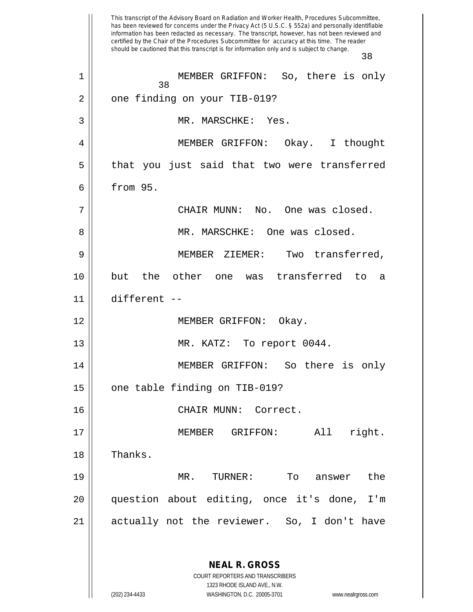This transcript of the Advisory Board on Radiation and Worker Health, Procedures Subcommittee, has been reviewed for concerns under the Privacy Act (5 U.S.C. § 552a) and personally identifiable information has been redacted as necessary. The transcript, however, has not been reviewed and certified by the Chair of the Procedures Subcommittee for accuracy at this time. The reader should be cautioned that this transcript is for information only and is subject to change. 38 **NEAL R. GROSS** COURT REPORTERS AND TRANSCRIBERS 1323 RHODE ISLAND AVE., N.W. (202) 234-4433 WASHINGTON, D.C. 20005-3701 www.nealrgross.com 38 1 || MEMBER GRIFFON: So, there is only 2 || one finding on your TIB-019? 3 || MR. MARSCHKE: Yes. 4 MEMBER GRIFFON: Okay. I thought  $5 \parallel$  that you just said that two were transferred 6 | from 95.  $7 \parallel$  CHAIR MUNN: No. One was closed. 8 || MR. MARSCHKE: One was closed. 9 || MEMBER ZIEMER: Two transferred, 10 but the other one was transferred to a 11 different -- 12 || MEMBER GRIFFON: Okay. 13 || MR. KATZ: To report 0044. 14 MEMBER GRIFFON: So there is only  $15$  | one table finding on TIB-019? 16 CHAIR MUNN: Correct. 17 || **MEMBER** GRIFFON: All right. 18 || Thanks. 19 MR. TURNER: To answer the 20 question about editing, once it's done, I'm 21 actually not the reviewer. So, I don't have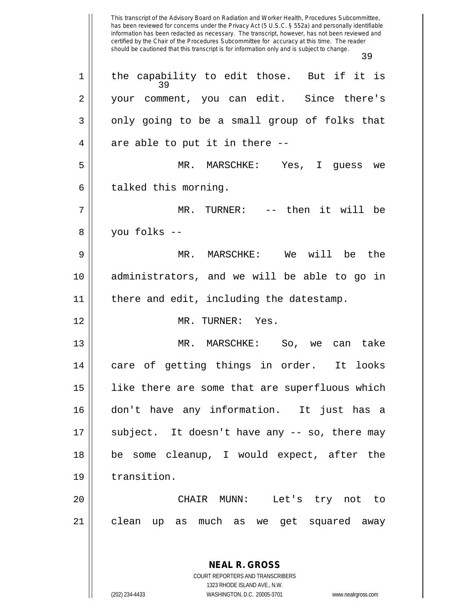This transcript of the Advisory Board on Radiation and Worker Health, Procedures Subcommittee, has been reviewed for concerns under the Privacy Act (5 U.S.C. § 552a) and personally identifiable information has been redacted as necessary. The transcript, however, has not been reviewed and certified by the Chair of the Procedures Subcommittee for accuracy at this time. The reader should be cautioned that this transcript is for information only and is subject to change. 39 **NEAL R. GROSS** COURT REPORTERS AND TRANSCRIBERS 1323 RHODE ISLAND AVE., N.W. 39  $1 \parallel$  the capability to edit those. But if it is 2 || your comment, you can edit. Since there's  $3 \parallel$  only going to be a small group of folks that  $4 \parallel$  are able to put it in there  $-$ -5 MR. MARSCHKE: Yes, I guess we  $6 \parallel$  talked this morning. 7 MR. TURNER: -- then it will be 8 you folks -- 9 MR. MARSCHKE: We will be the 10 administrators, and we will be able to go in 11 || there and edit, including the datestamp. 12 || MR. TURNER: Yes. 13 MR. MARSCHKE: So, we can take 14 || care of getting things in order. It looks 15 like there are some that are superfluous which 16 don't have any information. It just has a  $17$  || subject. It doesn't have any  $-$  so, there may 18 be some cleanup, I would expect, after the 19 transition. 20 CHAIR MUNN: Let's try not to 21 clean up as much as we get squared away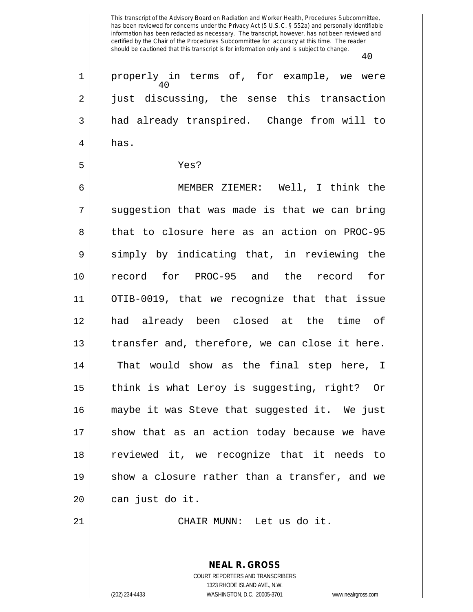This transcript of the Advisory Board on Radiation and Worker Health, Procedures Subcommittee, has been reviewed for concerns under the Privacy Act (5 U.S.C. § 552a) and personally identifiable information has been redacted as necessary. The transcript, however, has not been reviewed and certified by the Chair of the Procedures Subcommittee for accuracy at this time. The reader should be cautioned that this transcript is for information only and is subject to change. 40 40 1 properly in terms of, for example, we were 2 || just discussing, the sense this transaction 3 and already transpired. Change from will to  $4 \parallel$  has. 5 Yes? 6 MEMBER ZIEMER: Well, I think the  $7 ||$  suggestion that was made is that we can bring 8 that to closure here as an action on PROC-95  $9 \parallel$  simply by indicating that, in reviewing the 10 record for PROC-95 and the record for 11 OTIB-0019, that we recognize that that issue 12 had already been closed at the time of  $13$  | transfer and, therefore, we can close it here. 14 || That would show as the final step here, I 15 think is what Leroy is suggesting, right? Or 16 maybe it was Steve that suggested it. We just  $17$  show that as an action today because we have 18 reviewed it, we recognize that it needs to 19 || show a closure rather than a transfer, and we 20 || can just do it.

21 || CHAIR MUNN: Let us do it.

**NEAL R. GROSS** COURT REPORTERS AND TRANSCRIBERS 1323 RHODE ISLAND AVE., N.W. (202) 234-4433 WASHINGTON, D.C. 20005-3701 www.nealrgross.com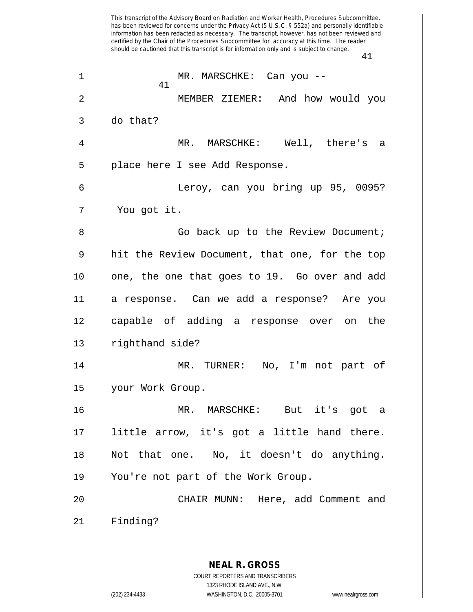This transcript of the Advisory Board on Radiation and Worker Health, Procedures Subcommittee, has been reviewed for concerns under the Privacy Act (5 U.S.C. § 552a) and personally identifiable information has been redacted as necessary. The transcript, however, has not been reviewed and certified by the Chair of the Procedures Subcommittee for accuracy at this time. The reader should be cautioned that this transcript is for information only and is subject to change. 41 **NEAL R. GROSS** COURT REPORTERS AND TRANSCRIBERS 1323 RHODE ISLAND AVE., N.W. (202) 234-4433 WASHINGTON, D.C. 20005-3701 www.nealrgross.com 41 1 MR. MARSCHKE: Can you -- 2 MEMBER ZIEMER: And how would you 3 do that? 4 MR. MARSCHKE: Well, there's a 5 | place here I see Add Response. 6 Leroy, can you bring up 95, 0095? 7 You got it. 8 Go back up to the Review Document; 9 || hit the Review Document, that one, for the top 10 one, the one that goes to 19. Go over and add 11 a response. Can we add a response? Are you 12 capable of adding a response over on the 13 | righthand side? 14 MR. TURNER: No, I'm not part of 15 your Work Group. 16 MR. MARSCHKE: But it's got a 17 little arrow, it's got a little hand there. 18 Not that one. No, it doesn't do anything. 19 || You're not part of the Work Group. 20 CHAIR MUNN: Here, add Comment and 21 Finding?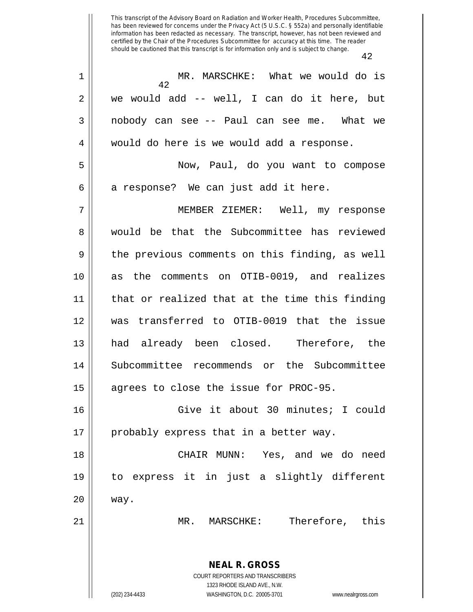| $1\,$          | MR. MARSCHKE: What we would do is<br>42                             |
|----------------|---------------------------------------------------------------------|
| $\overline{2}$ | we would add -- well, I can do it here, but                         |
| 3              | nobody can see -- Paul can see me. What we                          |
| 4              | would do here is we would add a response.                           |
| 5              | Now, Paul, do you want to compose                                   |
| 6              | a response? We can just add it here.                                |
| 7              | MEMBER ZIEMER: Well, my response                                    |
| 8              | would be that the Subcommittee has reviewed                         |
| 9              | the previous comments on this finding, as well                      |
| 10             | as the comments on OTIB-0019, and realizes                          |
| 11             | that or realized that at the time this finding                      |
|                |                                                                     |
| 12             | was transferred to OTIB-0019 that the issue                         |
| 13             | had already been closed. Therefore, the                             |
| 14             | Subcommittee recommends or the Subcommittee                         |
| 15             | agrees to close the issue for PROC-95.                              |
| 16             | Give it about 30 minutes; I could                                   |
| 17             | probably express that in a better way.                              |
| 18             | CHAIR MUNN: Yes, and we do need                                     |
| 19             | to express it in just a slightly different                          |
| 20             | way.                                                                |
| 21             | MARSCHKE: Therefore, this<br>MR.                                    |
|                | <b>NEAL R. GROSS</b>                                                |
|                | COURT REPORTERS AND TRANSCRIBERS<br>1323 RHODE ISLAND AVE., N.W.    |
|                | (202) 234-4433<br>WASHINGTON, D.C. 20005-3701<br>www.nealrgross.com |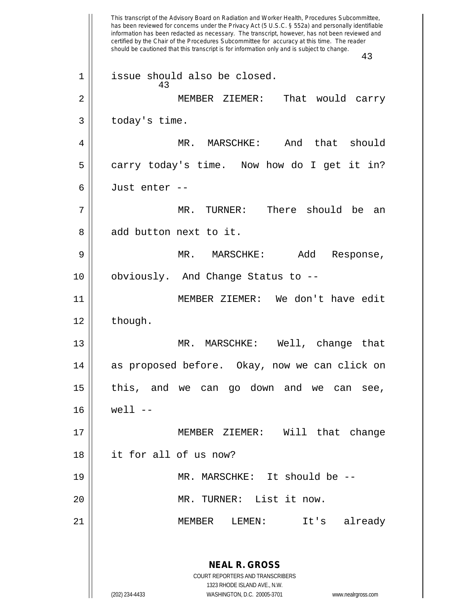This transcript of the Advisory Board on Radiation and Worker Health, Procedures Subcommittee, has been reviewed for concerns under the Privacy Act (5 U.S.C. § 552a) and personally identifiable information has been redacted as necessary. The transcript, however, has not been reviewed and certified by the Chair of the Procedures Subcommittee for accuracy at this time. The reader should be cautioned that this transcript is for information only and is subject to change. 43 **NEAL R. GROSS** COURT REPORTERS AND TRANSCRIBERS 1323 RHODE ISLAND AVE., N.W. (202) 234-4433 WASHINGTON, D.C. 20005-3701 www.nealrgross.com 43 1 || issue should also be closed. 2 MEMBER ZIEMER: That would carry  $3 \parallel$  today's time. 4 MR. MARSCHKE: And that should  $5 \parallel$  carry today's time. Now how do I get it in? 6 Just enter -- 7 MR. TURNER: There should be an 8 || add button next to it. 9 MR. MARSCHKE: Add Response, 10 || obviously. And Change Status to --11 || MEMBER ZIEMER: We don't have edit  $12 \parallel$  though. 13 MR. MARSCHKE: Well, change that 14 as proposed before. Okay, now we can click on 15 this, and we can go down and we can see, 16 well -- 17 MEMBER ZIEMER: Will that change 18 it for all of us now? 19 MR. MARSCHKE: It should be -- 20 MR. TURNER: List it now. 21 MEMBER LEMEN: It's already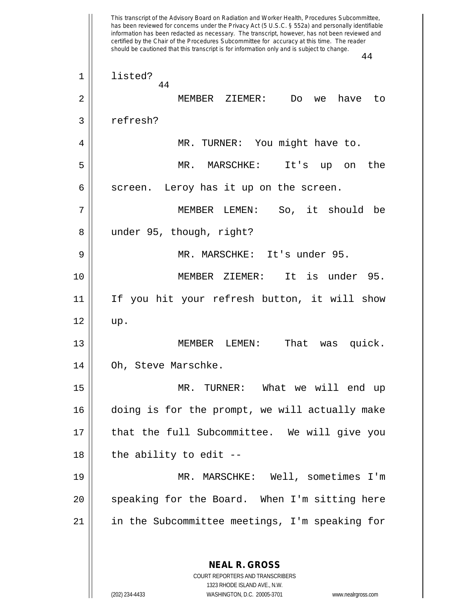This transcript of the Advisory Board on Radiation and Worker Health, Procedures Subcommittee, has been reviewed for concerns under the Privacy Act (5 U.S.C. § 552a) and personally identifiable information has been redacted as necessary. The transcript, however, has not been reviewed and certified by the Chair of the Procedures Subcommittee for accuracy at this time. The reader should be cautioned that this transcript is for information only and is subject to change. 44 **NEAL R. GROSS** COURT REPORTERS AND TRANSCRIBERS 44 1 | listed? 2 MEMBER ZIEMER: Do we have to 3 | refresh? 4 || MR. TURNER: You might have to. 5 MR. MARSCHKE: It's up on the  $6 \parallel$  screen. Leroy has it up on the screen. 7 MEMBER LEMEN: So, it should be 8 || under 95, though, right? 9 MR. MARSCHKE: It's under 95. 10 MEMBER ZIEMER: It is under 95. 11 If you hit your refresh button, it will show  $12 \parallel \text{up.}$ 13 MEMBER LEMEN: That was quick. 14 | Oh, Steve Marschke. 15 MR. TURNER: What we will end up 16 doing is for the prompt, we will actually make 17 || that the full Subcommittee. We will give you  $18$  || the ability to edit --19 MR. MARSCHKE: Well, sometimes I'm 20 || speaking for the Board. When I'm sitting here 21 || in the Subcommittee meetings, I'm speaking for

1323 RHODE ISLAND AVE., N.W.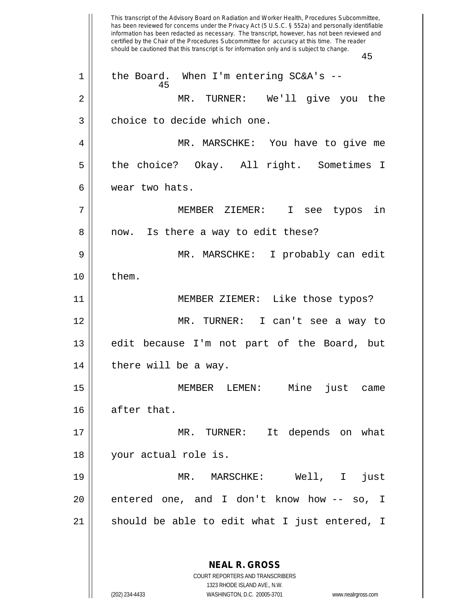This transcript of the Advisory Board on Radiation and Worker Health, Procedures Subcommittee, has been reviewed for concerns under the Privacy Act (5 U.S.C. § 552a) and personally identifiable information has been redacted as necessary. The transcript, however, has not been reviewed and certified by the Chair of the Procedures Subcommittee for accuracy at this time. The reader should be cautioned that this transcript is for information only and is subject to change. 45 **NEAL R. GROSS** COURT REPORTERS AND TRANSCRIBERS 1323 RHODE ISLAND AVE., N.W. 45 1 || the Board. When I'm entering SC&A's --2 MR. TURNER: We'll give you the 3 || choice to decide which one. 4 MR. MARSCHKE: You have to give me 5 the choice? Okay. All right. Sometimes I 6 wear two hats. 7 MEMBER ZIEMER: I see typos in 8 || now. Is there a way to edit these? 9 MR. MARSCHKE: I probably can edit  $10 \parallel$  them. 11 MEMBER ZIEMER: Like those typos? 12 MR. TURNER: I can't see a way to 13 edit because I'm not part of the Board, but  $14$  | there will be a way. 15 MEMBER LEMEN: Mine just came 16 || after that. 17 MR. TURNER: It depends on what 18 || your actual role is. 19 MR. MARSCHKE: Well, I just 20 || entered one, and I don't know how -- so, I  $21$  should be able to edit what I just entered, I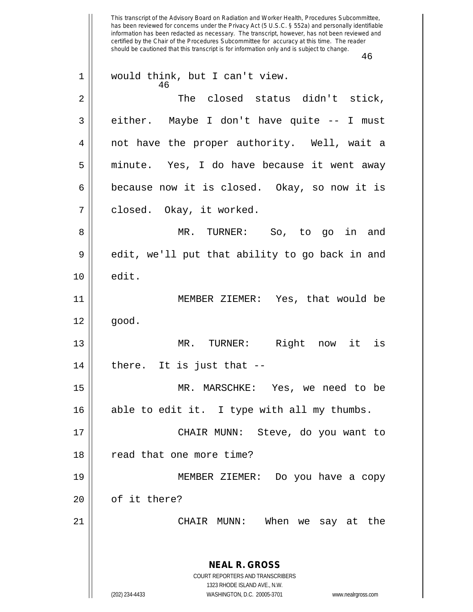This transcript of the Advisory Board on Radiation and Worker Health, Procedures Subcommittee, has been reviewed for concerns under the Privacy Act (5 U.S.C. § 552a) and personally identifiable information has been redacted as necessary. The transcript, however, has not been reviewed and certified by the Chair of the Procedures Subcommittee for accuracy at this time. The reader should be cautioned that this transcript is for information only and is subject to change. 46 **NEAL R. GROSS** COURT REPORTERS AND TRANSCRIBERS 1323 RHODE ISLAND AVE., N.W. (202) 234-4433 WASHINGTON, D.C. 20005-3701 www.nealrgross.com 46 1 || would think, but I can't view. 2 The closed status didn't stick,  $3 \parallel$  either. Maybe I don't have quite  $-$ - I must 4 || not have the proper authority. Well, wait a 5 || minute. Yes, I do have because it went away  $6 \parallel$  because now it is closed. Okay, so now it is 7 || closed. Okay, it worked. 8 MR. TURNER: So, to go in and  $9 \parallel$  edit, we'll put that ability to go back in and  $10 \parallel$  edit. 11 MEMBER ZIEMER: Yes, that would be  $12 \parallel$  good. 13 MR. TURNER: Right now it is  $14$  | there. It is just that  $-$ 15 MR. MARSCHKE: Yes, we need to be 16 || able to edit it. I type with all my thumbs. 17 CHAIR MUNN: Steve, do you want to 18 || read that one more time? 19 MEMBER ZIEMER: Do you have a copy  $20$  || of it there? 21 CHAIR MUNN: When we say at the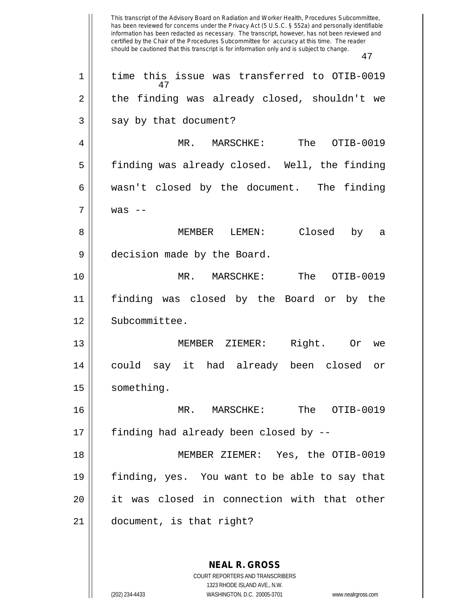This transcript of the Advisory Board on Radiation and Worker Health, Procedures Subcommittee, has been reviewed for concerns under the Privacy Act (5 U.S.C. § 552a) and personally identifiable information has been redacted as necessary. The transcript, however, has not been reviewed and certified by the Chair of the Procedures Subcommittee for accuracy at this time. The reader should be cautioned that this transcript is for information only and is subject to change. 47 47 1 || time this issue was transferred to OTIB-0019  $2 \parallel$  the finding was already closed, shouldn't we  $3 \parallel$  say by that document? 4 MR. MARSCHKE: The OTIB-0019 5 || finding was already closed. Well, the finding  $6 \parallel$  wasn't closed by the document. The finding  $7 \parallel$  was  $-$ 8 MEMBER LEMEN: Closed by a 9 decision made by the Board. 10 MR. MARSCHKE: The OTIB-0019 11 finding was closed by the Board or by the 12 | Subcommittee. 13 MEMBER ZIEMER: Right. Or we 14 could say it had already been closed or 15 | something. 16 MR. MARSCHKE: The OTIB-0019 17 || finding had already been closed by --18 MEMBER ZIEMER: Yes, the OTIB-0019 19 finding, yes. You want to be able to say that 20 it was closed in connection with that other 21 document, is that right?

> **NEAL R. GROSS** COURT REPORTERS AND TRANSCRIBERS 1323 RHODE ISLAND AVE., N.W. (202) 234-4433 WASHINGTON, D.C. 20005-3701 www.nealrgross.com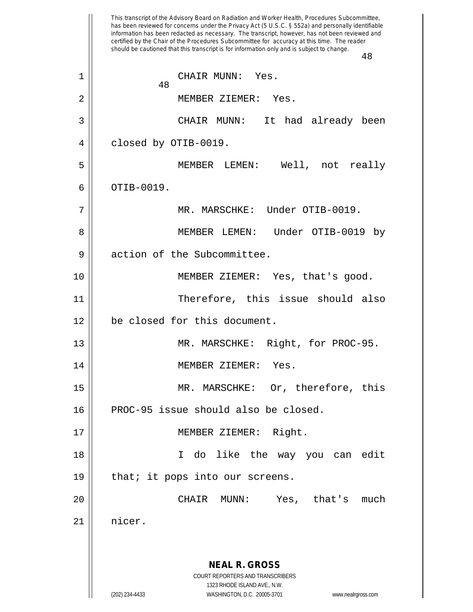This transcript of the Advisory Board on Radiation and Worker Health, Procedures Subcommittee, has been reviewed for concerns under the Privacy Act (5 U.S.C. § 552a) and personally identifiable information has been redacted as necessary. The transcript, however, has not been reviewed and certified by the Chair of the Procedures Subcommittee for accuracy at this time. The reader should be cautioned that this transcript is for information only and is subject to change. 48 **NEAL R. GROSS** COURT REPORTERS AND TRANSCRIBERS 1323 RHODE ISLAND AVE., N.W. (202) 234-4433 WASHINGTON, D.C. 20005-3701 www.nealrgross.com 48 1 || CHAIR MUNN: Yes. 2 MEMBER ZIEMER: Yes. 3 CHAIR MUNN: It had already been 4 | closed by OTIB-0019. 5 MEMBER LEMEN: Well, not really  $6 \parallel$  OTIB-0019. 7 MR. MARSCHKE: Under OTIB-0019. 8 MEMBER LEMEN: Under OTIB-0019 by 9 | action of the Subcommittee. 10 MEMBER ZIEMER: Yes, that's good. 11 Therefore, this issue should also 12 | be closed for this document. 13 || MR. MARSCHKE: Right, for PROC-95. 14 MEMBER ZIEMER: Yes. 15 MR. MARSCHKE: Or, therefore, this 16 PROC-95 issue should also be closed. 17 || MEMBER ZIEMER: Right. 18 I do like the way you can edit  $19$  | that; it pops into our screens. 20 CHAIR MUNN: Yes, that's much 21 nicer.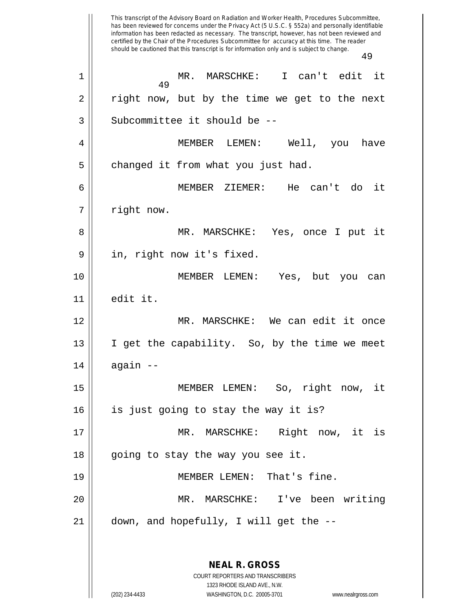This transcript of the Advisory Board on Radiation and Worker Health, Procedures Subcommittee, has been reviewed for concerns under the Privacy Act (5 U.S.C. § 552a) and personally identifiable information has been redacted as necessary. The transcript, however, has not been reviewed and certified by the Chair of the Procedures Subcommittee for accuracy at this time. The reader should be cautioned that this transcript is for information only and is subject to change. 49 **NEAL R. GROSS** COURT REPORTERS AND TRANSCRIBERS 1323 RHODE ISLAND AVE., N.W. 49 1 MR. MARSCHKE: I can't edit it 2 || right now, but by the time we get to the next  $3$   $\parallel$  Subcommittee it should be  $-$ 4 MEMBER LEMEN: Well, you have  $5 \parallel$  changed it from what you just had. 6 MEMBER ZIEMER: He can't do it 7 || right now. 8 MR. MARSCHKE: Yes, once I put it 9 || in, right now it's fixed. 10 MEMBER LEMEN: Yes, but you can 11 edit it. 12 MR. MARSCHKE: We can edit it once 13  $\parallel$  I get the capability. So, by the time we meet  $14$  | again  $-$ 15 MEMBER LEMEN: So, right now, it 16 is just going to stay the way it is? 17 || MR. MARSCHKE: Right now, it is 18 || going to stay the way you see it. 19 MEMBER LEMEN: That's fine. 20 MR. MARSCHKE: I've been writing 21 down, and hopefully, I will get the --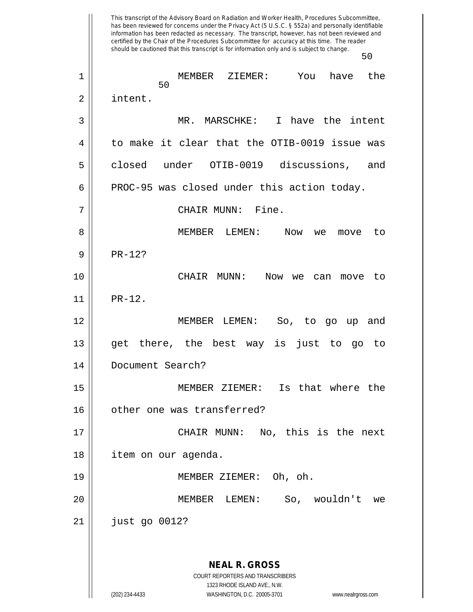This transcript of the Advisory Board on Radiation and Worker Health, Procedures Subcommittee, has been reviewed for concerns under the Privacy Act (5 U.S.C. § 552a) and personally identifiable information has been redacted as necessary. The transcript, however, has not been reviewed and certified by the Chair of the Procedures Subcommittee for accuracy at this time. The reader should be cautioned that this transcript is for information only and is subject to change. 50 **NEAL R. GROSS** COURT REPORTERS AND TRANSCRIBERS 1323 RHODE ISLAND AVE., N.W. (202) 234-4433 WASHINGTON, D.C. 20005-3701 www.nealrgross.com 50 1 MEMBER ZIEMER: You have the 2 | intent. 3 MR. MARSCHKE: I have the intent 4 to make it clear that the OTIB-0019 issue was 5 || closed under OTIB-0019 discussions, and 6 | PROC-95 was closed under this action today. 7 CHAIR MUNN: Fine. 8 MEMBER LEMEN: Now we move to  $9 \parallel$  PR-12? 10 CHAIR MUNN: Now we can move to 11 PR-12. 12 MEMBER LEMEN: So, to go up and 13 get there, the best way is just to go to 14 Document Search? 15 MEMBER ZIEMER: Is that where the 16 || other one was transferred? 17 || CHAIR MUNN: No, this is the next 18 | item on our agenda. 19 || MEMBER ZIEMER: Oh, oh. 20 MEMBER LEMEN: So, wouldn't we 21 just go 0012?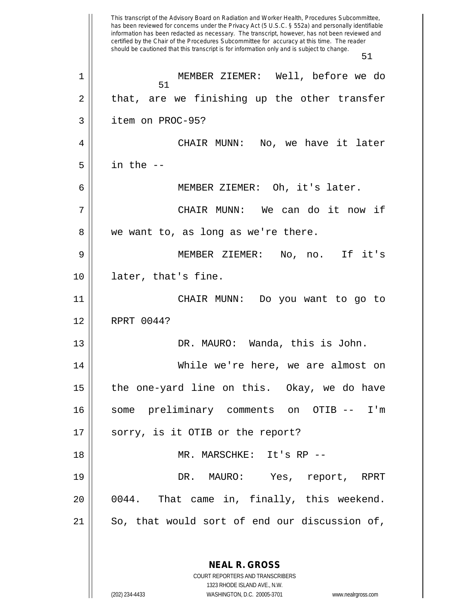This transcript of the Advisory Board on Radiation and Worker Health, Procedures Subcommittee, has been reviewed for concerns under the Privacy Act (5 U.S.C. § 552a) and personally identifiable information has been redacted as necessary. The transcript, however, has not been reviewed and certified by the Chair of the Procedures Subcommittee for accuracy at this time. The reader should be cautioned that this transcript is for information only and is subject to change. 51 **NEAL R. GROSS** COURT REPORTERS AND TRANSCRIBERS 51 1 MEMBER ZIEMER: Well, before we do  $2 \parallel$  that, are we finishing up the other transfer 3 item on PROC-95? 4 | CHAIR MUNN: No, we have it later  $5 \parallel$  in the  $-$ 6 MEMBER ZIEMER: Oh, it's later. 7 CHAIR MUNN: We can do it now if 8 || we want to, as long as we're there. 9 MEMBER ZIEMER: No, no. If it's 10 later, that's fine. 11 CHAIR MUNN: Do you want to go to 12 RPRT 0044? 13 DR. MAURO: Wanda, this is John. 14 While we're here, we are almost on  $15$  || the one-yard line on this. Okay, we do have 16 some preliminary comments on OTIB -- I'm 17 || sorry, is it OTIB or the report? 18 MR. MARSCHKE: It's RP -- 19 DR. MAURO: Yes, report, RPRT 20 0044. That came in, finally, this weekend.  $21$  So, that would sort of end our discussion of,

1323 RHODE ISLAND AVE., N.W.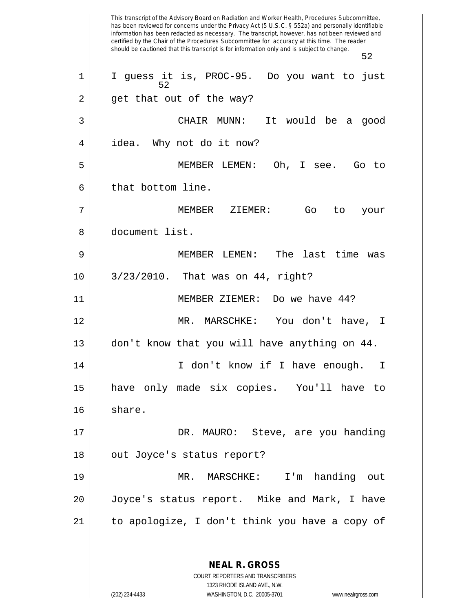This transcript of the Advisory Board on Radiation and Worker Health, Procedures Subcommittee, has been reviewed for concerns under the Privacy Act (5 U.S.C. § 552a) and personally identifiable information has been redacted as necessary. The transcript, however, has not been reviewed and certified by the Chair of the Procedures Subcommittee for accuracy at this time. The reader should be cautioned that this transcript is for information only and is subject to change. 52 **NEAL R. GROSS** COURT REPORTERS AND TRANSCRIBERS 1323 RHODE ISLAND AVE., N.W. 52 1 || I guess it is, PROC-95. Do you want to just 2 || get that out of the way? 3 CHAIR MUNN: It would be a good 4 | idea. Why not do it now? 5 MEMBER LEMEN: Oh, I see. Go to  $6$  || that bottom line. 7 MEMBER ZIEMER: Go to your 8 document list. 9 MEMBER LEMEN: The last time was 10 3/23/2010. That was on 44, right? 11 MEMBER ZIEMER: Do we have 44? 12 MR. MARSCHKE: You don't have, I 13 don't know that you will have anything on 44. 14 || I don't know if I have enough. I 15 have only made six copies. You'll have to 16 || share. 17 DR. MAURO: Steve, are you handing 18 || out Joyce's status report? 19 MR. MARSCHKE: I'm handing out 20 Joyce's status report. Mike and Mark, I have 21 to apologize, I don't think you have a copy of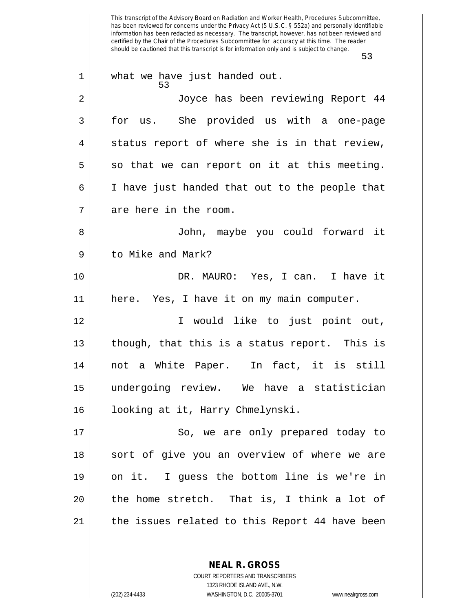This transcript of the Advisory Board on Radiation and Worker Health, Procedures Subcommittee, has been reviewed for concerns under the Privacy Act (5 U.S.C. § 552a) and personally identifiable information has been redacted as necessary. The transcript, however, has not been reviewed and certified by the Chair of the Procedures Subcommittee for accuracy at this time. The reader should be cautioned that this transcript is for information only and is subject to change. 53 53 1 || what we have just handed out. 2 Joyce has been reviewing Report 44 3 for us. She provided us with a one-page  $4 \parallel$  status report of where she is in that review,  $5 ||$  so that we can report on it at this meeting. 6 I have just handed that out to the people that 7 || are here in the room. 8 John, maybe you could forward it 9 d to Mike and Mark? 10 DR. MAURO: Yes, I can. I have it 11 here. Yes, I have it on my main computer. 12 I would like to just point out, 13  $\parallel$  though, that this is a status report. This is 14 not a White Paper. In fact, it is still 15 undergoing review. We have a statistician 16 || looking at it, Harry Chmelynski. 17 || So, we are only prepared today to 18 || sort of give you an overview of where we are 19 on it. I guess the bottom line is we're in  $20$  || the home stretch. That is, I think a lot of 21 || the issues related to this Report 44 have been

> **NEAL R. GROSS** COURT REPORTERS AND TRANSCRIBERS

> > 1323 RHODE ISLAND AVE., N.W.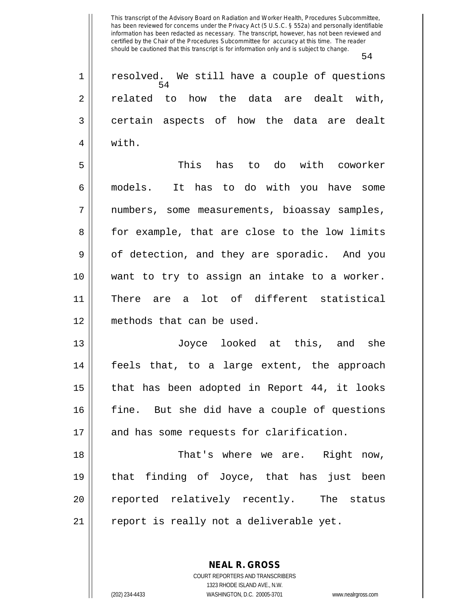|             | 54                                                  |
|-------------|-----------------------------------------------------|
| $\mathbf 1$ | resolved. We still have a couple of questions<br>54 |
| 2           | related to how the data are dealt with,             |
| 3           | certain aspects of how the data are dealt           |
| 4           | with.                                               |
| 5           | This has to do with coworker                        |
| 6           | models. It has to do with you have some             |
| 7           | numbers, some measurements, bioassay samples,       |
| 8           | for example, that are close to the low limits       |
| 9           | of detection, and they are sporadic. And you        |
| 10          | want to try to assign an intake to a worker.        |
| 11          | There are a lot of different statistical            |
| 12          | methods that can be used.                           |
| 13          | Joyce looked at this, and she                       |
| 14          | feels that, to a large extent, the approach         |
| 15          | that has been adopted in Report 44, it looks        |
| 16          | fine. But she did have a couple of questions        |
| 17          | and has some requests for clarification.            |
| 18          | That's where we are. Right now,                     |
| 19          | that finding of Joyce, that has just been           |
| 20          | reported relatively recently. The status            |
| 21          | report is really not a deliverable yet.             |
|             |                                                     |

**NEAL R. GROSS** COURT REPORTERS AND TRANSCRIBERS 1323 RHODE ISLAND AVE., N.W.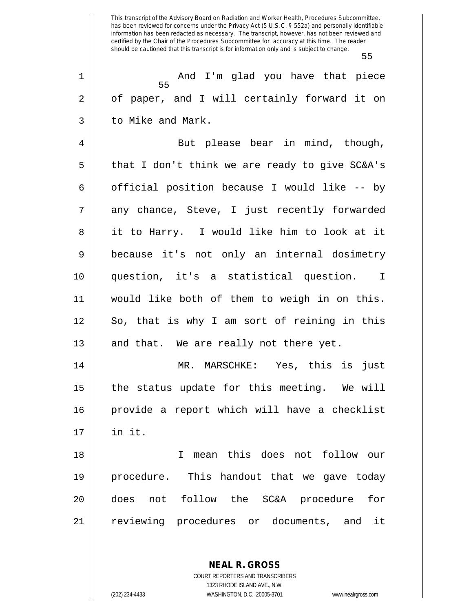55

55 1 And I'm glad you have that piece 2 | of paper, and I will certainly forward it on 3 l to Mike and Mark.

4 || But please bear in mind, though,  $5 \parallel$  that I don't think we are ready to give SC&A's 6 | official position because I would like -- by 7 || any chance, Steve, I just recently forwarded 8 || it to Harry. I would like him to look at it 9 because it's not only an internal dosimetry 10 question, it's a statistical question. I 11 would like both of them to weigh in on this. 12 || So, that is why I am sort of reining in this 13  $\parallel$  and that. We are really not there yet.

 MR. MARSCHKE: Yes, this is just the status update for this meeting. We will provide a report which will have a checklist 17 in it.

 I mean this does not follow our procedure. This handout that we gave today does not follow the SC&A procedure for 21 || reviewing procedures or documents, and it

> **NEAL R. GROSS** COURT REPORTERS AND TRANSCRIBERS

1323 RHODE ISLAND AVE., N.W. (202) 234-4433 WASHINGTON, D.C. 20005-3701 www.nealrgross.com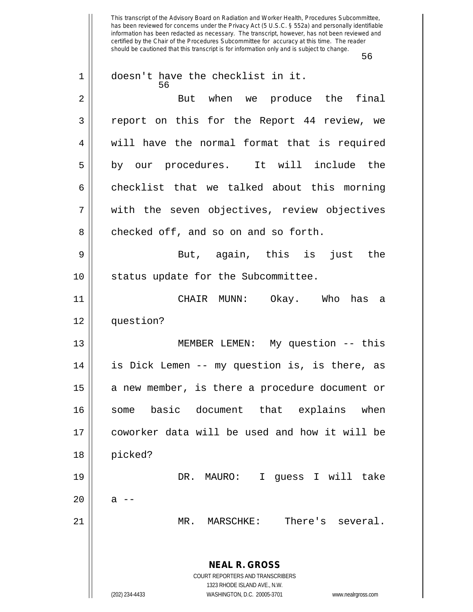This transcript of the Advisory Board on Radiation and Worker Health, Procedures Subcommittee, has been reviewed for concerns under the Privacy Act (5 U.S.C. § 552a) and personally identifiable information has been redacted as necessary. The transcript, however, has not been reviewed and certified by the Chair of the Procedures Subcommittee for accuracy at this time. The reader should be cautioned that this transcript is for information only and is subject to change. 56 **NEAL R. GROSS** COURT REPORTERS AND TRANSCRIBERS 1323 RHODE ISLAND AVE., N.W. (202) 234-4433 WASHINGTON, D.C. 20005-3701 www.nealrgross.com 56 1 || doesn't have the checklist in it. 2 || But when we produce the final 3 || report on this for the Report 44 review, we 4 || will have the normal format that is required 5 || by our procedures. It will include the  $6 \parallel$  checklist that we talked about this morning 7 || with the seven objectives, review objectives 8 checked off, and so on and so forth. 9 But, again, this is just the 10 || status update for the Subcommittee. 11 CHAIR MUNN: Okay. Who has a 12 question? 13 || MEMBER LEMEN: My question -- this 14 is Dick Lemen -- my question is, is there, as  $15$  a new member, is there a procedure document or 16 some basic document that explains when 17 coworker data will be used and how it will be 18 picked? 19 DR. MAURO: I guess I will take  $20 \parallel$  a  $-$ 21 MR. MARSCHKE: There's several.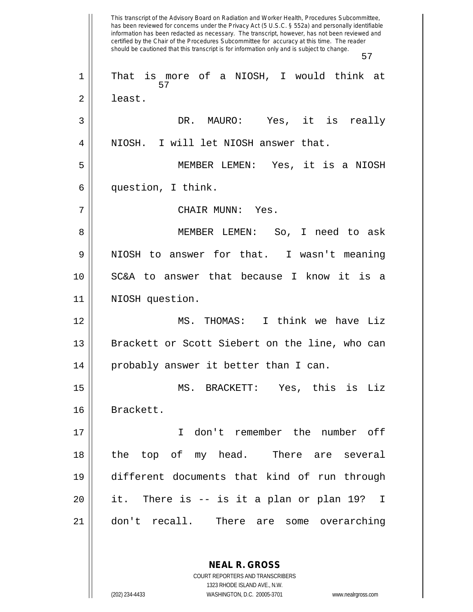This transcript of the Advisory Board on Radiation and Worker Health, Procedures Subcommittee, has been reviewed for concerns under the Privacy Act (5 U.S.C. § 552a) and personally identifiable information has been redacted as necessary. The transcript, however, has not been reviewed and certified by the Chair of the Procedures Subcommittee for accuracy at this time. The reader should be cautioned that this transcript is for information only and is subject to change. 57 57 1 || That is more of a NIOSH, I would think at 2 | least. 3 DR. MAURO: Yes, it is really 4 || NIOSH. I will let NIOSH answer that. 5 MEMBER LEMEN: Yes, it is a NIOSH 6 question, I think. 7 CHAIR MUNN: Yes. 8 MEMBER LEMEN: So, I need to ask  $9 \parallel$  NIOSH to answer for that. I wasn't meaning 10 SC&A to answer that because I know it is a 11 || NIOSH question. 12 MS. THOMAS: I think we have Liz 13 || Brackett or Scott Siebert on the line, who can 14 || probably answer it better than I can. 15 MS. BRACKETT: Yes, this is Liz 16 Brackett. 17 I don't remember the number off 18 the top of my head. There are several 19 different documents that kind of run through 20 it. There is -- is it a plan or plan 19? I 21 don't recall. There are some overarching

> COURT REPORTERS AND TRANSCRIBERS 1323 RHODE ISLAND AVE., N.W. (202) 234-4433 WASHINGTON, D.C. 20005-3701 www.nealrgross.com

**NEAL R. GROSS**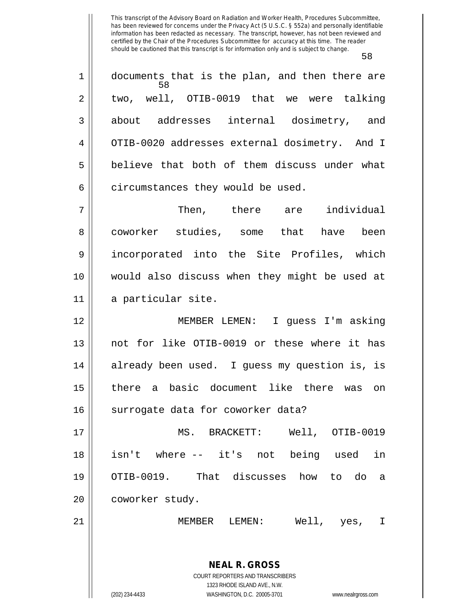58

**NEAL R. GROSS** COURT REPORTERS AND TRANSCRIBERS 1323 RHODE ISLAND AVE., N.W. 58 1 || documents that is the plan, and then there are  $2 \parallel$  two, well, OTIB-0019 that we were talking 3 about addresses internal dosimetry, and 4 | OTIB-0020 addresses external dosimetry. And I 5 || believe that both of them discuss under what  $6$  || circumstances they would be used. 7 Then, there are individual 8 coworker studies, some that have been 9 incorporated into the Site Profiles, which 10 would also discuss when they might be used at 11 a particular site. 12 MEMBER LEMEN: I guess I'm asking 13 || not for like OTIB-0019 or these where it has 14 || already been used. I quess my question is, is 15 there a basic document like there was on 16 || surrogate data for coworker data? 17 MS. BRACKETT: Well, OTIB-0019 18 isn't where -- it's not being used in 19 OTIB-0019. That discusses how to do a 20 | coworker study. 21 MEMBER LEMEN: Well, yes, I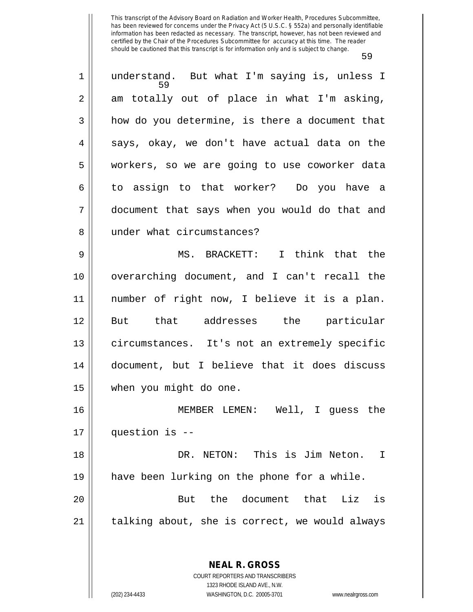59 understand. But what I'm saying is, unless I  $2 \parallel$  am totally out of place in what I'm asking,  $3 \parallel$  how do you determine, is there a document that  $4 \parallel$  says, okay, we don't have actual data on the workers, so we are going to use coworker data to assign to that worker? Do you have a document that says when you would do that and 8 || under what circumstances? MS. BRACKETT: I think that the overarching document, and I can't recall the number of right now, I believe it is a plan. But that addresses the particular circumstances. It's not an extremely specific document, but I believe that it does discuss when you might do one. MEMBER LEMEN: Well, I guess the question is -- DR. NETON: This is Jim Neton. I

19 have been lurking on the phone for a while. 20 But the document that Liz is 21 || talking about, she is correct, we would always

> COURT REPORTERS AND TRANSCRIBERS 1323 RHODE ISLAND AVE., N.W. (202) 234-4433 WASHINGTON, D.C. 20005-3701 www.nealrgross.com

**NEAL R. GROSS**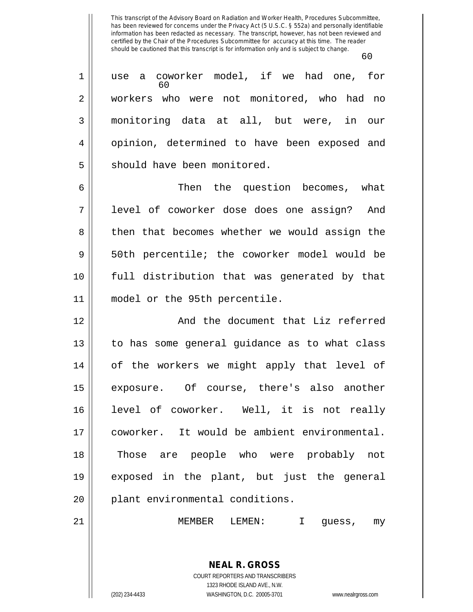60 60 1 || use a coworker model, if we had one, for 2 workers who were not monitored, who had no 3 monitoring data at all, but were, in our 4 || opinion, determined to have been exposed and 5 || should have been monitored. 6 Then the question becomes, what 7 || level of coworker dose does one assign? And 8 || then that becomes whether we would assign the 9 || 50th percentile; the coworker model would be 10 full distribution that was generated by that 11 model or the 95th percentile. 12 || And the document that Liz referred 13 || to has some general guidance as to what class 14 || of the workers we might apply that level of 15 exposure. Of course, there's also another 16 level of coworker. Well, it is not really 17 coworker. It would be ambient environmental.

18 Those are people who were probably not 19 exposed in the plant, but just the general 20 || plant environmental conditions.

21 MEMBER LEMEN: I guess, my

**NEAL R. GROSS** COURT REPORTERS AND TRANSCRIBERS 1323 RHODE ISLAND AVE., N.W.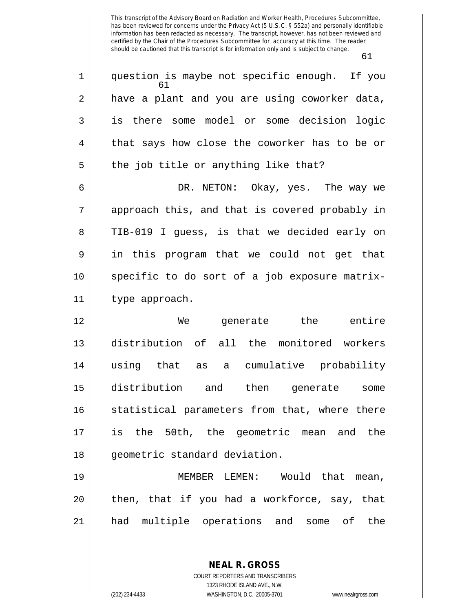| $\mathbf 1$    | question is maybe not specific enough. If you<br>61 |
|----------------|-----------------------------------------------------|
| $\overline{2}$ | have a plant and you are using coworker data,       |
| 3              | is there some model or some decision logic          |
| 4              | that says how close the coworker has to be or       |
| 5              | the job title or anything like that?                |
| 6              | DR. NETON: Okay, yes. The way we                    |
| 7              | approach this, and that is covered probably in      |
| 8              | TIB-019 I guess, is that we decided early on        |
| 9              | in this program that we could not get that          |
| 10             | specific to do sort of a job exposure matrix-       |
| 11             | type approach.                                      |
| 12             | generate the entire<br>We                           |
| 13             | distribution of all the monitored workers           |
| 14             | using that as a cumulative probability              |
| 15             | distribution and then generate<br>some              |
| 16             | statistical parameters from that, where there       |
| 17             | is the 50th, the geometric mean and the             |
| 18             | geometric standard deviation.                       |
| 19             | MEMBER LEMEN: Would that mean,                      |
| 20             | then, that if you had a workforce, say, that        |
| 21             | had multiple operations and some of the             |
|                |                                                     |
|                |                                                     |
|                | <b>NEAL R. GROSS</b>                                |

COURT REPORTERS AND TRANSCRIBERS 1323 RHODE ISLAND AVE., N.W. (202) 234-4433 WASHINGTON, D.C. 20005-3701 www.nealrgross.com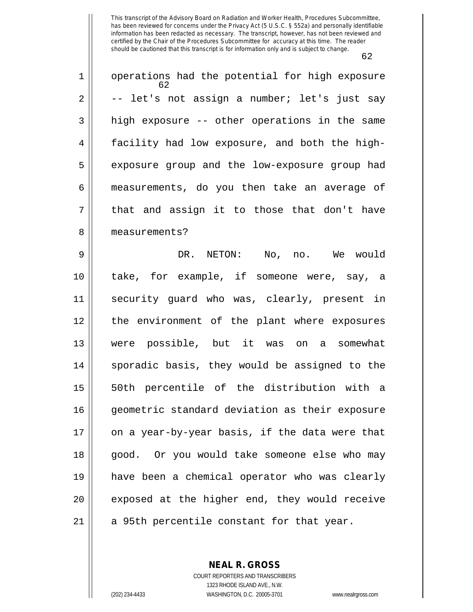| $\mathbf 1$ | operations had the potential for high exposure<br>62. |
|-------------|-------------------------------------------------------|
| 2           | -- let's not assign a number; let's just say          |
| 3           | high exposure -- other operations in the same         |
| 4           | facility had low exposure, and both the high-         |
| 5           | exposure group and the low-exposure group had         |
| 6           | measurements, do you then take an average of          |
| 7           | that and assign it to those that don't have           |
| 8           | measurements?                                         |
| 9           | DR. NETON: No, no. We would                           |
| 10          | take, for example, if someone were, say, a            |
| 11          | security guard who was, clearly, present in           |
| 12          | the environment of the plant where exposures          |
| 13          | were possible, but it was on a somewhat               |
| 14          | sporadic basis, they would be assigned to the         |
| 15          | 50th percentile of the distribution with a            |
| 16          | geometric standard deviation as their exposure        |
| 17          | on a year-by-year basis, if the data were that        |
| 18          | good. Or you would take someone else who may          |
| 19          | have been a chemical operator who was clearly         |
| 20          | exposed at the higher end, they would receive         |
| 21          | a 95th percentile constant for that year.             |

**NEAL R. GROSS** COURT REPORTERS AND TRANSCRIBERS

1323 RHODE ISLAND AVE., N.W. (202) 234-4433 WASHINGTON, D.C. 20005-3701 www.nealrgross.com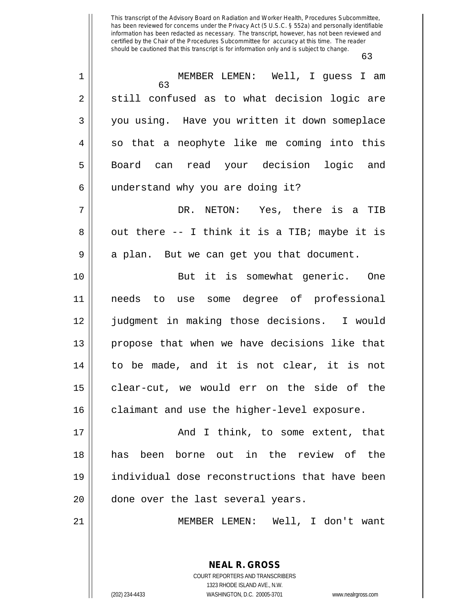| $\mathbf 1$    | MEMBER LEMEN: Well, I guess I am<br>63         |
|----------------|------------------------------------------------|
| $\overline{2}$ | still confused as to what decision logic are   |
| 3              | you using. Have you written it down someplace  |
| 4              | so that a neophyte like me coming into this    |
| 5              | Board can read your decision logic and         |
| 6              | understand why you are doing it?               |
| 7              | DR. NETON: Yes, there is a TIB                 |
| 8              | out there -- I think it is a TIB; maybe it is  |
| 9              | a plan. But we can get you that document.      |
| 10             | But it is somewhat generic. One                |
| 11             | needs to use some degree of professional       |
| 12             | judgment in making those decisions. I would    |
| 13             | propose that when we have decisions like that  |
| 14             | to be made, and it is not clear, it is not     |
| 15             | clear-cut, we would err on the side of the     |
| 16             | claimant and use the higher-level exposure.    |
| 17             | And I think, to some extent, that              |
| 18             | has been borne out in the review of the        |
| 19             | individual dose reconstructions that have been |
| 20             | done over the last several years.              |
| 21             | MEMBER LEMEN: Well, I don't want               |
|                |                                                |
|                | <b>NEAL R. GROSS</b>                           |

COURT REPORTERS AND TRANSCRIBERS 1323 RHODE ISLAND AVE., N.W. (202) 234-4433 WASHINGTON, D.C. 20005-3701 www.nealrgross.com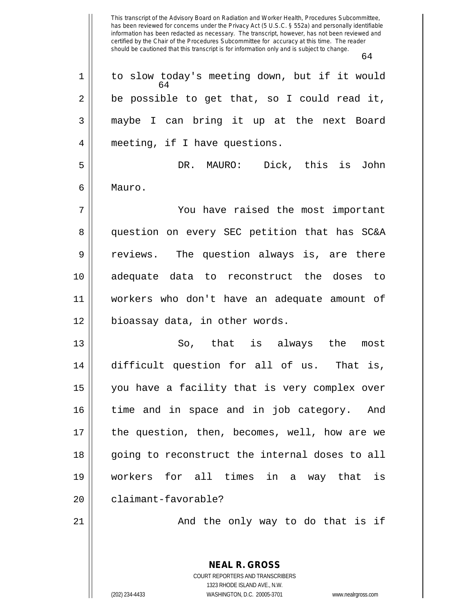This transcript of the Advisory Board on Radiation and Worker Health, Procedures Subcommittee, has been reviewed for concerns under the Privacy Act (5 U.S.C. § 552a) and personally identifiable information has been redacted as necessary. The transcript, however, has not been reviewed and certified by the Chair of the Procedures Subcommittee for accuracy at this time. The reader should be cautioned that this transcript is for information only and is subject to change. 64 **NEAL R. GROSS** 64 1 | to slow today's meeting down, but if it would  $2 \parallel$  be possible to get that, so I could read it, 3 maybe I can bring it up at the next Board 4 meeting, if I have questions. 5 DR. MAURO: Dick, this is John 6 Mauro. 7 You have raised the most important 8 question on every SEC petition that has SC&A 9 || reviews. The question always is, are there 10 adequate data to reconstruct the doses to 11 workers who don't have an adequate amount of 12 || bioassay data, in other words. 13 So, that is always the most 14 difficult question for all of us. That is, 15 you have a facility that is very complex over 16 time and in space and in job category. And 17 || the question, then, becomes, well, how are we 18 || going to reconstruct the internal doses to all 19 workers for all times in a way that is 20 || claimant-favorable? 21 And the only way to do that is if

> COURT REPORTERS AND TRANSCRIBERS 1323 RHODE ISLAND AVE., N.W.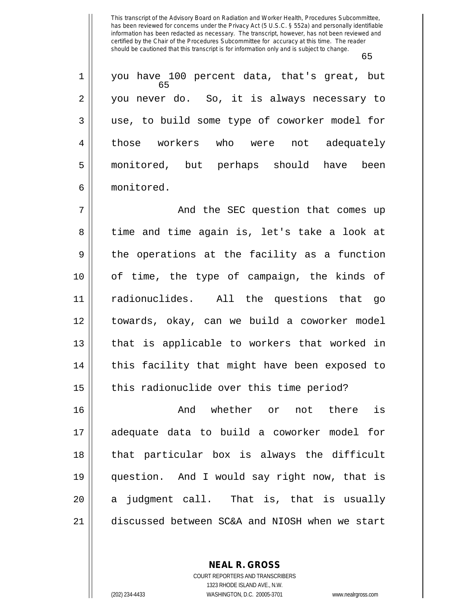65

65 1 you have 100 percent data, that's great, but 2 || you never do. So, it is always necessary to 3 use, to build some type of coworker model for 4 those workers who were not adequately 5 monitored, but perhaps should have been 6 monitored.

 And the SEC question that comes up 8 time and time again is, let's take a look at  $9 \parallel$  the operations at the facility as a function of time, the type of campaign, the kinds of radionuclides. All the questions that go towards, okay, can we build a coworker model || that is applicable to workers that worked in | this facility that might have been exposed to 15 || this radionuclide over this time period?

 And whether or not there is adequate data to build a coworker model for that particular box is always the difficult question. And I would say right now, that is || a judgment call. That is, that is usually discussed between SC&A and NIOSH when we start

**NEAL R. GROSS**

COURT REPORTERS AND TRANSCRIBERS 1323 RHODE ISLAND AVE., N.W. (202) 234-4433 WASHINGTON, D.C. 20005-3701 www.nealrgross.com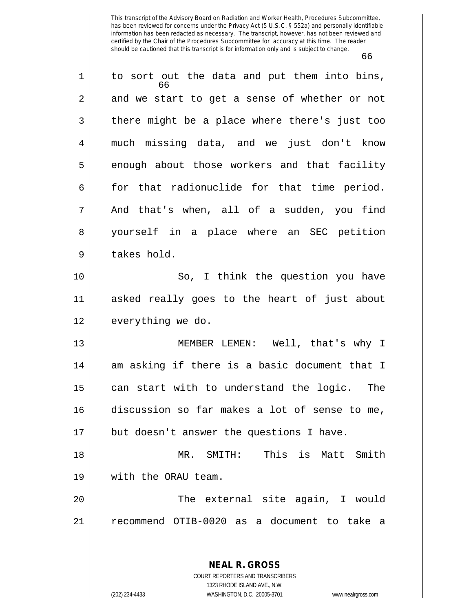| 1  | to sort out the data and put them into bins,<br>66 |
|----|----------------------------------------------------|
| 2  | and we start to get a sense of whether or not      |
| 3  | there might be a place where there's just too      |
| 4  | much missing data, and we just don't know          |
| 5  | enough about those workers and that facility       |
| 6  | for that radionuclide for that time period.        |
| 7  | And that's when, all of a sudden, you find         |
| 8  | yourself in a place where an SEC petition          |
| 9  | takes hold.                                        |
| 10 | So, I think the question you have                  |
| 11 | asked really goes to the heart of just about       |
| 12 | everything we do.                                  |
| 13 | MEMBER LEMEN: Well, that's why I                   |
| 14 | am asking if there is a basic document that I      |
| 15 | can start with to understand the logic. The        |
| 16 | discussion so far makes a lot of sense to me,      |
| 17 | but doesn't answer the questions I have.           |
| 18 | This is Matt Smith<br>SMITH:<br>$MR$ .             |
| 19 | with the ORAU team.                                |
| 20 | The external site again, I would                   |
| 21 | recommend OTIB-0020 as a document to take a        |
|    |                                                    |
|    | <b>NEAL R. GROSS</b>                               |

COURT REPORTERS AND TRANSCRIBERS 1323 RHODE ISLAND AVE., N.W. (202) 234-4433 WASHINGTON, D.C. 20005-3701 www.nealrgross.com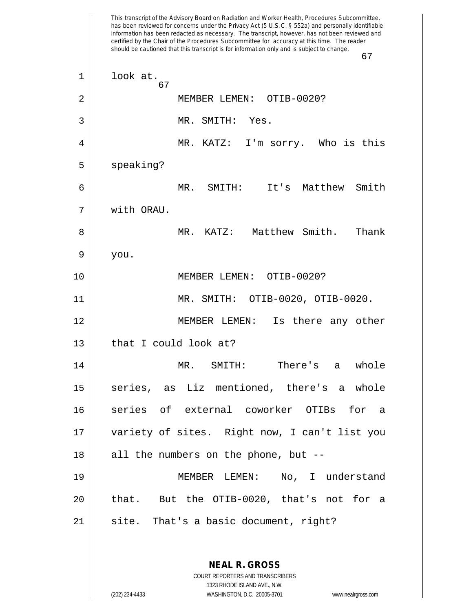This transcript of the Advisory Board on Radiation and Worker Health, Procedures Subcommittee, has been reviewed for concerns under the Privacy Act (5 U.S.C. § 552a) and personally identifiable information has been redacted as necessary. The transcript, however, has not been reviewed and certified by the Chair of the Procedures Subcommittee for accuracy at this time. The reader should be cautioned that this transcript is for information only and is subject to change. 67 **NEAL R. GROSS** COURT REPORTERS AND TRANSCRIBERS 67  $1 ||$  look at. 2 MEMBER LEMEN: OTIB-0020? 3 MR. SMITH: Yes. 4 MR. KATZ: I'm sorry. Who is this  $5 \parallel$  speaking? 6 MR. SMITH: It's Matthew Smith 7 with ORAU. 8 MR. KATZ: Matthew Smith. Thank  $9 \parallel$  you. 10 MEMBER LEMEN: OTIB-0020? 11 MR. SMITH: OTIB-0020, OTIB-0020. 12 MEMBER LEMEN: Is there any other  $13$  | that I could look at? 14 MR. SMITH: There's a whole 15 || series, as Liz mentioned, there's a whole 16 series of external coworker OTIBs for a 17 variety of sites. Right now, I can't list you  $18$  || all the numbers on the phone, but  $-$ 19 MEMBER LEMEN: No, I understand 20 || that. But the OTIB-0020, that's not for a  $21$  || site. That's a basic document, right?

1323 RHODE ISLAND AVE., N.W.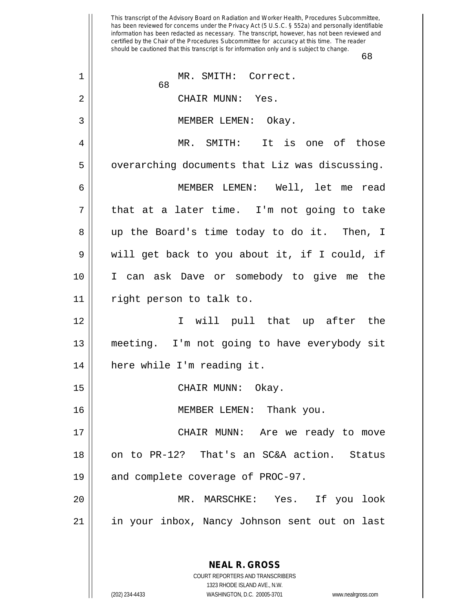This transcript of the Advisory Board on Radiation and Worker Health, Procedures Subcommittee, has been reviewed for concerns under the Privacy Act (5 U.S.C. § 552a) and personally identifiable information has been redacted as necessary. The transcript, however, has not been reviewed and certified by the Chair of the Procedures Subcommittee for accuracy at this time. The reader should be cautioned that this transcript is for information only and is subject to change. 68 **NEAL R. GROSS** 68 1 || MR. SMITH: Correct. 2 CHAIR MUNN: Yes. 3 || MEMBER LEMEN: Okay. 4 MR. SMITH: It is one of those 5 | | overarching documents that Liz was discussing. 6 MEMBER LEMEN: Well, let me read  $7 \parallel$  that at a later time. I'm not going to take 8 up the Board's time today to do it. Then, I 9 will get back to you about it, if I could, if 10 I can ask Dave or somebody to give me the 11 right person to talk to. 12 I will pull that up after the 13 || meeting. I'm not going to have everybody sit 14 here while I'm reading it. 15 CHAIR MUNN: Okay. 16 || MEMBER LEMEN: Thank you. 17 CHAIR MUNN: Are we ready to move 18 || on to PR-12? That's an SC&A action. Status 19 || and complete coverage of PROC-97. 20 MR. MARSCHKE: Yes. If you look 21 in your inbox, Nancy Johnson sent out on last

(202) 234-4433 WASHINGTON, D.C. 20005-3701 www.nealrgross.com

COURT REPORTERS AND TRANSCRIBERS 1323 RHODE ISLAND AVE., N.W.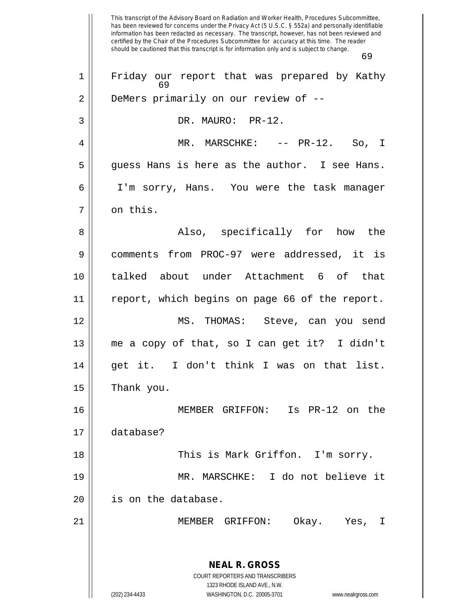This transcript of the Advisory Board on Radiation and Worker Health, Procedures Subcommittee, has been reviewed for concerns under the Privacy Act (5 U.S.C. § 552a) and personally identifiable information has been redacted as necessary. The transcript, however, has not been reviewed and certified by the Chair of the Procedures Subcommittee for accuracy at this time. The reader should be cautioned that this transcript is for information only and is subject to change. 69 **NEAL R. GROSS** COURT REPORTERS AND TRANSCRIBERS 1323 RHODE ISLAND AVE., N.W. (202) 234-4433 WASHINGTON, D.C. 20005-3701 www.nealrgross.com 69 1 Friday our report that was prepared by Kathy 2 | DeMers primarily on our review of --3 || DR. MAURO: PR-12. 4 MR. MARSCHKE: -- PR-12. So, I  $5 \parallel$  guess Hans is here as the author. I see Hans. 6 I'm sorry, Hans. You were the task manager 7 || on this. 8 Also, specifically for how the 9 comments from PROC-97 were addressed, it is 10 talked about under Attachment 6 of that 11 report, which begins on page 66 of the report. 12 MS. THOMAS: Steve, can you send 13 me a copy of that, so I can get it? I didn't 14 || get it. I don't think I was on that list.  $15$  || Thank you. 16 MEMBER GRIFFON: Is PR-12 on the 17 database? 18 || This is Mark Griffon. I'm sorry. 19 MR. MARSCHKE: I do not believe it 20 || is on the database. 21 MEMBER GRIFFON: Okay. Yes, I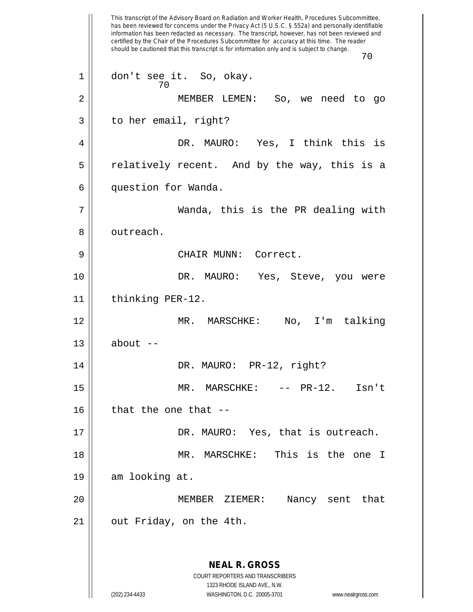This transcript of the Advisory Board on Radiation and Worker Health, Procedures Subcommittee, has been reviewed for concerns under the Privacy Act (5 U.S.C. § 552a) and personally identifiable information has been redacted as necessary. The transcript, however, has not been reviewed and certified by the Chair of the Procedures Subcommittee for accuracy at this time. The reader should be cautioned that this transcript is for information only and is subject to change. 70 **NEAL R. GROSS** COURT REPORTERS AND TRANSCRIBERS 1323 RHODE ISLAND AVE., N.W. (202) 234-4433 WASHINGTON, D.C. 20005-3701 www.nealrgross.com 70 1 don't see it. So, okay. 2 MEMBER LEMEN: So, we need to go  $3 \parallel$  to her email, right? 4 DR. MAURO: Yes, I think this is  $5 \parallel$  relatively recent. And by the way, this is a 6 | question for Wanda. 7 Wanda, this is the PR dealing with 8 || outreach. 9 CHAIR MUNN: Correct. 10 DR. MAURO: Yes, Steve, you were 11 || thinking PER-12. 12 MR. MARSCHKE: No, I'm talking  $13$  about  $-$ 14 || DR. MAURO: PR-12, right? 15 MR. MARSCHKE: -- PR-12. Isn't  $16$  || that the one that  $-$ 17 || DR. MAURO: Yes, that is outreach. 18 MR. MARSCHKE: This is the one I 19 am looking at. 20 MEMBER ZIEMER: Nancy sent that 21 | out Friday, on the 4th.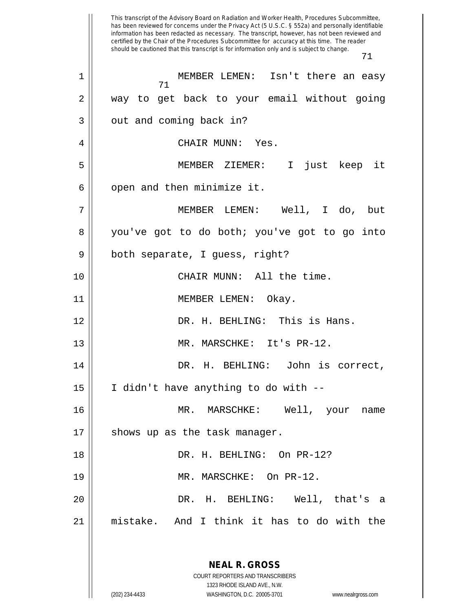This transcript of the Advisory Board on Radiation and Worker Health, Procedures Subcommittee, has been reviewed for concerns under the Privacy Act (5 U.S.C. § 552a) and personally identifiable information has been redacted as necessary. The transcript, however, has not been reviewed and certified by the Chair of the Procedures Subcommittee for accuracy at this time. The reader should be cautioned that this transcript is for information only and is subject to change. 71 **NEAL R. GROSS** COURT REPORTERS AND TRANSCRIBERS 1323 RHODE ISLAND AVE., N.W. 71 1 MEMBER LEMEN: Isn't there an easy 2 way to get back to your email without going  $3 \parallel$  out and coming back in? 4 CHAIR MUNN: Yes. 5 MEMBER ZIEMER: I just keep it  $6$  || open and then minimize it. 7 MEMBER LEMEN: Well, I do, but 8 you've got to do both; you've got to go into 9 | both separate, I guess, right? 10 || CHAIR MUNN: All the time. 11 MEMBER LEMEN: Okay. 12 DR. H. BEHLING: This is Hans. 13 || MR. MARSCHKE: It's PR-12. 14 || DR. H. BEHLING: John is correct,  $15$  || I didn't have anything to do with  $-$ -16 MR. MARSCHKE: Well, your name 17 || shows up as the task manager. 18 DR. H. BEHLING: On PR-12? 19 MR. MARSCHKE: On PR-12. 20 DR. H. BEHLING: Well, that's a 21 mistake. And I think it has to do with the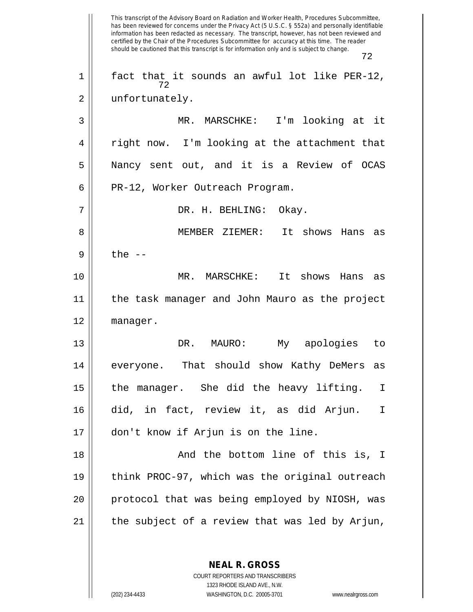This transcript of the Advisory Board on Radiation and Worker Health, Procedures Subcommittee, has been reviewed for concerns under the Privacy Act (5 U.S.C. § 552a) and personally identifiable information has been redacted as necessary. The transcript, however, has not been reviewed and certified by the Chair of the Procedures Subcommittee for accuracy at this time. The reader should be cautioned that this transcript is for information only and is subject to change. 72 72  $1$  fact that it sounds an awful lot like PER-12, 2 || unfortunately. 3 MR. MARSCHKE: I'm looking at it  $4 \parallel$  right now. I'm looking at the attachment that 5 Nancy sent out, and it is a Review of OCAS 6 || PR-12, Worker Outreach Program. 7 DR. H. BEHLING: Okay. 8 MEMBER ZIEMER: It shows Hans as  $9 \parallel$  the  $-$ 10 MR. MARSCHKE: It shows Hans as 11 the task manager and John Mauro as the project 12 manager. 13 DR. MAURO: My apologies to 14 || everyone. That should show Kathy DeMers as 15 the manager. She did the heavy lifting. I 16 did, in fact, review it, as did Arjun. I 17 don't know if Arjun is on the line. 18 And the bottom line of this is, I 19 think PROC-97, which was the original outreach 20 || protocol that was being employed by NIOSH, was  $21$  | the subject of a review that was led by Arjun,

> COURT REPORTERS AND TRANSCRIBERS 1323 RHODE ISLAND AVE., N.W. (202) 234-4433 WASHINGTON, D.C. 20005-3701 www.nealrgross.com

**NEAL R. GROSS**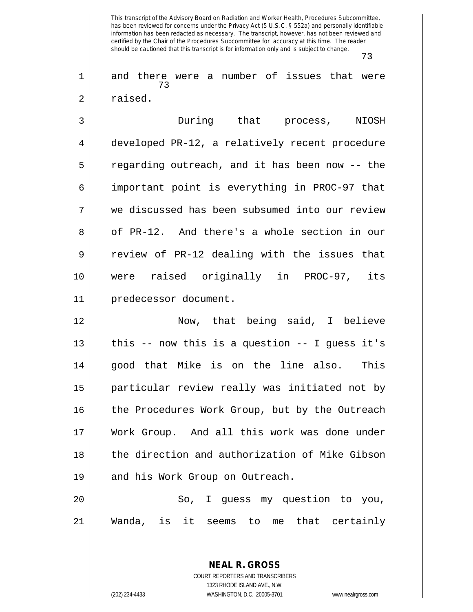73

73 1 and there were a number of issues that were 2 | raised.

 During that process, NIOSH developed PR-12, a relatively recent procedure 5 || regarding outreach, and it has been now -- the important point is everything in PROC-97 that we discussed has been subsumed into our review 8 || of PR-12. And there's a whole section in our  $9 \parallel$  review of PR-12 dealing with the issues that were raised originally in PROC-97, its predecessor document.

12 Now, that being said, I believe 13  $\parallel$  this -- now this is a question -- I guess it's 14 || good that Mike is on the line also. This 15 particular review really was initiated not by 16 || the Procedures Work Group, but by the Outreach 17 Work Group. And all this work was done under 18 || the direction and authorization of Mike Gibson 19 || and his Work Group on Outreach.

20 || So, I guess my question to you, 21 Wanda, is it seems to me that certainly

> **NEAL R. GROSS** COURT REPORTERS AND TRANSCRIBERS 1323 RHODE ISLAND AVE., N.W. (202) 234-4433 WASHINGTON, D.C. 20005-3701 www.nealrgross.com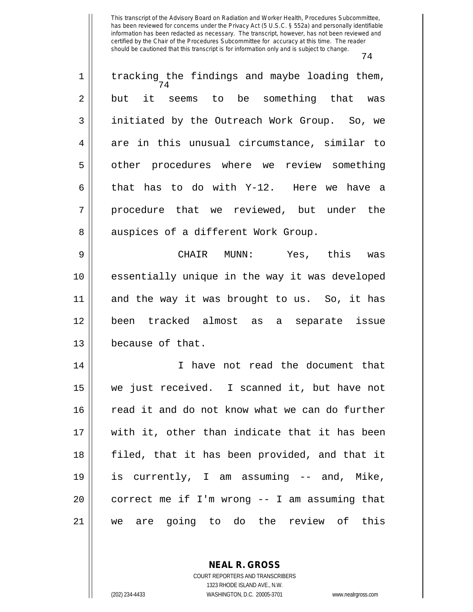| $\mathbf 1$ | tracking the findings and maybe loading them,<br>74 |
|-------------|-----------------------------------------------------|
| 2           | but it seems to be something that was               |
| 3           | initiated by the Outreach Work Group. So, we        |
| 4           | are in this unusual circumstance, similar to        |
| 5           | other procedures where we review something          |
| 6           | that has to do with Y-12. Here we have a            |
| 7           | procedure that we reviewed, but under the           |
| 8           | auspices of a different Work Group.                 |
| 9           | Yes, this<br>CHAIR MUNN:<br>was                     |
| 10          | essentially unique in the way it was developed      |
| 11          | and the way it was brought to us. So, it has        |
| 12          | been tracked almost as a separate issue             |
| 13          | because of that.                                    |
| 14          | I have not read the document that                   |
| 15          | we just received. I scanned it, but have not        |
| 16          | read it and do not know what we can do further      |
| 17          | with it, other than indicate that it has been       |
| 18          | filed, that it has been provided, and that it       |
| 19          | is currently, I am assuming -- and, Mike,           |
| 20          | correct me if I'm wrong -- I am assuming that       |
| 21          | we are going to do the review of this               |

**NEAL R. GROSS** COURT REPORTERS AND TRANSCRIBERS

1323 RHODE ISLAND AVE., N.W.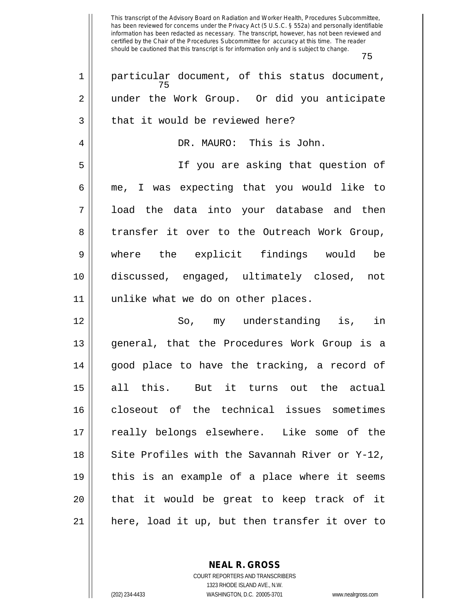This transcript of the Advisory Board on Radiation and Worker Health, Procedures Subcommittee, has been reviewed for concerns under the Privacy Act (5 U.S.C. § 552a) and personally identifiable information has been redacted as necessary. The transcript, however, has not been reviewed and certified by the Chair of the Procedures Subcommittee for accuracy at this time. The reader should be cautioned that this transcript is for information only and is subject to change. 75 75 1 || particular document, of this status document, 2 || under the Work Group. Or did you anticipate  $3$  || that it would be reviewed here? 4 DR. MAURO: This is John. 5 If you are asking that question of 6 me, I was expecting that you would like to 7 || Ioad the data into your database and then 8 || transfer it over to the Outreach Work Group, 9 where the explicit findings would be 10 discussed, engaged, ultimately closed, not 11 unlike what we do on other places. 12 So, my understanding is, in 13 general, that the Procedures Work Group is a  $14$  || good place to have the tracking, a record of 15 all this. But it turns out the actual 16 closeout of the technical issues sometimes 17 || really belongs elsewhere. Like some of the  $18$  || Site Profiles with the Savannah River or Y-12, 19 this is an example of a place where it seems 20 || that it would be great to keep track of it  $21$  || here, load it up, but then transfer it over to

> **NEAL R. GROSS** COURT REPORTERS AND TRANSCRIBERS

> > 1323 RHODE ISLAND AVE., N.W.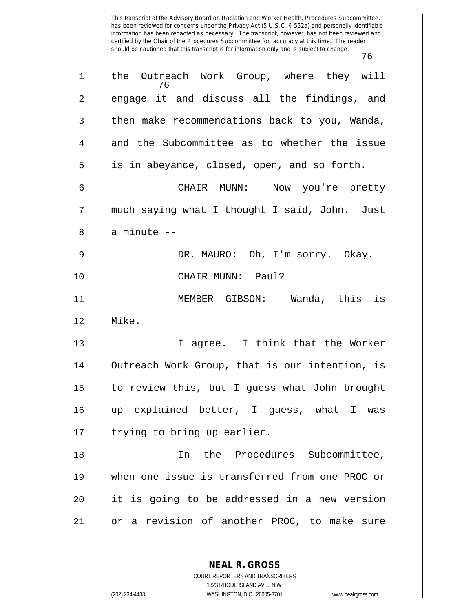| 1  | the Outreach Work Group, where they will<br>76 |
|----|------------------------------------------------|
| 2  | engage it and discuss all the findings, and    |
| 3  | then make recommendations back to you, Wanda,  |
| 4  | and the Subcommittee as to whether the issue   |
| 5  | is in abeyance, closed, open, and so forth.    |
| 6  | CHAIR MUNN: Now you're pretty                  |
| 7  | much saying what I thought I said, John. Just  |
| 8  | a minute --                                    |
| 9  | DR. MAURO: Oh, I'm sorry. Okay.                |
| 10 | CHAIR MUNN: Paul?                              |
| 11 | MEMBER GIBSON: Wanda, this is                  |
| 12 | Mike.                                          |
| 13 | I agree. I think that the Worker               |
| 14 | Outreach Work Group, that is our intention, is |
| 15 | to review this, but I guess what John brought  |
| 16 | up explained better, I guess, what I was       |
| 17 | trying to bring up earlier.                    |
| 18 | the Procedures Subcommittee,<br>In             |
| 19 | when one issue is transferred from one PROC or |
| 20 | it is going to be addressed in a new version   |
| 21 | or a revision of another PROC, to make sure    |
|    |                                                |

**NEAL R. GROSS** COURT REPORTERS AND TRANSCRIBERS

1323 RHODE ISLAND AVE., N.W.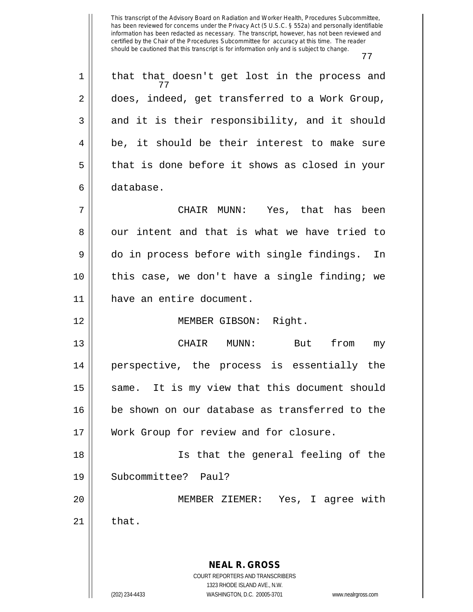77

**NEAL R. GROSS** COURT REPORTERS AND TRANSCRIBERS 1323 RHODE ISLAND AVE., N.W. (202) 234-4433 WASHINGTON, D.C. 20005-3701 www.nealrgross.com 77  $1 \parallel$  that that doesn't get lost in the process and 2 does, indeed, get transferred to a Work Group,  $3 \parallel$  and it is their responsibility, and it should  $4 \parallel$  be, it should be their interest to make sure  $5 \parallel$  that is done before it shows as closed in your 6 database. 7 CHAIR MUNN: Yes, that has been  $8 \parallel$  our intent and that is what we have tried to 9 do in process before with single findings. In 10 this case, we don't have a single finding; we 11 have an entire document. 12 MEMBER GIBSON: Right. 13 CHAIR MUNN: But from my 14 || perspective, the process is essentially the 15 || same. It is my view that this document should 16 be shown on our database as transferred to the 17 || Work Group for review and for closure. 18 Is that the general feeling of the 19 Subcommittee? Paul? 20 MEMBER ZIEMER: Yes, I agree with  $21$   $\parallel$  that.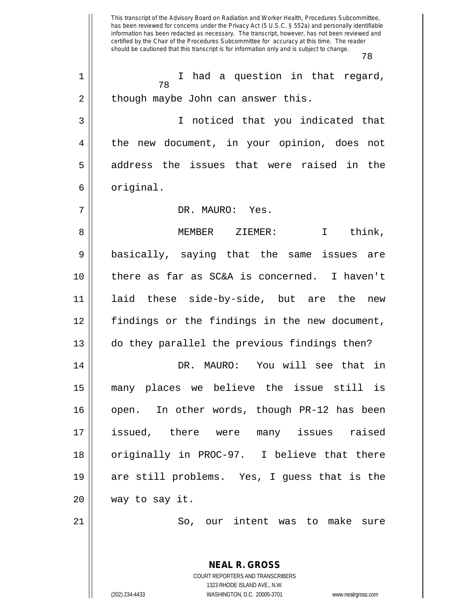This transcript of the Advisory Board on Radiation and Worker Health, Procedures Subcommittee, has been reviewed for concerns under the Privacy Act (5 U.S.C. § 552a) and personally identifiable information has been redacted as necessary. The transcript, however, has not been reviewed and certified by the Chair of the Procedures Subcommittee for accuracy at this time. The reader should be cautioned that this transcript is for information only and is subject to change. 78 78 1 || I had a question in that regard, 2 | though maybe John can answer this. 3 I noticed that you indicated that 4 the new document, in your opinion, does not 5 address the issues that were raised in the  $6 \parallel$  original. 7 DR. MAURO: Yes. 8 MEMBER ZIEMER: I think, 9 || basically, saying that the same issues are 10 there as far as SC&A is concerned. I haven't 11 laid these side-by-side, but are the new 12 findings or the findings in the new document, 13 do they parallel the previous findings then? 14 DR. MAURO: You will see that in 15 many places we believe the issue still is 16 || open. In other words, though PR-12 has been 17 issued, there were many issues raised 18 || originally in PROC-97. I believe that there 19 are still problems. Yes, I guess that is the 20 way to say it. 21 || So, our intent was to make sure

> COURT REPORTERS AND TRANSCRIBERS 1323 RHODE ISLAND AVE., N.W. (202) 234-4433 WASHINGTON, D.C. 20005-3701 www.nealrgross.com

**NEAL R. GROSS**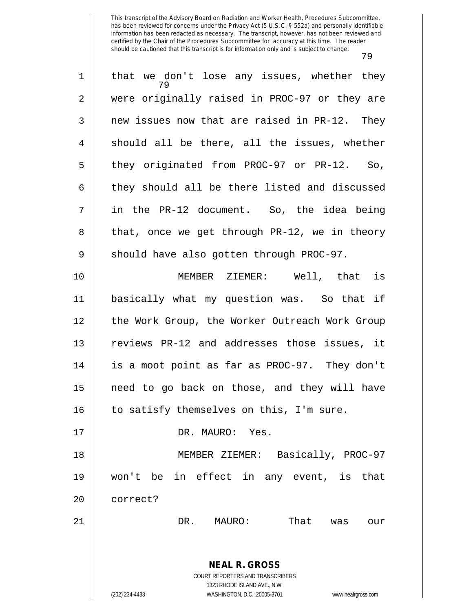| $\mathbf 1$    | that we don't lose any issues, whether they                                              |
|----------------|------------------------------------------------------------------------------------------|
| $\overline{2}$ | were originally raised in PROC-97 or they are                                            |
| 3              | new issues now that are raised in PR-12. They                                            |
| $\overline{4}$ | should all be there, all the issues, whether                                             |
| 5              | they originated from PROC-97 or PR-12. So,                                               |
| 6              | they should all be there listed and discussed                                            |
| 7              | in the PR-12 document. So, the idea being                                                |
| 8              | that, once we get through PR-12, we in theory                                            |
| 9              | should have also gotten through PROC-97.                                                 |
| 10             | MEMBER ZIEMER: Well, that is                                                             |
| 11             | basically what my question was. So that if                                               |
| 12             | the Work Group, the Worker Outreach Work Group                                           |
| 13             | reviews PR-12 and addresses those issues, it                                             |
| 14             | is a moot point as far as PROC-97. They don't                                            |
| 15             | need to go back on those, and they will have                                             |
| 16             | to satisfy themselves on this, I'm sure.                                                 |
| 17             | DR. MAURO: Yes.                                                                          |
| 18             | MEMBER ZIEMER: Basically, PROC-97                                                        |
| 19             | won't be in effect in any event, is<br>that                                              |
| 20             | correct?                                                                                 |
| 21             | That<br>DR.<br>MAURO:<br>was<br>our                                                      |
|                | <b>NEAL R. GROSS</b><br>COURT REPORTERS AND TRANSCRIBERS<br>1323 RHODE ISLAND AVE., N.W. |
|                | (202) 234-4433<br>WASHINGTON, D.C. 20005-3701<br>www.nealrgross.com                      |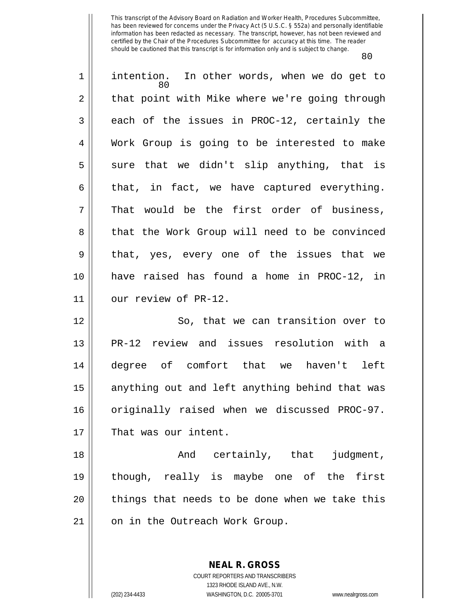| 1  | intention. In other words, when we do get to<br>80 |
|----|----------------------------------------------------|
| 2  | that point with Mike where we're going through     |
| 3  | each of the issues in PROC-12, certainly the       |
| 4  | Work Group is going to be interested to make       |
| 5  | that we didn't slip anything, that is<br>sure      |
| 6  | that, in fact, we have captured everything.        |
| 7  | That would be the first order of business,         |
| 8  | that the Work Group will need to be convinced      |
| 9  | that, yes, every one of the issues that we         |
| 10 | have raised has found a home in PROC-12, in        |
| 11 | our review of PR-12.                               |
| 12 | So, that we can transition over to                 |
| 13 | PR-12 review and issues resolution with a          |
| 14 | degree of comfort that we haven't left             |
| 15 | anything out and left anything behind that was     |
| 16 | originally raised when we discussed PROC-97.       |
| 17 | That was our intent.                               |
| 18 | And certainly, that<br>judgment,                   |
| 19 | though, really is maybe one of the first           |
| 20 | things that needs to be done when we take this     |
| 21 | on in the Outreach Work Group.                     |
|    |                                                    |

**NEAL R. GROSS** COURT REPORTERS AND TRANSCRIBERS 1323 RHODE ISLAND AVE., N.W.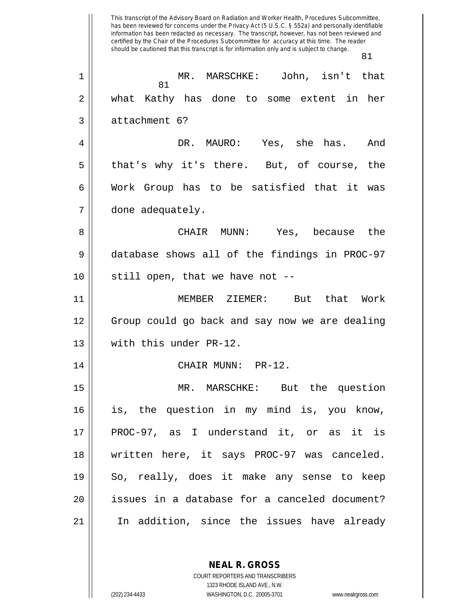This transcript of the Advisory Board on Radiation and Worker Health, Procedures Subcommittee, has been reviewed for concerns under the Privacy Act (5 U.S.C. § 552a) and personally identifiable information has been redacted as necessary. The transcript, however, has not been reviewed and certified by the Chair of the Procedures Subcommittee for accuracy at this time. The reader should be cautioned that this transcript is for information only and is subject to change. 81 81 1 MR. MARSCHKE: John, isn't that 2 what Kathy has done to some extent in her 3 || attachment 6? 4 DR. MAURO: Yes, she has. And  $5 \parallel$  that's why it's there. But, of course, the  $6 \parallel$  Work Group has to be satisfied that it was 7 done adequately. 8 CHAIR MUNN: Yes, because the 9 database shows all of the findings in PROC-97  $10$  || still open, that we have not  $-$ -11 MEMBER ZIEMER: But that Work 12 Group could go back and say now we are dealing 13 || with this under PR-12. 14 | CHAIR MUNN: PR-12. 15 MR. MARSCHKE: But the question 16 is, the question in my mind is, you know, 17 || PROC-97, as I understand it, or as it is 18 written here, it says PROC-97 was canceled. 19 So, really, does it make any sense to keep 20 issues in a database for a canceled document? 21 In addition, since the issues have already

> **NEAL R. GROSS** COURT REPORTERS AND TRANSCRIBERS

> > 1323 RHODE ISLAND AVE., N.W.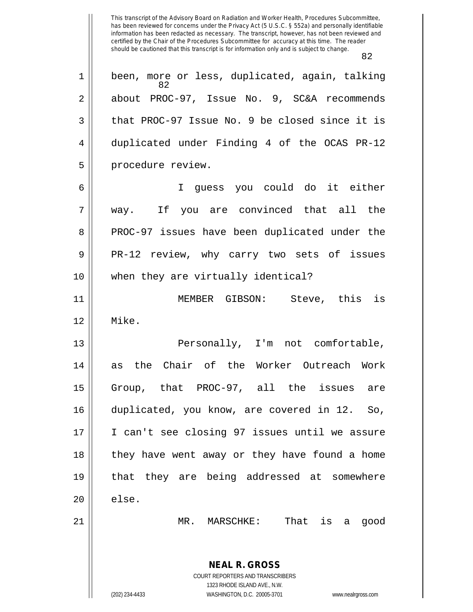This transcript of the Advisory Board on Radiation and Worker Health, Procedures Subcommittee, has been reviewed for concerns under the Privacy Act (5 U.S.C. § 552a) and personally identifiable information has been redacted as necessary. The transcript, however, has not been reviewed and certified by the Chair of the Procedures Subcommittee for accuracy at this time. The reader should be cautioned that this transcript is for information only and is subject to change. 82 **NEAL R. GROSS** COURT REPORTERS AND TRANSCRIBERS 1323 RHODE ISLAND AVE., N.W. 82 1 || been, more or less, duplicated, again, talking 2 about PROC-97, Issue No. 9, SC&A recommends  $3 \parallel$  that PROC-97 Issue No. 9 be closed since it is 4 duplicated under Finding 4 of the OCAS PR-12 5 | procedure review. 6 I guess you could do it either 7 way. If you are convinced that all the 8 PROC-97 issues have been duplicated under the 9 PR-12 review, why carry two sets of issues 10 when they are virtually identical? 11 MEMBER GIBSON: Steve, this is 12 Mike. 13 || Personally, I'm not comfortable, 14 as the Chair of the Worker Outreach Work 15 Group, that PROC-97, all the issues are 16 duplicated, you know, are covered in 12. So, 17 || I can't see closing 97 issues until we assure 18 || they have went away or they have found a home 19 that they are being addressed at somewhere  $20$   $\parallel$  else. 21 MR. MARSCHKE: That is a good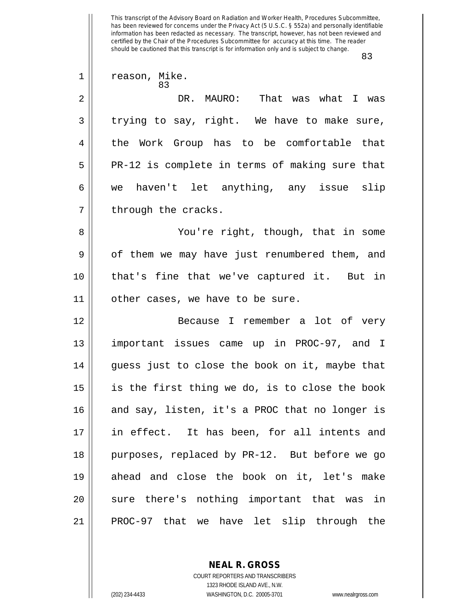This transcript of the Advisory Board on Radiation and Worker Health, Procedures Subcommittee, has been reviewed for concerns under the Privacy Act (5 U.S.C. § 552a) and personally identifiable information has been redacted as necessary. The transcript, however, has not been reviewed and certified by the Chair of the Procedures Subcommittee for accuracy at this time. The reader should be cautioned that this transcript is for information only and is subject to change. 83 83 1 || reason, Mike. 2 DR. MAURO: That was what I was  $3 \parallel$  trying to say, right. We have to make sure, 4 the Work Group has to be comfortable that  $5 \parallel$  PR-12 is complete in terms of making sure that 6 we haven't let anything, any issue slip  $7 \parallel$  through the cracks. 8 || You're right, though, that in some 9 | of them we may have just renumbered them, and 10 that's fine that we've captured it. But in 11 other cases, we have to be sure. 12 Because I remember a lot of very 13 || important issues came up in PROC-97, and I  $14$  || quess just to close the book on it, maybe that 15 is the first thing we do, is to close the book 16 || and say, listen, it's a PROC that no longer is 17 in effect. It has been, for all intents and 18 || purposes, replaced by PR-12. But before we go 19 ahead and close the book on it, let's make 20 || sure there's nothing important that was in  $21$  || PROC-97 that we have let slip through the

> **NEAL R. GROSS** COURT REPORTERS AND TRANSCRIBERS

> > 1323 RHODE ISLAND AVE., N.W.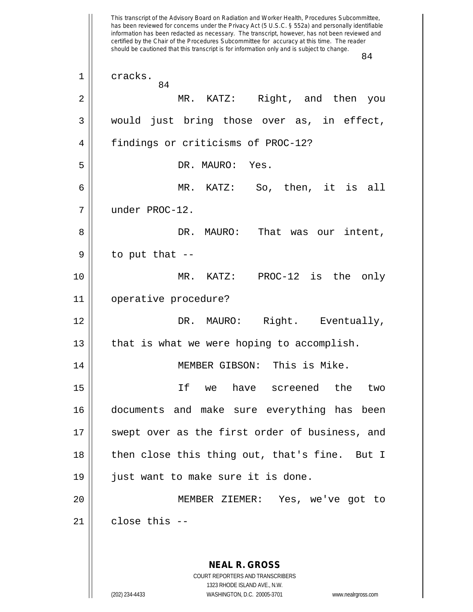This transcript of the Advisory Board on Radiation and Worker Health, Procedures Subcommittee, has been reviewed for concerns under the Privacy Act (5 U.S.C. § 552a) and personally identifiable information has been redacted as necessary. The transcript, however, has not been reviewed and certified by the Chair of the Procedures Subcommittee for accuracy at this time. The reader should be cautioned that this transcript is for information only and is subject to change. 84 **NEAL R. GROSS** COURT REPORTERS AND TRANSCRIBERS 1323 RHODE ISLAND AVE., N.W. (202) 234-4433 WASHINGTON, D.C. 20005-3701 www.nealrgross.com 84 1 cracks. 2 MR. KATZ: Right, and then you 3 || would just bring those over as, in effect, 4 || findings or criticisms of PROC-12? 5 DR. MAURO: Yes. 6 MR. KATZ: So, then, it is all 7 under PROC-12. 8 DR. MAURO: That was our intent,  $9 \parallel$  to put that --10 MR. KATZ: PROC-12 is the only 11 operative procedure? 12 DR. MAURO: Right. Eventually,  $13$  | that is what we were hoping to accomplish. 14 || MEMBER GIBSON: This is Mike. 15 If we have screened the two 16 documents and make sure everything has been 17 || swept over as the first order of business, and 18 || then close this thing out, that's fine. But I 19 || just want to make sure it is done. 20 MEMBER ZIEMER: Yes, we've got to  $21$  | close this  $-$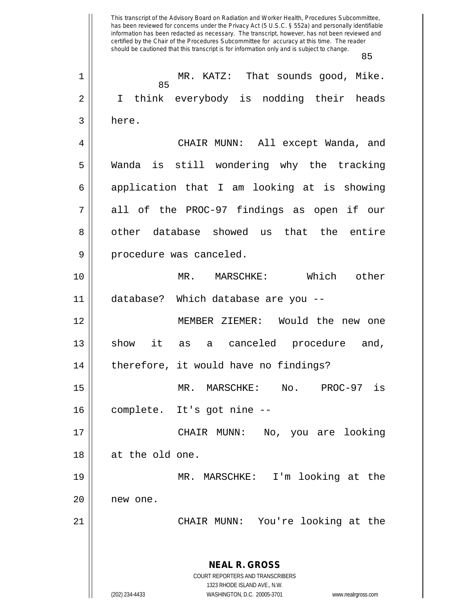This transcript of the Advisory Board on Radiation and Worker Health, Procedures Subcommittee, has been reviewed for concerns under the Privacy Act (5 U.S.C. § 552a) and personally identifiable information has been redacted as necessary. The transcript, however, has not been reviewed and certified by the Chair of the Procedures Subcommittee for accuracy at this time. The reader should be cautioned that this transcript is for information only and is subject to change. 85 **NEAL R. GROSS** COURT REPORTERS AND TRANSCRIBERS 1323 RHODE ISLAND AVE., N.W. (202) 234-4433 WASHINGTON, D.C. 20005-3701 www.nealrgross.com 85 1 MR. KATZ: That sounds good, Mike. 2 || I think everybody is nodding their heads 3 here. 4 CHAIR MUNN: All except Wanda, and 5 Wanda is still wondering why the tracking  $6 \parallel$  application that I am looking at is showing 7 || all of the PROC-97 findings as open if our 8 || other database showed us that the entire 9 | procedure was canceled. 10 MR. MARSCHKE: Which other 11 database? Which database are you -- 12 MEMBER ZIEMER: Would the new one 13 || show it as a canceled procedure and,  $14$  | therefore, it would have no findings? 15 MR. MARSCHKE: No. PROC-97 is 16 | complete. It's got nine --17 CHAIR MUNN: No, you are looking 18 at the old one. 19 MR. MARSCHKE: I'm looking at the 20 || new one. 21 CHAIR MUNN: You're looking at the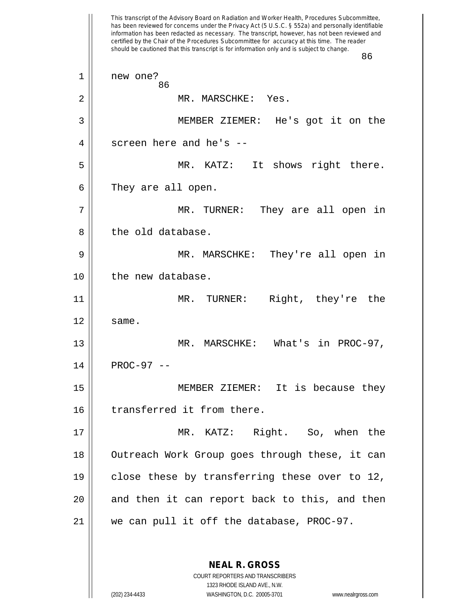This transcript of the Advisory Board on Radiation and Worker Health, Procedures Subcommittee, has been reviewed for concerns under the Privacy Act (5 U.S.C. § 552a) and personally identifiable information has been redacted as necessary. The transcript, however, has not been reviewed and certified by the Chair of the Procedures Subcommittee for accuracy at this time. The reader should be cautioned that this transcript is for information only and is subject to change. 86 86 1 || new one? 2 MR. MARSCHKE: Yes. 3 MEMBER ZIEMER: He's got it on the 4 screen here and he's --5 MR. KATZ: It shows right there.  $6 \parallel$  They are all open. 7 MR. TURNER: They are all open in 8 l the old database. 9 MR. MARSCHKE: They're all open in 10 || the new database. 11 MR. TURNER: Right, they're the  $12 \parallel$  same. 13 || MR. MARSCHKE: What's in PROC-97,  $14$  | PROC-97 --15 MEMBER ZIEMER: It is because they 16 || transferred it from there. 17 MR. KATZ: Right. So, when the 18 || Outreach Work Group goes through these, it can 19 close these by transferring these over to 12, 20 || and then it can report back to this, and then 21 we can pull it off the database, PROC-97.

> **NEAL R. GROSS** COURT REPORTERS AND TRANSCRIBERS

> > 1323 RHODE ISLAND AVE., N.W.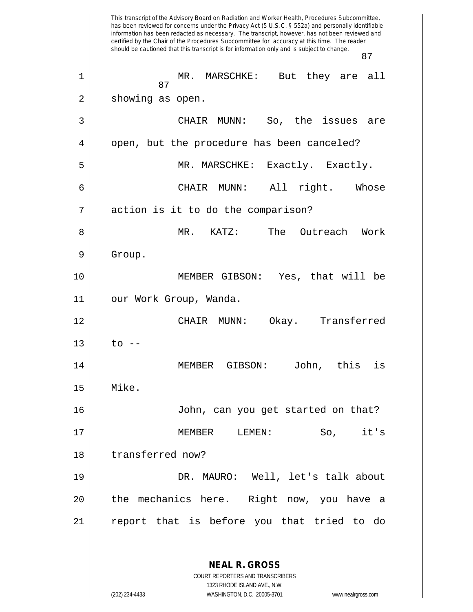This transcript of the Advisory Board on Radiation and Worker Health, Procedures Subcommittee, has been reviewed for concerns under the Privacy Act (5 U.S.C. § 552a) and personally identifiable information has been redacted as necessary. The transcript, however, has not been reviewed and certified by the Chair of the Procedures Subcommittee for accuracy at this time. The reader should be cautioned that this transcript is for information only and is subject to change. 87 **NEAL R. GROSS** COURT REPORTERS AND TRANSCRIBERS 1323 RHODE ISLAND AVE., N.W. 87 1 MR. MARSCHKE: But they are all 2 || showing as open. 3 CHAIR MUNN: So, the issues are 4 | open, but the procedure has been canceled? 5 MR. MARSCHKE: Exactly. Exactly. 6 CHAIR MUNN: All right. Whose 7 action is it to do the comparison? 8 MR. KATZ: The Outreach Work 9 | Group. 10 MEMBER GIBSON: Yes, that will be 11 || our Work Group, Wanda. 12 CHAIR MUNN: Okay. Transferred  $13$  | to  $-$ 14 MEMBER GIBSON: John, this is 15 Mike. 16 John, can you get started on that? 17 MEMBER LEMEN: So, it's 18 || transferred now? 19 DR. MAURO: Well, let's talk about 20 || the mechanics here. Right now, you have a 21 report that is before you that tried to do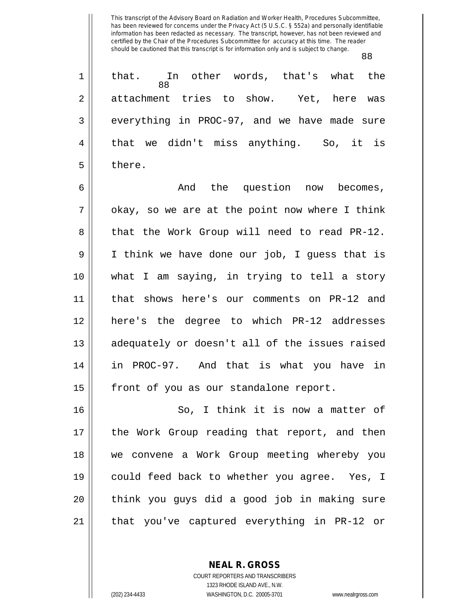88

|                | that. In other words, that's what the<br>88  |
|----------------|----------------------------------------------|
| $\overline{2}$ | attachment tries to show. Yet, here was      |
| $\overline{3}$ | everything in PROC-97, and we have made sure |
| 4              | that we didn't miss anything. So, it is      |
| 5              | there.                                       |
|                |                                              |

6 And the question now becomes,  $7 ||$  okay, so we are at the point now where I think 8 || that the Work Group will need to read PR-12. 9 I think we have done our job, I guess that is 10 what I am saying, in trying to tell a story 11 that shows here's our comments on PR-12 and 12 here's the degree to which PR-12 addresses 13 || adequately or doesn't all of the issues raised 14 in PROC-97. And that is what you have in 15 || front of you as our standalone report.

16 || So, I think it is now a matter of 17 || the Work Group reading that report, and then 18 || we convene a Work Group meeting whereby you 19 could feed back to whether you agree. Yes, I 20 think you guys did a good job in making sure 21 || that you've captured everything in PR-12 or

> **NEAL R. GROSS** COURT REPORTERS AND TRANSCRIBERS

1323 RHODE ISLAND AVE., N.W. (202) 234-4433 WASHINGTON, D.C. 20005-3701 www.nealrgross.com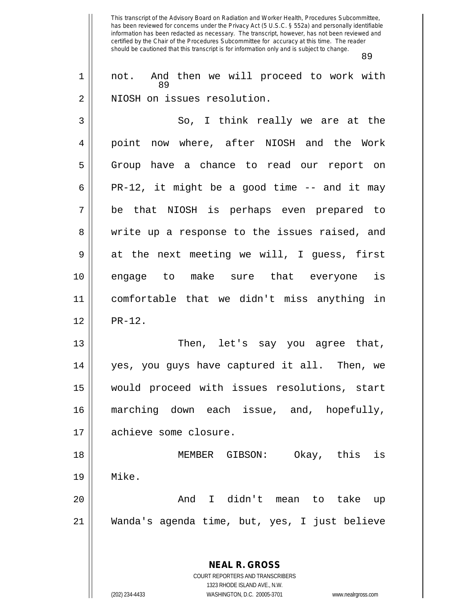This transcript of the Advisory Board on Radiation and Worker Health, Procedures Subcommittee, has been reviewed for concerns under the Privacy Act (5 U.S.C. § 552a) and personally identifiable information has been redacted as necessary. The transcript, however, has not been reviewed and certified by the Chair of the Procedures Subcommittee for accuracy at this time. The reader should be cautioned that this transcript is for information only and is subject to change. 89 89 1 || not. And then we will proceed to work with 2 | NIOSH on issues resolution. 3 || So, I think really we are at the 4 || point now where, after NIOSH and the Work 5 || Group have a chance to read our report on  $6 \parallel$  PR-12, it might be a good time -- and it may 7 be that NIOSH is perhaps even prepared to 8 || write up a response to the issues raised, and  $9 \parallel$  at the next meeting we will, I guess, first 10 engage to make sure that everyone is 11 comfortable that we didn't miss anything in  $12 \parallel$  PR-12. 13 || Then, let's say you agree that, 14 yes, you guys have captured it all. Then, we 15 would proceed with issues resolutions, start 16 marching down each issue, and, hopefully, 17 | achieve some closure. 18 MEMBER GIBSON: Okay, this is 19 Mike. 20 And I didn't mean to take up 21 Wanda's agenda time, but, yes, I just believe

> **NEAL R. GROSS** COURT REPORTERS AND TRANSCRIBERS

> > 1323 RHODE ISLAND AVE., N.W.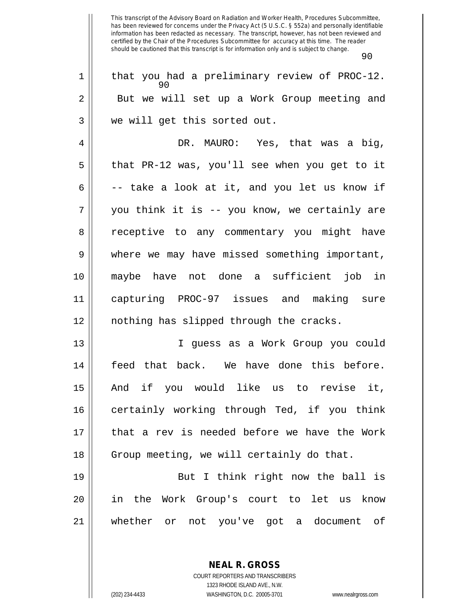|    | 90                                                  |
|----|-----------------------------------------------------|
| 1  | that you had a preliminary review of PROC-12.<br>90 |
| 2  | But we will set up a Work Group meeting and         |
| 3  | we will get this sorted out.                        |
| 4  | DR. MAURO: Yes, that was a big,                     |
| 5  | that PR-12 was, you'll see when you get to it       |
| 6  | -- take a look at it, and you let us know if        |
| 7  | you think it is -- you know, we certainly are       |
| 8  | receptive to any commentary you might have          |
| 9  | where we may have missed something important,       |
| 10 | maybe have not done a sufficient job in             |
| 11 | capturing PROC-97 issues and making sure            |
| 12 | nothing has slipped through the cracks.             |
| 13 | I guess as a Work Group you could                   |
| 14 | feed that back. We have done this before.           |
| 15 | if you would like us to revise it,<br>And           |
| 16 | certainly working through Ted, if you think         |
| 17 | that a rev is needed before we have the Work        |
| 18 | Group meeting, we will certainly do that.           |
| 19 | But I think right now the ball is                   |
| 20 | in the Work Group's court to let us know            |
| 21 | whether or not you've got a document of             |
|    |                                                     |

COURT REPORTERS AND TRANSCRIBERS 1323 RHODE ISLAND AVE., N.W. (202) 234-4433 WASHINGTON, D.C. 20005-3701 www.nealrgross.com

**NEAL R. GROSS**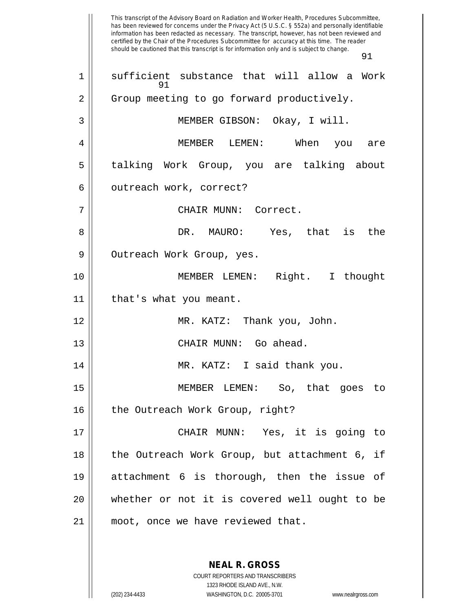This transcript of the Advisory Board on Radiation and Worker Health, Procedures Subcommittee, has been reviewed for concerns under the Privacy Act (5 U.S.C. § 552a) and personally identifiable information has been redacted as necessary. The transcript, however, has not been reviewed and certified by the Chair of the Procedures Subcommittee for accuracy at this time. The reader should be cautioned that this transcript is for information only and is subject to change. 91 91 1 || sufficient substance that will allow a Work 2 | Group meeting to go forward productively. 3 MEMBER GIBSON: Okay, I will. 4 MEMBER LEMEN: When you are 5 || talking Work Group, you are talking about 6 | outreach work, correct? 7 CHAIR MUNN: Correct. 8 DR. MAURO: Yes, that is the 9 | Outreach Work Group, yes. 10 MEMBER LEMEN: Right. I thought 11 | that's what you meant. 12 || **MR. KATZ:** Thank you, John. 13 || CHAIR MUNN: Go ahead. 14 || MR. KATZ: I said thank you. 15 MEMBER LEMEN: So, that goes to 16 || the Outreach Work Group, right? 17 CHAIR MUNN: Yes, it is going to 18 || the Outreach Work Group, but attachment 6, if 19 attachment 6 is thorough, then the issue of 20 whether or not it is covered well ought to be 21 || moot, once we have reviewed that.

> **NEAL R. GROSS** COURT REPORTERS AND TRANSCRIBERS

> > 1323 RHODE ISLAND AVE., N.W.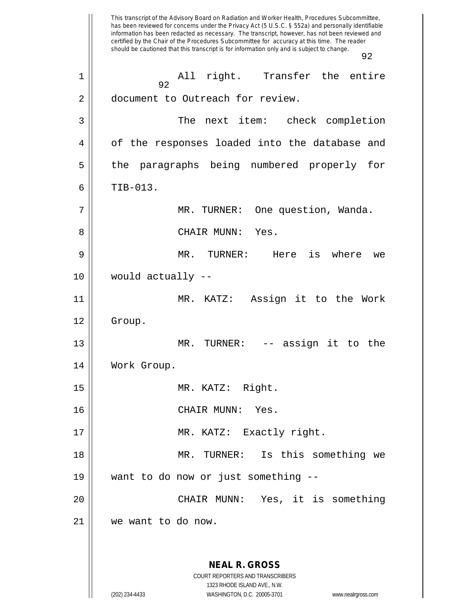This transcript of the Advisory Board on Radiation and Worker Health, Procedures Subcommittee, has been reviewed for concerns under the Privacy Act (5 U.S.C. § 552a) and personally identifiable information has been redacted as necessary. The transcript, however, has not been reviewed and certified by the Chair of the Procedures Subcommittee for accuracy at this time. The reader should be cautioned that this transcript is for information only and is subject to change. 92 **NEAL R. GROSS** COURT REPORTERS AND TRANSCRIBERS 1323 RHODE ISLAND AVE., N.W. (202) 234-4433 WASHINGTON, D.C. 20005-3701 www.nealrgross.com 92 1 All right. Transfer the entire 2 | document to Outreach for review. 3 The next item: check completion 4 | of the responses loaded into the database and 5 || the paragraphs being numbered properly for  $6 \parallel$  TIB-013. 7 MR. TURNER: One question, Wanda. 8 CHAIR MUNN: Yes. 9 MR. TURNER: Here is where we 10 would actually -- 11 MR. KATZ: Assign it to the Work 12 | Group. 13 || MR. TURNER: -- assign it to the 14 | Work Group. 15 MR. KATZ: Right. 16 CHAIR MUNN: Yes. 17 || MR. KATZ: Exactly right. 18 || MR. TURNER: Is this something we 19 want to do now or just something -- 20 CHAIR MUNN: Yes, it is something 21 we want to do now.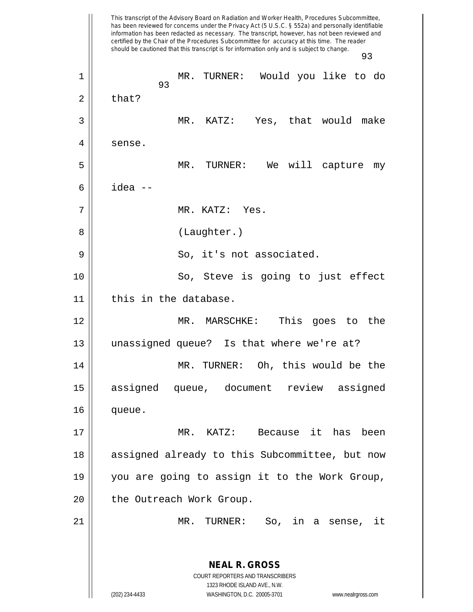This transcript of the Advisory Board on Radiation and Worker Health, Procedures Subcommittee, has been reviewed for concerns under the Privacy Act (5 U.S.C. § 552a) and personally identifiable information has been redacted as necessary. The transcript, however, has not been reviewed and certified by the Chair of the Procedures Subcommittee for accuracy at this time. The reader should be cautioned that this transcript is for information only and is subject to change. 93 **NEAL R. GROSS** COURT REPORTERS AND TRANSCRIBERS 1323 RHODE ISLAND AVE., N.W. (202) 234-4433 WASHINGTON, D.C. 20005-3701 www.nealrgross.com 93 1 MR. TURNER: Would you like to do  $2 \parallel$  that? 3 MR. KATZ: Yes, that would make 4 | sense. 5 MR. TURNER: We will capture my 6 idea -- 7 MR. KATZ: Yes. 8 || (Laughter.) 9 || So, it's not associated. 10 || So, Steve is going to just effect 11 | this in the database. 12 MR. MARSCHKE: This goes to the 13 unassigned queue? Is that where we're at? 14 || MR. TURNER: Oh, this would be the 15 assigned queue, document review assigned 16 queue. 17 MR. KATZ: Because it has been 18 || assigned already to this Subcommittee, but now 19 you are going to assign it to the Work Group, 20 || the Outreach Work Group. 21 MR. TURNER: So, in a sense, it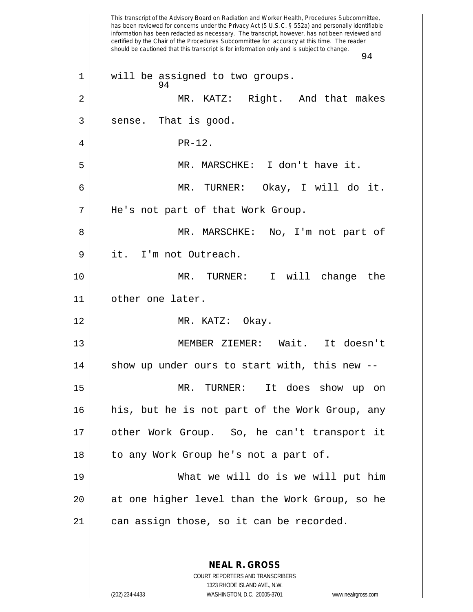This transcript of the Advisory Board on Radiation and Worker Health, Procedures Subcommittee, has been reviewed for concerns under the Privacy Act (5 U.S.C. § 552a) and personally identifiable information has been redacted as necessary. The transcript, however, has not been reviewed and certified by the Chair of the Procedures Subcommittee for accuracy at this time. The reader should be cautioned that this transcript is for information only and is subject to change. 94 **NEAL R. GROSS** 94 1 || will be assigned to two groups. 2 MR. KATZ: Right. And that makes  $3 \parallel$  sense. That is good. 4 PR-12. 5 MR. MARSCHKE: I don't have it. 6 MR. TURNER: Okay, I will do it. 7 He's not part of that Work Group. 8 MR. MARSCHKE: No, I'm not part of 9 | it. I'm not Outreach. 10 MR. TURNER: I will change the 11 other one later. 12 MR. KATZ: Okay. 13 MEMBER ZIEMER: Wait. It doesn't  $14$  show up under ours to start with, this new  $-$ 15 MR. TURNER: It does show up on 16 his, but he is not part of the Work Group, any 17 other Work Group. So, he can't transport it 18 || to any Work Group he's not a part of. 19 What we will do is we will put him 20 at one higher level than the Work Group, so he  $21$  | can assign those, so it can be recorded.

> COURT REPORTERS AND TRANSCRIBERS 1323 RHODE ISLAND AVE., N.W.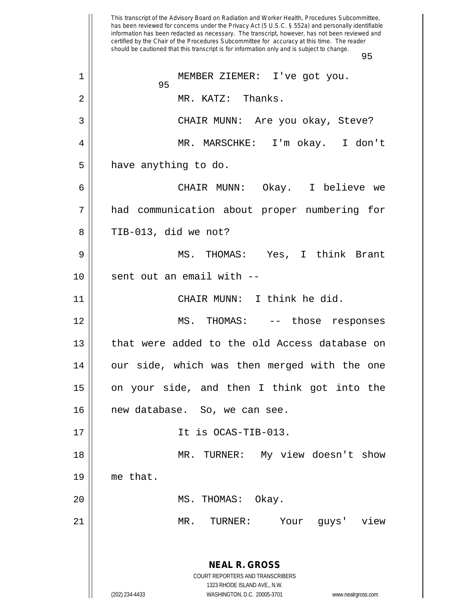This transcript of the Advisory Board on Radiation and Worker Health, Procedures Subcommittee, has been reviewed for concerns under the Privacy Act (5 U.S.C. § 552a) and personally identifiable information has been redacted as necessary. The transcript, however, has not been reviewed and certified by the Chair of the Procedures Subcommittee for accuracy at this time. The reader should be cautioned that this transcript is for information only and is subject to change. 95 **NEAL R. GROSS** COURT REPORTERS AND TRANSCRIBERS 1323 RHODE ISLAND AVE., N.W. (202) 234-4433 WASHINGTON, D.C. 20005-3701 www.nealrgross.com 95 1 MEMBER ZIEMER: I've got you. 2 MR. KATZ: Thanks. 3 CHAIR MUNN: Are you okay, Steve? 4 MR. MARSCHKE: I'm okay. I don't  $5$  | have anything to do. 6 CHAIR MUNN: Okay. I believe we 7 had communication about proper numbering for  $8 \parallel$  TIB-013, did we not? 9 MS. THOMAS: Yes, I think Brant  $10$  || sent out an email with  $-$ 11 || CHAIR MUNN: I think he did. 12 MS. THOMAS: -- those responses 13 || that were added to the old Access database on 14 || our side, which was then merged with the one 15 || on your side, and then I think got into the 16 || new database. So, we can see.  $17 \parallel$  It is OCAS-TIB-013. 18 || MR. TURNER: My view doesn't show 19 me that. 20 MS. THOMAS: Okay. 21 MR. TURNER: Your guys' view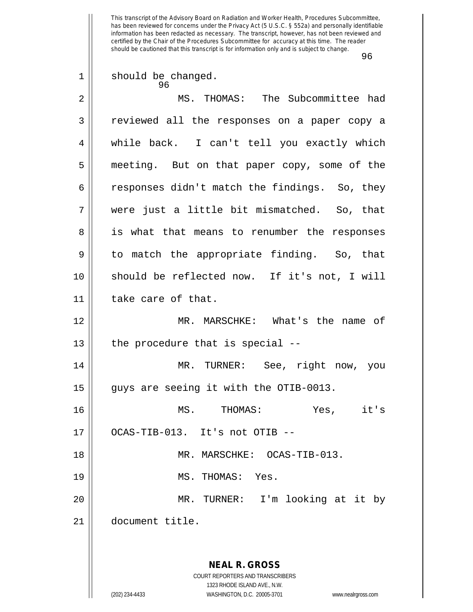|    | ッゎ                                                                                                  |
|----|-----------------------------------------------------------------------------------------------------|
| 1  | should be changed.<br>96                                                                            |
| 2  | MS. THOMAS: The Subcommittee had                                                                    |
| 3  | reviewed all the responses on a paper copy a                                                        |
| 4  | while back. I can't tell you exactly which                                                          |
| 5  | meeting. But on that paper copy, some of the                                                        |
| 6  | responses didn't match the findings. So, they                                                       |
| 7  | were just a little bit mismatched. So, that                                                         |
| 8  | is what that means to renumber the responses                                                        |
| 9  | to match the appropriate finding. So, that                                                          |
| 10 | should be reflected now. If it's not, I will                                                        |
| 11 | take care of that.                                                                                  |
| 12 | MR. MARSCHKE: What's the name of                                                                    |
| 13 | the procedure that is special --                                                                    |
| 14 | MR. TURNER: See, right now, you                                                                     |
| 15 | guys are seeing it with the OTIB-0013.                                                              |
| 16 | MS.<br>it's<br>THOMAS:<br>Yes,                                                                      |
| 17 | OCAS-TIB-013. It's not OTIB --                                                                      |
| 18 | MR. MARSCHKE: OCAS-TIB-013.                                                                         |
| 19 | MS. THOMAS: Yes.                                                                                    |
| 20 | I'm looking at it by<br>MR. TURNER:                                                                 |
| 21 | document title.                                                                                     |
|    |                                                                                                     |
|    | <b>NEAL R. GROSS</b>                                                                                |
|    | COURT REPORTERS AND TRANSCRIBERS                                                                    |
|    | 1323 RHODE ISLAND AVE., N.W.<br>(202) 234-4433<br>WASHINGTON, D.C. 20005-3701<br>www.nealrgross.com |
|    |                                                                                                     |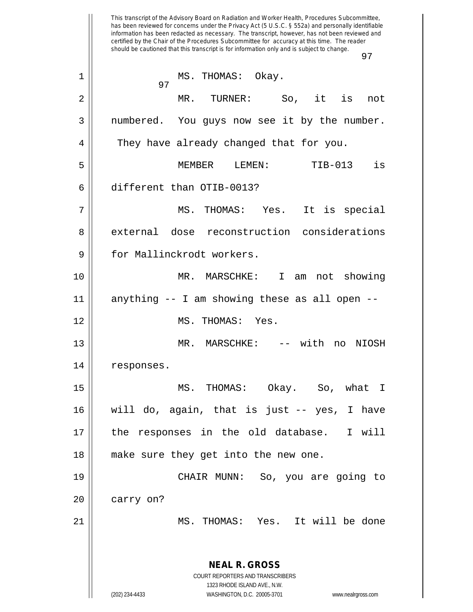This transcript of the Advisory Board on Radiation and Worker Health, Procedures Subcommittee, has been reviewed for concerns under the Privacy Act (5 U.S.C. § 552a) and personally identifiable information has been redacted as necessary. The transcript, however, has not been reviewed and certified by the Chair of the Procedures Subcommittee for accuracy at this time. The reader should be cautioned that this transcript is for information only and is subject to change. 97 **NEAL R. GROSS** COURT REPORTERS AND TRANSCRIBERS 1323 RHODE ISLAND AVE., N.W. (202) 234-4433 WASHINGTON, D.C. 20005-3701 www.nealrgross.com 97 1 || MS. THOMAS: Okay. 2 MR. TURNER: So, it is not 3 || numbered. You guys now see it by the number. 4 || They have already changed that for you. 5 MEMBER LEMEN: TIB-013 is 6 different than OTIB-0013? 7 MS. THOMAS: Yes. It is special 8 external dose reconstruction considerations 9 | for Mallinckrodt workers. 10 MR. MARSCHKE: I am not showing 11 anything -- I am showing these as all open -- 12 || MS. THOMAS: Yes. 13 MR. MARSCHKE: -- with no NIOSH 14 | responses. 15 MS. THOMAS: Okay. So, what I 16 will do, again, that is just -- yes, I have 17 || the responses in the old database. I will 18 make sure they get into the new one. 19 CHAIR MUNN: So, you are going to 20 | carry on? 21 MS. THOMAS: Yes. It will be done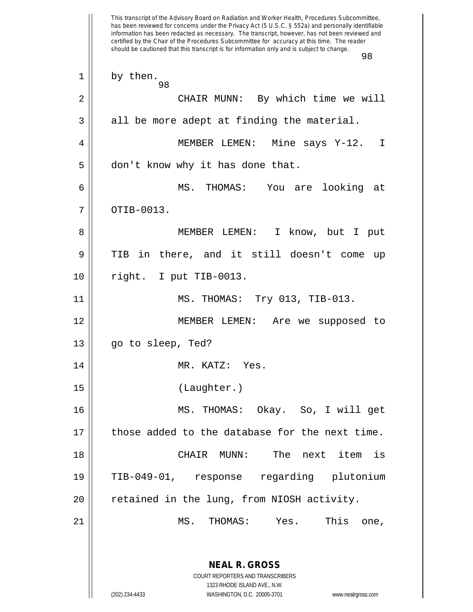This transcript of the Advisory Board on Radiation and Worker Health, Procedures Subcommittee, has been reviewed for concerns under the Privacy Act (5 U.S.C. § 552a) and personally identifiable information has been redacted as necessary. The transcript, however, has not been reviewed and certified by the Chair of the Procedures Subcommittee for accuracy at this time. The reader should be cautioned that this transcript is for information only and is subject to change. 98 **NEAL R. GROSS** COURT REPORTERS AND TRANSCRIBERS 1323 RHODE ISLAND AVE., N.W. (202) 234-4433 WASHINGTON, D.C. 20005-3701 www.nealrgross.com 98  $1 \parallel$  by then. 2 CHAIR MUNN: By which time we will  $3 \parallel$  all be more adept at finding the material. 4 MEMBER LEMEN: Mine says Y-12. I  $5 \parallel$  don't know why it has done that. 6 MS. THOMAS: You are looking at  $7 \parallel$  OTIB-0013. 8 MEMBER LEMEN: I know, but I put 9 TIB in there, and it still doesn't come up 10 right. I put TIB-0013. 11 MS. THOMAS: Try 013, TIB-013. 12 MEMBER LEMEN: Are we supposed to 13 || go to sleep, Ted? 14 || MR. KATZ: Yes. 15 (Laughter.) 16 MS. THOMAS: Okay. So, I will get  $17$  | those added to the database for the next time. 18 CHAIR MUNN: The next item is 19 TIB-049-01, response regarding plutonium 20 || retained in the lung, from NIOSH activity. 21 MS. THOMAS: Yes. This one,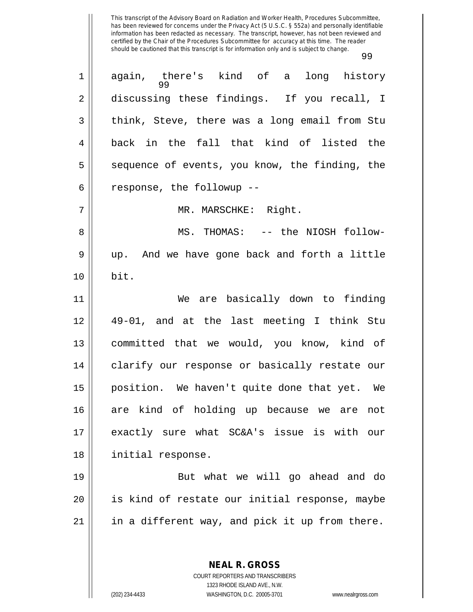| $\mathbf 1$ | again, there's kind of a long history<br>99    |
|-------------|------------------------------------------------|
| 2           | discussing these findings. If you recall, I    |
| 3           | think, Steve, there was a long email from Stu  |
| 4           | back in the fall that kind of listed the       |
| 5           | sequence of events, you know, the finding, the |
| 6           | response, the followup --                      |
| 7           | MR. MARSCHKE: Right.                           |
| 8           | MS. THOMAS: -- the NIOSH follow-               |
| $\mathsf 9$ | up. And we have gone back and forth a little   |
| 10          | bit.                                           |
| 11          | We are basically down to finding               |
| 12          | 49-01, and at the last meeting I think Stu     |
| 13          | committed that we would, you know, kind of     |
| 14          | clarify our response or basically restate our  |
| 15          | position. We haven't quite done that yet. We   |
| 16          | are kind of holding up because we are not      |
| 17          | exactly sure what SC&A's issue is with our     |
| 18          | initial response.                              |
| 19          | But what we will go ahead and do               |
| 20          | is kind of restate our initial response, maybe |
| 21          | in a different way, and pick it up from there. |
|             |                                                |
|             | <b>NEAL R. GROSS</b>                           |

COURT REPORTERS AND TRANSCRIBERS 1323 RHODE ISLAND AVE., N.W.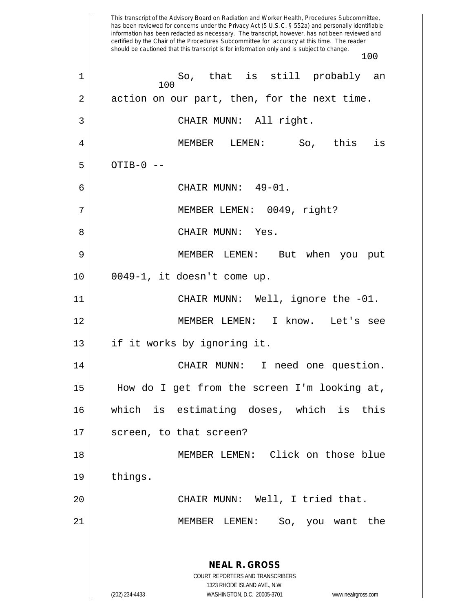This transcript of the Advisory Board on Radiation and Worker Health, Procedures Subcommittee, has been reviewed for concerns under the Privacy Act (5 U.S.C. § 552a) and personally identifiable information has been redacted as necessary. The transcript, however, has not been reviewed and certified by the Chair of the Procedures Subcommittee for accuracy at this time. The reader should be cautioned that this transcript is for information only and is subject to change. 100 **NEAL R. GROSS** COURT REPORTERS AND TRANSCRIBERS 1323 RHODE ISLAND AVE., N.W. (202) 234-4433 WASHINGTON, D.C. 20005-3701 www.nealrgross.com 100 1 So, that is still probably an  $2 \parallel$  action on our part, then, for the next time. 3 || CHAIR MUNN: All right. 4 MEMBER LEMEN: So, this is  $5 \parallel$  OTIB-0 --6 CHAIR MUNN: 49-01. 7 MEMBER LEMEN: 0049, right? 8 CHAIR MUNN: Yes. 9 MEMBER LEMEN: But when you put 10 0049-1, it doesn't come up. 11 || CHAIR MUNN: Well, ignore the -01. 12 MEMBER LEMEN: I know. Let's see 13 || if it works by ignoring it. 14 || CHAIR MUNN: I need one question. 15 How do I get from the screen I'm looking at, 16 which is estimating doses, which is this 17 || screen, to that screen? 18 MEMBER LEMEN: Click on those blue 19 | things. 20 CHAIR MUNN: Well, I tried that. 21 MEMBER LEMEN: So, you want the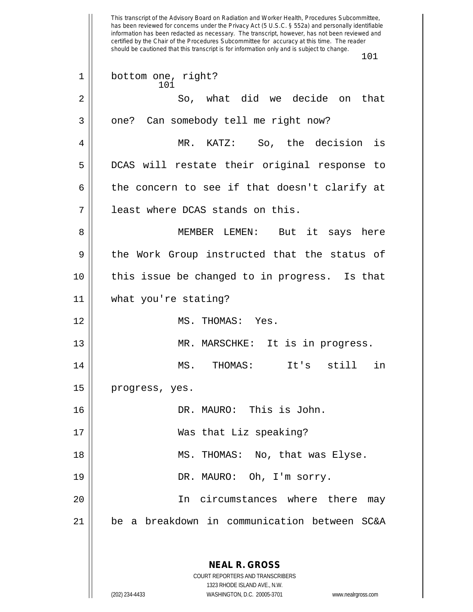This transcript of the Advisory Board on Radiation and Worker Health, Procedures Subcommittee, has been reviewed for concerns under the Privacy Act (5 U.S.C. § 552a) and personally identifiable information has been redacted as necessary. The transcript, however, has not been reviewed and certified by the Chair of the Procedures Subcommittee for accuracy at this time. The reader should be cautioned that this transcript is for information only and is subject to change. 101 101 1 | bottom one, right? 2 So, what did we decide on that 3 | one? Can somebody tell me right now? 4 MR. KATZ: So, the decision is 5 || DCAS will restate their original response to 6 the concern to see if that doesn't clarify at 7 least where DCAS stands on this. 8 || MEMBER LEMEN: But it says here 9 the Work Group instructed that the status of 10 this issue be changed to in progress. Is that 11 what you're stating? 12 || MS. THOMAS: Yes. 13 || MR. MARSCHKE: It is in progress.

14 MS. THOMAS: It's still in 15 | progress, yes.

 DR. MAURO: This is John. Was that Liz speaking? 18 || MS. THOMAS: No, that was Elyse. 19 || DR. MAURO: Oh, I'm sorry. In circumstances where there may be a breakdown in communication between SC&A

**NEAL R. GROSS**

COURT REPORTERS AND TRANSCRIBERS 1323 RHODE ISLAND AVE., N.W. (202) 234-4433 WASHINGTON, D.C. 20005-3701 www.nealrgross.com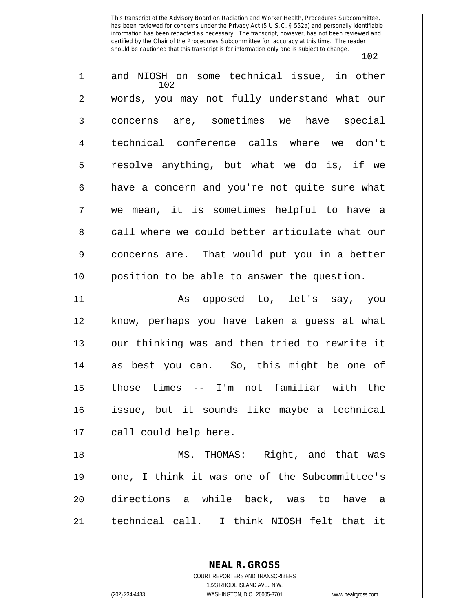| 1  | and NIOSH on some technical issue, in other<br>102 |
|----|----------------------------------------------------|
| 2  | words, you may not fully understand what our       |
| 3  | concerns are, sometimes we have special            |
| 4  | technical conference calls where we don't          |
| 5  | resolve anything, but what we do is, if we         |
| 6  | have a concern and you're not quite sure what      |
| 7  | we mean, it is sometimes helpful to have a         |
| 8  | call where we could better articulate what our     |
| 9  | concerns are. That would put you in a better       |
| 10 | position to be able to answer the question.        |
| 11 | As opposed to, let's say, you                      |
| 12 | know, perhaps you have taken a guess at what       |
| 13 | our thinking was and then tried to rewrite it      |
| 14 | as best you can. So, this might be one of          |
| 15 | those times -- I'm not familiar with the           |
| 16 | issue, but it sounds like maybe a technical        |
| 17 | call could help here.                              |
| 18 | MS. THOMAS: Right, and that was                    |
| 19 | one, I think it was one of the Subcommittee's      |
| 20 | directions a while back, was to have a             |
| 21 | technical call. I think NIOSH felt that it         |

**NEAL R. GROSS** COURT REPORTERS AND TRANSCRIBERS

1323 RHODE ISLAND AVE., N.W.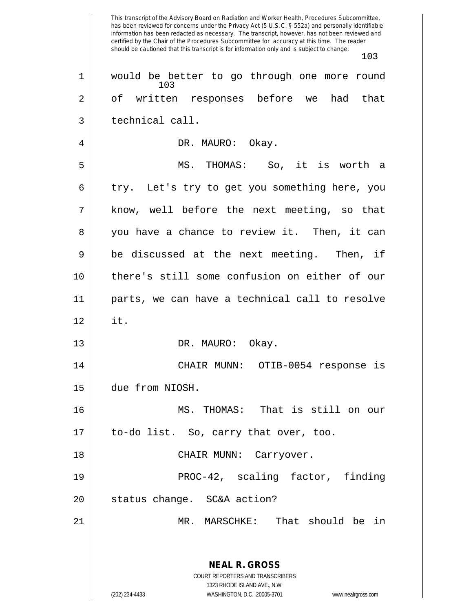This transcript of the Advisory Board on Radiation and Worker Health, Procedures Subcommittee, has been reviewed for concerns under the Privacy Act (5 U.S.C. § 552a) and personally identifiable information has been redacted as necessary. The transcript, however, has not been reviewed and certified by the Chair of the Procedures Subcommittee for accuracy at this time. The reader should be cautioned that this transcript is for information only and is subject to change. 103 **NEAL R. GROSS** COURT REPORTERS AND TRANSCRIBERS 1323 RHODE ISLAND AVE., N.W. (202) 234-4433 WASHINGTON, D.C. 20005-3701 www.nealrgross.com 103 1 || would be better to go through one more round 2 || of written responses before we had that 3 || technical call. 4 DR. MAURO: Okay. 5 MS. THOMAS: So, it is worth a  $6 \parallel$  try. Let's try to get you something here, you 7 know, well before the next meeting, so that 8 || you have a chance to review it. Then, it can  $9 \parallel$  be discussed at the next meeting. Then, if 10 there's still some confusion on either of our 11 parts, we can have a technical call to resolve  $12 \parallel$  it. 13 || DR. MAURO: Okay. 14 || CHAIR MUNN: OTIB-0054 response is 15 due from NIOSH. 16 MS. THOMAS: That is still on our 17 || to-do list. So, carry that over, too. 18 CHAIR MUNN: Carryover. 19 || PROC-42, scaling factor, finding 20 status change. SC&A action? 21 || MR. MARSCHKE: That should be in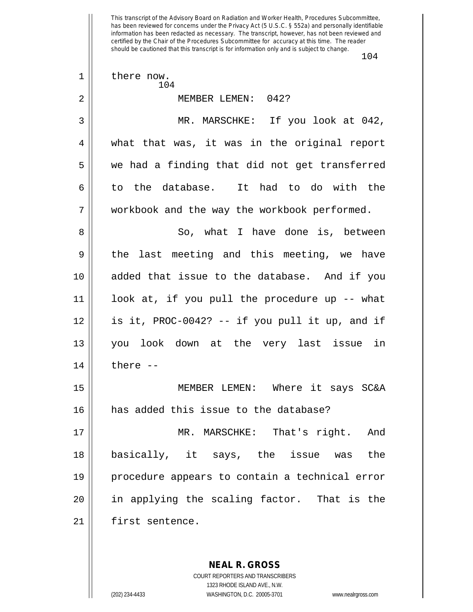This transcript of the Advisory Board on Radiation and Worker Health, Procedures Subcommittee, has been reviewed for concerns under the Privacy Act (5 U.S.C. § 552a) and personally identifiable information has been redacted as necessary. The transcript, however, has not been reviewed and certified by the Chair of the Procedures Subcommittee for accuracy at this time. The reader should be cautioned that this transcript is for information only and is subject to change. 104 104 1 | there now. 2 MEMBER LEMEN: 042? 3 MR. MARSCHKE: If you look at 042, 4 what that was, it was in the original report  $5 \parallel$  we had a finding that did not get transferred 6 to the database. It had to do with the 7 || workbook and the way the workbook performed. 8 So, what I have done is, between  $9 \parallel$  the last meeting and this meeting, we have 10 added that issue to the database. And if you 11 look at, if you pull the procedure up -- what 12 is it, PROC-0042? -- if you pull it up, and if 13 you look down at the very last issue in  $14$  | there  $-$ 15 MEMBER LEMEN: Where it says SC&A 16 has added this issue to the database? 17 || MR. MARSCHKE: That's right. And 18 basically, it says, the issue was the 19 procedure appears to contain a technical error 20 in applying the scaling factor. That is the 21 | first sentence.

> COURT REPORTERS AND TRANSCRIBERS 1323 RHODE ISLAND AVE., N.W. (202) 234-4433 WASHINGTON, D.C. 20005-3701 www.nealrgross.com

**NEAL R. GROSS**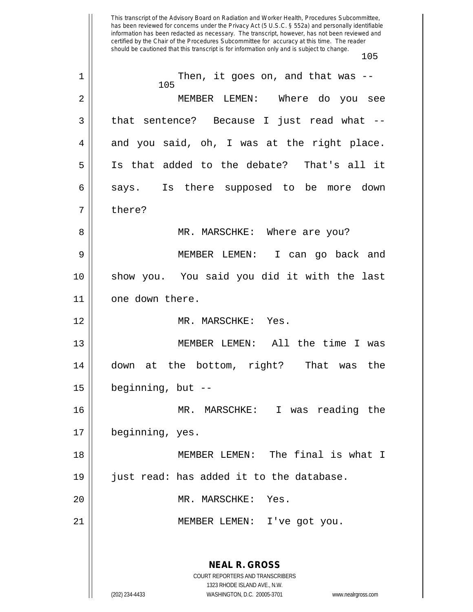This transcript of the Advisory Board on Radiation and Worker Health, Procedures Subcommittee, has been reviewed for concerns under the Privacy Act (5 U.S.C. § 552a) and personally identifiable information has been redacted as necessary. The transcript, however, has not been reviewed and certified by the Chair of the Procedures Subcommittee for accuracy at this time. The reader should be cautioned that this transcript is for information only and is subject to change. 105 **NEAL R. GROSS** COURT REPORTERS AND TRANSCRIBERS 1323 RHODE ISLAND AVE., N.W. (202) 234-4433 WASHINGTON, D.C. 20005-3701 www.nealrgross.com 105 1 || Then, it goes on, and that was --2 MEMBER LEMEN: Where do you see 3 || that sentence? Because I just read what -- $4 \parallel$  and you said, oh, I was at the right place. 5 Is that added to the debate? That's all it 6 says. Is there supposed to be more down 7 | there? 8 MR. MARSCHKE: Where are you? 9 MEMBER LEMEN: I can go back and 10 show you. You said you did it with the last 11 | one down there. 12 || MR. MARSCHKE: Yes. 13 MEMBER LEMEN: All the time I was 14 down at the bottom, right? That was the 15 beginning, but -- 16 MR. MARSCHKE: I was reading the 17 | beginning, yes. 18 || MEMBER LEMEN: The final is what I 19 just read: has added it to the database. 20 MR. MARSCHKE: Yes. 21 || MEMBER LEMEN: I've got you.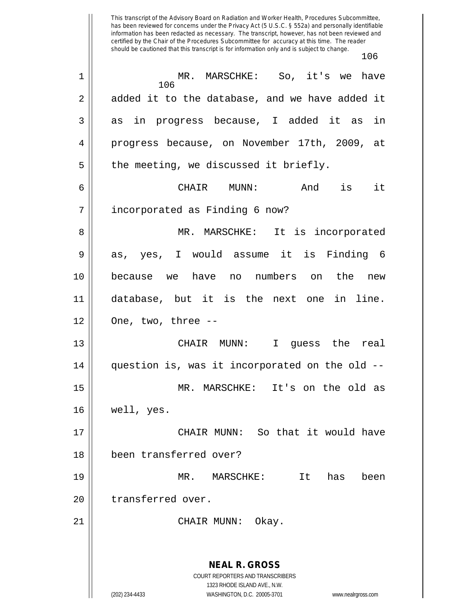This transcript of the Advisory Board on Radiation and Worker Health, Procedures Subcommittee, has been reviewed for concerns under the Privacy Act (5 U.S.C. § 552a) and personally identifiable information has been redacted as necessary. The transcript, however, has not been reviewed and certified by the Chair of the Procedures Subcommittee for accuracy at this time. The reader should be cautioned that this transcript is for information only and is subject to change. 106 106 1 MR. MARSCHKE: So, it's we have 2 added it to the database, and we have added it 3 as in progress because, I added it as in 4 progress because, on November 17th, 2009, at  $5 \parallel$  the meeting, we discussed it briefly. 6 CHAIR MUNN: And is it 7 || incorporated as Finding 6 now? 8 || MR. MARSCHKE: It is incorporated  $9 \parallel$  as, yes, I would assume it is Finding 6 10 because we have no numbers on the new 11 database, but it is the next one in line.  $12 \parallel$  One, two, three --13 CHAIR MUNN: I guess the real  $14$  | question is, was it incorporated on the old  $-$ -15 MR. MARSCHKE: It's on the old as 16 well, yes. 17 CHAIR MUNN: So that it would have 18 been transferred over? 19 MR. MARSCHKE: It has been 20 || transferred over.

21 || CHAIR MUNN: Okay.

**NEAL R. GROSS** COURT REPORTERS AND TRANSCRIBERS 1323 RHODE ISLAND AVE., N.W. (202) 234-4433 WASHINGTON, D.C. 20005-3701 www.nealrgross.com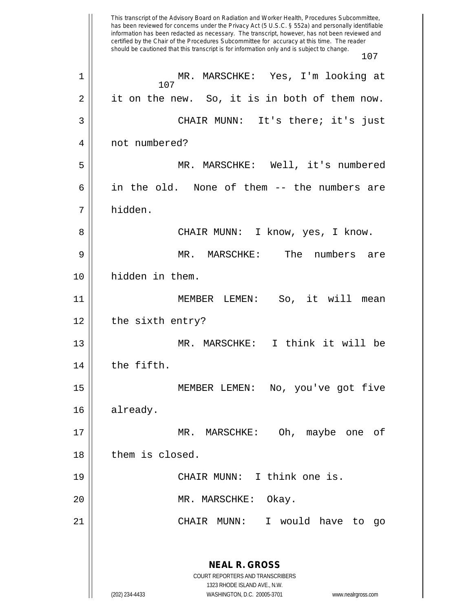This transcript of the Advisory Board on Radiation and Worker Health, Procedures Subcommittee, has been reviewed for concerns under the Privacy Act (5 U.S.C. § 552a) and personally identifiable information has been redacted as necessary. The transcript, however, has not been reviewed and certified by the Chair of the Procedures Subcommittee for accuracy at this time. The reader should be cautioned that this transcript is for information only and is subject to change. 107 **NEAL R. GROSS** COURT REPORTERS AND TRANSCRIBERS 1323 RHODE ISLAND AVE., N.W. (202) 234-4433 WASHINGTON, D.C. 20005-3701 www.nealrgross.com 107 1 MR. MARSCHKE: Yes, I'm looking at 2 || it on the new. So, it is in both of them now. 3 CHAIR MUNN: It's there; it's just 4 || not numbered? 5 MR. MARSCHKE: Well, it's numbered  $6 \parallel$  in the old. None of them -- the numbers are 7 hidden. 8 CHAIR MUNN: I know, yes, I know. 9 MR. MARSCHKE: The numbers are 10 || hidden in them. 11 MEMBER LEMEN: So, it will mean  $12 \parallel$  the sixth entry? 13 MR. MARSCHKE: I think it will be  $14$   $\parallel$  the fifth. 15 MEMBER LEMEN: No, you've got five 16 already. 17 MR. MARSCHKE: Oh, maybe one of 18 | them is closed. 19 || CHAIR MUNN: I think one is. 20 MR. MARSCHKE: Okay. 21 CHAIR MUNN: I would have to go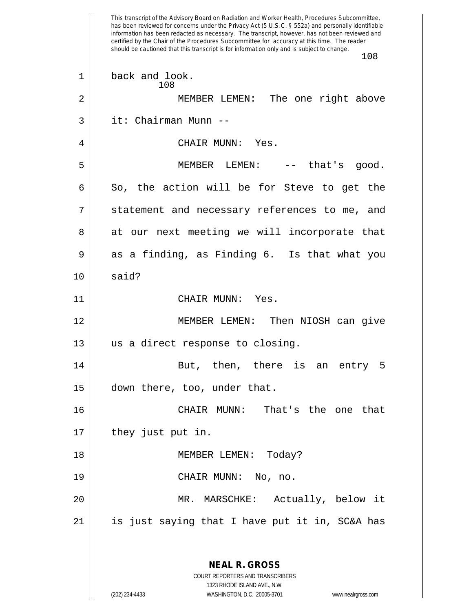This transcript of the Advisory Board on Radiation and Worker Health, Procedures Subcommittee, has been reviewed for concerns under the Privacy Act (5 U.S.C. § 552a) and personally identifiable information has been redacted as necessary. The transcript, however, has not been reviewed and certified by the Chair of the Procedures Subcommittee for accuracy at this time. The reader should be cautioned that this transcript is for information only and is subject to change. 108 **NEAL R. GROSS** COURT REPORTERS AND TRANSCRIBERS 1323 RHODE ISLAND AVE., N.W. (202) 234-4433 WASHINGTON, D.C. 20005-3701 www.nealrgross.com 108 1 || back and look. 2 MEMBER LEMEN: The one right above 3 it: Chairman Munn -- 4 CHAIR MUNN: Yes. 5 MEMBER LEMEN: -- that's good.  $6 \parallel$  So, the action will be for Steve to get the 7 || statement and necessary references to me, and 8 at our next meeting we will incorporate that  $9 \parallel$  as a finding, as Finding 6. Is that what you  $10 \parallel$  said? 11 || CHAIR MUNN: Yes. 12 || MEMBER LEMEN: Then NIOSH can give 13 || us a direct response to closing. 14 || But, then, there is an entry 5 15 down there, too, under that. 16 CHAIR MUNN: That's the one that 17 || they just put in. 18 MEMBER LEMEN: Today? 19 CHAIR MUNN: No, no. 20 MR. MARSCHKE: Actually, below it  $21$  || is just saying that I have put it in, SC&A has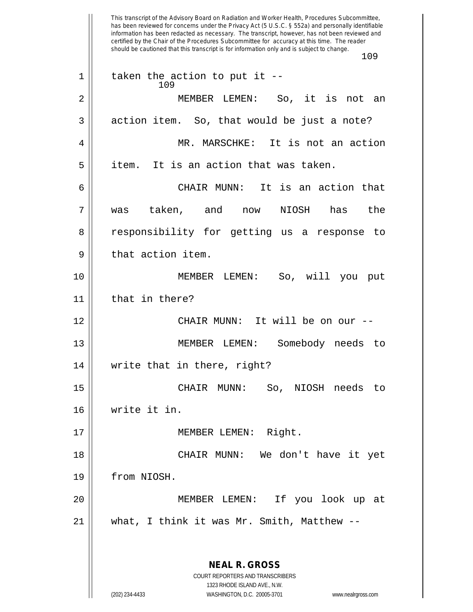This transcript of the Advisory Board on Radiation and Worker Health, Procedures Subcommittee, has been reviewed for concerns under the Privacy Act (5 U.S.C. § 552a) and personally identifiable information has been redacted as necessary. The transcript, however, has not been reviewed and certified by the Chair of the Procedures Subcommittee for accuracy at this time. The reader should be cautioned that this transcript is for information only and is subject to change. 109 **NEAL R. GROSS** COURT REPORTERS AND TRANSCRIBERS 1323 RHODE ISLAND AVE., N.W. 109  $1 ||$  taken the action to put it --2 MEMBER LEMEN: So, it is not an  $3 \parallel$  action item. So, that would be just a note? 4 MR. MARSCHKE: It is not an action  $5 \parallel$  item. It is an action that was taken. 6 CHAIR MUNN: It is an action that 7 was taken, and now NIOSH has the 8 || responsibility for getting us a response to  $9 \parallel$  that action item. 10 MEMBER LEMEN: So, will you put 11 | that in there? 12 CHAIR MUNN: It will be on our -- 13 || MEMBER LEMEN: Somebody needs to 14 || write that in there, right? 15 CHAIR MUNN: So, NIOSH needs to 16 write it in. 17 || MEMBER LEMEN: Right. 18 CHAIR MUNN: We don't have it yet 19 from NIOSH. 20 MEMBER LEMEN: If you look up at 21 what, I think it was Mr. Smith, Matthew --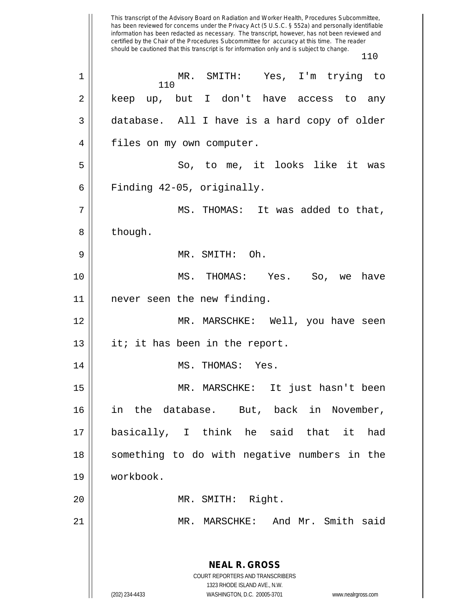has been reviewed for concerns under the Privacy Act (5 U.S.C. § 552a) and personally identifiable information has been redacted as necessary. The transcript, however, has not been reviewed and certified by the Chair of the Procedures Subcommittee for accuracy at this time. The reader should be cautioned that this transcript is for information only and is subject to change. 110 **NEAL R. GROSS** COURT REPORTERS AND TRANSCRIBERS 1323 RHODE ISLAND AVE., N.W. (202) 234-4433 WASHINGTON, D.C. 20005-3701 www.nealrgross.com 110 1 MR. SMITH: Yes, I'm trying to 2 || keep up, but I don't have access to any 3 database. All I have is a hard copy of older 4 | files on my own computer. 5 || So, to me, it looks like it was  $6 \parallel$  Finding 42-05, originally. 7 MS. THOMAS: It was added to that, 8 | though. 9 MR. SMITH: Oh. 10 MS. THOMAS: Yes. So, we have 11 never seen the new finding. 12 MR. MARSCHKE: Well, you have seen  $13$  | it; it has been in the report. 14 || MS. THOMAS: Yes. 15 MR. MARSCHKE: It just hasn't been 16 in the database. But, back in November, 17 basically, I think he said that it had 18 || something to do with negative numbers in the 19 workbook. 20 || MR. SMITH: Right. 21 MR. MARSCHKE: And Mr. Smith said

This transcript of the Advisory Board on Radiation and Worker Health, Procedures Subcommittee,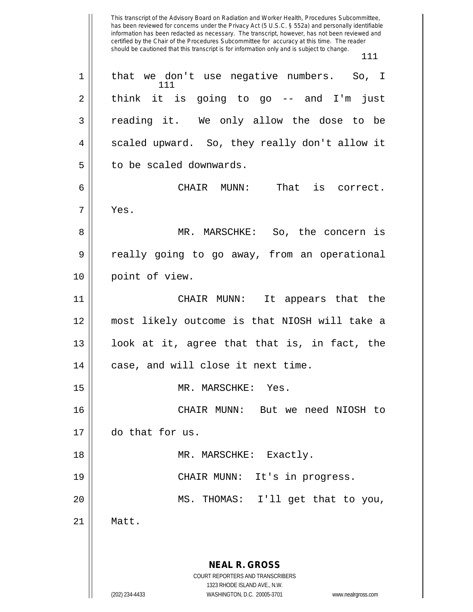This transcript of the Advisory Board on Radiation and Worker Health, Procedures Subcommittee, has been reviewed for concerns under the Privacy Act (5 U.S.C. § 552a) and personally identifiable information has been redacted as necessary. The transcript, however, has not been reviewed and certified by the Chair of the Procedures Subcommittee for accuracy at this time. The reader should be cautioned that this transcript is for information only and is subject to change. 111 **NEAL R. GROSS** COURT REPORTERS AND TRANSCRIBERS 1323 RHODE ISLAND AVE., N.W. (202) 234-4433 WASHINGTON, D.C. 20005-3701 www.nealrgross.com 111 1 || that we don't use negative numbers. So, I  $2 \parallel$  think it is going to go -- and I'm just 3 reading it. We only allow the dose to be 4 | scaled upward. So, they really don't allow it 5 | to be scaled downwards. 6 CHAIR MUNN: That is correct. 7 Yes. 8 MR. MARSCHKE: So, the concern is 9 really going to go away, from an operational 10 || point of view. 11 CHAIR MUNN: It appears that the 12 most likely outcome is that NIOSH will take a 13  $\parallel$  100k at it, agree that that is, in fact, the 14 | case, and will close it next time. 15 MR. MARSCHKE: Yes. 16 CHAIR MUNN: But we need NIOSH to 17 do that for us. 18 || MR. MARSCHKE: Exactly. 19 || CHAIR MUNN: It's in progress. 20 MS. THOMAS: I'll get that to you, 21 Matt.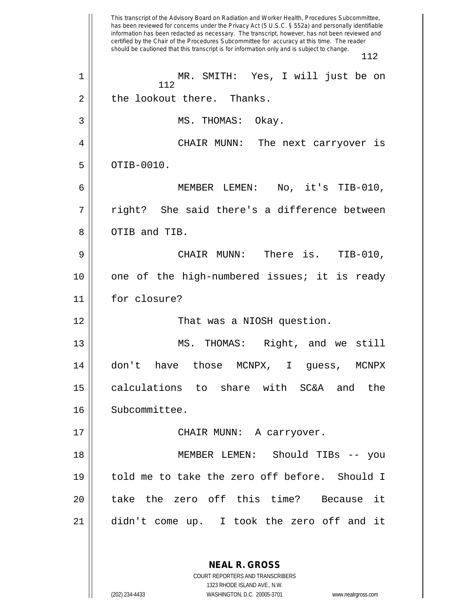This transcript of the Advisory Board on Radiation and Worker Health, Procedures Subcommittee, has been reviewed for concerns under the Privacy Act (5 U.S.C. § 552a) and personally identifiable information has been redacted as necessary. The transcript, however, has not been reviewed and certified by the Chair of the Procedures Subcommittee for accuracy at this time. The reader should be cautioned that this transcript is for information only and is subject to change. 112 112 1 MR. SMITH: Yes, I will just be on  $2 \parallel$  the lookout there. Thanks. 3 || MS. THOMAS: Okay. 4 CHAIR MUNN: The next carryover is  $5$  ||  $0$ TIB-0010. 6 MEMBER LEMEN: No, it's TIB-010, 7 || right? She said there's a difference between 8 || OTIB and TIB. 9 CHAIR MUNN: There is. TIB-010, 10 one of the high-numbered issues; it is ready 11 for closure? 12 That was a NIOSH question. 13 || MS. THOMAS: Right, and we still 14 don't have those MCNPX, I guess, MCNPX 15 || calculations to share with SC&A and the 16 || Subcommittee. 17 CHAIR MUNN: A carryover. 18 MEMBER LEMEN: Should TIBs -- you 19 told me to take the zero off before. Should I 20 ll take the zero off this time? Because it 21 didn't come up. I took the zero off and it

> COURT REPORTERS AND TRANSCRIBERS 1323 RHODE ISLAND AVE., N.W. (202) 234-4433 WASHINGTON, D.C. 20005-3701 www.nealrgross.com

**NEAL R. GROSS**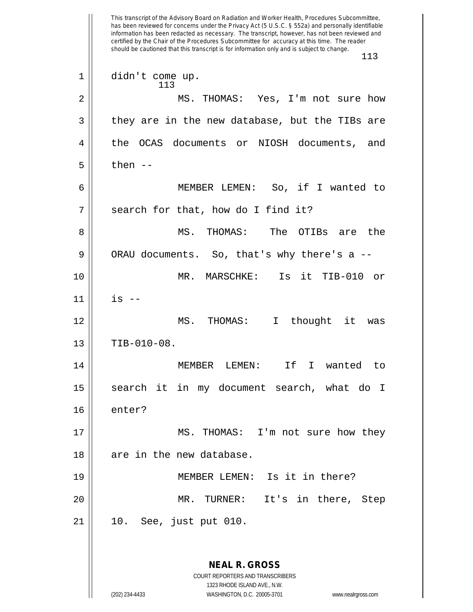This transcript of the Advisory Board on Radiation and Worker Health, Procedures Subcommittee, has been reviewed for concerns under the Privacy Act (5 U.S.C. § 552a) and personally identifiable information has been redacted as necessary. The transcript, however, has not been reviewed and certified by the Chair of the Procedures Subcommittee for accuracy at this time. The reader should be cautioned that this transcript is for information only and is subject to change. 113 **NEAL R. GROSS** COURT REPORTERS AND TRANSCRIBERS 1323 RHODE ISLAND AVE., N.W. (202) 234-4433 WASHINGTON, D.C. 20005-3701 www.nealrgross.com 113 1 didn't come up. 2 MS. THOMAS: Yes, I'm not sure how  $3 \parallel$  they are in the new database, but the TIBs are 4 the OCAS documents or NIOSH documents, and  $5 \parallel$  then --6 MEMBER LEMEN: So, if I wanted to  $7 \parallel$  search for that, how do I find it? 8 MS. THOMAS: The OTIBs are the  $9 \parallel$  ORAU documents. So, that's why there's a --10 MR. MARSCHKE: Is it TIB-010 or 11 is -- 12 || MS. THOMAS: I thought it was  $13$  | TIB-010-08. 14 MEMBER LEMEN: If I wanted to 15 || search it in my document search, what do I 16 enter? 17 || MS. THOMAS: I'm not sure how they 18 || are in the new database. 19 MEMBER LEMEN: Is it in there? 20 MR. TURNER: It's in there, Step 21 10. See, just put 010.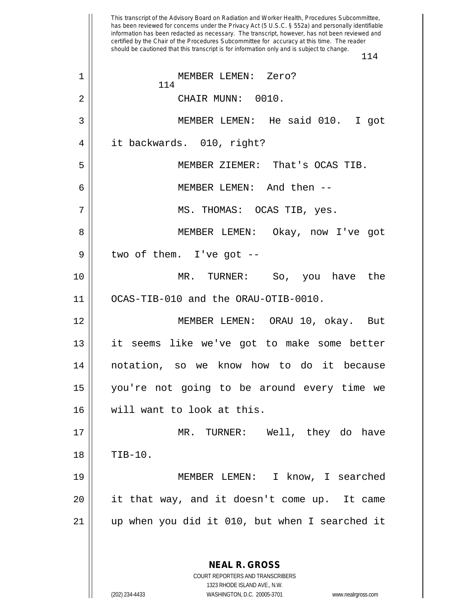This transcript of the Advisory Board on Radiation and Worker Health, Procedures Subcommittee, has been reviewed for concerns under the Privacy Act (5 U.S.C. § 552a) and personally identifiable information has been redacted as necessary. The transcript, however, has not been reviewed and certified by the Chair of the Procedures Subcommittee for accuracy at this time. The reader should be cautioned that this transcript is for information only and is subject to change. **NEAL R. GROSS** COURT REPORTERS AND TRANSCRIBERS 1323 RHODE ISLAND AVE., N.W. MEMBER LEMEN: Zero? CHAIR MUNN: 0010. MEMBER LEMEN: He said 010. I got it backwards. 010, right? MEMBER ZIEMER: That's OCAS TIB. MEMBER LEMEN: And then -- 7 || MS. THOMAS: OCAS TIB, yes. MEMBER LEMEN: Okay, now I've got || two of them. I've got  $-$  MR. TURNER: So, you have the OCAS-TIB-010 and the ORAU-OTIB-0010. MEMBER LEMEN: ORAU 10, okay. But it seems like we've got to make some better notation, so we know how to do it because you're not going to be around every time we will want to look at this. MR. TURNER: Well, they do have TIB-10. MEMBER LEMEN: I know, I searched it that way, and it doesn't come up. It came up when you did it 010, but when I searched it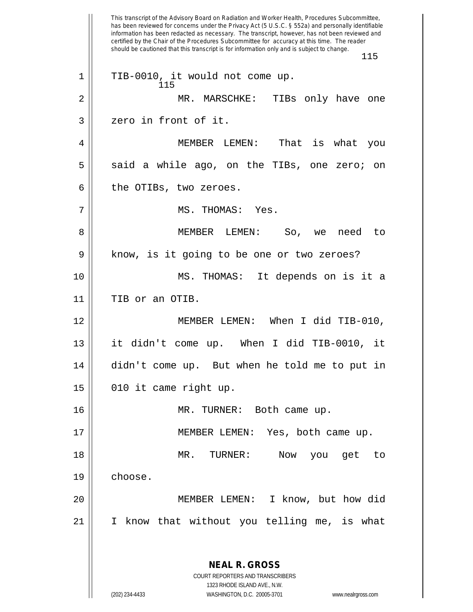This transcript of the Advisory Board on Radiation and Worker Health, Procedures Subcommittee, has been reviewed for concerns under the Privacy Act (5 U.S.C. § 552a) and personally identifiable information has been redacted as necessary. The transcript, however, has not been reviewed and certified by the Chair of the Procedures Subcommittee for accuracy at this time. The reader should be cautioned that this transcript is for information only and is subject to change. 115 **NEAL R. GROSS** COURT REPORTERS AND TRANSCRIBERS 1323 RHODE ISLAND AVE., N.W. (202) 234-4433 WASHINGTON, D.C. 20005-3701 www.nealrgross.com 115 1 || TIB-0010, it would not come up. 2 MR. MARSCHKE: TIBs only have one 3 || zero in front of it. 4 MEMBER LEMEN: That is what you  $5 \parallel$  said a while ago, on the TIBs, one zero; on  $6 \parallel$  the OTIBs, two zeroes. 7 MS. THOMAS: Yes. 8 MEMBER LEMEN: So, we need to 9 || know, is it going to be one or two zeroes? 10 MS. THOMAS: It depends on is it a 11 || TIB or an OTIB. 12 MEMBER LEMEN: When I did TIB-010, 13 it didn't come up. When I did TIB-0010, it 14 didn't come up. But when he told me to put in  $15$  || 010 it came right up. 16 || MR. TURNER: Both came up. 17 MEMBER LEMEN: Yes, both came up. 18 MR. TURNER: Now you get to 19 choose. 20 MEMBER LEMEN: I know, but how did 21 I know that without you telling me, is what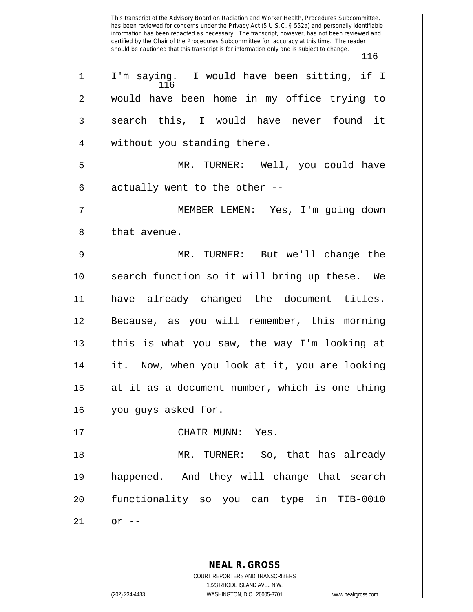This transcript of the Advisory Board on Radiation and Worker Health, Procedures Subcommittee, has been reviewed for concerns under the Privacy Act (5 U.S.C. § 552a) and personally identifiable information has been redacted as necessary. The transcript, however, has not been reviewed and certified by the Chair of the Procedures Subcommittee for accuracy at this time. The reader should be cautioned that this transcript is for information only and is subject to change. 116 116 1 || I'm saying. I would have been sitting, if I 2 || would have been home in my office trying to 3 || search this, I would have never found it 4 || without you standing there. 5 MR. TURNER: Well, you could have

6  $\parallel$  actually went to the other --

7 MEMBER LEMEN: Yes, I'm going down 8 l that avenue.

 MR. TURNER: But we'll change the search function so it will bring up these. We have already changed the document titles. Because, as you will remember, this morning  $\parallel$  this is what you saw, the way I'm looking at 14 || it. Now, when you look at it, you are looking at it as a document number, which is one thing 16 | you guys asked for.

17 CHAIR MUNN: Yes.

 MR. TURNER: So, that has already happened. And they will change that search functionality so you can type in TIB-0010  $21 \parallel \quad$  or --

> **NEAL R. GROSS** COURT REPORTERS AND TRANSCRIBERS

> > 1323 RHODE ISLAND AVE., N.W.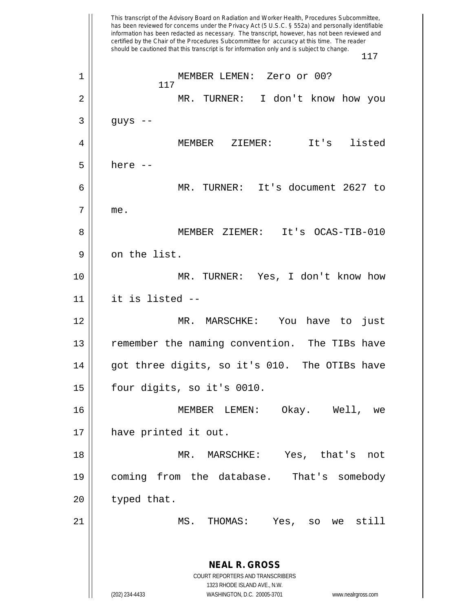This transcript of the Advisory Board on Radiation and Worker Health, Procedures Subcommittee, has been reviewed for concerns under the Privacy Act (5 U.S.C. § 552a) and personally identifiable information has been redacted as necessary. The transcript, however, has not been reviewed and certified by the Chair of the Procedures Subcommittee for accuracy at this time. The reader should be cautioned that this transcript is for information only and is subject to change. 117 **NEAL R. GROSS** COURT REPORTERS AND TRANSCRIBERS 1323 RHODE ISLAND AVE., N.W. (202) 234-4433 WASHINGTON, D.C. 20005-3701 www.nealrgross.com 117 1 || MEMBER LEMEN: Zero or 00? 2 MR. TURNER: I don't know how you  $3 \mid \cdot \cdot \cdot \cdot \cdot \cdot \cdot$  guys --4 MEMBER ZIEMER: It's listed  $5 \parallel$  here  $-$ 6 MR. TURNER: It's document 2627 to 7 me. 8 MEMBER ZIEMER: It's OCAS-TIB-010  $9 \parallel$  on the list. 10 MR. TURNER: Yes, I don't know how 11 it is listed -- 12 MR. MARSCHKE: You have to just 13 || remember the naming convention. The TIBs have  $14$  || got three digits, so it's 010. The OTIBs have 15 | four digits, so it's 0010. 16 MEMBER LEMEN: Okay. Well, we 17 || have printed it out. 18 MR. MARSCHKE: Yes, that's not 19 coming from the database. That's somebody  $20$  | typed that. 21 MS. THOMAS: Yes, so we still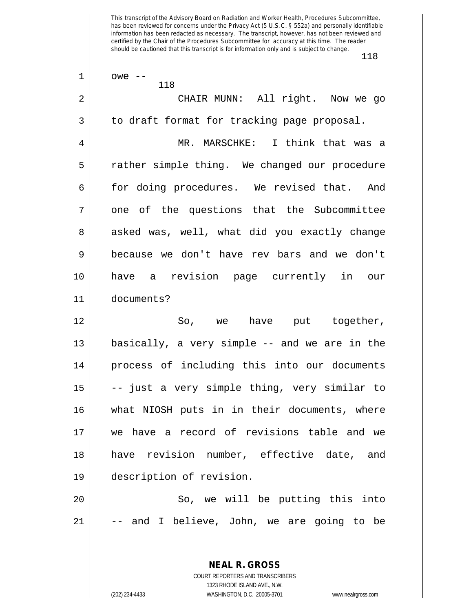| 1  | $owe$ --<br>118                                          |
|----|----------------------------------------------------------|
| 2  | CHAIR MUNN: All right. Now we go                         |
| 3  | to draft format for tracking page proposal.              |
| 4  | MR. MARSCHKE: I think that was a                         |
| 5  | rather simple thing. We changed our procedure            |
| 6  | for doing procedures. We revised that. And               |
| 7  | one of the questions that the Subcommittee               |
| 8  | asked was, well, what did you exactly change             |
| 9  | because we don't have rev bars and we don't              |
| 10 | have a revision page currently in our                    |
| 11 | documents?                                               |
| 12 | So, we have put together,                                |
| 13 | basically, a very simple -- and we are in the            |
| 14 | process of including this into our documents             |
| 15 | -- just a very simple thing, very similar to             |
| 16 | what NIOSH puts in in their documents, where             |
| 17 | we have a record of revisions table and we               |
| 18 | have revision number, effective date, and                |
| 19 | description of revision.                                 |
| 20 | So, we will be putting this into                         |
| 21 | -- and I believe, John, we are going to be               |
|    |                                                          |
|    | <b>NEAL R. GROSS</b><br>COURT REPORTERS AND TRANSCRIBERS |

1323 RHODE ISLAND AVE., N.W.

 $\mathsf{II}$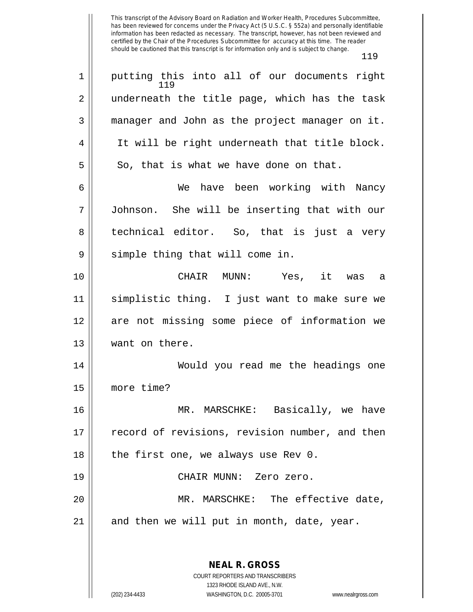119 1 || putting this into all of our documents right 2 || underneath the title page, which has the task 3 || manager and John as the project manager on it. 4 || It will be right underneath that title block.  $5 \parallel$  So, that is what we have done on that. 6 We have been working with Nancy 7 Johnson. She will be inserting that with our 8 || technical editor. So, that is just a very  $9 \parallel$  simple thing that will come in. 10 CHAIR MUNN: Yes, it was a 11 simplistic thing. I just want to make sure we 12 are not missing some piece of information we 13 | want on there. 14 || Would you read me the headings one 15 more time? 16 || MR. MARSCHKE: Basically, we have 17 || record of revisions, revision number, and then 18  $\parallel$  the first one, we always use Rev 0. 19 CHAIR MUNN: Zero zero. 20 MR. MARSCHKE: The effective date,  $21$  and then we will put in month, date, year.

> **NEAL R. GROSS** COURT REPORTERS AND TRANSCRIBERS 1323 RHODE ISLAND AVE., N.W.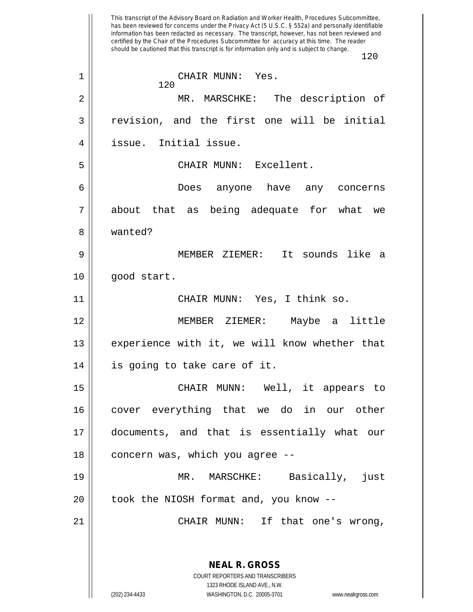This transcript of the Advisory Board on Radiation and Worker Health, Procedures Subcommittee, has been reviewed for concerns under the Privacy Act (5 U.S.C. § 552a) and personally identifiable information has been redacted as necessary. The transcript, however, has not been reviewed and certified by the Chair of the Procedures Subcommittee for accuracy at this time. The reader should be cautioned that this transcript is for information only and is subject to change. 120 **NEAL R. GROSS** COURT REPORTERS AND TRANSCRIBERS 1323 RHODE ISLAND AVE., N.W. 120 1 CHAIR MUNN: Yes. 2 MR. MARSCHKE: The description of 3 revision, and the first one will be initial 4 issue. Initial issue. 5 CHAIR MUNN: Excellent. 6 Does anyone have any concerns 7 about that as being adequate for what we 8 wanted? 9 MEMBER ZIEMER: It sounds like a 10 || good start. 11 CHAIR MUNN: Yes, I think so. 12 MEMBER ZIEMER: Maybe a little 13 || experience with it, we will know whether that 14 || is going to take care of it. 15 CHAIR MUNN: Well, it appears to 16 || cover everything that we do in our other 17 documents, and that is essentially what our  $18$  | concern was, which you agree  $-$ -19 MR. MARSCHKE: Basically, just  $20$  || took the NIOSH format and, you know  $-$ -21 CHAIR MUNN: If that one's wrong,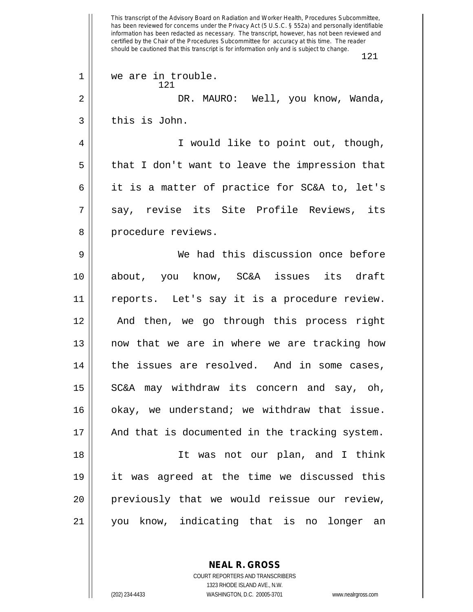This transcript of the Advisory Board on Radiation and Worker Health, Procedures Subcommittee, has been reviewed for concerns under the Privacy Act (5 U.S.C. § 552a) and personally identifiable information has been redacted as necessary. The transcript, however, has not been reviewed and certified by the Chair of the Procedures Subcommittee for accuracy at this time. The reader should be cautioned that this transcript is for information only and is subject to change. 121 121 1 || we are in trouble. 2 DR. MAURO: Well, you know, Wanda, 3 l this is John. 4 || I would like to point out, though,  $5 \parallel$  that I don't want to leave the impression that 6 it is a matter of practice for SC&A to, let's 7 say, revise its Site Profile Reviews, its 8 || procedure reviews. 9 We had this discussion once before 10 about, you know, SC&A issues its draft 11 reports. Let's say it is a procedure review. 12 || And then, we go through this process right  $13$  || now that we are in where we are tracking how  $14$  | the issues are resolved. And in some cases, 15 || SC&A may withdraw its concern and say, oh, 16 || okay, we understand; we withdraw that issue. 17 || And that is documented in the tracking system. 18 || The Was not our plan, and I think 19 it was agreed at the time we discussed this 20 previously that we would reissue our review, 21 you know, indicating that is no longer an

> **NEAL R. GROSS** COURT REPORTERS AND TRANSCRIBERS

> > 1323 RHODE ISLAND AVE., N.W.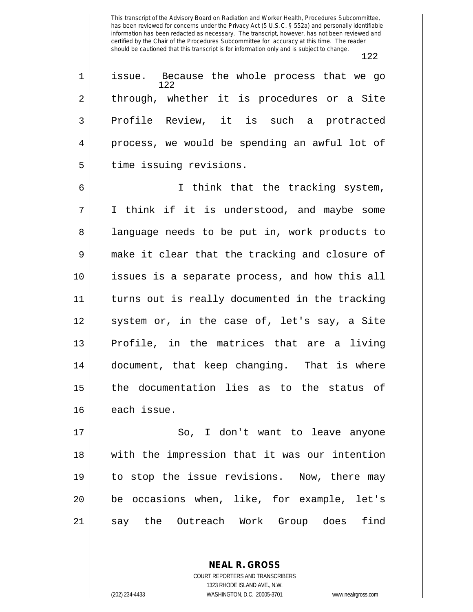122

| $\mathbf{1}$   | issue. Because the whole process that we go<br>122 |
|----------------|----------------------------------------------------|
| $\overline{2}$ | through, whether it is procedures or a Site        |
| $\overline{3}$ | Profile Review, it is such a protracted            |
| $\overline{4}$ | process, we would be spending an awful lot of      |
| 5              | time issuing revisions.                            |

6 I think that the tracking system, 7 || I think if it is understood, and maybe some 8 || language needs to be put in, work products to 9 make it clear that the tracking and closure of 10 issues is a separate process, and how this all 11 turns out is really documented in the tracking 12 || system or, in the case of, let's say, a Site  $13$  Profile, in the matrices that are a living 14 document, that keep changing. That is where 15 || the documentation lies as to the status of 16 each issue.

17 || So, I don't want to leave anyone 18 with the impression that it was our intention 19 to stop the issue revisions. Now, there may 20 be occasions when, like, for example, let's 21 || say the Outreach Work Group does find

> COURT REPORTERS AND TRANSCRIBERS 1323 RHODE ISLAND AVE., N.W. (202) 234-4433 WASHINGTON, D.C. 20005-3701 www.nealrgross.com

**NEAL R. GROSS**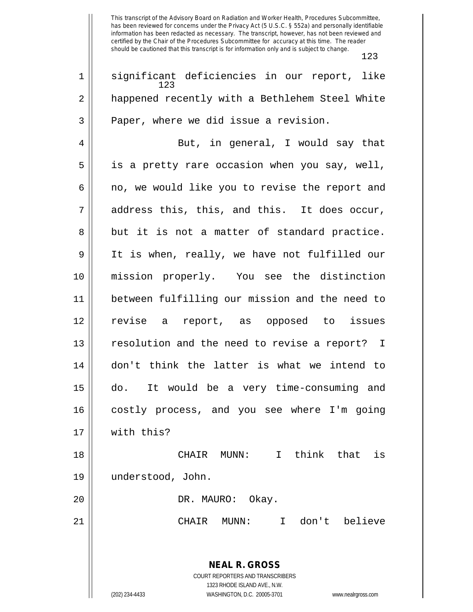| 1  | significant deficiencies in our report, like<br>123                 |
|----|---------------------------------------------------------------------|
| 2  | happened recently with a Bethlehem Steel White                      |
| 3  | Paper, where we did issue a revision.                               |
| 4  | But, in general, I would say that                                   |
| 5  | is a pretty rare occasion when you say, well,                       |
| 6  | no, we would like you to revise the report and                      |
| 7  | address this, this, and this. It does occur,                        |
| 8  | but it is not a matter of standard practice.                        |
| 9  | It is when, really, we have not fulfilled our                       |
| 10 | mission properly. You see the distinction                           |
| 11 | between fulfilling our mission and the need to                      |
| 12 | revise a report, as opposed to issues                               |
| 13 | resolution and the need to revise a report? I                       |
| 14 | don't think the latter is what we intend to                         |
| 15 | It would be a very time-consuming and<br>do.                        |
| 16 | costly process, and you see where I'm going                         |
| 17 | with this?                                                          |
| 18 | think<br>that<br>is<br>CHAIR<br>$MUNN$ :<br>$\mathbf{I}$            |
|    |                                                                     |
| 19 | understood, John.                                                   |
| 20 | DR. MAURO: Okay.                                                    |
| 21 | I don't believe<br>CHAIR<br>MUNN:                                   |
|    |                                                                     |
|    | <b>NEAL R. GROSS</b>                                                |
|    | COURT REPORTERS AND TRANSCRIBERS<br>1323 RHODE ISLAND AVE., N.W.    |
|    | (202) 234-4433<br>WASHINGTON, D.C. 20005-3701<br>www.nealrgross.com |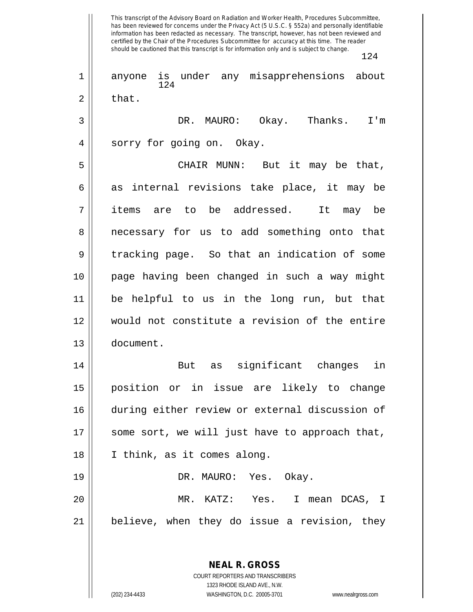This transcript of the Advisory Board on Radiation and Worker Health, Procedures Subcommittee, has been reviewed for concerns under the Privacy Act (5 U.S.C. § 552a) and personally identifiable information has been redacted as necessary. The transcript, however, has not been reviewed and certified by the Chair of the Procedures Subcommittee for accuracy at this time. The reader should be cautioned that this transcript is for information only and is subject to change. 124 **NEAL R. GROSS** 124 1 anyone is under any misapprehensions about  $2 \parallel$  that. 3 DR. MAURO: Okay. Thanks. I'm 4 || sorry for going on. Okay. 5 CHAIR MUNN: But it may be that,  $6 \parallel$  as internal revisions take place, it may be 7 items are to be addressed. It may be 8 || necessary for us to add something onto that  $9 \parallel$  tracking page. So that an indication of some 10 page having been changed in such a way might 11 be helpful to us in the long run, but that 12 would not constitute a revision of the entire 13 document. 14 || But as significant changes in 15 position or in issue are likely to change 16 during either review or external discussion of  $17$  || some sort, we will just have to approach that, 18 I think, as it comes along. 19 DR. MAURO: Yes. Okay. 20 MR. KATZ: Yes. I mean DCAS, I  $21$  | believe, when they do issue a revision, they

1323 RHODE ISLAND AVE., N.W. (202) 234-4433 WASHINGTON, D.C. 20005-3701 www.nealrgross.com

COURT REPORTERS AND TRANSCRIBERS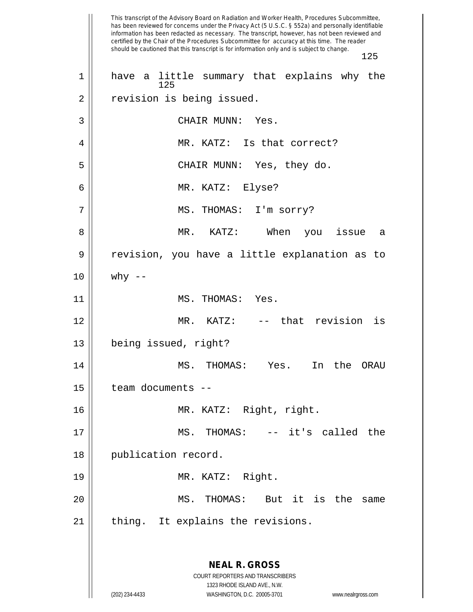This transcript of the Advisory Board on Radiation and Worker Health, Procedures Subcommittee, has been reviewed for concerns under the Privacy Act (5 U.S.C. § 552a) and personally identifiable information has been redacted as necessary. The transcript, however, has not been reviewed and certified by the Chair of the Procedures Subcommittee for accuracy at this time. The reader should be cautioned that this transcript is for information only and is subject to change. 125 **NEAL R. GROSS** COURT REPORTERS AND TRANSCRIBERS 1323 RHODE ISLAND AVE., N.W. (202) 234-4433 WASHINGTON, D.C. 20005-3701 www.nealrgross.com 125 1 || have a little summary that explains why the 2 | revision is being issued. 3 || CHAIR MUNN: Yes. 4 MR. KATZ: Is that correct? 5 CHAIR MUNN: Yes, they do. 6 MR. KATZ: Elyse? 7 MS. THOMAS: I'm sorry? 8 MR. KATZ: When you issue a 9 | revision, you have a little explanation as to  $10 \parallel$  why --11 || MS. THOMAS: Yes. 12 MR. KATZ: -- that revision is 13 being issued, right? 14 MS. THOMAS: Yes. In the ORAU 15 | team documents --16 MR. KATZ: Right, right. 17 MS. THOMAS: -- it's called the 18 || publication record. 19 MR. KATZ: Right. 20 MS. THOMAS: But it is the same  $21$  | thing. It explains the revisions.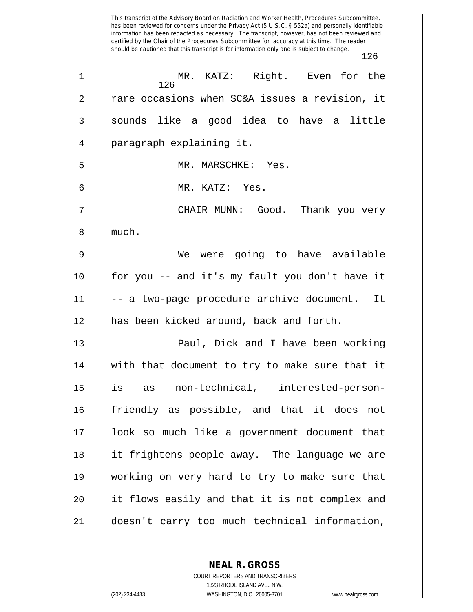This transcript of the Advisory Board on Radiation and Worker Health, Procedures Subcommittee, has been reviewed for concerns under the Privacy Act (5 U.S.C. § 552a) and personally identifiable information has been redacted as necessary. The transcript, however, has not been reviewed and certified by the Chair of the Procedures Subcommittee for accuracy at this time. The reader should be cautioned that this transcript is for information only and is subject to change. 126 126 1 MR. KATZ: Right. Even for the 2 || rare occasions when SC&A issues a revision, it 3 || sounds like a good idea to have a little 4 | paragraph explaining it. 5 MR. MARSCHKE: Yes. 6 MR. KATZ: Yes. 7 CHAIR MUNN: Good. Thank you very 8 || much. 9 We were going to have available 10 for you -- and it's my fault you don't have it 11 || -- a two-page procedure archive document. It 12 has been kicked around, back and forth. 13 Paul, Dick and I have been working 14 || with that document to try to make sure that it 15 is as non-technical, interested-person-16 friendly as possible, and that it does not 17 look so much like a government document that 18 it frightens people away. The language we are 19 working on very hard to try to make sure that 20 it flows easily and that it is not complex and 21 doesn't carry too much technical information,

> **NEAL R. GROSS** COURT REPORTERS AND TRANSCRIBERS

> > 1323 RHODE ISLAND AVE., N.W.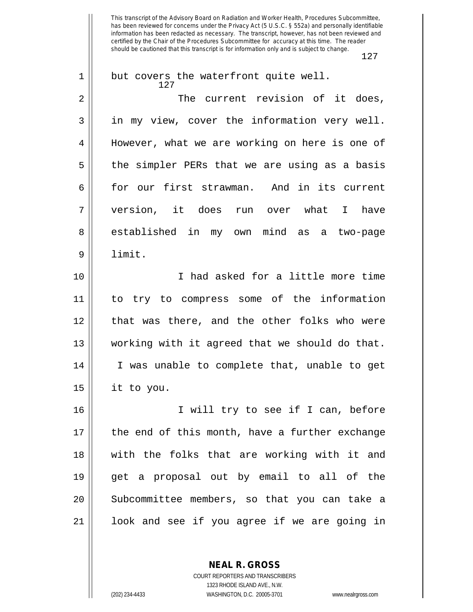| 1  | but covers the waterfront quite well.<br>127   |
|----|------------------------------------------------|
| 2  | The current revision of it does,               |
| 3  | in my view, cover the information very well.   |
| 4  | However, what we are working on here is one of |
| 5  | the simpler PERs that we are using as a basis  |
| 6  | for our first strawman. And in its current     |
| 7  | version, it does run over what I have          |
| 8  | established in my own mind as a two-page       |
| 9  | limit.                                         |
| 10 | I had asked for a little more time             |
| 11 | to try to compress some of the information     |
| 12 | that was there, and the other folks who were   |
| 13 | working with it agreed that we should do that. |
| 14 | I was unable to complete that, unable to get   |
| 15 | it to you.                                     |
| 16 | I will try to see if I can, before             |
| 17 | the end of this month, have a further exchange |
| 18 | with the folks that are working with it and    |
| 19 | get a proposal out by email to all of the      |
| 20 | Subcommittee members, so that you can take a   |
| 21 | look and see if you agree if we are going in   |

**NEAL R. GROSS**

COURT REPORTERS AND TRANSCRIBERS 1323 RHODE ISLAND AVE., N.W. (202) 234-4433 WASHINGTON, D.C. 20005-3701 www.nealrgross.com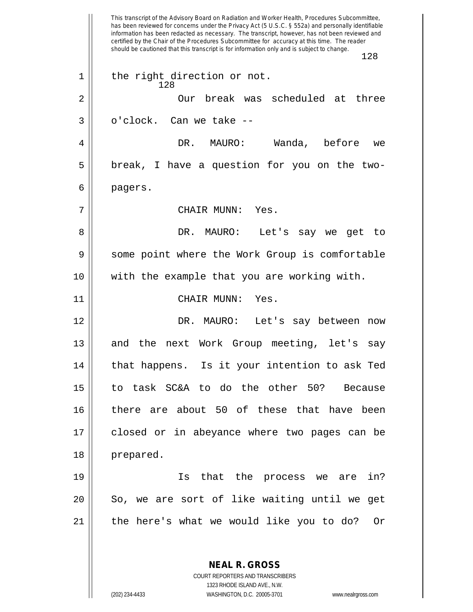This transcript of the Advisory Board on Radiation and Worker Health, Procedures Subcommittee, has been reviewed for concerns under the Privacy Act (5 U.S.C. § 552a) and personally identifiable information has been redacted as necessary. The transcript, however, has not been reviewed and certified by the Chair of the Procedures Subcommittee for accuracy at this time. The reader should be cautioned that this transcript is for information only and is subject to change. 128 **NEAL R. GROSS** 128 1 || the right direction or not. 2 || Our break was scheduled at three  $3 \parallel$  o'clock. Can we take  $-$ 4 DR. MAURO: Wanda, before we  $5 \parallel$  break, I have a question for you on the two-6 pagers. 7 CHAIR MUNN: Yes. 8 DR. MAURO: Let's say we get to 9 Some point where the Work Group is comfortable 10 with the example that you are working with. 11 || CHAIR MUNN: Yes. 12 DR. MAURO: Let's say between now 13 || and the next Work Group meeting, let's say 14 || that happens. Is it your intention to ask Ted 15 to task SC&A to do the other 50? Because 16 there are about 50 of these that have been 17 closed or in abeyance where two pages can be 18 prepared. 19 Is that the process we are in? 20 || So, we are sort of like waiting until we get 21 || the here's what we would like you to do? Or

> COURT REPORTERS AND TRANSCRIBERS 1323 RHODE ISLAND AVE., N.W.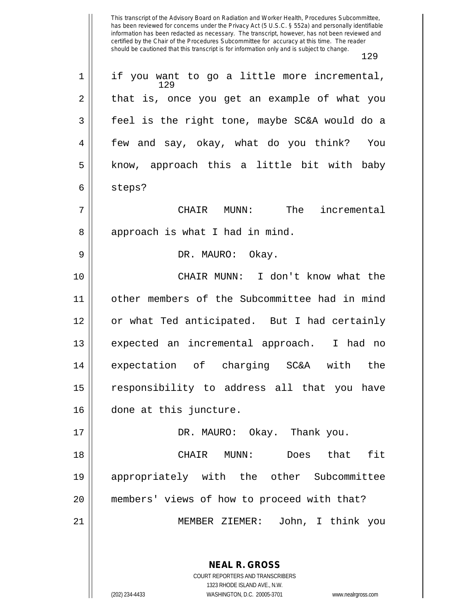| $\mathbf 1$ | if you want to go a little more incremental,  |
|-------------|-----------------------------------------------|
|             | 129                                           |
| 2           | that is, once you get an example of what you  |
| 3           | feel is the right tone, maybe SC&A would do a |
| 4           | few and say, okay, what do you think? You     |
| 5           | know, approach this a little bit with baby    |
| 6           | steps?                                        |
| 7           | The<br>incremental<br>CHAIR MUNN:             |
| 8           | approach is what I had in mind.               |
| 9           | DR. MAURO: Okay.                              |
| 10          | CHAIR MUNN: I don't know what the             |
| 11          | other members of the Subcommittee had in mind |
| 12          | or what Ted anticipated. But I had certainly  |
| 13          | expected an incremental approach. I had no    |
| 14          | expectation of charging SC&A with the         |
| 15          | responsibility to address all that you have   |
| 16          | done at this juncture.                        |
| 17          | DR. MAURO: Okay. Thank you.                   |
| 18          | CHAIR MUNN:<br>Does that<br>fit               |
| 19          | appropriately with the other Subcommittee     |
| 20          | members' views of how to proceed with that?   |
| 21          | MEMBER ZIEMER: John, I think you              |
|             |                                               |

**NEAL R. GROSS** COURT REPORTERS AND TRANSCRIBERS 1323 RHODE ISLAND AVE., N.W.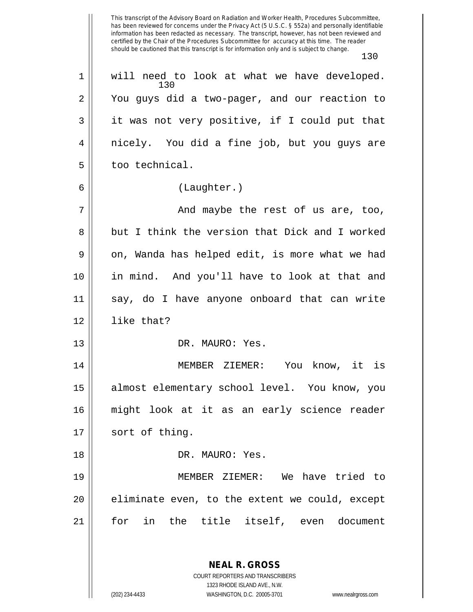This transcript of the Advisory Board on Radiation and Worker Health, Procedures Subcommittee, has been reviewed for concerns under the Privacy Act (5 U.S.C. § 552a) and personally identifiable information has been redacted as necessary. The transcript, however, has not been reviewed and certified by the Chair of the Procedures Subcommittee for accuracy at this time. The reader should be cautioned that this transcript is for information only and is subject to change. 130 130 1 || will need to look at what we have developed. 2 You guys did a two-pager, and our reaction to  $3 \parallel$  it was not very positive, if I could put that 4 || nicely. You did a fine job, but you guys are  $5 \parallel$  too technical. 6 (Laughter.) 7 And maybe the rest of us are, too, 8 but I think the version that Dick and I worked  $9 \parallel$  on, Wanda has helped edit, is more what we had 10 in mind. And you'll have to look at that and 11 say, do I have anyone onboard that can write 12 like that? 13 || DR. MAURO: Yes. 14 MEMBER ZIEMER: You know, it is 15 almost elementary school level. You know, you 16 might look at it as an early science reader  $17 \parallel$  sort of thing. 18 DR. MAURO: Yes. 19 MEMBER ZIEMER: We have tried to  $20$  || eliminate even, to the extent we could, except 21 for in the title itself, even document

> **NEAL R. GROSS** COURT REPORTERS AND TRANSCRIBERS 1323 RHODE ISLAND AVE., N.W.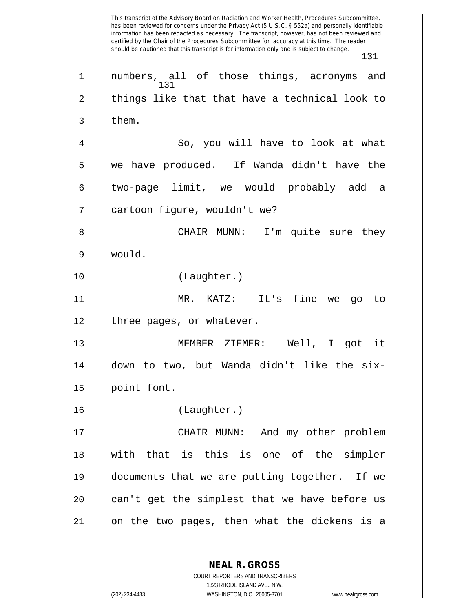This transcript of the Advisory Board on Radiation and Worker Health, Procedures Subcommittee, has been reviewed for concerns under the Privacy Act (5 U.S.C. § 552a) and personally identifiable information has been redacted as necessary. The transcript, however, has not been reviewed and certified by the Chair of the Procedures Subcommittee for accuracy at this time. The reader should be cautioned that this transcript is for information only and is subject to change. 131 **NEAL R. GROSS** 131 1 numbers, all of those things, acronyms and  $2 \parallel$  things like that that have a technical look to  $3 \parallel$  them. 4 || So, you will have to look at what 5 we have produced. If Wanda didn't have the 6 two-page limit, we would probably add a 7 || cartoon figure, wouldn't we? 8 CHAIR MUNN: I'm quite sure they 9 would. 10 (Laughter.) 11 MR. KATZ: It's fine we go to 12 || three pages, or whatever. 13 MEMBER ZIEMER: Well, I got it 14 down to two, but Wanda didn't like the six-15 point font. 16 (Laughter.) 17 CHAIR MUNN: And my other problem 18 with that is this is one of the simpler 19 documents that we are putting together. If we  $20$  || can't get the simplest that we have before us 21 on the two pages, then what the dickens is a

> COURT REPORTERS AND TRANSCRIBERS 1323 RHODE ISLAND AVE., N.W.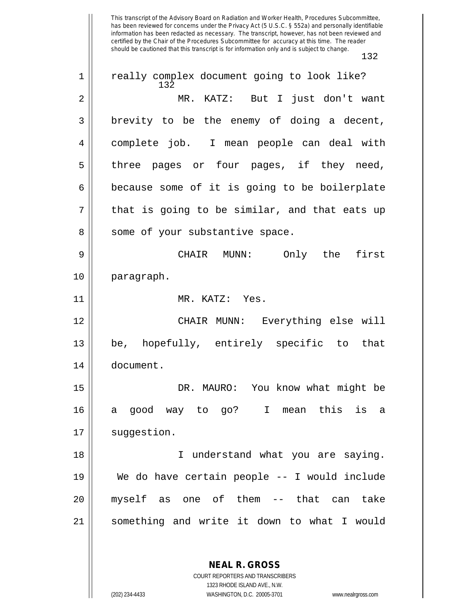132 1 || really complex document going to look like? 2 MR. KATZ: But I just don't want  $3 \parallel$  brevity to be the enemy of doing a decent, 4 complete job. I mean people can deal with  $5 \parallel$  three pages or four pages, if they need,  $6 \parallel$  because some of it is going to be boilerplate  $7 \parallel$  that is going to be similar, and that eats up 8 || some of your substantive space. 9 CHAIR MUNN: Only the first 10 paragraph. 11 MR. KATZ: Yes. 12 CHAIR MUNN: Everything else will 13 be, hopefully, entirely specific to that 14 document. 15 DR. MAURO: You know what might be 16 a good way to go? I mean this is a 17 | suggestion. 18 || I understand what you are saying. 19 We do have certain people -- I would include 20 myself as one of them -- that can take 21 something and write it down to what I would

> **NEAL R. GROSS** COURT REPORTERS AND TRANSCRIBERS

> > 1323 RHODE ISLAND AVE., N.W.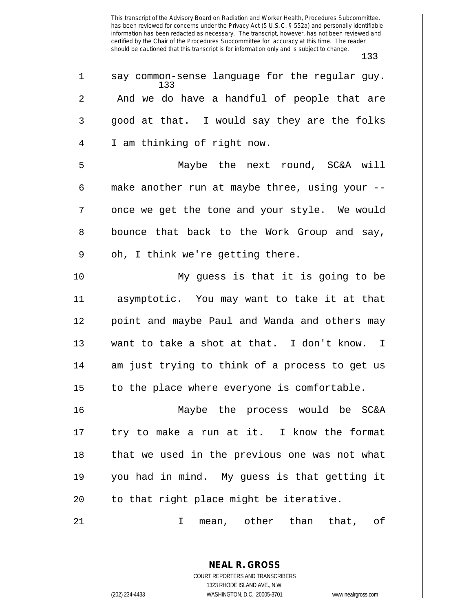133  $1$  | say common-sense language for the regular guy.  $2 \parallel$  And we do have a handful of people that are  $3 \parallel$  good at that. I would say they are the folks 4 || I am thinking of right now. 5 Maybe the next round, SC&A will 6  $\parallel$  make another run at maybe three, using your -- $7 \parallel$  once we get the tone and your style. We would 8 || bounce that back to the Work Group and say,  $9 \parallel$  oh, I think we're getting there. 10 My guess is that it is going to be 11 asymptotic. You may want to take it at that 12 point and maybe Paul and Wanda and others may 13 want to take a shot at that. I don't know. I 14 || am just trying to think of a process to get us  $15$  | to the place where everyone is comfortable. 16 Maybe the process would be SC&A  $17 ||$  try to make a run at it. I know the format 18 || that we used in the previous one was not what 19 you had in mind. My guess is that getting it  $20$  || to that right place might be iterative.

21 I mean, other than that, of

**NEAL R. GROSS** COURT REPORTERS AND TRANSCRIBERS 1323 RHODE ISLAND AVE., N.W.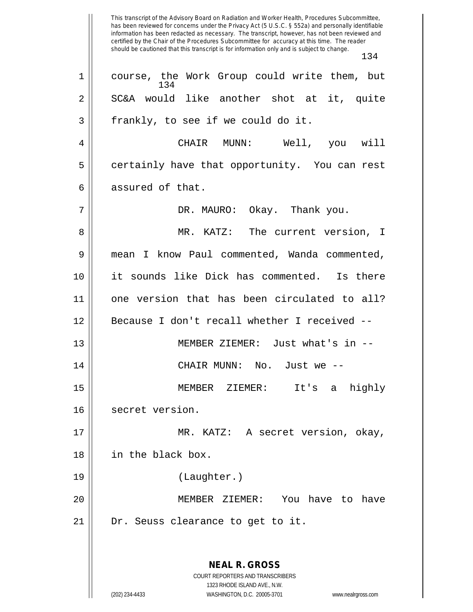This transcript of the Advisory Board on Radiation and Worker Health, Procedures Subcommittee, has been reviewed for concerns under the Privacy Act (5 U.S.C. § 552a) and personally identifiable information has been redacted as necessary. The transcript, however, has not been reviewed and certified by the Chair of the Procedures Subcommittee for accuracy at this time. The reader should be cautioned that this transcript is for information only and is subject to change. 134 **NEAL R. GROSS** COURT REPORTERS AND TRANSCRIBERS 1323 RHODE ISLAND AVE., N.W. (202) 234-4433 WASHINGTON, D.C. 20005-3701 www.nealrgross.com 134 1 || course, the Work Group could write them, but 2 || SC&A would like another shot at it, quite  $3 \parallel$  frankly, to see if we could do it. 4 CHAIR MUNN: Well, you will 5 | certainly have that opportunity. You can rest 6 assured of that. 7 DR. MAURO: Okay. Thank you. 8 MR. KATZ: The current version, I 9 | mean I know Paul commented, Wanda commented, 10 it sounds like Dick has commented. Is there 11 one version that has been circulated to all? 12 Because I don't recall whether I received -- 13 MEMBER ZIEMER: Just what's in -- 14 CHAIR MUNN: No. Just we -- 15 MEMBER ZIEMER: It's a highly 16 secret version. 17 MR. KATZ: A secret version, okay, 18 in the black box. 19 (Laughter.) 20 MEMBER ZIEMER: You have to have 21 || Dr. Seuss clearance to get to it.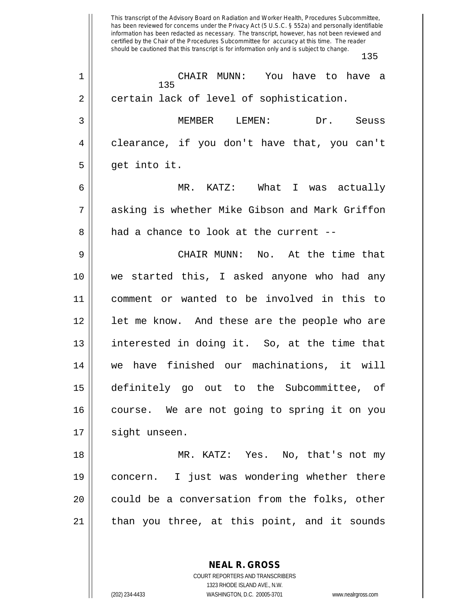This transcript of the Advisory Board on Radiation and Worker Health, Procedures Subcommittee, has been reviewed for concerns under the Privacy Act (5 U.S.C. § 552a) and personally identifiable information has been redacted as necessary. The transcript, however, has not been reviewed and certified by the Chair of the Procedures Subcommittee for accuracy at this time. The reader should be cautioned that this transcript is for information only and is subject to change. 135 135 1 CHAIR MUNN: You have to have a 2 || certain lack of level of sophistication. 3 MEMBER LEMEN: Dr. Seuss 4 clearance, if you don't have that, you can't  $5 \parallel$  get into it. 6 MR. KATZ: What I was actually 7 asking is whether Mike Gibson and Mark Griffon 8 had a chance to look at the current --9 CHAIR MUNN: No. At the time that 10 we started this, I asked anyone who had any 11 comment or wanted to be involved in this to 12 || let me know. And these are the people who are 13 interested in doing it. So, at the time that 14 we have finished our machinations, it will 15 definitely go out to the Subcommittee, of 16 course. We are not going to spring it on you 17 | sight unseen. 18 MR. KATZ: Yes. No, that's not my 19 concern. I just was wondering whether there 20 || could be a conversation from the folks, other 21 || than you three, at this point, and it sounds

> **NEAL R. GROSS** COURT REPORTERS AND TRANSCRIBERS

> > 1323 RHODE ISLAND AVE., N.W.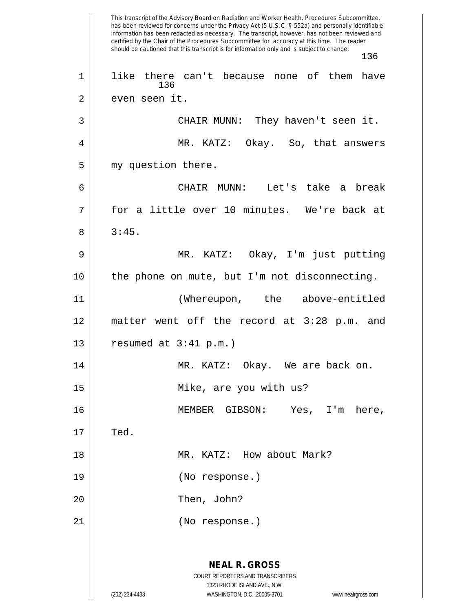This transcript of the Advisory Board on Radiation and Worker Health, Procedures Subcommittee, has been reviewed for concerns under the Privacy Act (5 U.S.C. § 552a) and personally identifiable information has been redacted as necessary. The transcript, however, has not been reviewed and certified by the Chair of the Procedures Subcommittee for accuracy at this time. The reader should be cautioned that this transcript is for information only and is subject to change. 136 **NEAL R. GROSS** COURT REPORTERS AND TRANSCRIBERS 1323 RHODE ISLAND AVE., N.W. (202) 234-4433 WASHINGTON, D.C. 20005-3701 www.nealrgross.com 136 1 || like there can't because none of them have 2 || even seen it. 3 CHAIR MUNN: They haven't seen it. 4 MR. KATZ: Okay. So, that answers 5 || my question there. 6 CHAIR MUNN: Let's take a break 7 for a little over 10 minutes. We're back at  $8 \parallel 3:45.$ 9 MR. KATZ: Okay, I'm just putting 10 the phone on mute, but I'm not disconnecting. 11 (Whereupon, the above-entitled 12 matter went off the record at 3:28 p.m. and 13  $\vert$  resumed at 3:41 p.m.) 14 MR. KATZ: Okay. We are back on. 15 Mike, are you with us? 16 MEMBER GIBSON: Yes, I'm here,  $17 \parallel$  Ted. 18 || MR. KATZ: How about Mark? 19 (No response.) 20 || Then, John? 21 (No response.)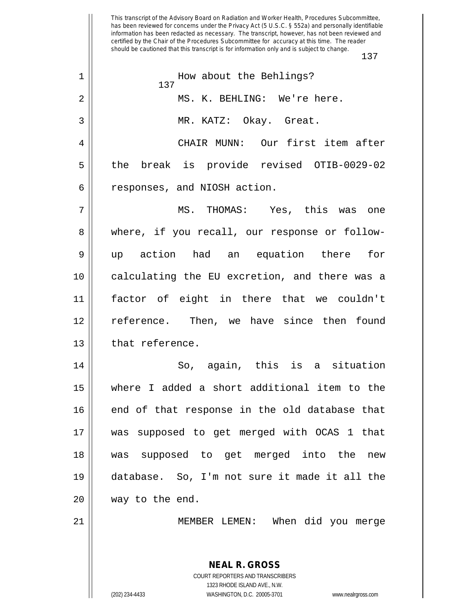This transcript of the Advisory Board on Radiation and Worker Health, Procedures Subcommittee, has been reviewed for concerns under the Privacy Act (5 U.S.C. § 552a) and personally identifiable information has been redacted as necessary. The transcript, however, has not been reviewed and certified by the Chair of the Procedures Subcommittee for accuracy at this time. The reader should be cautioned that this transcript is for information only and is subject to change. 137 **NEAL R. GROSS** COURT REPORTERS AND TRANSCRIBERS 137 1 || How about the Behlings? 2 MS. K. BEHLING: We're here. 3 MR. KATZ: Okay. Great. 4 CHAIR MUNN: Our first item after 5 the break is provide revised OTIB-0029-02 6 | responses, and NIOSH action. 7 MS. THOMAS: Yes, this was one 8 where, if you recall, our response or follow-9 up action had an equation there for 10 calculating the EU excretion, and there was a 11 factor of eight in there that we couldn't 12 reference. Then, we have since then found  $13$  || that reference. 14 So, again, this is a situation 15 where I added a short additional item to the 16 || end of that response in the old database that 17 was supposed to get merged with OCAS 1 that 18 was supposed to get merged into the new 19 database. So, I'm not sure it made it all the  $20$  || way to the end. 21 MEMBER LEMEN: When did you merge

1323 RHODE ISLAND AVE., N.W.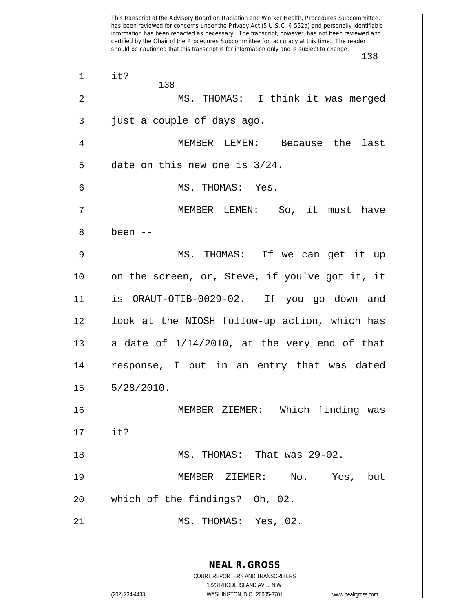This transcript of the Advisory Board on Radiation and Worker Health, Procedures Subcommittee, has been reviewed for concerns under the Privacy Act (5 U.S.C. § 552a) and personally identifiable information has been redacted as necessary. The transcript, however, has not been reviewed and certified by the Chair of the Procedures Subcommittee for accuracy at this time. The reader should be cautioned that this transcript is for information only and is subject to change. 138 **NEAL R. GROSS** COURT REPORTERS AND TRANSCRIBERS 1323 RHODE ISLAND AVE., N.W. (202) 234-4433 WASHINGTON, D.C. 20005-3701 www.nealrgross.com 138  $1 \parallel$  it? 2 || MS. THOMAS: I think it was merged  $3 \parallel$  just a couple of days ago. 4 MEMBER LEMEN: Because the last  $5$  || date on this new one is  $3/24$ . 6 MS. THOMAS: Yes. 7 MEMBER LEMEN: So, it must have 8 been -- 9 MS. THOMAS: If we can get it up 10 || on the screen, or, Steve, if you've got it, it 11 is ORAUT-OTIB-0029-02. If you go down and 12 look at the NIOSH follow-up action, which has 13  $\parallel$  a date of 1/14/2010, at the very end of that 14 || response, I put in an entry that was dated  $15 \parallel 5/28/2010.$ 16 MEMBER ZIEMER: Which finding was  $17 ||$  it? 18 MS. THOMAS: That was 29-02. 19 MEMBER ZIEMER: No. Yes, but 20 which of the findings? Oh, 02. 21 MS. THOMAS: Yes, 02.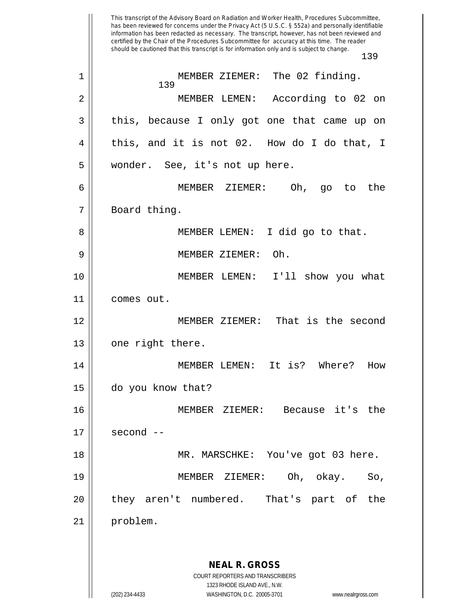This transcript of the Advisory Board on Radiation and Worker Health, Procedures Subcommittee, has been reviewed for concerns under the Privacy Act (5 U.S.C. § 552a) and personally identifiable information has been redacted as necessary. The transcript, however, has not been reviewed and certified by the Chair of the Procedures Subcommittee for accuracy at this time. The reader should be cautioned that this transcript is for information only and is subject to change. 139 **NEAL R. GROSS** COURT REPORTERS AND TRANSCRIBERS 1323 RHODE ISLAND AVE., N.W. (202) 234-4433 WASHINGTON, D.C. 20005-3701 www.nealrgross.com 139 1 || MEMBER ZIEMER: The 02 finding. 2 MEMBER LEMEN: According to 02 on 3 || this, because I only got one that came up on  $4 \parallel$  this, and it is not 02. How do I do that, I 5 | wonder. See, it's not up here. 6 MEMBER ZIEMER: Oh, go to the 7 || Board thing. 8 || MEMBER LEMEN: I did go to that. 9 MEMBER ZIEMER: Oh. 10 MEMBER LEMEN: I'll show you what 11 comes out. 12 MEMBER ZIEMER: That is the second  $13$  | one right there. 14 MEMBER LEMEN: It is? Where? How 15 do you know that? 16 MEMBER ZIEMER: Because it's the  $17 \parallel$  second  $-$ 18 || MR. MARSCHKE: You've got 03 here. 19 MEMBER ZIEMER: Oh, okay. So, 20 || they aren't numbered. That's part of the 21 problem.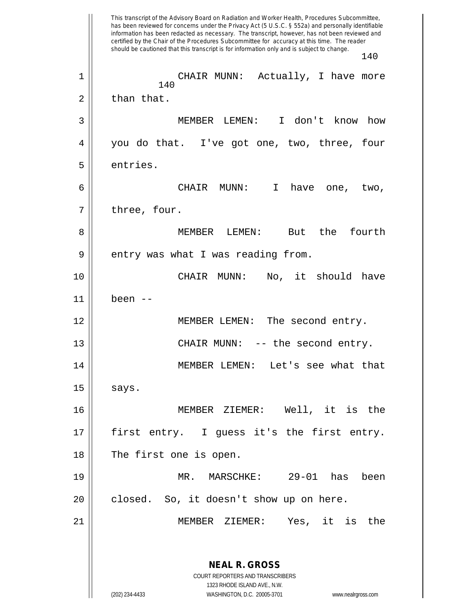This transcript of the Advisory Board on Radiation and Worker Health, Procedures Subcommittee, has been reviewed for concerns under the Privacy Act (5 U.S.C. § 552a) and personally identifiable information has been redacted as necessary. The transcript, however, has not been reviewed and certified by the Chair of the Procedures Subcommittee for accuracy at this time. The reader should be cautioned that this transcript is for information only and is subject to change. 140 **NEAL R. GROSS** COURT REPORTERS AND TRANSCRIBERS 1323 RHODE ISLAND AVE., N.W. (202) 234-4433 WASHINGTON, D.C. 20005-3701 www.nealrgross.com 140 1 CHAIR MUNN: Actually, I have more  $2 \parallel$  than that. 3 MEMBER LEMEN: I don't know how 4 you do that. I've got one, two, three, four 5 | entries. 6 CHAIR MUNN: I have one, two,  $7 \parallel$  three, four. 8 MEMBER LEMEN: But the fourth  $9 \parallel$  entry was what I was reading from. 10 CHAIR MUNN: No, it should have 11 been -- 12 || MEMBER LEMEN: The second entry. 13 || CHAIR MUNN: -- the second entry. 14 MEMBER LEMEN: Let's see what that  $15 \parallel$  says. 16 MEMBER ZIEMER: Well, it is the 17 || first entry. I guess it's the first entry. 18 || The first one is open. 19 MR. MARSCHKE: 29-01 has been  $20$  || closed. So, it doesn't show up on here. 21 MEMBER ZIEMER: Yes, it is the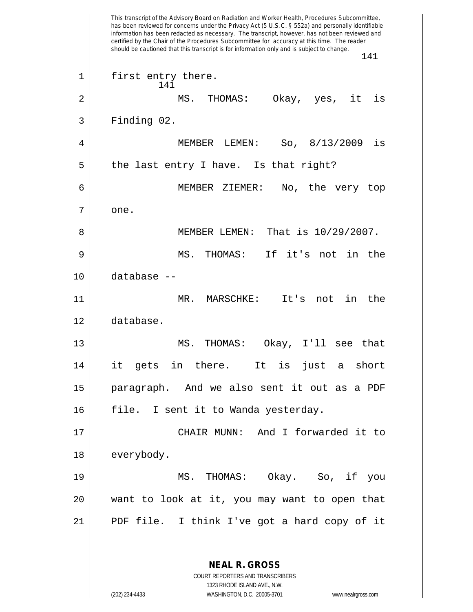This transcript of the Advisory Board on Radiation and Worker Health, Procedures Subcommittee, has been reviewed for concerns under the Privacy Act (5 U.S.C. § 552a) and personally identifiable information has been redacted as necessary. The transcript, however, has not been reviewed and certified by the Chair of the Procedures Subcommittee for accuracy at this time. The reader should be cautioned that this transcript is for information only and is subject to change. 141 **NEAL R. GROSS** COURT REPORTERS AND TRANSCRIBERS 1323 RHODE ISLAND AVE., N.W. 141 1 || first entry there. 2 MS. THOMAS: Okay, yes, it is  $3 \parallel$  Finding 02. 4 MEMBER LEMEN: So, 8/13/2009 is  $5 \parallel$  the last entry I have. Is that right? 6 MEMBER ZIEMER: No, the very top  $7 \parallel$  one. 8 || MEMBER LEMEN: That is  $10/29/2007$ . 9 MS. THOMAS: If it's not in the 10 database -- 11 MR. MARSCHKE: It's not in the 12 database. 13 MS. THOMAS: Okay, I'll see that 14 it gets in there. It is just a short 15 paragraph. And we also sent it out as a PDF 16 || file. I sent it to Wanda yesterday. 17 CHAIR MUNN: And I forwarded it to 18 | everybody. 19 MS. THOMAS: Okay. So, if you 20 want to look at it, you may want to open that 21 PDF file. I think I've got a hard copy of it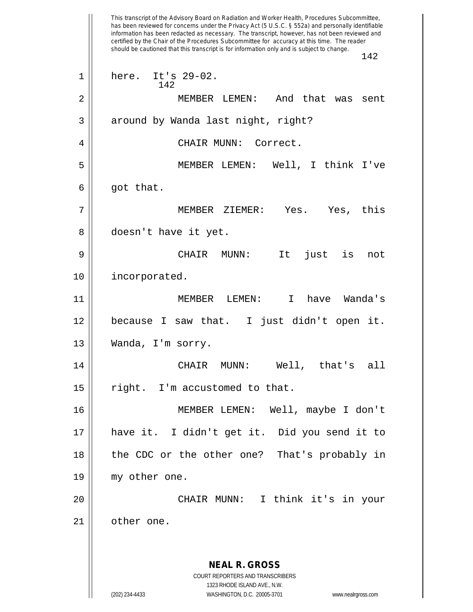This transcript of the Advisory Board on Radiation and Worker Health, Procedures Subcommittee, has been reviewed for concerns under the Privacy Act (5 U.S.C. § 552a) and personally identifiable information has been redacted as necessary. The transcript, however, has not been reviewed and certified by the Chair of the Procedures Subcommittee for accuracy at this time. The reader should be cautioned that this transcript is for information only and is subject to change. 142 **NEAL R. GROSS** COURT REPORTERS AND TRANSCRIBERS 1323 RHODE ISLAND AVE., N.W. (202) 234-4433 WASHINGTON, D.C. 20005-3701 www.nealrgross.com 142 1 here. It's 29-02. 2 MEMBER LEMEN: And that was sent 3 || around by Wanda last night, right? 4 CHAIR MUNN: Correct. 5 MEMBER LEMEN: Well, I think I've  $6 \parallel$  got that. 7 MEMBER ZIEMER: Yes. Yes, this 8 || doesn't have it yet. 9 CHAIR MUNN: It just is not 10 incorporated. 11 MEMBER LEMEN: I have Wanda's 12 because I saw that. I just didn't open it. 13 | Wanda, I'm sorry. 14 CHAIR MUNN: Well, that's all  $15$  | right. I'm accustomed to that. 16 MEMBER LEMEN: Well, maybe I don't 17 have it. I didn't get it. Did you send it to 18 || the CDC or the other one? That's probably in 19 my other one. 20 CHAIR MUNN: I think it's in your 21 | other one.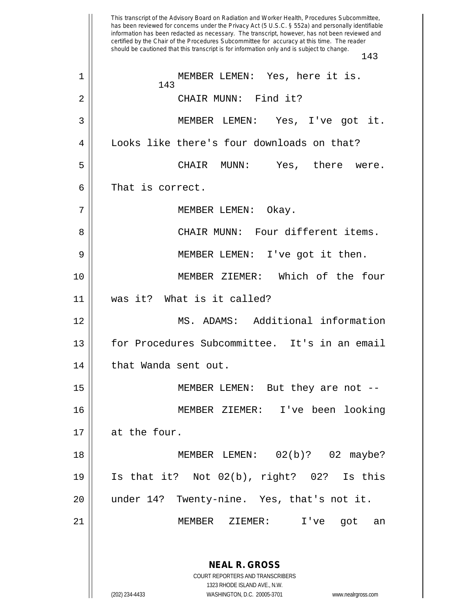This transcript of the Advisory Board on Radiation and Worker Health, Procedures Subcommittee, has been reviewed for concerns under the Privacy Act (5 U.S.C. § 552a) and personally identifiable information has been redacted as necessary. The transcript, however, has not been reviewed and certified by the Chair of the Procedures Subcommittee for accuracy at this time. The reader should be cautioned that this transcript is for information only and is subject to change. 143 **NEAL R. GROSS** COURT REPORTERS AND TRANSCRIBERS 1323 RHODE ISLAND AVE., N.W. (202) 234-4433 WASHINGTON, D.C. 20005-3701 www.nealrgross.com 143 1 || MEMBER LEMEN: Yes, here it is. 2 CHAIR MUNN: Find it? 3 MEMBER LEMEN: Yes, I've got it. 4 | Looks like there's four downloads on that? 5 CHAIR MUNN: Yes, there were. 6 || That is correct. 7 || MEMBER LEMEN: Okay. 8 CHAIR MUNN: Four different items. 9 || MEMBER LEMEN: I've got it then. 10 MEMBER ZIEMER: Which of the four 11 was it? What is it called? 12 MS. ADAMS: Additional information 13 for Procedures Subcommittee. It's in an email 14 | that Wanda sent out. 15 MEMBER LEMEN: But they are not -- 16 MEMBER ZIEMER: I've been looking 17 | at the four. 18 || MEMBER LEMEN: 02(b)? 02 maybe? 19 Is that it? Not 02(b), right? 02? Is this 20 under 14? Twenty-nine. Yes, that's not it. 21 MEMBER ZIEMER: I've got an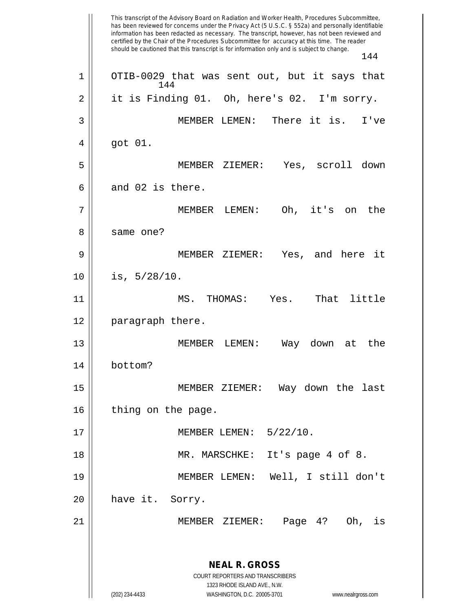This transcript of the Advisory Board on Radiation and Worker Health, Procedures Subcommittee, has been reviewed for concerns under the Privacy Act (5 U.S.C. § 552a) and personally identifiable information has been redacted as necessary. The transcript, however, has not been reviewed and certified by the Chair of the Procedures Subcommittee for accuracy at this time. The reader should be cautioned that this transcript is for information only and is subject to change. 144 **NEAL R. GROSS** COURT REPORTERS AND TRANSCRIBERS 1323 RHODE ISLAND AVE., N.W. (202) 234-4433 WASHINGTON, D.C. 20005-3701 www.nealrgross.com 144  $1 \parallel$  OTIB-0029 that was sent out, but it says that  $2 \parallel$  it is Finding 01. Oh, here's 02. I'm sorry. 3 MEMBER LEMEN: There it is. I've 4 got 01. 5 MEMBER ZIEMER: Yes, scroll down  $6 \parallel$  and 02 is there. 7 MEMBER LEMEN: Oh, it's on the 8 ll same one? 9 MEMBER ZIEMER: Yes, and here it  $10 \parallel \text{is, } 5/28/10.$ 11 || MS. THOMAS: Yes. That little 12 || paragraph there. 13 MEMBER LEMEN: Way down at the 14 bottom? 15 MEMBER ZIEMER: Way down the last 16 | thing on the page. 17 || MEMBER LEMEN: 5/22/10. 18 MR. MARSCHKE: It's page 4 of 8. 19 MEMBER LEMEN: Well, I still don't 20 || have it. Sorry. 21 MEMBER ZIEMER: Page 4? Oh, is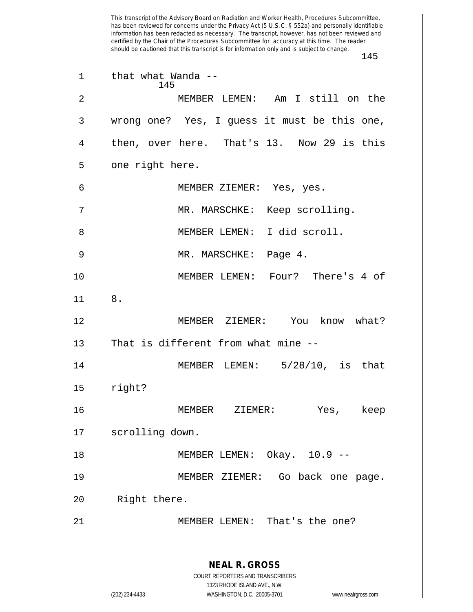This transcript of the Advisory Board on Radiation and Worker Health, Procedures Subcommittee, has been reviewed for concerns under the Privacy Act (5 U.S.C. § 552a) and personally identifiable information has been redacted as necessary. The transcript, however, has not been reviewed and certified by the Chair of the Procedures Subcommittee for accuracy at this time. The reader should be cautioned that this transcript is for information only and is subject to change. 145 **NEAL R. GROSS** COURT REPORTERS AND TRANSCRIBERS 1323 RHODE ISLAND AVE., N.W. (202) 234-4433 WASHINGTON, D.C. 20005-3701 www.nealrgross.com 145  $1 \parallel$  that what Wanda --2 MEMBER LEMEN: Am I still on the 3 wrong one? Yes, I guess it must be this one, 4 || then, over here. That's 13. Now 29 is this  $5 \parallel$  one right here. 6 MEMBER ZIEMER: Yes, yes. 7 MR. MARSCHKE: Keep scrolling. 8 || MEMBER LEMEN: I did scroll. 9 MR. MARSCHKE: Page 4. 10 MEMBER LEMEN: Four? There's 4 of  $11 \parallel 8$ . 12 MEMBER ZIEMER: You know what?  $13$  | That is different from what mine  $-$ 14 MEMBER LEMEN: 5/28/10, is that  $15$  || right? 16 MEMBER ZIEMER: Yes, keep 17 | scrolling down. 18 MEMBER LEMEN: Okay. 10.9 -- 19 MEMBER ZIEMER: Go back one page. 20 || Right there. 21 || MEMBER LEMEN: That's the one?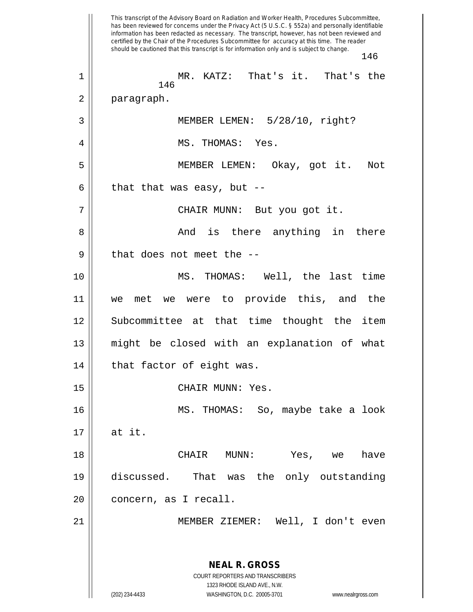This transcript of the Advisory Board on Radiation and Worker Health, Procedures Subcommittee, has been reviewed for concerns under the Privacy Act (5 U.S.C. § 552a) and personally identifiable information has been redacted as necessary. The transcript, however, has not been reviewed and certified by the Chair of the Procedures Subcommittee for accuracy at this time. The reader should be cautioned that this transcript is for information only and is subject to change. 146 **NEAL R. GROSS** COURT REPORTERS AND TRANSCRIBERS 1323 RHODE ISLAND AVE., N.W. (202) 234-4433 WASHINGTON, D.C. 20005-3701 www.nealrgross.com 146 1 MR. KATZ: That's it. That's the 2 | paragraph. 3 MEMBER LEMEN: 5/28/10, right? 4 MS. THOMAS: Yes. 5 MEMBER LEMEN: Okay, got it. Not  $6 \parallel$  that that was easy, but --7 CHAIR MUNN: But you got it. 8 And is there anything in there  $9$  || that does not meet the  $-$ -10 MS. THOMAS: Well, the last time 11 we met we were to provide this, and the 12 Subcommittee at that time thought the item 13 might be closed with an explanation of what  $14$  | that factor of eight was. 15 CHAIR MUNN: Yes. 16 MS. THOMAS: So, maybe take a look  $17 \parallel$  at it. 18 CHAIR MUNN: Yes, we have 19 discussed. That was the only outstanding 20 || concern, as I recall. 21 || MEMBER ZIEMER: Well, I don't even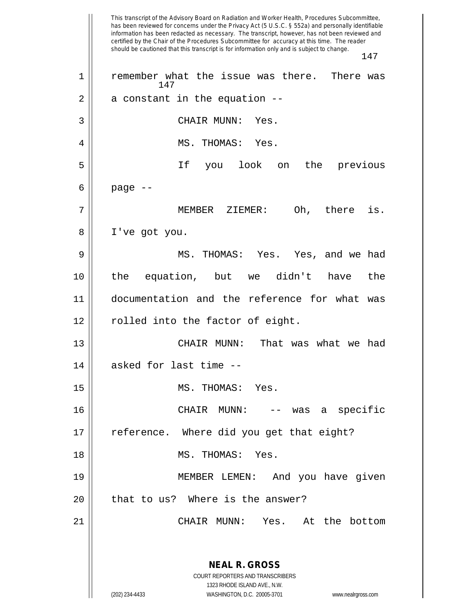This transcript of the Advisory Board on Radiation and Worker Health, Procedures Subcommittee, has been reviewed for concerns under the Privacy Act (5 U.S.C. § 552a) and personally identifiable information has been redacted as necessary. The transcript, however, has not been reviewed and certified by the Chair of the Procedures Subcommittee for accuracy at this time. The reader should be cautioned that this transcript is for information only and is subject to change. 147 **NEAL R. GROSS** COURT REPORTERS AND TRANSCRIBERS 1323 RHODE ISLAND AVE., N.W. (202) 234-4433 WASHINGTON, D.C. 20005-3701 www.nealrgross.com 147 1 || remember what the issue was there. There was  $2 \parallel$  a constant in the equation  $-$ 3 || CHAIR MUNN: Yes. 4 MS. THOMAS: Yes. 5 If you look on the previous  $6 \mid$  page  $-$ 7 MEMBER ZIEMER: Oh, there is. 8 I've got you. 9 MS. THOMAS: Yes. Yes, and we had 10 the equation, but we didn't have the 11 documentation and the reference for what was 12 || rolled into the factor of eight. 13 CHAIR MUNN: That was what we had 14 asked for last time --15 MS. THOMAS: Yes. 16 CHAIR MUNN: -- was a specific 17 || reference. Where did you get that eight? 18 MS. THOMAS: Yes. 19 MEMBER LEMEN: And you have given  $20$  || that to us? Where is the answer? 21 CHAIR MUNN: Yes. At the bottom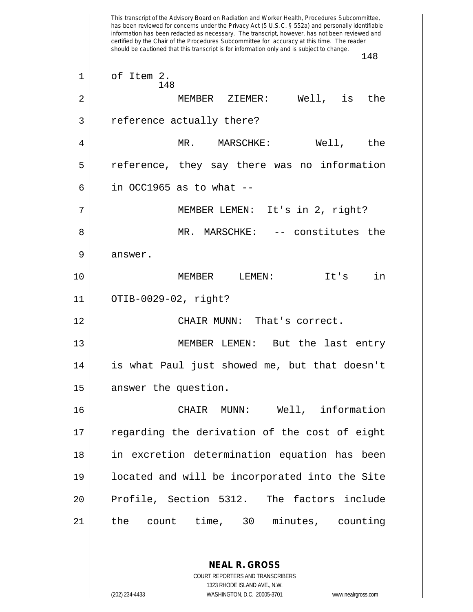This transcript of the Advisory Board on Radiation and Worker Health, Procedures Subcommittee, has been reviewed for concerns under the Privacy Act (5 U.S.C. § 552a) and personally identifiable information has been redacted as necessary. The transcript, however, has not been reviewed and certified by the Chair of the Procedures Subcommittee for accuracy at this time. The reader should be cautioned that this transcript is for information only and is subject to change. 148 148  $1 \parallel$  of Item 2. 2 MEMBER ZIEMER: Well, is the 3 || reference actually there? 4 MR. MARSCHKE: Well, the 5 || reference, they say there was no information  $6 \parallel$  in OCC1965 as to what  $-$ 7 MEMBER LEMEN: It's in 2, right? 8 || MR. MARSCHKE: -- constitutes the 9 answer. 10 MEMBER LEMEN: It's in 11 OTIB-0029-02, right? 12 CHAIR MUNN: That's correct. 13 || MEMBER LEMEN: But the last entry 14 is what Paul just showed me, but that doesn't 15 || answer the question. 16 CHAIR MUNN: Well, information 17 || regarding the derivation of the cost of eight 18 in excretion determination equation has been 19 located and will be incorporated into the Site 20 Profile, Section 5312. The factors include 21 the count time, 30 minutes, counting

> COURT REPORTERS AND TRANSCRIBERS 1323 RHODE ISLAND AVE., N.W. (202) 234-4433 WASHINGTON, D.C. 20005-3701 www.nealrgross.com

**NEAL R. GROSS**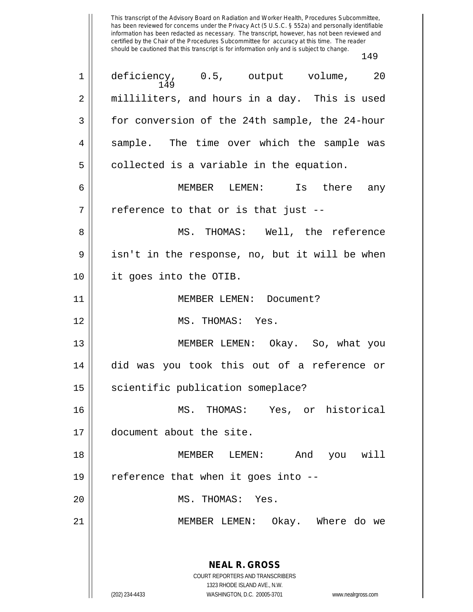This transcript of the Advisory Board on Radiation and Worker Health, Procedures Subcommittee, has been reviewed for concerns under the Privacy Act (5 U.S.C. § 552a) and personally identifiable information has been redacted as necessary. The transcript, however, has not been reviewed and certified by the Chair of the Procedures Subcommittee for accuracy at this time. The reader should be cautioned that this transcript is for information only and is subject to change. 149

**NEAL R. GROSS** COURT REPORTERS AND TRANSCRIBERS 1323 RHODE ISLAND AVE., N.W. (202) 234-4433 WASHINGTON, D.C. 20005-3701 www.nealrgross.com 149 1 deficiency, 0.5, output volume, 20 2 || milliliters, and hours in a day. This is used 3 | for conversion of the 24th sample, the 24-hour 4 || sample. The time over which the sample was  $5 \parallel$  collected is a variable in the equation. 6 MEMBER LEMEN: Is there any  $7 \parallel$  reference to that or is that just --8 MS. THOMAS: Well, the reference  $9 \parallel$  isn't in the response, no, but it will be when 10 it goes into the OTIB. 11 MEMBER LEMEN: Document? 12 || MS. THOMAS: Yes. 13 || MEMBER LEMEN: Okay. So, what you 14 did was you took this out of a reference or 15 || scientific publication someplace? 16 MS. THOMAS: Yes, or historical 17 document about the site. 18 MEMBER LEMEN: And you will  $19$  || reference that when it goes into  $-$ -20 MS. THOMAS: Yes. 21 MEMBER LEMEN: Okay. Where do we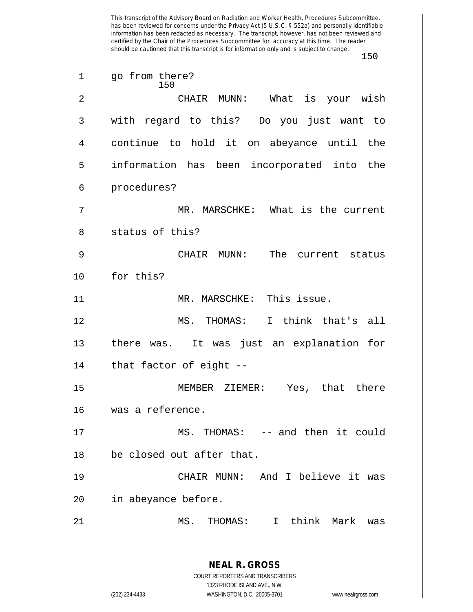This transcript of the Advisory Board on Radiation and Worker Health, Procedures Subcommittee, has been reviewed for concerns under the Privacy Act (5 U.S.C. § 552a) and personally identifiable information has been redacted as necessary. The transcript, however, has not been reviewed and certified by the Chair of the Procedures Subcommittee for accuracy at this time. The reader should be cautioned that this transcript is for information only and is subject to change. 150 **NEAL R. GROSS** COURT REPORTERS AND TRANSCRIBERS 1323 RHODE ISLAND AVE., N.W. (202) 234-4433 WASHINGTON, D.C. 20005-3701 www.nealrgross.com 150 1 || go from there? 2 CHAIR MUNN: What is your wish 3 with regard to this? Do you just want to 4 continue to hold it on abeyance until the 5 || information has been incorporated into the 6 | procedures? 7 MR. MARSCHKE: What is the current 8 || status of this? 9 CHAIR MUNN: The current status 10 for this? 11 || MR. MARSCHKE: This issue. 12 MS. THOMAS: I think that's all 13 || there was. It was just an explanation for  $14$  | that factor of eight --15 MEMBER ZIEMER: Yes, that there 16 was a reference. 17 || MS. THOMAS: -- and then it could 18 || be closed out after that. 19 CHAIR MUNN: And I believe it was 20 || in abeyance before. 21 MS. THOMAS: I think Mark was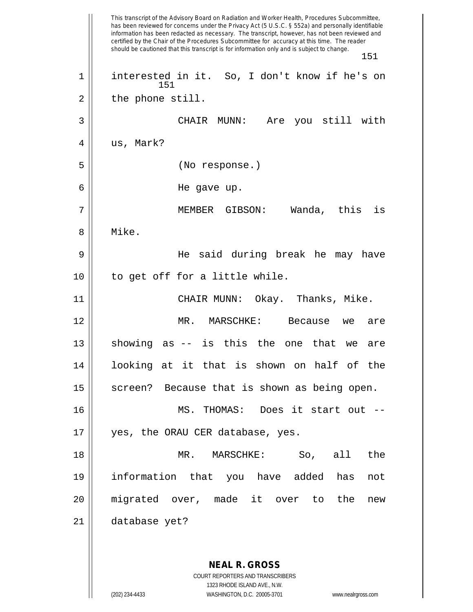This transcript of the Advisory Board on Radiation and Worker Health, Procedures Subcommittee, has been reviewed for concerns under the Privacy Act (5 U.S.C. § 552a) and personally identifiable information has been redacted as necessary. The transcript, however, has not been reviewed and certified by the Chair of the Procedures Subcommittee for accuracy at this time. The reader should be cautioned that this transcript is for information only and is subject to change. 151 **NEAL R. GROSS** COURT REPORTERS AND TRANSCRIBERS 151 1 || interested in it. So, I don't know if he's on  $2 \parallel$  the phone still. 3 CHAIR MUNN: Are you still with  $4 \parallel$  us, Mark? 5 (No response.) 6 He gave up. 7 MEMBER GIBSON: Wanda, this is 8 Mike. 9 He said during break he may have 10 to get off for a little while. 11 CHAIR MUNN: Okay. Thanks, Mike. 12 MR. MARSCHKE: Because we are  $13$  showing as  $-$  is this the one that we are 14 looking at it that is shown on half of the 15 || screen? Because that is shown as being open. 16 MS. THOMAS: Does it start out -- 17 || yes, the ORAU CER database, yes. 18 MR. MARSCHKE: So, all the 19 information that you have added has not 20 migrated over, made it over to the new 21 database yet?

1323 RHODE ISLAND AVE., N.W.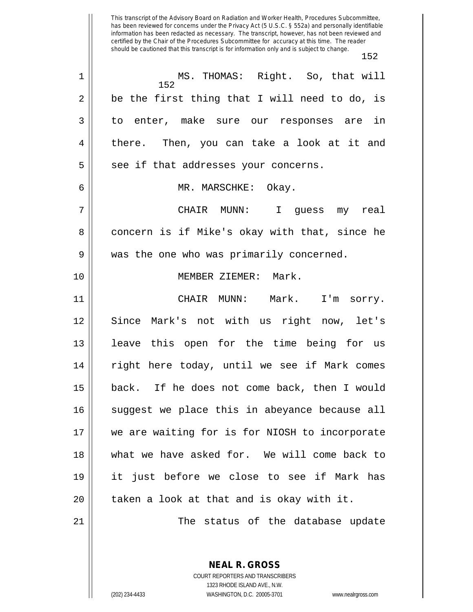This transcript of the Advisory Board on Radiation and Worker Health, Procedures Subcommittee, has been reviewed for concerns under the Privacy Act (5 U.S.C. § 552a) and personally identifiable information has been redacted as necessary. The transcript, however, has not been reviewed and certified by the Chair of the Procedures Subcommittee for accuracy at this time. The reader should be cautioned that this transcript is for information only and is subject to change. 152

152 1 MS. THOMAS: Right. So, that will  $2 \parallel$  be the first thing that I will need to do, is 3 || to enter, make sure our responses are in 4 there. Then, you can take a look at it and  $5 \parallel$  see if that addresses your concerns. 6 MR. MARSCHKE: Okay. 7 CHAIR MUNN: I guess my real 8 concern is if Mike's okay with that, since he 9 || was the one who was primarily concerned. 10 || **MEMBER ZIEMER: Mark.** 11 CHAIR MUNN: Mark. I'm sorry. 12 Since Mark's not with us right now, let's 13 || leave this open for the time being for us 14 || right here today, until we see if Mark comes 15 back. If he does not come back, then I would 16 || suggest we place this in abeyance because all 17 we are waiting for is for NIOSH to incorporate 18 what we have asked for. We will come back to 19 it just before we close to see if Mark has  $20$  || taken a look at that and is okay with it. 21 The status of the database update

> COURT REPORTERS AND TRANSCRIBERS 1323 RHODE ISLAND AVE., N.W. (202) 234-4433 WASHINGTON, D.C. 20005-3701 www.nealrgross.com

**NEAL R. GROSS**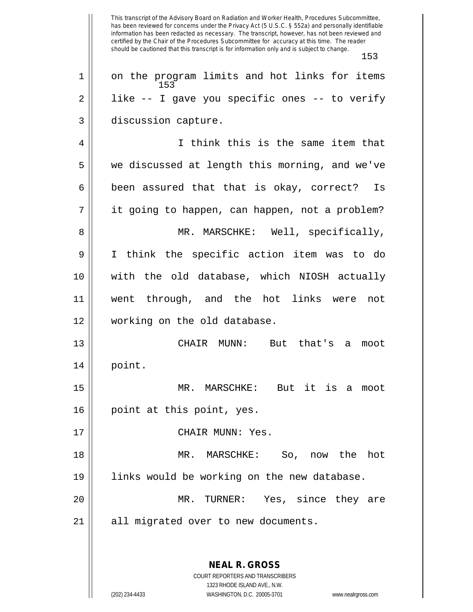This transcript of the Advisory Board on Radiation and Worker Health, Procedures Subcommittee, has been reviewed for concerns under the Privacy Act (5 U.S.C. § 552a) and personally identifiable information has been redacted as necessary. The transcript, however, has not been reviewed and certified by the Chair of the Procedures Subcommittee for accuracy at this time. The reader should be cautioned that this transcript is for information only and is subject to change. 153 **NEAL R. GROSS** COURT REPORTERS AND TRANSCRIBERS 153 1 || on the program limits and hot links for items  $2 \parallel$  like -- I gave you specific ones -- to verify 3 | discussion capture. 4 I think this is the same item that 5 || we discussed at length this morning, and we've  $6 \parallel$  been assured that that is okay, correct? Is 7 || it going to happen, can happen, not a problem? 8 MR. MARSCHKE: Well, specifically, 9 I think the specific action item was to do 10 with the old database, which NIOSH actually 11 went through, and the hot links were not 12 working on the old database. 13 CHAIR MUNN: But that's a moot 14 point. 15 MR. MARSCHKE: But it is a moot 16 || point at this point, yes. 17 || CHAIR MUNN: Yes. 18 MR. MARSCHKE: So, now the hot 19 links would be working on the new database. 20 MR. TURNER: Yes, since they are 21 || all migrated over to new documents.

1323 RHODE ISLAND AVE., N.W.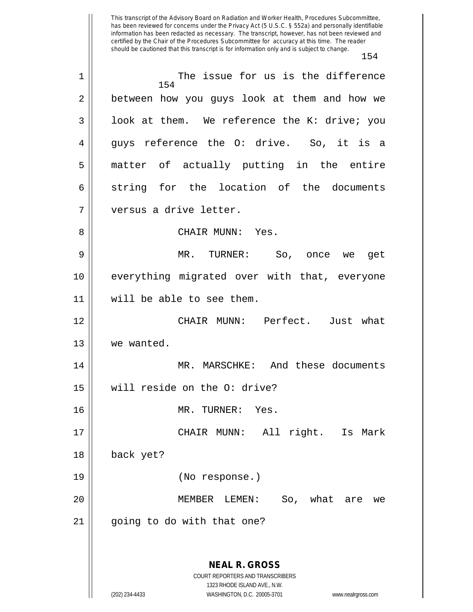This transcript of the Advisory Board on Radiation and Worker Health, Procedures Subcommittee, has been reviewed for concerns under the Privacy Act (5 U.S.C. § 552a) and personally identifiable information has been redacted as necessary. The transcript, however, has not been reviewed and certified by the Chair of the Procedures Subcommittee for accuracy at this time. The reader should be cautioned that this transcript is for information only and is subject to change. 154 154 1 || The issue for us is the difference 2 | between how you guys look at them and how we  $3 \parallel$  look at them. We reference the K: drive; you 4 || guys reference the O: drive. So, it is a 5 matter of actually putting in the entire  $6 \parallel$  string for the location of the documents 7 versus a drive letter. 8 CHAIR MUNN: Yes. 9 MR. TURNER: So, once we get 10 everything migrated over with that, everyone 11 will be able to see them. 12 CHAIR MUNN: Perfect. Just what 13 | we wanted. 14 MR. MARSCHKE: And these documents 15 will reside on the O: drive? 16 MR. TURNER: Yes. 17 CHAIR MUNN: All right. Is Mark 18 back yet? 19 (No response.) 20 MEMBER LEMEN: So, what are we

21 || going to do with that one?

**NEAL R. GROSS** COURT REPORTERS AND TRANSCRIBERS 1323 RHODE ISLAND AVE., N.W. (202) 234-4433 WASHINGTON, D.C. 20005-3701 www.nealrgross.com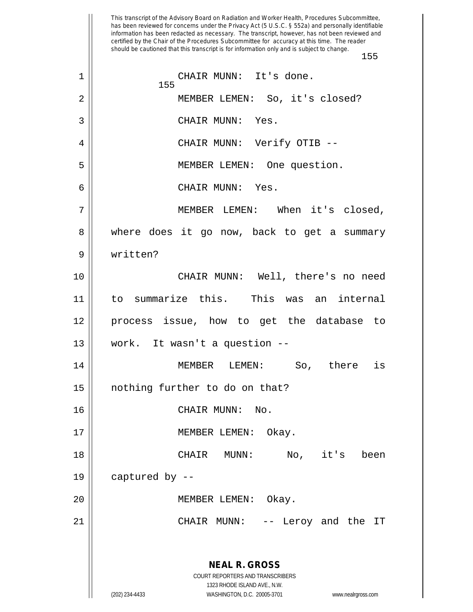This transcript of the Advisory Board on Radiation and Worker Health, Procedures Subcommittee, has been reviewed for concerns under the Privacy Act (5 U.S.C. § 552a) and personally identifiable information has been redacted as necessary. The transcript, however, has not been reviewed and certified by the Chair of the Procedures Subcommittee for accuracy at this time. The reader should be cautioned that this transcript is for information only and is subject to change. 155 **NEAL R. GROSS** COURT REPORTERS AND TRANSCRIBERS 1323 RHODE ISLAND AVE., N.W. (202) 234-4433 WASHINGTON, D.C. 20005-3701 www.nealrgross.com 155 1 CHAIR MUNN: It's done. 2 MEMBER LEMEN: So, it's closed? 3 || CHAIR MUNN: Yes. 4 CHAIR MUNN: Verify OTIB -- 5 MEMBER LEMEN: One question. 6 CHAIR MUNN: Yes. 7 MEMBER LEMEN: When it's closed, 8 where does it go now, back to get a summary 9 written? 10 CHAIR MUNN: Well, there's no need 11 to summarize this. This was an internal 12 process issue, how to get the database to 13 || work. It wasn't a question --14 MEMBER LEMEN: So, there is 15 nothing further to do on that? 16 CHAIR MUNN: No. 17 || MEMBER LEMEN: Okay. 18 CHAIR MUNN: No, it's been 19  $\parallel$  captured by --20 || MEMBER LEMEN: Okay. 21 CHAIR MUNN: -- Leroy and the IT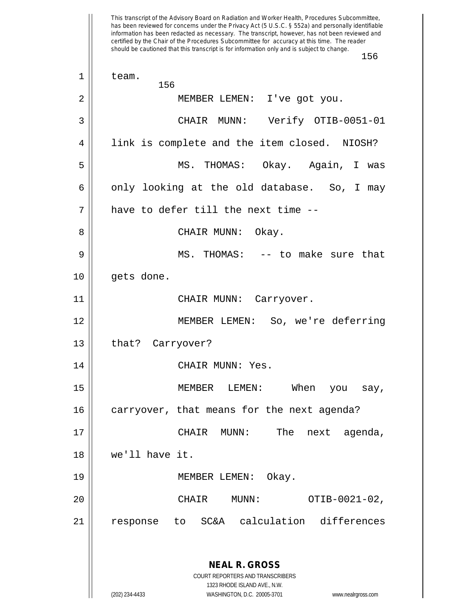This transcript of the Advisory Board on Radiation and Worker Health, Procedures Subcommittee, has been reviewed for concerns under the Privacy Act (5 U.S.C. § 552a) and personally identifiable information has been redacted as necessary. The transcript, however, has not been reviewed and certified by the Chair of the Procedures Subcommittee for accuracy at this time. The reader should be cautioned that this transcript is for information only and is subject to change. 156 **NEAL R. GROSS** COURT REPORTERS AND TRANSCRIBERS 1323 RHODE ISLAND AVE., N.W. (202) 234-4433 WASHINGTON, D.C. 20005-3701 www.nealrgross.com 156  $1 \parallel$  team. 2 || MEMBER LEMEN: I've got you. 3 CHAIR MUNN: Verify OTIB-0051-01 4 | link is complete and the item closed. NIOSH? 5 MS. THOMAS: Okay. Again, I was  $6 \parallel$  only looking at the old database. So, I may 7 have to defer till the next time -- 8 CHAIR MUNN: Okay. 9 MS. THOMAS: -- to make sure that 10 || gets done. 11 || CHAIR MUNN: Carryover. 12 MEMBER LEMEN: So, we're deferring 13 | that? Carryover? 14 | CHAIR MUNN: Yes. 15 MEMBER LEMEN: When you say, 16 | carryover, that means for the next agenda? 17 CHAIR MUNN: The next agenda, 18 we'll have it. 19 MEMBER LEMEN: Okay. 20 CHAIR MUNN: OTIB-0021-02, 21 response to SC&A calculation differences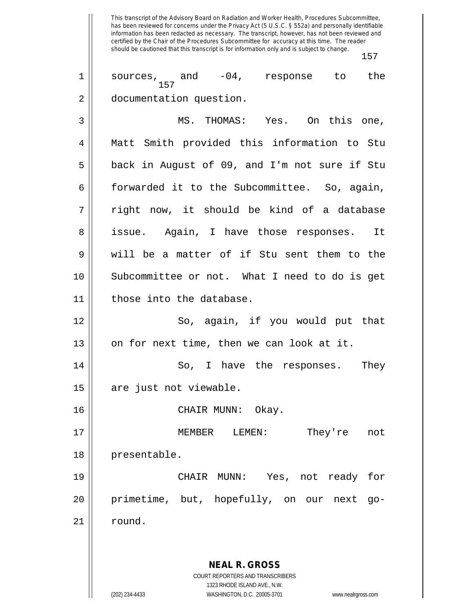This transcript of the Advisory Board on Radiation and Worker Health, Procedures Subcommittee, has been reviewed for concerns under the Privacy Act (5 U.S.C. § 552a) and personally identifiable information has been redacted as necessary. The transcript, however, has not been reviewed and certified by the Chair of the Procedures Subcommittee for accuracy at this time. The reader should be cautioned that this transcript is for information only and is subject to change. 157 **NEAL R. GROSS** COURT REPORTERS AND TRANSCRIBERS 1323 RHODE ISLAND AVE., N.W. 157 1 || sources, and -04, response to the 2 documentation question. 3 MS. THOMAS: Yes. On this one, 4 Matt Smith provided this information to Stu 5 || back in August of 09, and I'm not sure if Stu 6 forwarded it to the Subcommittee. So, again,  $7 \parallel$  right now, it should be kind of a database 8 || issue. Again, I have those responses. It 9 will be a matter of if Stu sent them to the 10 || Subcommittee or not. What I need to do is get 11 || those into the database. 12 || So, again, if you would put that  $13 \parallel$  on for next time, then we can look at it. 14 So, I have the responses. They 15 || are just not viewable. 16 CHAIR MUNN: Okay. 17 MEMBER LEMEN: They're not 18 | presentable. 19 CHAIR MUNN: Yes, not ready for 20 primetime, but, hopefully, on our next go-21 | round.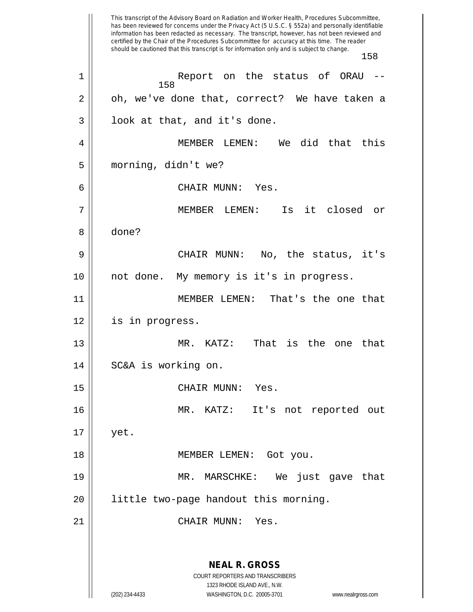This transcript of the Advisory Board on Radiation and Worker Health, Procedures Subcommittee, has been reviewed for concerns under the Privacy Act (5 U.S.C. § 552a) and personally identifiable information has been redacted as necessary. The transcript, however, has not been reviewed and certified by the Chair of the Procedures Subcommittee for accuracy at this time. The reader should be cautioned that this transcript is for information only and is subject to change. 158 **NEAL R. GROSS** COURT REPORTERS AND TRANSCRIBERS 1323 RHODE ISLAND AVE., N.W. (202) 234-4433 WASHINGTON, D.C. 20005-3701 www.nealrgross.com 158 1 Report on the status of ORAU --  $2 \parallel$  oh, we've done that, correct? We have taken a  $3 \parallel$  look at that, and it's done. 4 MEMBER LEMEN: We did that this 5 morning, didn't we? 6 CHAIR MUNN: Yes. 7 MEMBER LEMEN: Is it closed or 8 done? 9 CHAIR MUNN: No, the status, it's 10 || not done. My memory is it's in progress. 11 MEMBER LEMEN: That's the one that 12 is in progress. 13 MR. KATZ: That is the one that 14 | SC&A is working on. 15 CHAIR MUNN: Yes. 16 MR. KATZ: It's not reported out  $17 \parallel$  yet. 18 || MEMBER LEMEN: Got you. 19 MR. MARSCHKE: We just gave that 20 || little two-page handout this morning. 21 || CHAIR MUNN: Yes.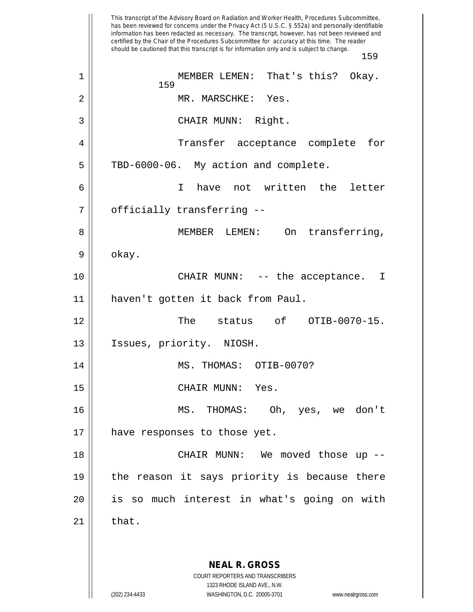This transcript of the Advisory Board on Radiation and Worker Health, Procedures Subcommittee, has been reviewed for concerns under the Privacy Act (5 U.S.C. § 552a) and personally identifiable information has been redacted as necessary. The transcript, however, has not been reviewed and certified by the Chair of the Procedures Subcommittee for accuracy at this time. The reader should be cautioned that this transcript is for information only and is subject to change. 159 **NEAL R. GROSS** COURT REPORTERS AND TRANSCRIBERS 1323 RHODE ISLAND AVE., N.W. (202) 234-4433 WASHINGTON, D.C. 20005-3701 www.nealrgross.com 159 1 || MEMBER LEMEN: That's this? Okay. 2 MR. MARSCHKE: Yes. 3 || CHAIR MUNN: Right. 4 Transfer acceptance complete for  $5 \parallel$  TBD-6000-06. My action and complete. 6 I have not written the letter 7 || officially transferring --8 MEMBER LEMEN: On transferring,  $9 \parallel$  okay. 10 CHAIR MUNN: -- the acceptance. I 11 haven't gotten it back from Paul. 12 || The status of OTIB-0070-15. 13 || Issues, priority. NIOSH. 14 || MS. THOMAS: 0TIB-0070? 15 CHAIR MUNN: Yes. 16 MS. THOMAS: Oh, yes, we don't 17 || have responses to those yet. 18 CHAIR MUNN: We moved those up -- 19 the reason it says priority is because there 20 is so much interest in what's going on with  $21$   $\parallel$  that.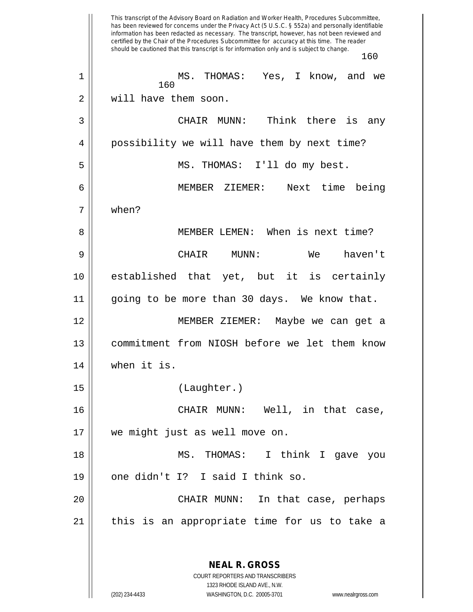This transcript of the Advisory Board on Radiation and Worker Health, Procedures Subcommittee, has been reviewed for concerns under the Privacy Act (5 U.S.C. § 552a) and personally identifiable information has been redacted as necessary. The transcript, however, has not been reviewed and certified by the Chair of the Procedures Subcommittee for accuracy at this time. The reader should be cautioned that this transcript is for information only and is subject to change. **NEAL R. GROSS** COURT REPORTERS AND TRANSCRIBERS 1323 RHODE ISLAND AVE., N.W. MS. THOMAS: Yes, I know, and we 2 || will have them soon. CHAIR MUNN: Think there is any 4 || possibility we will have them by next time? MS. THOMAS: I'll do my best. MEMBER ZIEMER: Next time being when? MEMBER LEMEN: When is next time? CHAIR MUNN: We haven't established that yet, but it is certainly going to be more than 30 days. We know that. MEMBER ZIEMER: Maybe we can get a commitment from NIOSH before we let them know when it is. (Laughter.) CHAIR MUNN: Well, in that case, we might just as well move on. MS. THOMAS: I think I gave you  $\parallel$  one didn't I? I said I think so. CHAIR MUNN: In that case, perhaps || this is an appropriate time for us to take a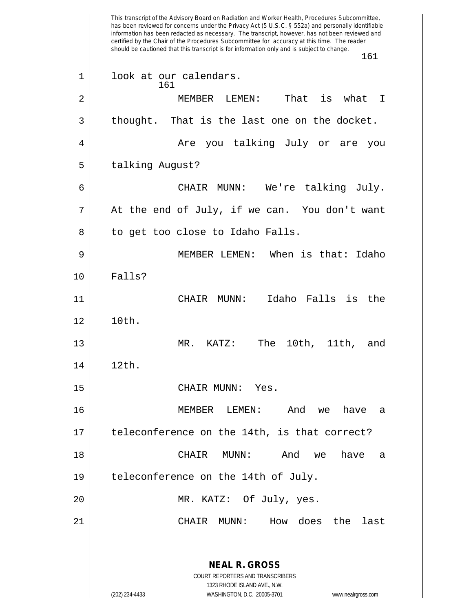This transcript of the Advisory Board on Radiation and Worker Health, Procedures Subcommittee, has been reviewed for concerns under the Privacy Act (5 U.S.C. § 552a) and personally identifiable information has been redacted as necessary. The transcript, however, has not been reviewed and certified by the Chair of the Procedures Subcommittee for accuracy at this time. The reader should be cautioned that this transcript is for information only and is subject to change. 161 **NEAL R. GROSS** COURT REPORTERS AND TRANSCRIBERS 1323 RHODE ISLAND AVE., N.W. (202) 234-4433 WASHINGTON, D.C. 20005-3701 www.nealrgross.com 161 1 || look at our calendars. 2 MEMBER LEMEN: That is what I  $3 \parallel$  thought. That is the last one on the docket. 4 Are you talking July or are you 5 | talking August? 6 CHAIR MUNN: We're talking July.  $7 ||$  At the end of July, if we can. You don't want 8 || to get too close to Idaho Falls. 9 MEMBER LEMEN: When is that: Idaho 10 Falls? 11 CHAIR MUNN: Idaho Falls is the 12 10th. 13 MR. KATZ: The 10th, 11th, and 14 12th. 15 CHAIR MUNN: Yes. 16 MEMBER LEMEN: And we have a  $17$  || teleconference on the 14th, is that correct? 18 CHAIR MUNN: And we have a 19 | teleconference on the 14th of July. 20 MR. KATZ: Of July, yes. 21 CHAIR MUNN: How does the last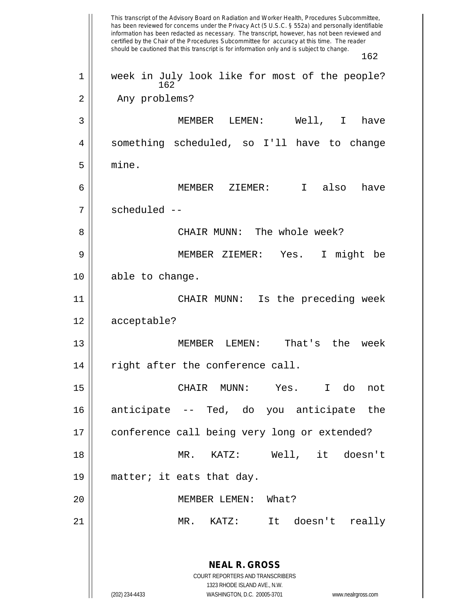This transcript of the Advisory Board on Radiation and Worker Health, Procedures Subcommittee, has been reviewed for concerns under the Privacy Act (5 U.S.C. § 552a) and personally identifiable information has been redacted as necessary. The transcript, however, has not been reviewed and certified by the Chair of the Procedures Subcommittee for accuracy at this time. The reader should be cautioned that this transcript is for information only and is subject to change. 162 **NEAL R. GROSS** COURT REPORTERS AND TRANSCRIBERS 1323 RHODE ISLAND AVE., N.W. (202) 234-4433 WASHINGTON, D.C. 20005-3701 www.nealrgross.com 162 1 || week in July look like for most of the people? 2 | Any problems? 3 MEMBER LEMEN: Well, I have 4 something scheduled, so I'll have to change  $5 \parallel$  mine. 6 MEMBER ZIEMER: I also have 7 || scheduled --8 || CHAIR MUNN: The whole week? 9 MEMBER ZIEMER: Yes. I might be 10 || able to change. 11 || CHAIR MUNN: Is the preceding week 12 acceptable? 13 MEMBER LEMEN: That's the week  $14$   $\parallel$  right after the conference call. 15 CHAIR MUNN: Yes. I do not 16 anticipate -- Ted, do you anticipate the 17 || conference call being very long or extended? 18 MR. KATZ: Well, it doesn't 19  $\parallel$  matter; it eats that day. 20 MEMBER LEMEN: What? 21 MR. KATZ: It doesn't really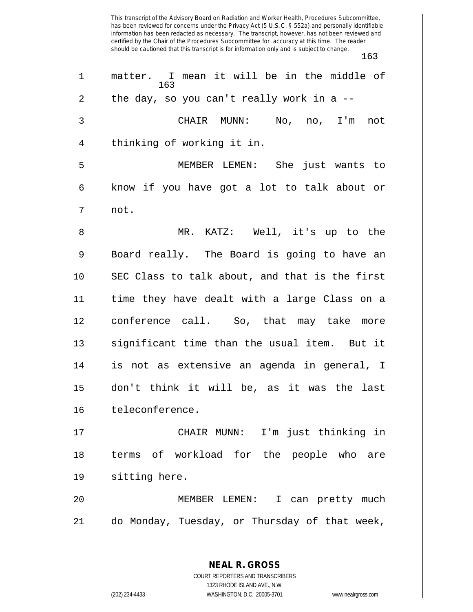This transcript of the Advisory Board on Radiation and Worker Health, Procedures Subcommittee, has been reviewed for concerns under the Privacy Act (5 U.S.C. § 552a) and personally identifiable information has been redacted as necessary. The transcript, however, has not been reviewed and certified by the Chair of the Procedures Subcommittee for accuracy at this time. The reader should be cautioned that this transcript is for information only and is subject to change. 163 **NEAL R. GROSS** 163 1 || matter. I mean it will be in the middle of  $2 \parallel$  the day, so you can't really work in a --3 CHAIR MUNN: No, no, I'm not 4 || thinking of working it in. 5 MEMBER LEMEN: She just wants to 6 || know if you have got a lot to talk about or  $7 \parallel$  not. 8 MR. KATZ: Well, it's up to the  $9 \parallel$  Board really. The Board is going to have an 10 SEC Class to talk about, and that is the first 11 time they have dealt with a large Class on a 12 conference call. So, that may take more 13 || significant time than the usual item. But it 14 is not as extensive an agenda in general, I 15 don't think it will be, as it was the last 16 | teleconference. 17 CHAIR MUNN: I'm just thinking in 18 terms of workload for the people who are 19 || sitting here. 20 MEMBER LEMEN: I can pretty much 21 do Monday, Tuesday, or Thursday of that week,

> COURT REPORTERS AND TRANSCRIBERS 1323 RHODE ISLAND AVE., N.W.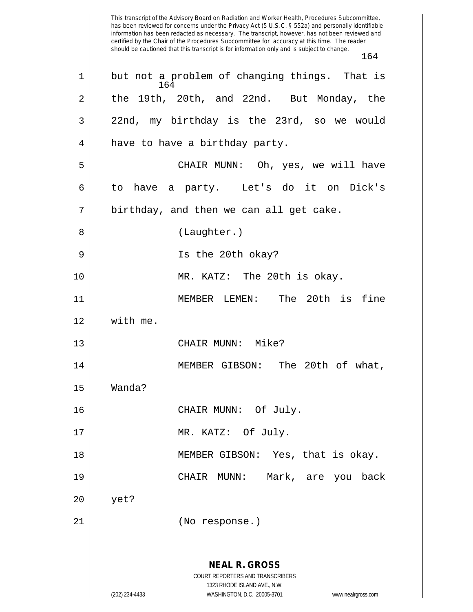This transcript of the Advisory Board on Radiation and Worker Health, Procedures Subcommittee, has been reviewed for concerns under the Privacy Act (5 U.S.C. § 552a) and personally identifiable information has been redacted as necessary. The transcript, however, has not been reviewed and certified by the Chair of the Procedures Subcommittee for accuracy at this time. The reader should be cautioned that this transcript is for information only and is subject to change. 164 **NEAL R. GROSS** COURT REPORTERS AND TRANSCRIBERS 1323 RHODE ISLAND AVE., N.W. (202) 234-4433 WASHINGTON, D.C. 20005-3701 www.nealrgross.com 164 1 || but not a problem of changing things. That is  $2 \parallel$  the 19th, 20th, and 22nd. But Monday, the  $3 \parallel$  22nd, my birthday is the 23rd, so we would 4 | have to have a birthday party. 5 CHAIR MUNN: Oh, yes, we will have  $6 \parallel$  to have a party. Let's do it on Dick's  $7 \parallel$  birthday, and then we can all get cake. 8 || (Laughter.) 9 Is the 20th okay? 10 MR. KATZ: The 20th is okay. 11 MEMBER LEMEN: The 20th is fine 12 with me. 13 || CHAIR MUNN: Mike? 14 MEMBER GIBSON: The 20th of what, 15 Wanda? 16 || CHAIR MUNN: Of July. 17 || MR. KATZ: Of July. 18 || MEMBER GIBSON: Yes, that is okay. 19 CHAIR MUNN: Mark, are you back 20 yet? 21 (No response.)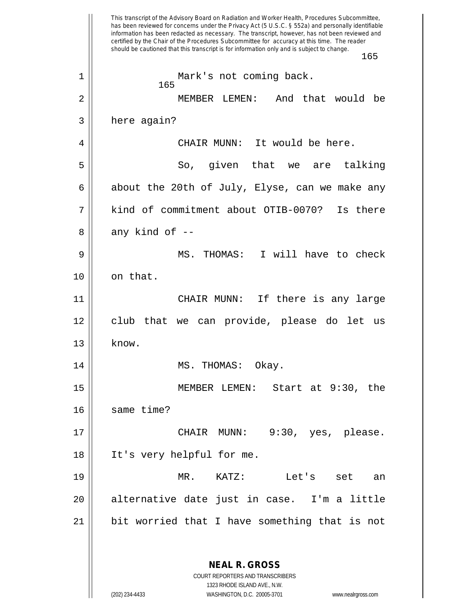This transcript of the Advisory Board on Radiation and Worker Health, Procedures Subcommittee, has been reviewed for concerns under the Privacy Act (5 U.S.C. § 552a) and personally identifiable information has been redacted as necessary. The transcript, however, has not been reviewed and certified by the Chair of the Procedures Subcommittee for accuracy at this time. The reader should be cautioned that this transcript is for information only and is subject to change. 165 **NEAL R. GROSS** COURT REPORTERS AND TRANSCRIBERS 1323 RHODE ISLAND AVE., N.W. (202) 234-4433 WASHINGTON, D.C. 20005-3701 www.nealrgross.com 165 1 || Mark's not coming back. 2 MEMBER LEMEN: And that would be  $3 \parallel$  here again? 4 CHAIR MUNN: It would be here. 5 So, given that we are talking 6  $\parallel$  about the 20th of July, Elyse, can we make any 7 kind of commitment about OTIB-0070? Is there  $8 \parallel$  any kind of  $-$ 9 MS. THOMAS: I will have to check  $10$  || on that. 11 CHAIR MUNN: If there is any large 12 club that we can provide, please do let us  $13$  | know. 14 || MS. THOMAS: Okay. 15 MEMBER LEMEN: Start at 9:30, the 16 Same time? 17 CHAIR MUNN: 9:30, yes, please. 18 It's very helpful for me. 19 MR. KATZ: Let's set an 20 alternative date just in case. I'm a little 21 bit worried that I have something that is not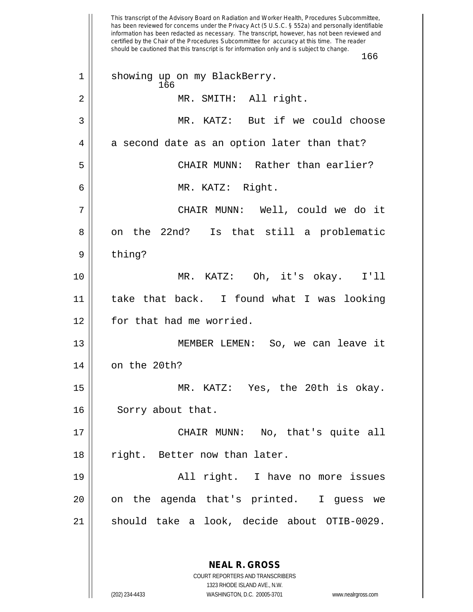This transcript of the Advisory Board on Radiation and Worker Health, Procedures Subcommittee, has been reviewed for concerns under the Privacy Act (5 U.S.C. § 552a) and personally identifiable information has been redacted as necessary. The transcript, however, has not been reviewed and certified by the Chair of the Procedures Subcommittee for accuracy at this time. The reader should be cautioned that this transcript is for information only and is subject to change. 166 166 1 || showing up on my BlackBerry. 2 || MR. SMITH: All right. 3 MR. KATZ: But if we could choose  $4 \parallel$  a second date as an option later than that? 5 CHAIR MUNN: Rather than earlier? 6 MR. KATZ: Right. 7 CHAIR MUNN: Well, could we do it 8 || on the 22nd? Is that still a problematic 9 | thing? 10 MR. KATZ: Oh, it's okay. I'll 11 take that back. I found what I was looking 12 || for that had me worried. 13 || MEMBER LEMEN: So, we can leave it 14 | on the 20th? 15 MR. KATZ: Yes, the 20th is okay. 16 | Sorry about that. 17 || CHAIR MUNN: No, that's quite all 18 || right. Better now than later. 19 || All right. I have no more issues 20 || on the agenda that's printed. I guess we 21 || should take a look, decide about OTIB-0029.

(202) 234-4433 WASHINGTON, D.C. 20005-3701 www.nealrgross.com

1323 RHODE ISLAND AVE., N.W.

**NEAL R. GROSS** COURT REPORTERS AND TRANSCRIBERS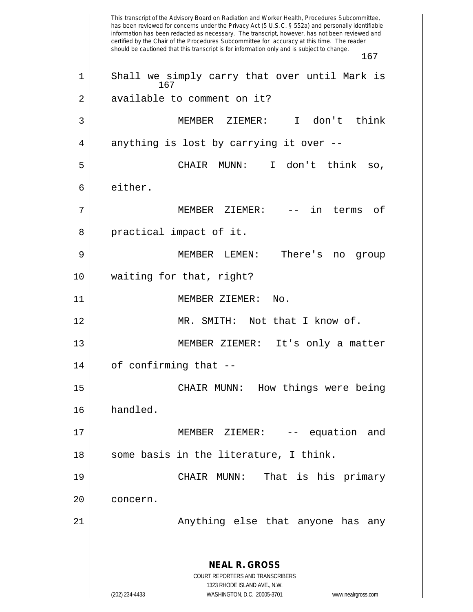This transcript of the Advisory Board on Radiation and Worker Health, Procedures Subcommittee, has been reviewed for concerns under the Privacy Act (5 U.S.C. § 552a) and personally identifiable information has been redacted as necessary. The transcript, however, has not been reviewed and certified by the Chair of the Procedures Subcommittee for accuracy at this time. The reader should be cautioned that this transcript is for information only and is subject to change. 167 **NEAL R. GROSS** COURT REPORTERS AND TRANSCRIBERS 1323 RHODE ISLAND AVE., N.W. (202) 234-4433 WASHINGTON, D.C. 20005-3701 www.nealrgross.com 167 1 || Shall we simply carry that over until Mark is 2 || available to comment on it? 3 MEMBER ZIEMER: I don't think  $4 \parallel$  anything is lost by carrying it over --5 CHAIR MUNN: I don't think so, 6 either. 7 MEMBER ZIEMER: -- in terms of 8 || practical impact of it. 9 MEMBER LEMEN: There's no group 10 waiting for that, right? 11 MEMBER ZIEMER: No. 12 MR. SMITH: Not that I know of. 13 || MEMBER ZIEMER: It's only a matter  $14$  | of confirming that  $-$ 15 CHAIR MUNN: How things were being 16 handled. 17 MEMBER ZIEMER: -- equation and  $18$  || some basis in the literature, I think. 19 CHAIR MUNN: That is his primary 20 || concern. 21 || Anything else that anyone has any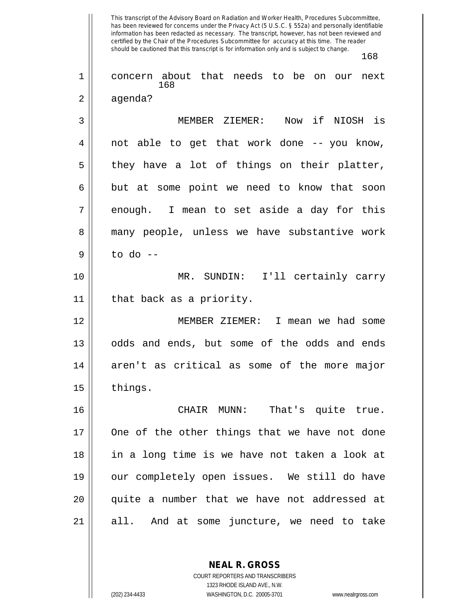This transcript of the Advisory Board on Radiation and Worker Health, Procedures Subcommittee, has been reviewed for concerns under the Privacy Act (5 U.S.C. § 552a) and personally identifiable information has been redacted as necessary. The transcript, however, has not been reviewed and certified by the Chair of the Procedures Subcommittee for accuracy at this time. The reader should be cautioned that this transcript is for information only and is subject to change. 168 168 1 || concern about that needs to be on our next 2 | agenda? 3 MEMBER ZIEMER: Now if NIOSH is  $4 \parallel$  not able to get that work done -- you know,  $5 \parallel$  they have a lot of things on their platter,  $6 \parallel$  but at some point we need to know that soon 7 || enough. I mean to set aside a day for this 8 || many people, unless we have substantive work  $9 \parallel$  to do --10 MR. SUNDIN: I'll certainly carry 11 that back as a priority. 12 MEMBER ZIEMER: I mean we had some 13 || odds and ends, but some of the odds and ends  $14$  aren't as critical as some of the more major 15 || things. 16 CHAIR MUNN: That's quite true. 17 || One of the other things that we have not done 18 in a long time is we have not taken a look at 19 our completely open issues. We still do have 20 || quite a number that we have not addressed at 21 all. And at some juncture, we need to take

> **NEAL R. GROSS** COURT REPORTERS AND TRANSCRIBERS 1323 RHODE ISLAND AVE., N.W.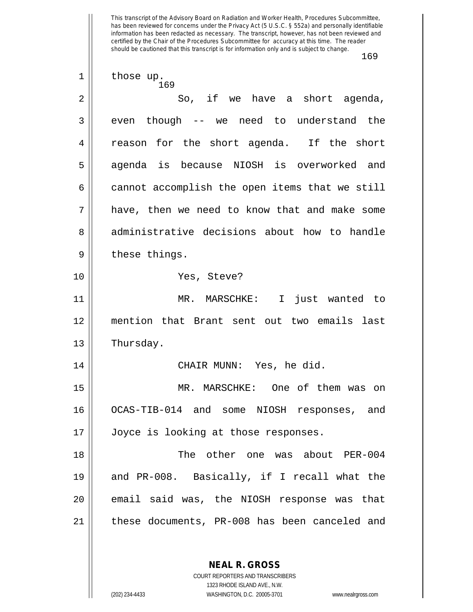This transcript of the Advisory Board on Radiation and Worker Health, Procedures Subcommittee, has been reviewed for concerns under the Privacy Act (5 U.S.C. § 552a) and personally identifiable information has been redacted as necessary. The transcript, however, has not been reviewed and certified by the Chair of the Procedures Subcommittee for accuracy at this time. The reader should be cautioned that this transcript is for information only and is subject to change.

169

169 1 | those up. 2 So, if we have a short agenda,  $3 \parallel$  even though -- we need to understand the 4 || reason for the short agenda. If the short 5 || agenda is because NIOSH is overworked and  $6 \parallel$  cannot accomplish the open items that we still 7 have, then we need to know that and make some 8 administrative decisions about how to handle  $9 \parallel$  these things. 10 Yes, Steve? 11 MR. MARSCHKE: I just wanted to 12 mention that Brant sent out two emails last 13 | Thursday. 14 || CHAIR MUNN: Yes, he did. 15 MR. MARSCHKE: One of them was on 16 OCAS-TIB-014 and some NIOSH responses, and 17 || Joyce is looking at those responses. 18 The other one was about PER-004 19 and PR-008. Basically, if I recall what the 20 || email said was, the NIOSH response was that 21 these documents, PR-008 has been canceled and

> **NEAL R. GROSS** COURT REPORTERS AND TRANSCRIBERS 1323 RHODE ISLAND AVE., N.W.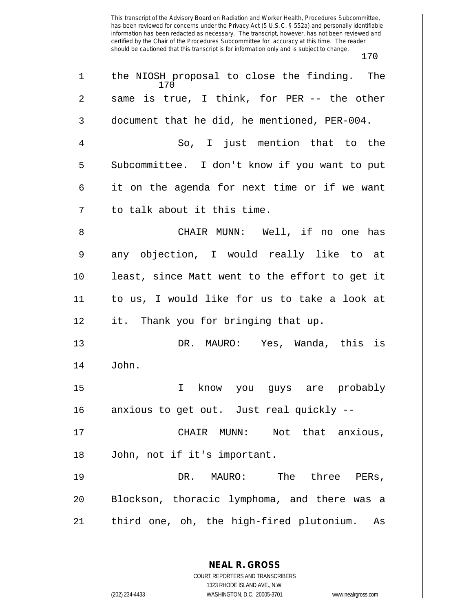This transcript of the Advisory Board on Radiation and Worker Health, Procedures Subcommittee, has been reviewed for concerns under the Privacy Act (5 U.S.C. § 552a) and personally identifiable information has been redacted as necessary. The transcript, however, has not been reviewed and certified by the Chair of the Procedures Subcommittee for accuracy at this time. The reader should be cautioned that this transcript is for information only and is subject to change. 170

170 1 || the NIOSH proposal to close the finding. The  $2 \parallel$  same is true, I think, for PER -- the other  $3 \parallel$  document that he did, he mentioned, PER-004. 4 || So, I just mention that to the 5 || Subcommittee. I don't know if you want to put  $6 \parallel$  it on the agenda for next time or if we want 7 || to talk about it this time. 8 CHAIR MUNN: Well, if no one has  $9 \parallel$  any objection, I would really like to at 10 least, since Matt went to the effort to get it 11 to us, I would like for us to take a look at 12 it. Thank you for bringing that up. 13 DR. MAURO: Yes, Wanda, this is  $14 \parallel$  John. 15 I know you guys are probably 16 || anxious to get out. Just real quickly --17 CHAIR MUNN: Not that anxious, 18 John, not if it's important. 19 DR. MAURO: The three PERs, 20 Blockson, thoracic lymphoma, and there was a 21 || third one, oh, the high-fired plutonium. As

> **NEAL R. GROSS** COURT REPORTERS AND TRANSCRIBERS

1323 RHODE ISLAND AVE., N.W. (202) 234-4433 WASHINGTON, D.C. 20005-3701 www.nealrgross.com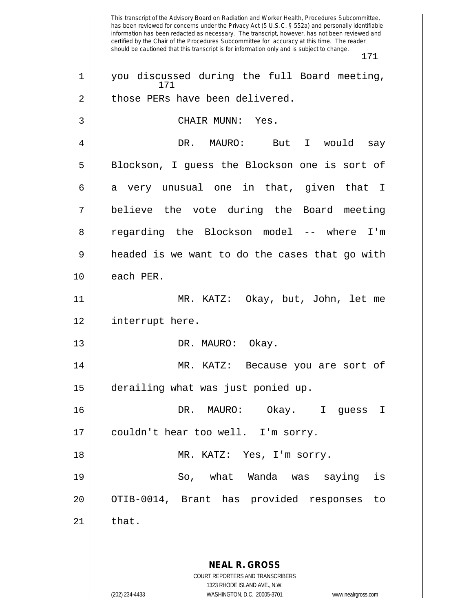This transcript of the Advisory Board on Radiation and Worker Health, Procedures Subcommittee, has been reviewed for concerns under the Privacy Act (5 U.S.C. § 552a) and personally identifiable information has been redacted as necessary. The transcript, however, has not been reviewed and certified by the Chair of the Procedures Subcommittee for accuracy at this time. The reader should be cautioned that this transcript is for information only and is subject to change. 171 **NEAL R. GROSS** COURT REPORTERS AND TRANSCRIBERS 1323 RHODE ISLAND AVE., N.W. (202) 234-4433 WASHINGTON, D.C. 20005-3701 www.nealrgross.com 171 1 || you discussed during the full Board meeting, 2 || those PERs have been delivered. 3 || CHAIR MUNN: Yes. 4 DR. MAURO: But I would say 5 || Blockson, I guess the Blockson one is sort of  $6 \parallel$  a very unusual one in that, given that I 7 believe the vote during the Board meeting 8 || regarding the Blockson model -- where I'm  $9 \parallel$  headed is we want to do the cases that go with  $10$  || each PER. 11 MR. KATZ: Okay, but, John, let me 12 interrupt here. 13 || DR. MAURO: Okay. 14 MR. KATZ: Because you are sort of 15 derailing what was just ponied up. 16 DR. MAURO: Okay. I guess I 17 || couldn't hear too well. I'm sorry. 18 || MR. KATZ: Yes, I'm sorry. 19 So, what Wanda was saying is 20 || OTIB-0014, Brant has provided responses to  $21$   $\parallel$  that.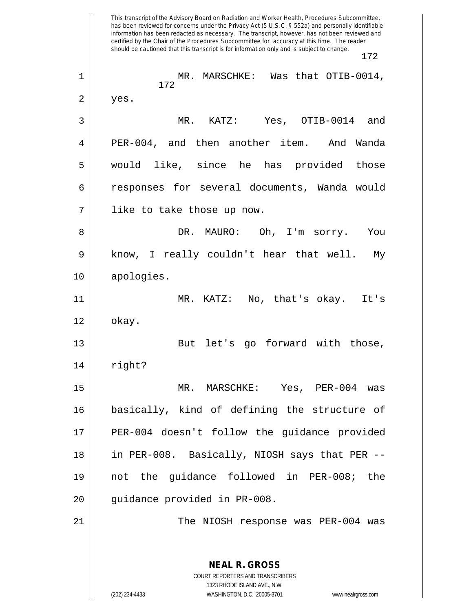This transcript of the Advisory Board on Radiation and Worker Health, Procedures Subcommittee, has been reviewed for concerns under the Privacy Act (5 U.S.C. § 552a) and personally identifiable information has been redacted as necessary. The transcript, however, has not been reviewed and certified by the Chair of the Procedures Subcommittee for accuracy at this time. The reader should be cautioned that this transcript is for information only and is subject to change. 172 **NEAL R. GROSS** COURT REPORTERS AND TRANSCRIBERS 1323 RHODE ISLAND AVE., N.W. 172 1 MR. MARSCHKE: Was that OTIB-0014,  $2 \parallel$  yes. 3 MR. KATZ: Yes, OTIB-0014 and 4 PER-004, and then another item. And Wanda 5 would like, since he has provided those 6 responses for several documents, Wanda would 7 like to take those up now. 8 DR. MAURO: Oh, I'm sorry. You 9 || know, I really couldn't hear that well. My 10 apologies. 11 MR. KATZ: No, that's okay. It's  $12 \parallel$  okay. 13 || But let's go forward with those,  $14$   $\parallel$  right? 15 MR. MARSCHKE: Yes, PER-004 was 16 basically, kind of defining the structure of 17 || PER-004 doesn't follow the guidance provided 18 || in PER-008. Basically, NIOSH says that PER --19 not the guidance followed in PER-008; the 20 || guidance provided in PR-008. 21 The NIOSH response was PER-004 was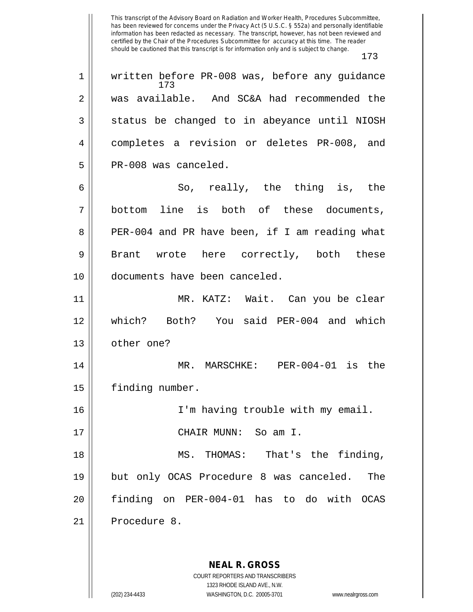This transcript of the Advisory Board on Radiation and Worker Health, Procedures Subcommittee, has been reviewed for concerns under the Privacy Act (5 U.S.C. § 552a) and personally identifiable information has been redacted as necessary. The transcript, however, has not been reviewed and certified by the Chair of the Procedures Subcommittee for accuracy at this time. The reader should be cautioned that this transcript is for information only and is subject to change. 173 173 1 || written before PR-008 was, before any guidance 2 was available. And SC&A had recommended the  $3 \parallel$  status be changed to in abeyance until NIOSH 4 | completes a revision or deletes PR-008, and  $5 \parallel$  PR-008 was canceled. 6  $\parallel$  So, really, the thing is, the 7 bottom line is both of these documents, 8 || PER-004 and PR have been, if I am reading what 9 || Brant wrote here correctly, both these 10 documents have been canceled. 11 MR. KATZ: Wait. Can you be clear 12 which? Both? You said PER-004 and which 13 | other one? 14 MR. MARSCHKE: PER-004-01 is the 15 | finding number. 16 || I'm having trouble with my email. 17 CHAIR MUNN: So am I. 18 MS. THOMAS: That's the finding, 19 but only OCAS Procedure 8 was canceled. The 20 finding on PER-004-01 has to do with OCAS 21 || Procedure 8.

> COURT REPORTERS AND TRANSCRIBERS 1323 RHODE ISLAND AVE., N.W. (202) 234-4433 WASHINGTON, D.C. 20005-3701 www.nealrgross.com

**NEAL R. GROSS**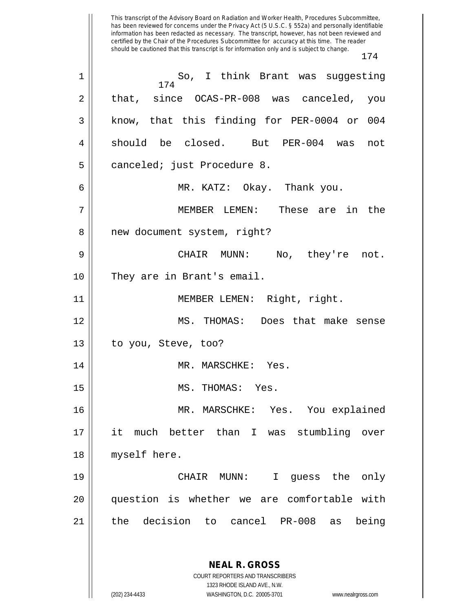This transcript of the Advisory Board on Radiation and Worker Health, Procedures Subcommittee, has been reviewed for concerns under the Privacy Act (5 U.S.C. § 552a) and personally identifiable information has been redacted as necessary. The transcript, however, has not been reviewed and certified by the Chair of the Procedures Subcommittee for accuracy at this time. The reader should be cautioned that this transcript is for information only and is subject to change. 174 174 1 So, I think Brant was suggesting  $2 \parallel$  that, since OCAS-PR-008 was canceled, you 3 || know, that this finding for PER-0004 or 004 4 should be closed. But PER-004 was not 5 | canceled; just Procedure 8. 6 MR. KATZ: Okay. Thank you. 7 MEMBER LEMEN: These are in the 8 | new document system, right? 9 CHAIR MUNN: No, they're not. 10 || They are in Brant's email. 11 MEMBER LEMEN: Right, right. 12 MS. THOMAS: Does that make sense  $13$  | to you, Steve, too? 14 || MR. MARSCHKE: Yes. 15 MS. THOMAS: Yes. 16 MR. MARSCHKE: Yes. You explained 17 it much better than I was stumbling over 18 || myself here. 19 CHAIR MUNN: I guess the only 20 question is whether we are comfortable with 21 the decision to cancel PR-008 as being

> **NEAL R. GROSS** COURT REPORTERS AND TRANSCRIBERS 1323 RHODE ISLAND AVE., N.W.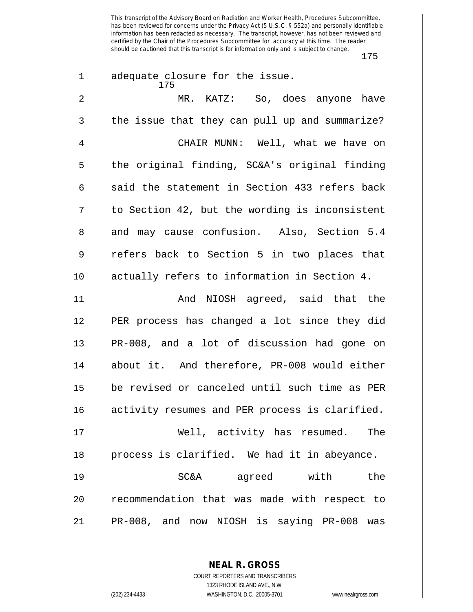This transcript of the Advisory Board on Radiation and Worker Health, Procedures Subcommittee, has been reviewed for concerns under the Privacy Act (5 U.S.C. § 552a) and personally identifiable information has been redacted as necessary. The transcript, however, has not been reviewed and certified by the Chair of the Procedures Subcommittee for accuracy at this time. The reader should be cautioned that this transcript is for information only and is subject to change.

| $\mathbf 1$ | adequate closure for the issue.                |
|-------------|------------------------------------------------|
| 2           | MR. KATZ: So, does anyone have                 |
| 3           | the issue that they can pull up and summarize? |
| 4           | CHAIR MUNN: Well, what we have on              |
| 5           | the original finding, SC&A's original finding  |
| 6           | said the statement in Section 433 refers back  |
| 7           | to Section 42, but the wording is inconsistent |
| 8           | and may cause confusion. Also, Section 5.4     |
| 9           | refers back to Section 5 in two places that    |
| 10          | actually refers to information in Section 4.   |
| 11          | And NIOSH agreed, said that the                |
| 12          | PER process has changed a lot since they did   |
| 13          | PR-008, and a lot of discussion had gone on    |
| 14          | about it. And therefore, PR-008 would either   |
| 15          | be revised or canceled until such time as PER  |
| 16          | activity resumes and PER process is clarified. |
| 17          | Well, activity has resumed.<br>The             |
| 18          | process is clarified. We had it in abeyance.   |
| 19          | SC&A agreed with<br>the                        |
| 20          | recommendation that was made with respect to   |
| 21          | PR-008, and now NIOSH is saying PR-008 was     |

**NEAL R. GROSS** COURT REPORTERS AND TRANSCRIBERS

1323 RHODE ISLAND AVE., N.W.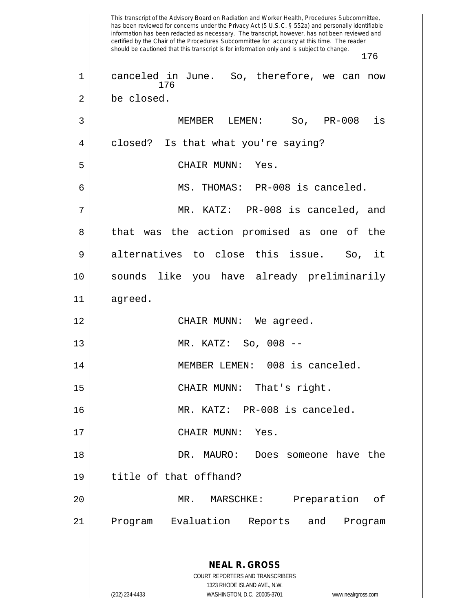This transcript of the Advisory Board on Radiation and Worker Health, Procedures Subcommittee, has been reviewed for concerns under the Privacy Act (5 U.S.C. § 552a) and personally identifiable information has been redacted as necessary. The transcript, however, has not been reviewed and certified by the Chair of the Procedures Subcommittee for accuracy at this time. The reader should be cautioned that this transcript is for information only and is subject to change. 176 **NEAL R. GROSS** COURT REPORTERS AND TRANSCRIBERS 1323 RHODE ISLAND AVE., N.W. 176 1 || canceled in June. So, therefore, we can now 2 | be closed. 3 MEMBER LEMEN: So, PR-008 is 4 | closed? Is that what you're saying? 5 CHAIR MUNN: Yes. 6 MS. THOMAS: PR-008 is canceled. 7 MR. KATZ: PR-008 is canceled, and 8 || that was the action promised as one of the  $9 \parallel$  alternatives to close this issue. So, it 10 sounds like you have already preliminarily 11 agreed. 12 CHAIR MUNN: We agreed. 13 MR. KATZ: So, 008 -- 14 || MEMBER LEMEN: 008 is canceled. 15 || CHAIR MUNN: That's right. 16 MR. KATZ: PR-008 is canceled. 17 || CHAIR MUNN: Yes. 18 DR. MAURO: Does someone have the 19 title of that offhand? 20 MR. MARSCHKE: Preparation of 21 || Program Evaluation Reports and Program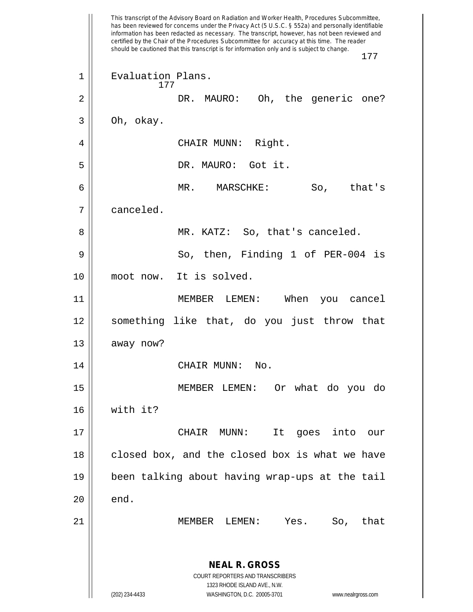This transcript of the Advisory Board on Radiation and Worker Health, Procedures Subcommittee, has been reviewed for concerns under the Privacy Act (5 U.S.C. § 552a) and personally identifiable information has been redacted as necessary. The transcript, however, has not been reviewed and certified by the Chair of the Procedures Subcommittee for accuracy at this time. The reader should be cautioned that this transcript is for information only and is subject to change. 177 **NEAL R. GROSS** COURT REPORTERS AND TRANSCRIBERS 1323 RHODE ISLAND AVE., N.W. (202) 234-4433 WASHINGTON, D.C. 20005-3701 www.nealrgross.com 177 1 || Evaluation Plans. 2 DR. MAURO: Oh, the generic one?  $3 \parallel$  Oh, okay. 4 | CHAIR MUNN: Right. 5 DR. MAURO: Got it. 6 MR. MARSCHKE: So, that's 7 canceled. 8 MR. KATZ: So, that's canceled. 9 So, then, Finding 1 of PER-004 is 10 || moot now. It is solved. 11 MEMBER LEMEN: When you cancel 12 something like that, do you just throw that  $13$  away now? 14 | CHAIR MUNN: No. 15 MEMBER LEMEN: Or what do you do 16 with it? 17 CHAIR MUNN: It goes into our  $18$  closed box, and the closed box is what we have 19 been talking about having wrap-ups at the tail  $20$  ||  $end.$ 21 MEMBER LEMEN: Yes. So, that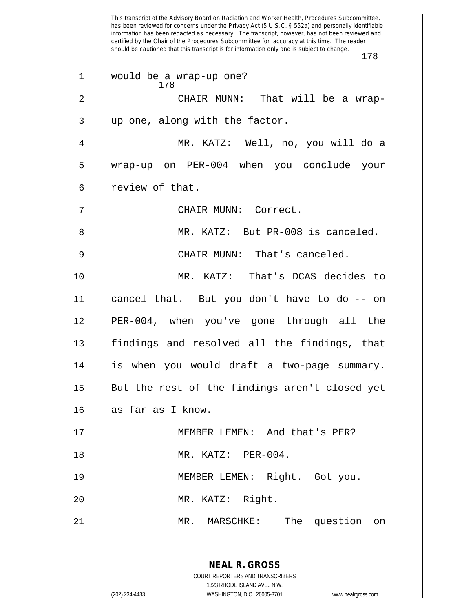This transcript of the Advisory Board on Radiation and Worker Health, Procedures Subcommittee, has been reviewed for concerns under the Privacy Act (5 U.S.C. § 552a) and personally identifiable information has been redacted as necessary. The transcript, however, has not been reviewed and certified by the Chair of the Procedures Subcommittee for accuracy at this time. The reader should be cautioned that this transcript is for information only and is subject to change. 178 **NEAL R. GROSS** COURT REPORTERS AND TRANSCRIBERS 1323 RHODE ISLAND AVE., N.W. (202) 234-4433 WASHINGTON, D.C. 20005-3701 www.nealrgross.com 178 1 would be a wrap-up one? 2 CHAIR MUNN: That will be a wrap- $3 \parallel$  up one, along with the factor. 4 MR. KATZ: Well, no, you will do a 5 wrap-up on PER-004 when you conclude your  $6 \parallel$  review of that. 7 CHAIR MUNN: Correct. 8 MR. KATZ: But PR-008 is canceled. 9 CHAIR MUNN: That's canceled. 10 MR. KATZ: That's DCAS decides to 11 cancel that. But you don't have to do -- on 12 PER-004, when you've gone through all the 13 || findings and resolved all the findings, that 14 is when you would draft a two-page summary. 15 || But the rest of the findings aren't closed yet 16 || as far as I know. 17 MEMBER LEMEN: And that's PER? 18 MR. KATZ: PER-004. 19 MEMBER LEMEN: Right. Got you. 20 MR. KATZ: Right. 21 MR. MARSCHKE: The question on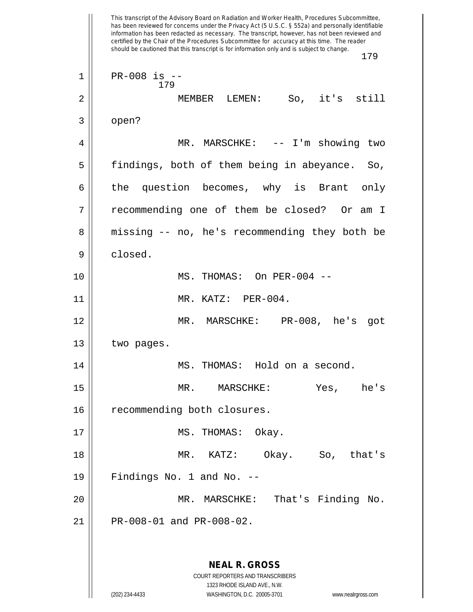This transcript of the Advisory Board on Radiation and Worker Health, Procedures Subcommittee, has been reviewed for concerns under the Privacy Act (5 U.S.C. § 552a) and personally identifiable information has been redacted as necessary. The transcript, however, has not been reviewed and certified by the Chair of the Procedures Subcommittee for accuracy at this time. The reader should be cautioned that this transcript is for information only and is subject to change. 179 **NEAL R. GROSS** COURT REPORTERS AND TRANSCRIBERS 1323 RHODE ISLAND AVE., N.W. (202) 234-4433 WASHINGTON, D.C. 20005-3701 www.nealrgross.com 179 1 PR-008 is -- 2 MEMBER LEMEN: So, it's still  $3 \parallel$  open? 4 MR. MARSCHKE: -- I'm showing two 5 || findings, both of them being in abeyance. So, 6 the question becomes, why is Brant only 7 recommending one of them be closed? Or am I 8 || missing -- no, he's recommending they both be 9 closed. 10 MS. THOMAS: On PER-004 -- 11 || MR. KATZ: PER-004. 12 MR. MARSCHKE: PR-008, he's got 13 | two pages. 14 || MS. THOMAS: Hold on a second. 15 MR. MARSCHKE: Yes, he's 16 | recommending both closures. 17 || MS. THOMAS: Okay. 18 MR. KATZ: Okay. So, that's  $19$  || Findings No. 1 and No.  $-$ 20 MR. MARSCHKE: That's Finding No.  $21$  | PR-008-01 and PR-008-02.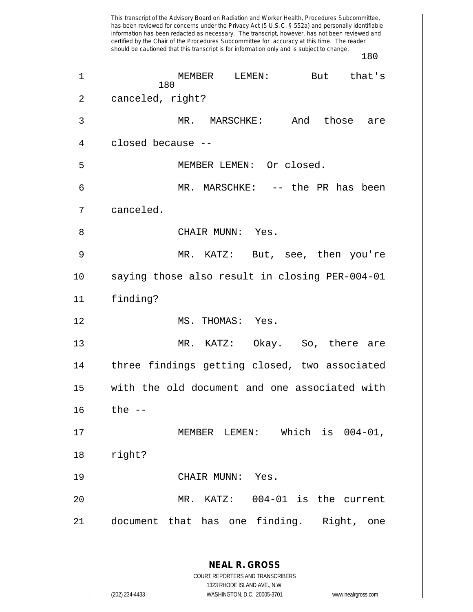This transcript of the Advisory Board on Radiation and Worker Health, Procedures Subcommittee, has been reviewed for concerns under the Privacy Act (5 U.S.C. § 552a) and personally identifiable information has been redacted as necessary. The transcript, however, has not been reviewed and certified by the Chair of the Procedures Subcommittee for accuracy at this time. The reader should be cautioned that this transcript is for information only and is subject to change. 180 **NEAL R. GROSS** COURT REPORTERS AND TRANSCRIBERS 1323 RHODE ISLAND AVE., N.W. (202) 234-4433 WASHINGTON, D.C. 20005-3701 www.nealrgross.com 180 1 || MEMBER LEMEN: But that's 2 | canceled, right? 3 MR. MARSCHKE: And those are 4 closed because -- 5 MEMBER LEMEN: Or closed. 6 || MR. MARSCHKE: -- the PR has been 7 canceled. 8 CHAIR MUNN: Yes. 9 MR. KATZ: But, see, then you're 10 saying those also result in closing PER-004-01 11 finding? 12 || MS. THOMAS: Yes. 13 MR. KATZ: Okay. So, there are 14 || three findings getting closed, two associated 15 with the old document and one associated with  $16$  || the  $-$ 17 MEMBER LEMEN: Which is 004-01,  $18$  | right? 19 CHAIR MUNN: Yes. 20 MR. KATZ: 004-01 is the current 21 document that has one finding. Right, one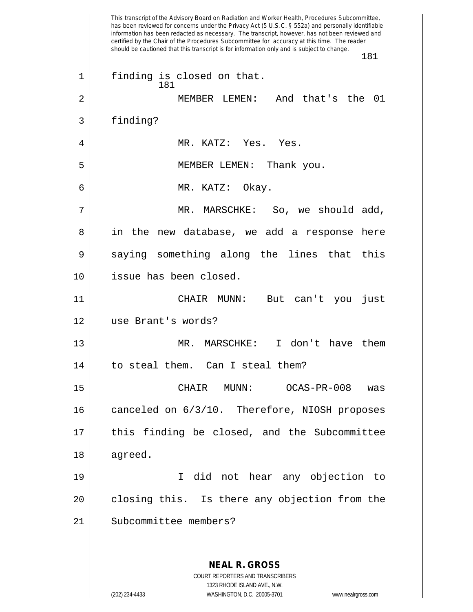This transcript of the Advisory Board on Radiation and Worker Health, Procedures Subcommittee, has been reviewed for concerns under the Privacy Act (5 U.S.C. § 552a) and personally identifiable information has been redacted as necessary. The transcript, however, has not been reviewed and certified by the Chair of the Procedures Subcommittee for accuracy at this time. The reader should be cautioned that this transcript is for information only and is subject to change. 181 **NEAL R. GROSS** COURT REPORTERS AND TRANSCRIBERS 1323 RHODE ISLAND AVE., N.W. (202) 234-4433 WASHINGTON, D.C. 20005-3701 www.nealrgross.com 181 1 || finding is closed on that. 2 MEMBER LEMEN: And that's the 01 3 | finding? 4 MR. KATZ: Yes. Yes. 5 MEMBER LEMEN: Thank you. 6 MR. KATZ: Okay. 7 MR. MARSCHKE: So, we should add, 8 in the new database, we add a response here  $9 \parallel$  saying something along the lines that this 10 issue has been closed. 11 CHAIR MUNN: But can't you just 12 use Brant's words? 13 MR. MARSCHKE: I don't have them 14 || to steal them. Can I steal them? 15 CHAIR MUNN: OCAS-PR-008 was 16 || canceled on 6/3/10. Therefore, NIOSH proposes 17 || this finding be closed, and the Subcommittee 18 agreed. 19 I did not hear any objection to  $20$  || closing this. Is there any objection from the 21 || Subcommittee members?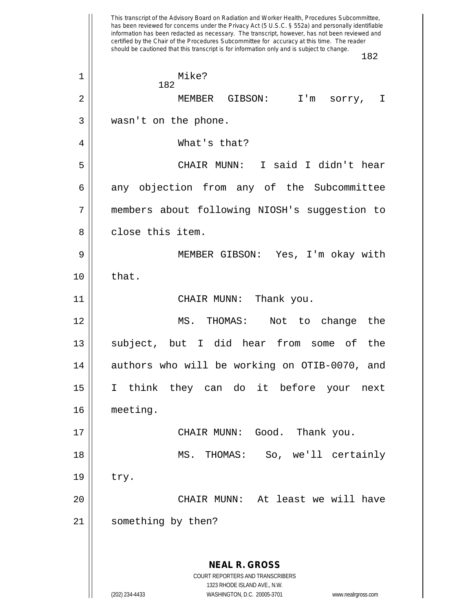This transcript of the Advisory Board on Radiation and Worker Health, Procedures Subcommittee, has been reviewed for concerns under the Privacy Act (5 U.S.C. § 552a) and personally identifiable information has been redacted as necessary. The transcript, however, has not been reviewed and certified by the Chair of the Procedures Subcommittee for accuracy at this time. The reader should be cautioned that this transcript is for information only and is subject to change. 182 **NEAL R. GROSS** COURT REPORTERS AND TRANSCRIBERS 1323 RHODE ISLAND AVE., N.W. (202) 234-4433 WASHINGTON, D.C. 20005-3701 www.nealrgross.com 182 1 || Mike? 2 MEMBER GIBSON: I'm sorry, I 3 wasn't on the phone. 4 What's that? 5 CHAIR MUNN: I said I didn't hear 6 any objection from any of the Subcommittee 7 members about following NIOSH's suggestion to 8 d close this item. 9 MEMBER GIBSON: Yes, I'm okay with  $10 \parallel$  that. 11 CHAIR MUNN: Thank you. 12 MS. THOMAS: Not to change the 13 || subject, but I did hear from some of the  $14$  authors who will be working on OTIB-0070, and 15 I think they can do it before your next 16 meeting. 17 CHAIR MUNN: Good. Thank you. 18 MS. THOMAS: So, we'll certainly  $19 \parallel$  try. 20 CHAIR MUNN: At least we will have 21 || something by then?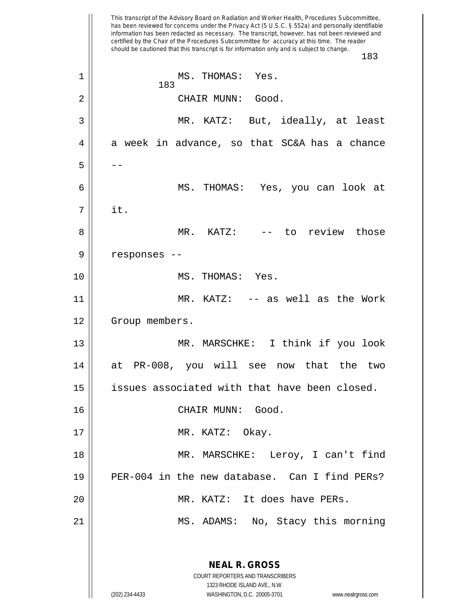This transcript of the Advisory Board on Radiation and Worker Health, Procedures Subcommittee, has been reviewed for concerns under the Privacy Act (5 U.S.C. § 552a) and personally identifiable information has been redacted as necessary. The transcript, however, has not been reviewed and certified by the Chair of the Procedures Subcommittee for accuracy at this time. The reader should be cautioned that this transcript is for information only and is subject to change. 183 **NEAL R. GROSS** COURT REPORTERS AND TRANSCRIBERS 1323 RHODE ISLAND AVE., N.W. (202) 234-4433 WASHINGTON, D.C. 20005-3701 www.nealrgross.com 183 1 || MS. THOMAS: Yes. 2 || CHAIR MUNN: Good. 3 MR. KATZ: But, ideally, at least  $4 \parallel$  a week in advance, so that SC&A has a chance  $5 \parallel - -$ 6 MS. THOMAS: Yes, you can look at  $7 \parallel$  it. 8 MR. KATZ: -- to review those 9 || responses --10 || MS. THOMAS: Yes. 11 || MR. KATZ: -- as well as the Work 12 | Group members. 13 MR. MARSCHKE: I think if you look 14 at PR-008, you will see now that the two 15 | issues associated with that have been closed. 16 CHAIR MUNN: Good. 17 || MR. KATZ: Okay. 18 || MR. MARSCHKE: Leroy, I can't find 19 PER-004 in the new database. Can I find PERs? 20 MR. KATZ: It does have PERs. 21 || MS. ADAMS: No, Stacy this morning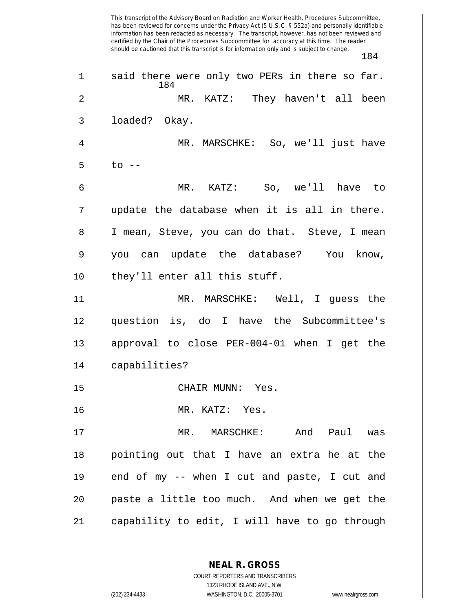This transcript of the Advisory Board on Radiation and Worker Health, Procedures Subcommittee, has been reviewed for concerns under the Privacy Act (5 U.S.C. § 552a) and personally identifiable information has been redacted as necessary. The transcript, however, has not been reviewed and certified by the Chair of the Procedures Subcommittee for accuracy at this time. The reader should be cautioned that this transcript is for information only and is subject to change. 184 184  $1$  | said there were only two PERs in there so far. 2 MR. KATZ: They haven't all been 3 || loaded? Okay. 4 MR. MARSCHKE: So, we'll just have  $5 \parallel$  to  $-$ 6 MR. KATZ: So, we'll have to  $7 ||$  update the database when it is all in there. 8 || I mean, Steve, you can do that. Steve, I mean 9 you can update the database? You know, 10 || they'll enter all this stuff. 11 MR. MARSCHKE: Well, I guess the 12 question is, do I have the Subcommittee's 13 approval to close PER-004-01 when I get the 14 | capabilities? 15 CHAIR MUNN: Yes. 16 MR. KATZ: Yes. 17 MR. MARSCHKE: And Paul was 18 pointing out that I have an extra he at the  $19$  || end of my -- when I cut and paste, I cut and  $20$  || paste a little too much. And when we get the 21 capability to edit, I will have to go through

> **NEAL R. GROSS** COURT REPORTERS AND TRANSCRIBERS

1323 RHODE ISLAND AVE., N.W. (202) 234-4433 WASHINGTON, D.C. 20005-3701 www.nealrgross.com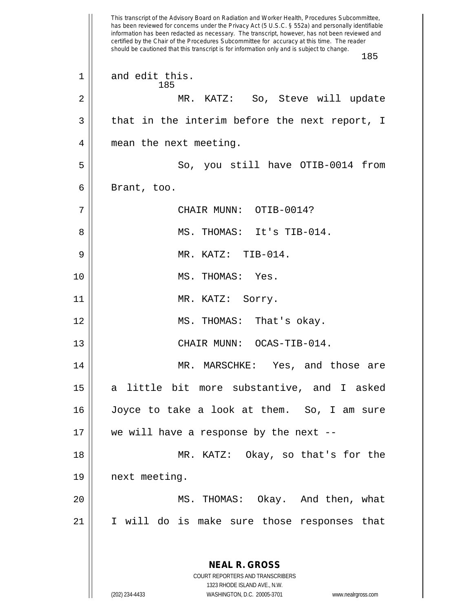This transcript of the Advisory Board on Radiation and Worker Health, Procedures Subcommittee, has been reviewed for concerns under the Privacy Act (5 U.S.C. § 552a) and personally identifiable information has been redacted as necessary. The transcript, however, has not been reviewed and certified by the Chair of the Procedures Subcommittee for accuracy at this time. The reader should be cautioned that this transcript is for information only and is subject to change. 185 **NEAL R. GROSS** COURT REPORTERS AND TRANSCRIBERS 1323 RHODE ISLAND AVE., N.W. (202) 234-4433 WASHINGTON, D.C. 20005-3701 www.nealrgross.com 185 1 and edit this. 2 MR. KATZ: So, Steve will update  $3 \parallel$  that in the interim before the next report, I 4 | mean the next meeting. 5 So, you still have OTIB-0014 from  $6 \parallel$  Brant, too. 7 CHAIR MUNN: OTIB-0014? 8 MS. THOMAS: It's TIB-014. 9 MR. KATZ: TIB-014. 10 || MS. THOMAS: Yes. 11 || MR. KATZ: Sorry. 12 MS. THOMAS: That's okay. 13 || CHAIR MUNN: OCAS-TIB-014. 14 || MR. MARSCHKE: Yes, and those are 15 a little bit more substantive, and I asked 16 Joyce to take a look at them. So, I am sure 17 we will have a response by the next -- 18 MR. KATZ: Okay, so that's for the 19 next meeting. 20 MS. THOMAS: Okay. And then, what 21 I will do is make sure those responses that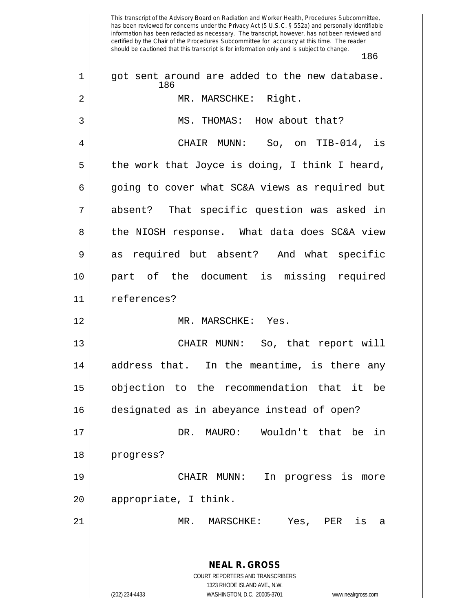This transcript of the Advisory Board on Radiation and Worker Health, Procedures Subcommittee, has been reviewed for concerns under the Privacy Act (5 U.S.C. § 552a) and personally identifiable information has been redacted as necessary. The transcript, however, has not been reviewed and certified by the Chair of the Procedures Subcommittee for accuracy at this time. The reader should be cautioned that this transcript is for information only and is subject to change. 186 **NEAL R. GROSS** COURT REPORTERS AND TRANSCRIBERS 1323 RHODE ISLAND AVE., N.W. (202) 234-4433 WASHINGTON, D.C. 20005-3701 www.nealrgross.com 186  $1$  | got sent around are added to the new database. 2 MR. MARSCHKE: Right. 3 || MS. THOMAS: How about that? 4 CHAIR MUNN: So, on TIB-014, is  $5 \parallel$  the work that Joyce is doing, I think I heard, 6 | going to cover what SC&A views as required but 7 absent? That specific question was asked in 8 the NIOSH response. What data does SC&A view 9 as required but absent? And what specific 10 part of the document is missing required 11 | references? 12 || MR. MARSCHKE: Yes. 13 || CHAIR MUNN: So, that report will 14 address that. In the meantime, is there any 15 objection to the recommendation that it be 16 designated as in abeyance instead of open? 17 DR. MAURO: Wouldn't that be in 18 progress? 19 CHAIR MUNN: In progress is more 20 || appropriate, I think. 21 MR. MARSCHKE: Yes, PER is a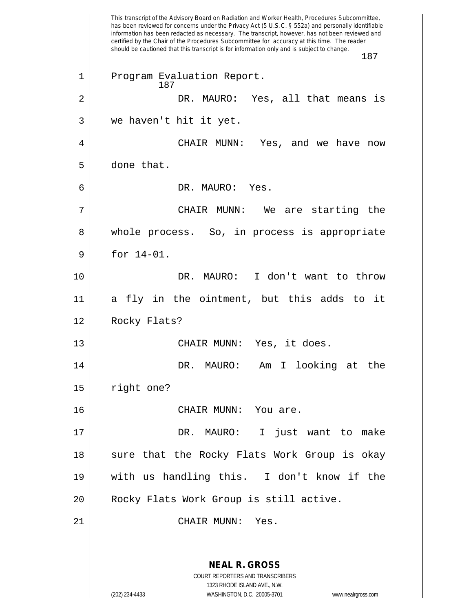This transcript of the Advisory Board on Radiation and Worker Health, Procedures Subcommittee, has been reviewed for concerns under the Privacy Act (5 U.S.C. § 552a) and personally identifiable information has been redacted as necessary. The transcript, however, has not been reviewed and certified by the Chair of the Procedures Subcommittee for accuracy at this time. The reader should be cautioned that this transcript is for information only and is subject to change. 187 **NEAL R. GROSS** COURT REPORTERS AND TRANSCRIBERS 1323 RHODE ISLAND AVE., N.W. 187 1 || Program Evaluation Report. 2 DR. MAURO: Yes, all that means is 3 || we haven't hit it yet. 4 CHAIR MUNN: Yes, and we have now  $5 \parallel$  done that. 6 DR. MAURO: Yes. 7 CHAIR MUNN: We are starting the 8 || whole process. So, in process is appropriate  $9 \parallel$  for 14-01. 10 DR. MAURO: I don't want to throw 11 a fly in the ointment, but this adds to it 12 Rocky Flats? 13 || CHAIR MUNN: Yes, it does. 14 DR. MAURO: Am I looking at the 15 | right one? 16 CHAIR MUNN: You are. 17 DR. MAURO: I just want to make 18 || sure that the Rocky Flats Work Group is okay 19 with us handling this. I don't know if the 20 || Rocky Flats Work Group is still active. 21 || CHAIR MUNN: Yes.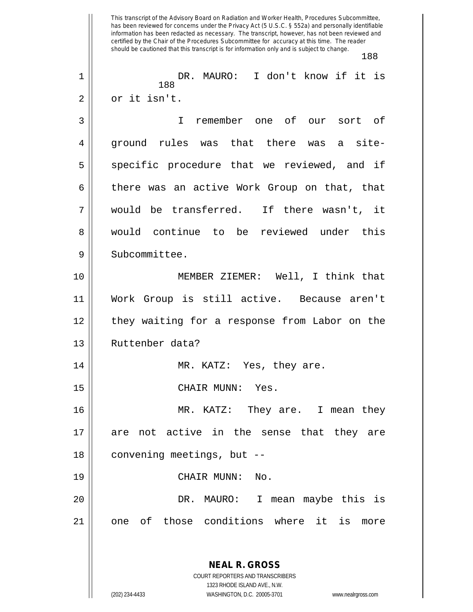This transcript of the Advisory Board on Radiation and Worker Health, Procedures Subcommittee, has been reviewed for concerns under the Privacy Act (5 U.S.C. § 552a) and personally identifiable information has been redacted as necessary. The transcript, however, has not been reviewed and certified by the Chair of the Procedures Subcommittee for accuracy at this time. The reader should be cautioned that this transcript is for information only and is subject to change. 188 **NEAL R. GROSS** COURT REPORTERS AND TRANSCRIBERS 1323 RHODE ISLAND AVE., N.W. 188 1 DR. MAURO: I don't know if it is 2 || or it isn't. 3 I remember one of our sort of 4 ground rules was that there was a site-5 || specific procedure that we reviewed, and if  $6 \parallel$  there was an active Work Group on that, that 7 would be transferred. If there wasn't, it 8 would continue to be reviewed under this 9 || Subcommittee. 10 MEMBER ZIEMER: Well, I think that 11 Work Group is still active. Because aren't 12 they waiting for a response from Labor on the 13 || Ruttenber data? 14 || MR. KATZ: Yes, they are. 15 CHAIR MUNN: Yes. 16 MR. KATZ: They are. I mean they 17 || are not active in the sense that they are 18 || convening meetings, but --19 CHAIR MUNN: No. 20 DR. MAURO: I mean maybe this is 21 || one of those conditions where it is more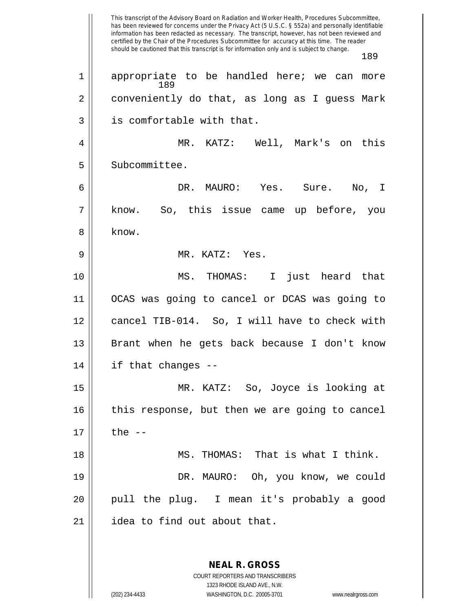This transcript of the Advisory Board on Radiation and Worker Health, Procedures Subcommittee, has been reviewed for concerns under the Privacy Act (5 U.S.C. § 552a) and personally identifiable information has been redacted as necessary. The transcript, however, has not been reviewed and certified by the Chair of the Procedures Subcommittee for accuracy at this time. The reader should be cautioned that this transcript is for information only and is subject to change. 189 **NEAL R. GROSS** COURT REPORTERS AND TRANSCRIBERS 189 1 || appropriate to be handled here; we can more 2 || conveniently do that, as long as I guess Mark 3 || is comfortable with that. 4 MR. KATZ: Well, Mark's on this 5 | Subcommittee. 6 DR. MAURO: Yes. Sure. No, I 7 know. So, this issue came up before, you 8 ll know. 9 MR. KATZ: Yes. 10 MS. THOMAS: I just heard that 11 OCAS was going to cancel or DCAS was going to 12 cancel TIB-014. So, I will have to check with 13 || Brant when he gets back because I don't know  $14$  | if that changes --15 MR. KATZ: So, Joyce is looking at 16 || this response, but then we are going to cancel  $17 \parallel$  the  $-$ 18 MS. THOMAS: That is what I think. 19 DR. MAURO: Oh, you know, we could 20 || pull the plug. I mean it's probably a good 21 | idea to find out about that.

1323 RHODE ISLAND AVE., N.W.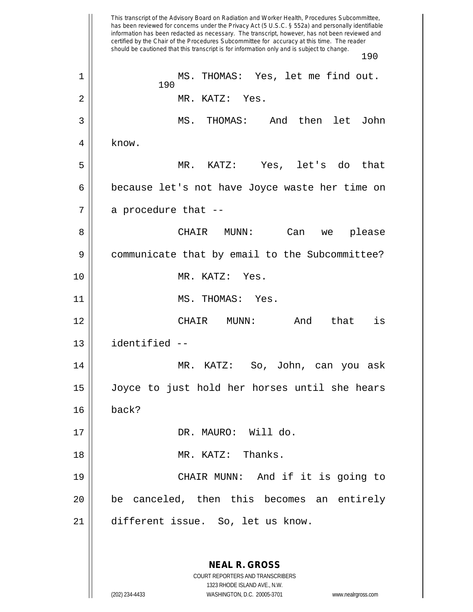This transcript of the Advisory Board on Radiation and Worker Health, Procedures Subcommittee, has been reviewed for concerns under the Privacy Act (5 U.S.C. § 552a) and personally identifiable information has been redacted as necessary. The transcript, however, has not been reviewed and certified by the Chair of the Procedures Subcommittee for accuracy at this time. The reader should be cautioned that this transcript is for information only and is subject to change. 190 **NEAL R. GROSS** COURT REPORTERS AND TRANSCRIBERS 1323 RHODE ISLAND AVE., N.W. 190 1 MS. THOMAS: Yes, let me find out. 2 MR. KATZ: Yes. 3 MS. THOMAS: And then let John  $4 \parallel$  know. 5 MR. KATZ: Yes, let's do that 6 because let's not have Joyce waste her time on  $7 \parallel$  a procedure that  $-$ 8 CHAIR MUNN: Can we please 9 | communicate that by email to the Subcommittee? 10 || MR. KATZ: Yes. 11 || MS. THOMAS: Yes. 12 CHAIR MUNN: And that is 13 identified -- 14 MR. KATZ: So, John, can you ask 15 Joyce to just hold her horses until she hears  $16 \parallel$  back? 17 || DR. MAURO: Will do. 18 MR. KATZ: Thanks. 19 CHAIR MUNN: And if it is going to 20 be canceled, then this becomes an entirely 21 different issue. So, let us know.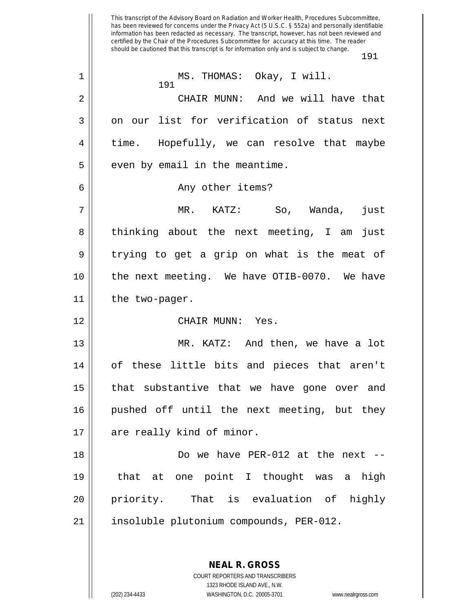This transcript of the Advisory Board on Radiation and Worker Health, Procedures Subcommittee, has been reviewed for concerns under the Privacy Act (5 U.S.C. § 552a) and personally identifiable information has been redacted as necessary. The transcript, however, has not been reviewed and certified by the Chair of the Procedures Subcommittee for accuracy at this time. The reader should be cautioned that this transcript is for information only and is subject to change. 191 191 1 || MS. THOMAS: Okay, I will. 2 CHAIR MUNN: And we will have that  $3 \parallel$  on our list for verification of status next 4 time. Hopefully, we can resolve that maybe  $5 \parallel$  even by email in the meantime. 6 || Any other items? 7 MR. KATZ: So, Wanda, just 8 || thinking about the next meeting, I am just  $9 \parallel$  trying to get a grip on what is the meat of 10 the next meeting. We have OTIB-0070. We have 11 the two-pager. 12 || CHAIR MUNN: Yes. 13 || MR. KATZ: And then, we have a lot 14 || of these little bits and pieces that aren't 15 || that substantive that we have gone over and 16 pushed off until the next meeting, but they 17 || are really kind of minor. 18 Do we have PER-012 at the next -- 19 that at one point I thought was a high 20 priority. That is evaluation of highly 21 || insoluble plutonium compounds, PER-012.

> **NEAL R. GROSS** COURT REPORTERS AND TRANSCRIBERS

> > 1323 RHODE ISLAND AVE., N.W.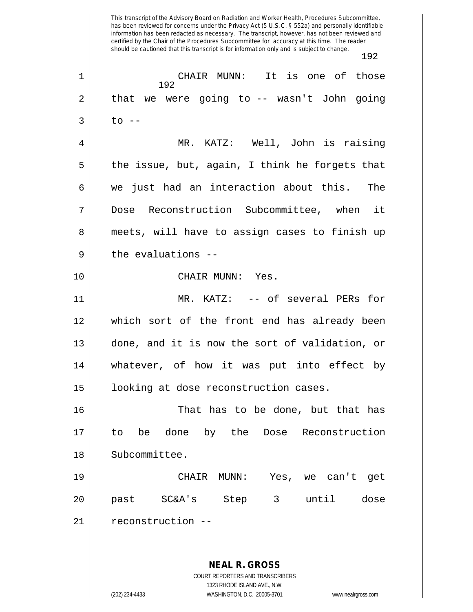This transcript of the Advisory Board on Radiation and Worker Health, Procedures Subcommittee, has been reviewed for concerns under the Privacy Act (5 U.S.C. § 552a) and personally identifiable information has been redacted as necessary. The transcript, however, has not been reviewed and certified by the Chair of the Procedures Subcommittee for accuracy at this time. The reader should be cautioned that this transcript is for information only and is subject to change. 192 **NEAL R. GROSS** COURT REPORTERS AND TRANSCRIBERS 1323 RHODE ISLAND AVE., N.W. 192 1 CHAIR MUNN: It is one of those  $2 \parallel$  that we were going to  $-$  wasn't John going  $3 \parallel$  to  $-$ 4 MR. KATZ: Well, John is raising  $5 \parallel$  the issue, but, again, I think he forgets that  $6 \parallel$  we just had an interaction about this. The 7 Dose Reconstruction Subcommittee, when it 8 || meets, will have to assign cases to finish up  $9$   $\parallel$  the evaluations --10 || CHAIR MUNN: Yes. 11 MR. KATZ: -- of several PERs for 12 which sort of the front end has already been 13 done, and it is now the sort of validation, or 14 whatever, of how it was put into effect by 15 looking at dose reconstruction cases. 16 That has to be done, but that has 17 to be done by the Dose Reconstruction 18 | Subcommittee. 19 CHAIR MUNN: Yes, we can't get 20 past SC&A's Step 3 until dose 21 || reconstruction --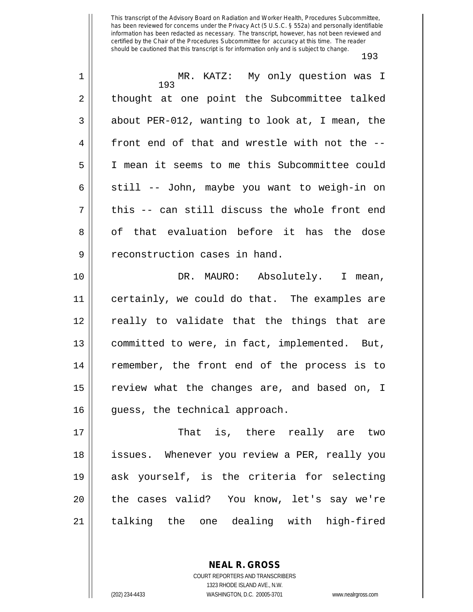| $\mathbf 1$ | MR. KATZ: My only question was I<br>193        |
|-------------|------------------------------------------------|
| 2           | thought at one point the Subcommittee talked   |
| 3           | about PER-012, wanting to look at, I mean, the |
| 4           | front end of that and wrestle with not the --  |
| 5           | I mean it seems to me this Subcommittee could  |
| 6           | still -- John, maybe you want to weigh-in on   |
| 7           | this -- can still discuss the whole front end  |
| 8           | of that evaluation before it has the dose      |
| 9           | reconstruction cases in hand.                  |
| 10          | DR. MAURO: Absolutely. I mean,                 |
| 11          | certainly, we could do that. The examples are  |
| 12          | really to validate that the things that are    |
| 13          | committed to were, in fact, implemented. But,  |
| 14          | remember, the front end of the process is to   |
| 15          | review what the changes are, and based on, I   |
| 16          | guess, the technical approach.                 |
| 17          | That is, there really are two                  |
| 18          | issues. Whenever you review a PER, really you  |
| 19          | ask yourself, is the criteria for selecting    |
| 20          | the cases valid? You know, let's say we're     |
| 21          | talking the one dealing with high-fired        |

**NEAL R. GROSS** COURT REPORTERS AND TRANSCRIBERS

1323 RHODE ISLAND AVE., N.W. (202) 234-4433 WASHINGTON, D.C. 20005-3701 www.nealrgross.com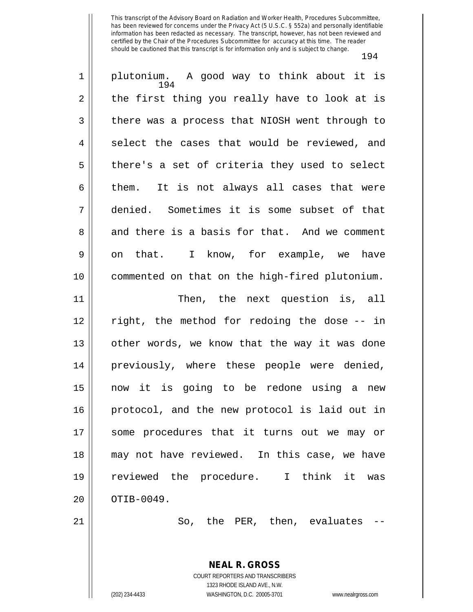| $\mathbf 1$ | plutonium. A good way to think about it is<br>194 |
|-------------|---------------------------------------------------|
| 2           | the first thing you really have to look at is     |
| 3           | there was a process that NIOSH went through to    |
| 4           | select the cases that would be reviewed, and      |
| 5           | there's a set of criteria they used to select     |
| 6           | It is not always all cases that were<br>them.     |
| 7           | denied. Sometimes it is some subset of that       |
| 8           | and there is a basis for that. And we comment     |
| 9           | on that. I know, for example, we have             |
| 10          | commented on that on the high-fired plutonium.    |
| 11          | Then, the next question is, all                   |
| 12          | right, the method for redoing the dose -- in      |
| 13          | other words, we know that the way it was done     |
| 14          | previously, where these people were denied,       |
| 15          | now it is going to be redone using a new          |
| 16          | protocol, and the new protocol is laid out in     |
| 17          | some procedures that it turns out we may or       |
| 18          | may not have reviewed. In this case, we have      |
| 19          | reviewed the procedure. I think it<br>was         |
| 20          | OTIB-0049.                                        |
| 21          | So, the PER, then, evaluates                      |
|             |                                                   |
|             | <b>NEAL R. GROSS</b>                              |

COURT REPORTERS AND TRANSCRIBERS 1323 RHODE ISLAND AVE., N.W. (202) 234-4433 WASHINGTON, D.C. 20005-3701 www.nealrgross.com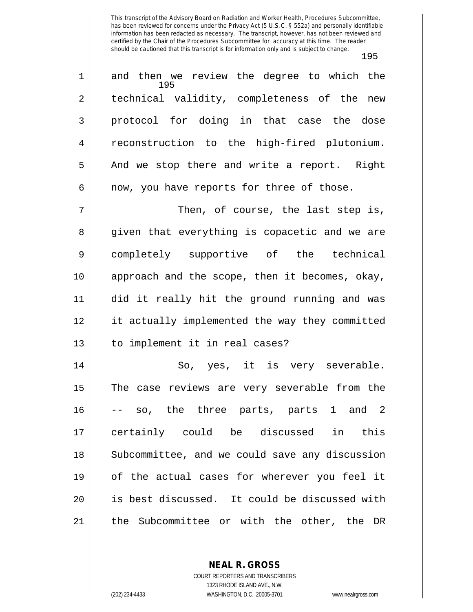195 1 and then we review the degree to which the 2 || technical validity, completeness of the new 3 || protocol for doing in that case the dose 4 || reconstruction to the high-fired plutonium.  $5 \parallel$  And we stop there and write a report. Right  $6 \parallel$  now, you have reports for three of those. 7 Then, of course, the last step is,

8 given that everything is copacetic and we are completely supportive of the technical approach and the scope, then it becomes, okay, did it really hit the ground running and was it actually implemented the way they committed 13 || to implement it in real cases?

 So, yes, it is very severable. The case reviews are very severable from the -- so, the three parts, parts 1 and 2 certainly could be discussed in this 18 || Subcommittee, and we could save any discussion of the actual cases for wherever you feel it is best discussed. It could be discussed with the Subcommittee or with the other, the DR

> **NEAL R. GROSS** COURT REPORTERS AND TRANSCRIBERS 1323 RHODE ISLAND AVE., N.W. (202) 234-4433 WASHINGTON, D.C. 20005-3701 www.nealrgross.com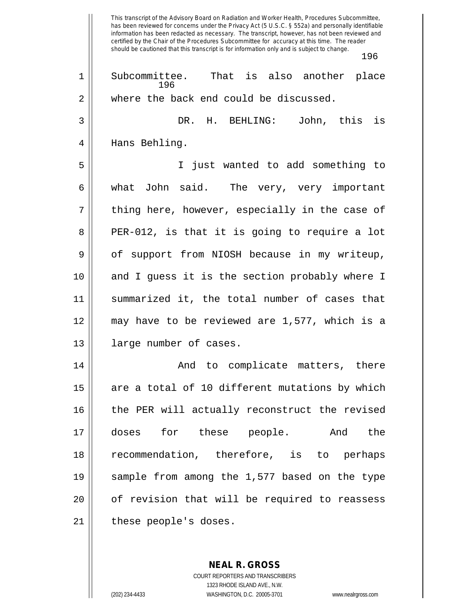This transcript of the Advisory Board on Radiation and Worker Health, Procedures Subcommittee, has been reviewed for concerns under the Privacy Act (5 U.S.C. § 552a) and personally identifiable information has been redacted as necessary. The transcript, however, has not been reviewed and certified by the Chair of the Procedures Subcommittee for accuracy at this time. The reader should be cautioned that this transcript is for information only and is subject to change. 196 196 1 Subcommittee. That is also another place 2 where the back end could be discussed. 3 DR. H. BEHLING: John, this is 4 || Hans Behling. 5 I just wanted to add something to 6 || what John said. The very, very important 7 || thing here, however, especially in the case of 8 PER-012, is that it is going to require a lot 9 | of support from NIOSH because in my writeup, 10 and I guess it is the section probably where I 11 summarized it, the total number of cases that 12 may have to be reviewed are 1,577, which is a 13 || large number of cases. 14 And to complicate matters, there  $15$  are a total of 10 different mutations by which 16 || the PER will actually reconstruct the revised 17 doses for these people. And the 18 recommendation, therefore, is to perhaps 19 sample from among the 1,577 based on the type 20 || of revision that will be required to reassess 21 | these people's doses.

> COURT REPORTERS AND TRANSCRIBERS 1323 RHODE ISLAND AVE., N.W. (202) 234-4433 WASHINGTON, D.C. 20005-3701 www.nealrgross.com

**NEAL R. GROSS**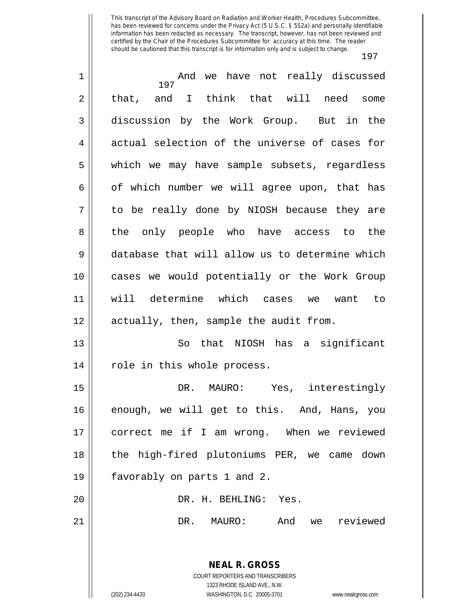| $\mathbf 1$ | And we have not really discussed               |
|-------------|------------------------------------------------|
| 2           | 197<br>that, and I think that will need some   |
|             |                                                |
| 3           | discussion by the Work Group. But in the       |
| 4           | actual selection of the universe of cases for  |
| 5           | which we may have sample subsets, regardless   |
| 6           | of which number we will agree upon, that has   |
| 7           | to be really done by NIOSH because they are    |
| 8           | the only people who have access to the         |
| 9           | database that will allow us to determine which |
| 10          | cases we would potentially or the Work Group   |
| 11          | will determine which cases we want to          |
| 12          | actually, then, sample the audit from.         |
| 13          | So that NIOSH has a significant                |
| 14          | role in this whole process.                    |
| 15          | DR.<br>MAURO: Yes, interestingly               |
| 16          | enough, we will get to this. And, Hans, you    |
| 17          | correct me if I am wrong. When we reviewed     |
| 18          | the high-fired plutoniums PER, we came down    |
| 19          | favorably on parts 1 and 2.                    |
|             |                                                |
| 20          | DR. H. BEHLING: Yes.                           |
| 21          | And<br>reviewed<br>DR.<br>MAURO:<br>we         |
|             |                                                |
|             | <b>NEAL R. GROSS</b>                           |
|             | COURT REPORTERS AND TRANSCRIBERS               |
|             | 1323 RHODE ISLAND AVE., N.W.                   |

 $\frac{1}{2}$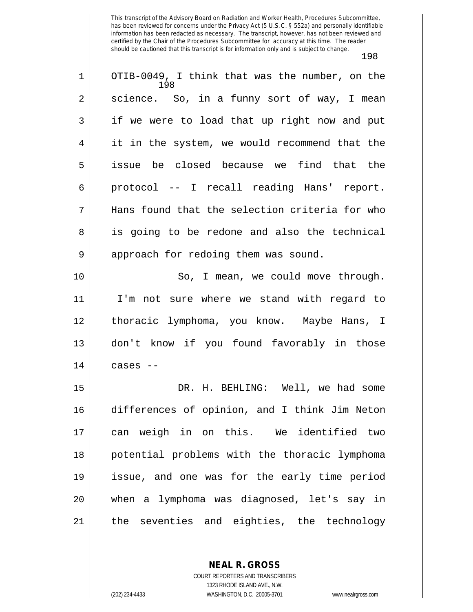| $\mathbf 1$ | OTIB-0049, I think that was the number, on the<br>198 |
|-------------|-------------------------------------------------------|
| 2           | science. So, in a funny sort of way, I mean           |
| 3           | if we were to load that up right now and put          |
| 4           | it in the system, we would recommend that the         |
| 5           | issue be closed because we find that the              |
| 6           | protocol -- I recall reading Hans' report.            |
| 7           | Hans found that the selection criteria for who        |
| 8           | is going to be redone and also the technical          |
| 9           | approach for redoing them was sound.                  |
| 10          | So, I mean, we could move through.                    |
| 11          | I'm not sure where we stand with regard to            |
| 12          | thoracic lymphoma, you know. Maybe Hans, I            |
| 13          | don't know if you found favorably in those            |
| 14          | cases --                                              |
| 15          | DR. H. BEHLING: Well, we had some                     |
| 16          | differences of opinion, and I think Jim Neton         |
| 17          | can weigh in on this. We identified two               |
| 18          | potential problems with the thoracic lymphoma         |
| 19          | issue, and one was for the early time period          |
| 20          | when a lymphoma was diagnosed, let's say in           |
| 21          | the seventies and eighties, the technology            |

**NEAL R. GROSS** COURT REPORTERS AND TRANSCRIBERS

1323 RHODE ISLAND AVE., N.W.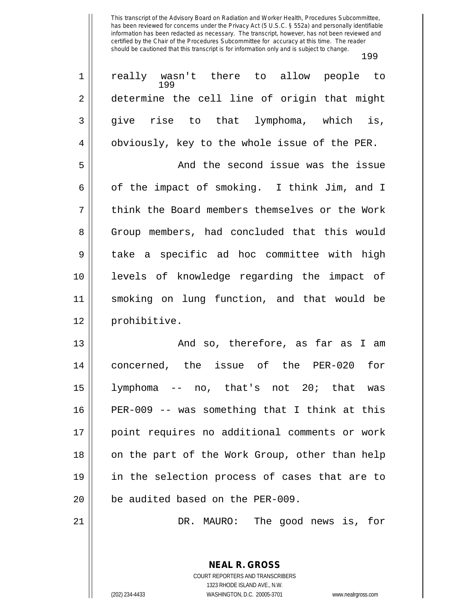| $\mathbf 1$    | really wasn't there to allow people to<br>199  |
|----------------|------------------------------------------------|
| $\mathbf 2$    | determine the cell line of origin that might   |
| 3              | give rise to that lymphoma, which is,          |
| $\overline{4}$ | obviously, key to the whole issue of the PER.  |
| 5              | And the second issue was the issue             |
| 6              | of the impact of smoking. I think Jim, and I   |
| 7              | think the Board members themselves or the Work |
| 8              | Group members, had concluded that this would   |
| 9              | take a specific ad hoc committee with high     |
| 10             | levels of knowledge regarding the impact of    |
| 11             | smoking on lung function, and that would be    |
| 12             | prohibitive.                                   |
| 13             | And so, therefore, as far as I am              |
| 14             | concerned, the issue of the PER-020<br>for     |
| 15             | lymphoma -- no, that's not 20; that was        |
| 16             | PER-009 -- was something that I think at this  |
| 17             | point requires no additional comments or work  |
| 18             | on the part of the Work Group, other than help |
| 19             | in the selection process of cases that are to  |
| 20             | be audited based on the PER-009.               |
| 21             | DR. MAURO: The good news is, for               |
|                |                                                |

COURT REPORTERS AND TRANSCRIBERS 1323 RHODE ISLAND AVE., N.W. (202) 234-4433 WASHINGTON, D.C. 20005-3701 www.nealrgross.com

**NEAL R. GROSS**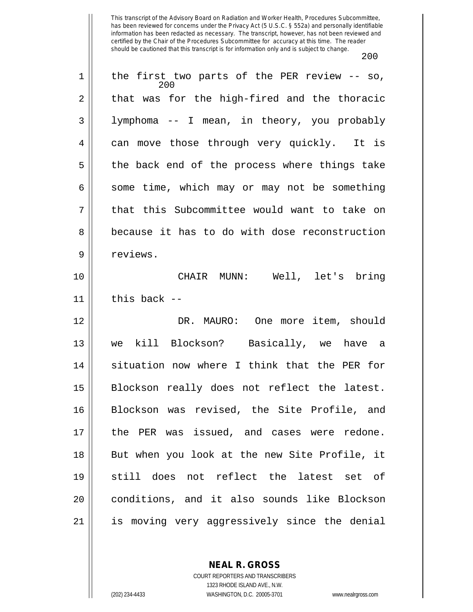| 1  | the first two parts of the PER review -- so,<br>200 |
|----|-----------------------------------------------------|
| 2  | that was for the high-fired and the thoracic        |
| 3  | lymphoma -- I mean, in theory, you probably         |
| 4  | can move those through very quickly. It is          |
| 5  | the back end of the process where things take       |
| 6  | some time, which may or may not be something        |
| 7  | that this Subcommittee would want to take on        |
| 8  | because it has to do with dose reconstruction       |
| 9  | reviews.                                            |
| 10 | CHAIR MUNN: Well, let's bring                       |
| 11 | this back --                                        |
| 12 | DR. MAURO: One more item, should                    |
| 13 | kill Blockson? Basically, we<br>have a<br>we        |
| 14 | situation now where I think that the PER for        |
| 15 | Blockson really does not reflect the latest.        |
| 16 | Blockson was revised, the Site Profile, and         |
| 17 | the PER was issued, and cases were redone.          |
| 18 | But when you look at the new Site Profile, it       |
| 19 | still does not reflect the latest set of            |
| 20 | conditions, and it also sounds like Blockson        |
| 21 | is moving very aggressively since the denial        |

**NEAL R. GROSS** COURT REPORTERS AND TRANSCRIBERS

1323 RHODE ISLAND AVE., N.W.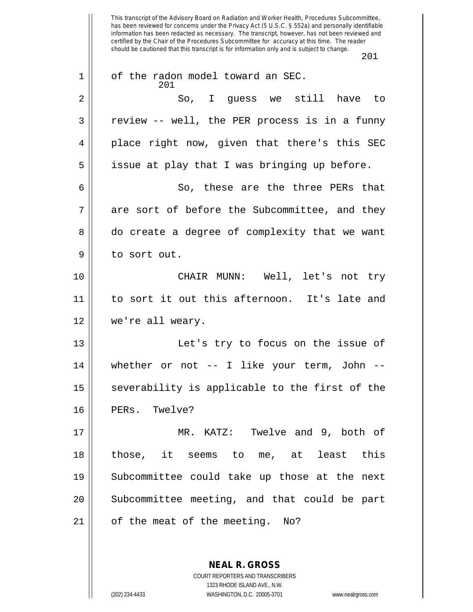This transcript of the Advisory Board on Radiation and Worker Health, Procedures Subcommittee, has been reviewed for concerns under the Privacy Act (5 U.S.C. § 552a) and personally identifiable information has been redacted as necessary. The transcript, however, has not been reviewed and certified by the Chair of the Procedures Subcommittee for accuracy at this time. The reader should be cautioned that this transcript is for information only and is subject to change. 201 201 1 | of the radon model toward an SEC. 2 So, I guess we still have to 3 || review -- well, the PER process is in a funny 4 || place right now, given that there's this SEC  $5 \parallel$  issue at play that I was bringing up before. 6 So, these are the three PERs that 7 || are sort of before the Subcommittee, and they 8 do create a degree of complexity that we want 9 | to sort out. 10 CHAIR MUNN: Well, let's not try 11 to sort it out this afternoon. It's late and 12 we're all weary. 13 || Let's try to focus on the issue of  $14$  | whether or not -- I like your term, John -- $15$  severability is applicable to the first of the 16 || PERs. Twelve? 17 MR. KATZ: Twelve and 9, both of  $18$   $\parallel$  those, it seems to me, at least this 19 Subcommittee could take up those at the next 20 || Subcommittee meeting, and that could be part  $21$  | of the meat of the meeting. No?

> **NEAL R. GROSS** COURT REPORTERS AND TRANSCRIBERS 1323 RHODE ISLAND AVE., N.W. (202) 234-4433 WASHINGTON, D.C. 20005-3701 www.nealrgross.com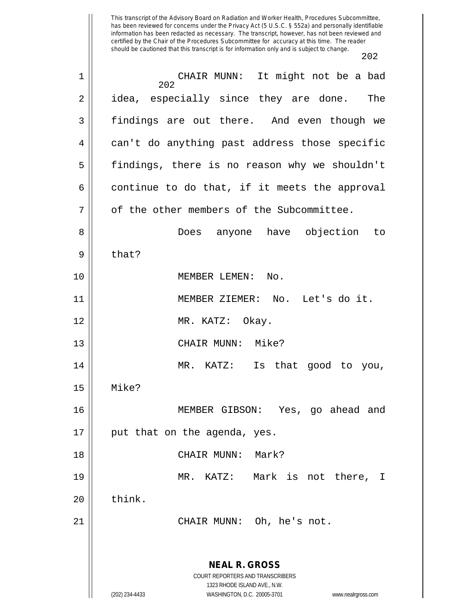| $\mathbf 1$    | CHAIR MUNN: It might not be a bad<br>202                                                 |
|----------------|------------------------------------------------------------------------------------------|
| 2              | idea, especially since they are done.<br>The                                             |
| $\mathfrak{Z}$ | findings are out there. And even though we                                               |
| $\overline{4}$ | can't do anything past address those specific                                            |
| 5              | findings, there is no reason why we shouldn't                                            |
| 6              | continue to do that, if it meets the approval                                            |
| 7              | of the other members of the Subcommittee.                                                |
| 8              | Does anyone have objection to                                                            |
| 9              | that?                                                                                    |
| 10             | MEMBER LEMEN:<br>No.                                                                     |
| 11             | MEMBER ZIEMER: No. Let's do it.                                                          |
| 12             | MR. KATZ: Okay.                                                                          |
| 13             | CHAIR MUNN: Mike?                                                                        |
| 14             | MR. KATZ:<br>Is that good to you,                                                        |
| 15             | Mike?                                                                                    |
| 16             | MEMBER GIBSON: Yes, go ahead and                                                         |
| 17             | put that on the agenda, yes.                                                             |
| 18             | CHAIR MUNN:<br>Mark?                                                                     |
| 19             | MR.<br>KATZ: Mark is not there,<br>I.                                                    |
| 20             | think.                                                                                   |
| 21             | CHAIR MUNN: Oh, he's not.                                                                |
|                | <b>NEAL R. GROSS</b><br>COURT REPORTERS AND TRANSCRIBERS<br>1323 RHODE ISLAND AVE., N.W. |
|                | (202) 234-4433<br>WASHINGTON, D.C. 20005-3701<br>www.nealrgross.com                      |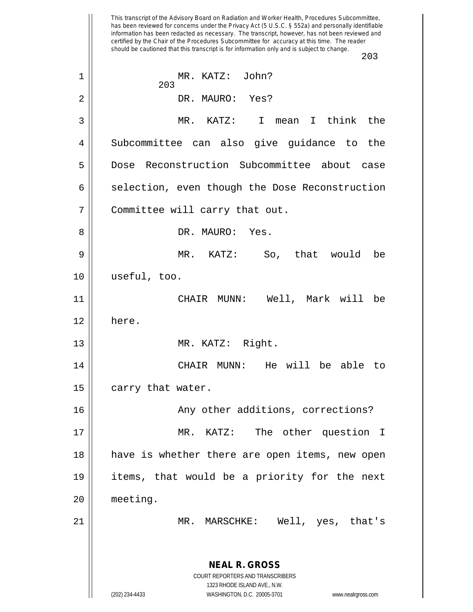This transcript of the Advisory Board on Radiation and Worker Health, Procedures Subcommittee, has been reviewed for concerns under the Privacy Act (5 U.S.C. § 552a) and personally identifiable information has been redacted as necessary. The transcript, however, has not been reviewed and certified by the Chair of the Procedures Subcommittee for accuracy at this time. The reader should be cautioned that this transcript is for information only and is subject to change. 203 **NEAL R. GROSS** COURT REPORTERS AND TRANSCRIBERS 1323 RHODE ISLAND AVE., N.W. (202) 234-4433 WASHINGTON, D.C. 20005-3701 www.nealrgross.com 203 1 MR. KATZ: John? 2 DR. MAURO: Yes? 3 MR. KATZ: I mean I think the 4 Subcommittee can also give guidance to the 5 Dose Reconstruction Subcommittee about case 6 | selection, even though the Dose Reconstruction 7 || Committee will carry that out. 8 DR. MAURO: Yes. 9 MR. KATZ: So, that would be 10 useful, too. 11 CHAIR MUNN: Well, Mark will be 12 here. 13 || MR. KATZ: Right. 14 CHAIR MUNN: He will be able to 15 | carry that water. 16 || Any other additions, corrections? 17 || MR. KATZ: The other question I 18 have is whether there are open items, new open 19 items, that would be a priority for the next 20 meeting. 21 MR. MARSCHKE: Well, yes, that's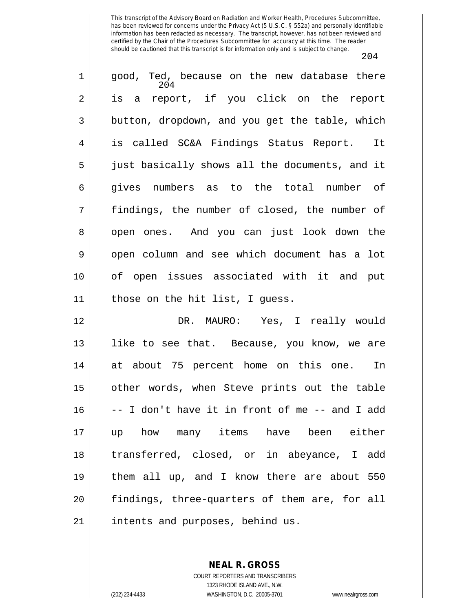| $\mathbf 1$    | good, Ted, because on the new database there<br>204 |
|----------------|-----------------------------------------------------|
| $\overline{2}$ | is a report, if you click on the report             |
| $\mathfrak{Z}$ | button, dropdown, and you get the table, which      |
| 4              | is called SC&A Findings Status Report. It           |
| 5              | just basically shows all the documents, and it      |
| 6              | gives numbers as to the total number of             |
| 7              | findings, the number of closed, the number of       |
| 8              | open ones. And you can just look down the           |
| $\mathsf 9$    | open column and see which document has a lot        |
| 10             | of open issues associated with it and put           |
| 11             | those on the hit list, I guess.                     |
| 12             | DR. MAURO: Yes, I really would                      |
| 13             | like to see that. Because, you know, we are         |
| 14             | at about 75 percent home on this one.<br>In         |
| 15             | other words, when Steve prints out the table        |
| 16             | -- I don't have it in front of me -- and I add      |
| 17             | how many items have been either<br>up               |
| 18             | transferred, closed, or in abeyance, I add          |
| 19             | them all up, and I know there are about 550         |
| 20             | findings, three-quarters of them are, for all       |
| 21             | intents and purposes, behind us.                    |

**NEAL R. GROSS** COURT REPORTERS AND TRANSCRIBERS 1323 RHODE ISLAND AVE., N.W.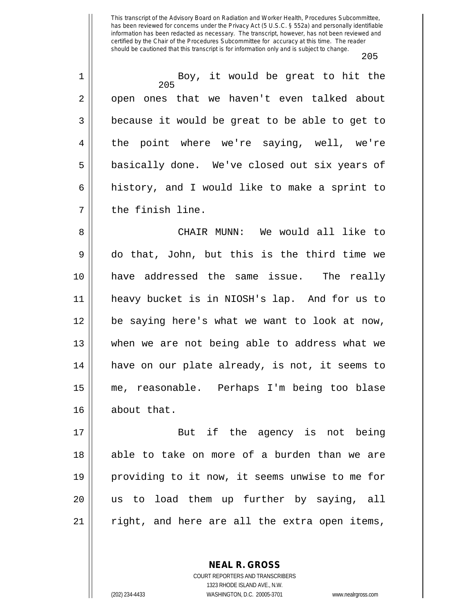205

205 1 Boy, it would be great to hit the 2 || open ones that we haven't even talked about  $3 \parallel$  because it would be great to be able to get to 4 the point where we're saying, well, we're 5 || basically done. We've closed out six years of  $6 \parallel$  history, and I would like to make a sprint to 7 || the finish line. 8 CHAIR MUNN: We would all like to

 do that, John, but this is the third time we have addressed the same issue. The really heavy bucket is in NIOSH's lap. And for us to be saying here's what we want to look at now, 13 || when we are not being able to address what we 14 || have on our plate already, is not, it seems to me, reasonable. Perhaps I'm being too blase 16 || about that.

17 || But if the agency is not being 18 || able to take on more of a burden than we are 19 providing to it now, it seems unwise to me for 20 us to load them up further by saying, all  $21$  right, and here are all the extra open items,

> COURT REPORTERS AND TRANSCRIBERS 1323 RHODE ISLAND AVE., N.W. (202) 234-4433 WASHINGTON, D.C. 20005-3701 www.nealrgross.com

**NEAL R. GROSS**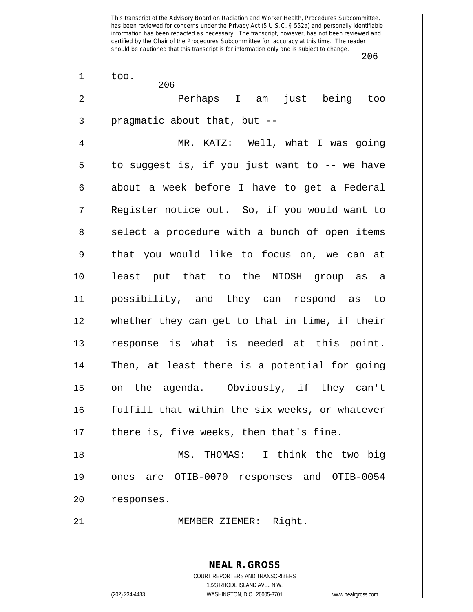|                | ∠∪∪                                                                 |
|----------------|---------------------------------------------------------------------|
| $\mathbf 1$    | too.<br>206                                                         |
| $\overline{2}$ | Perhaps I am just being too                                         |
| $\mathfrak{Z}$ | pragmatic about that, but --                                        |
| 4              | MR. KATZ: Well, what I was going                                    |
| 5              | to suggest is, if you just want to -- we have                       |
| $\epsilon$     | about a week before I have to get a Federal                         |
| 7              | Register notice out. So, if you would want to                       |
| 8              | select a procedure with a bunch of open items                       |
| $\mathsf 9$    | that you would like to focus on, we can at                          |
| 10             | least put that to the NIOSH group as a                              |
| 11             | possibility, and they can respond as to                             |
| 12             | whether they can get to that in time, if their                      |
| 13             | response is what is needed at this point.                           |
| 14             | Then, at least there is a potential for going                       |
| 15             | on the agenda. Obviously, if they can't                             |
| 16             | fulfill that within the six weeks, or whatever                      |
| 17             | there is, five weeks, then that's fine.                             |
| 18             | MS. THOMAS: I think the two big                                     |
| 19             | ones are OTIB-0070 responses and OTIB-0054                          |
| 20             | responses.                                                          |
| 21             | MEMBER ZIEMER: Right.                                               |
|                |                                                                     |
|                | <b>NEAL R. GROSS</b>                                                |
|                | COURT REPORTERS AND TRANSCRIBERS<br>1323 RHODE ISLAND AVE., N.W.    |
|                | (202) 234-4433<br>WASHINGTON, D.C. 20005-3701<br>www.nealrgross.com |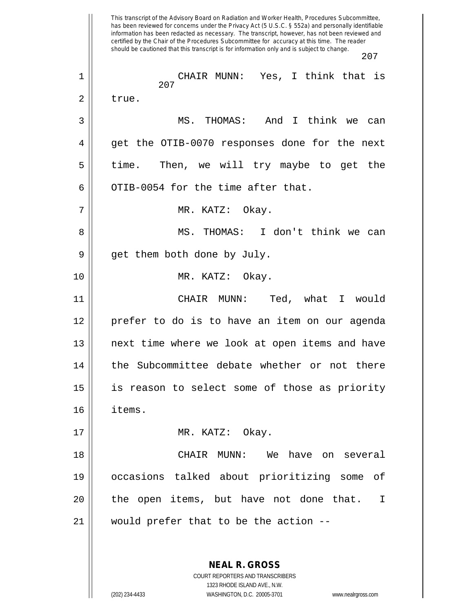This transcript of the Advisory Board on Radiation and Worker Health, Procedures Subcommittee, has been reviewed for concerns under the Privacy Act (5 U.S.C. § 552a) and personally identifiable information has been redacted as necessary. The transcript, however, has not been reviewed and certified by the Chair of the Procedures Subcommittee for accuracy at this time. The reader should be cautioned that this transcript is for information only and is subject to change. 207 **NEAL R. GROSS** 207 1 CHAIR MUNN: Yes, I think that is  $2 \parallel$  true. 3 MS. THOMAS: And I think we can 4 get the OTIB-0070 responses done for the next  $5 \parallel$  time. Then, we will try maybe to get the 6  $\parallel$  0TIB-0054 for the time after that. 7 MR. KATZ: Okay. 8 MS. THOMAS: I don't think we can  $9 \parallel$  get them both done by July. 10 MR. KATZ: Okay. 11 CHAIR MUNN: Ted, what I would 12 prefer to do is to have an item on our agenda 13 || next time where we look at open items and have 14 || the Subcommittee debate whether or not there 15 is reason to select some of those as priority 16 items. 17 || MR. KATZ: Okay. 18 CHAIR MUNN: We have on several 19 occasions talked about prioritizing some of 20 || the open items, but have not done that. I 21 would prefer that to be the action --

> COURT REPORTERS AND TRANSCRIBERS 1323 RHODE ISLAND AVE., N.W.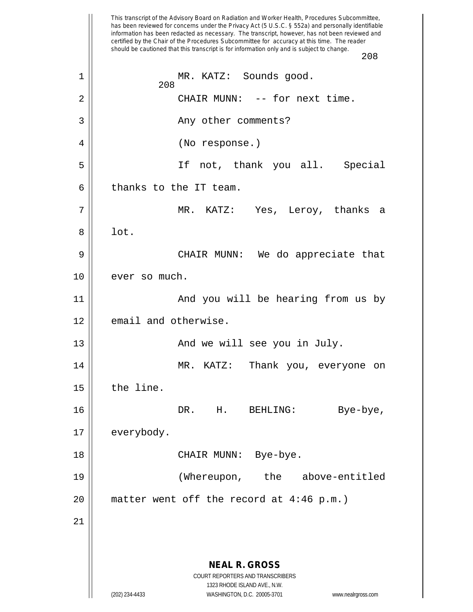This transcript of the Advisory Board on Radiation and Worker Health, Procedures Subcommittee, has been reviewed for concerns under the Privacy Act (5 U.S.C. § 552a) and personally identifiable information has been redacted as necessary. The transcript, however, has not been reviewed and certified by the Chair of the Procedures Subcommittee for accuracy at this time. The reader should be cautioned that this transcript is for information only and is subject to change. 208 **NEAL R. GROSS** COURT REPORTERS AND TRANSCRIBERS 1323 RHODE ISLAND AVE., N.W. (202) 234-4433 WASHINGTON, D.C. 20005-3701 www.nealrgross.com 208 1 || MR. KATZ: Sounds good. 2 | CHAIR MUNN: -- for next time. 3 Any other comments? 4 | (No response.) 5 If not, thank you all. Special  $6$  | thanks to the IT team. 7 MR. KATZ: Yes, Leroy, thanks a  $8 \parallel$  lot. 9 CHAIR MUNN: We do appreciate that 10 | ever so much. 11 || And you will be hearing from us by 12 | email and otherwise. 13 And we will see you in July. 14 MR. KATZ: Thank you, everyone on  $15$  | the line. 16 DR. H. BEHLING: Bye-bye, 17 | everybody. 18 CHAIR MUNN: Bye-bye. 19 (Whereupon, the above-entitled  $20$  || matter went off the record at 4:46 p.m.) 21